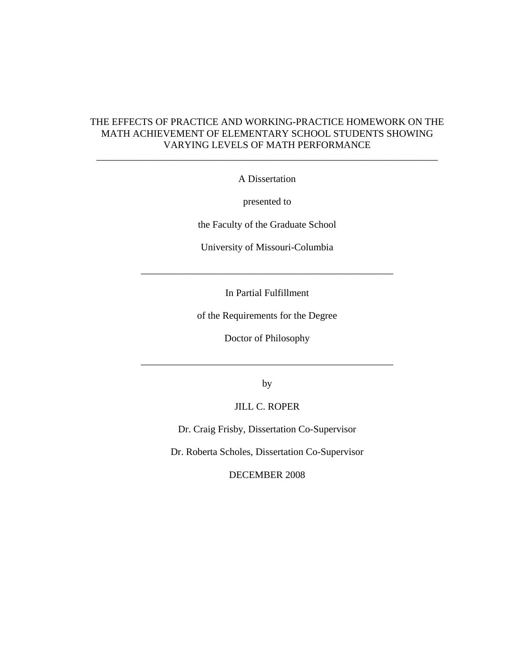## THE EFFECTS OF PRACTICE AND WORKING-PRACTICE HOMEWORK ON THE MATH ACHIEVEMENT OF ELEMENTARY SCHOOL STUDENTS SHOWING VARYING LEVELS OF MATH PERFORMANCE \_\_\_\_\_\_\_\_\_\_\_\_\_\_\_\_\_\_\_\_\_\_\_\_\_\_\_\_\_\_\_\_\_\_\_\_\_\_\_\_\_\_\_\_\_\_\_\_\_\_\_\_\_\_\_\_\_\_\_\_\_\_\_\_\_\_\_\_\_

A Dissertation

presented to

the Faculty of the Graduate School

University of Missouri-Columbia

\_\_\_\_\_\_\_\_\_\_\_\_\_\_\_\_\_\_\_\_\_\_\_\_\_\_\_\_\_\_\_\_\_\_\_\_\_\_\_\_\_\_\_\_\_\_\_\_\_\_\_

In Partial Fulfillment

of the Requirements for the Degree

Doctor of Philosophy

by

\_\_\_\_\_\_\_\_\_\_\_\_\_\_\_\_\_\_\_\_\_\_\_\_\_\_\_\_\_\_\_\_\_\_\_\_\_\_\_\_\_\_\_\_\_\_\_\_\_\_\_

## JILL C. ROPER

Dr. Craig Frisby, Dissertation Co-Supervisor

Dr. Roberta Scholes, Dissertation Co-Supervisor

DECEMBER 2008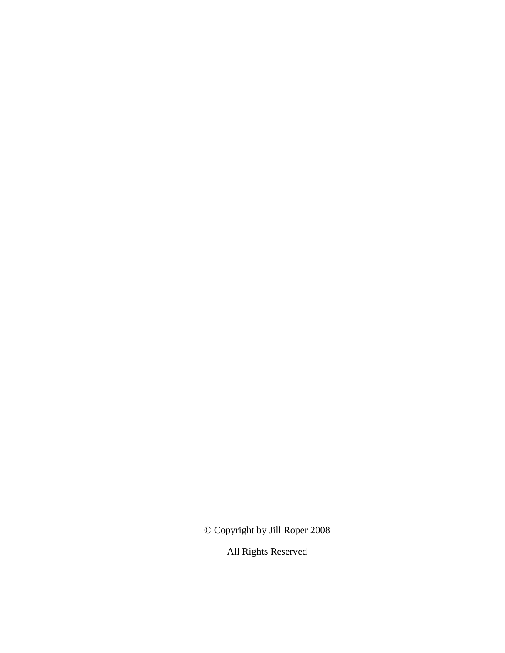© Copyright by Jill Roper 2008

All Rights Reserved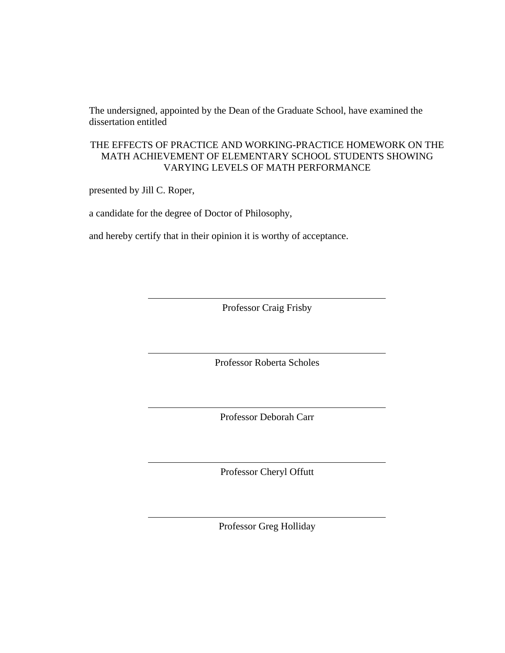The undersigned, appointed by the Dean of the Graduate School, have examined the dissertation entitled

## THE EFFECTS OF PRACTICE AND WORKING-PRACTICE HOMEWORK ON THE MATH ACHIEVEMENT OF ELEMENTARY SCHOOL STUDENTS SHOWING VARYING LEVELS OF MATH PERFORMANCE

presented by Jill C. Roper,

a candidate for the degree of Doctor of Philosophy,

and hereby certify that in their opinion it is worthy of acceptance.

Professor Craig Frisby

Professor Roberta Scholes

Professor Deborah Carr

Professor Cheryl Offutt

Professor Greg Holliday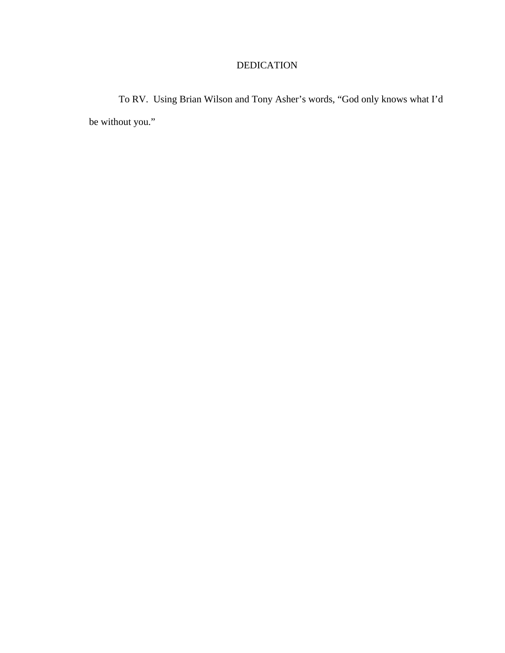# DEDICATION

To RV. Using Brian Wilson and Tony Asher's words, "God only knows what I'd be without you."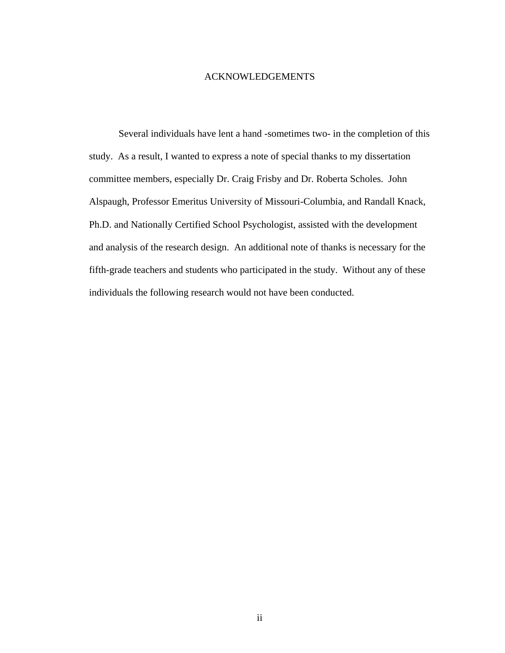#### ACKNOWLEDGEMENTS

 Several individuals have lent a hand -sometimes two- in the completion of this study. As a result, I wanted to express a note of special thanks to my dissertation committee members, especially Dr. Craig Frisby and Dr. Roberta Scholes. John Alspaugh, Professor Emeritus University of Missouri-Columbia, and Randall Knack, Ph.D. and Nationally Certified School Psychologist, assisted with the development and analysis of the research design. An additional note of thanks is necessary for the fifth-grade teachers and students who participated in the study. Without any of these individuals the following research would not have been conducted.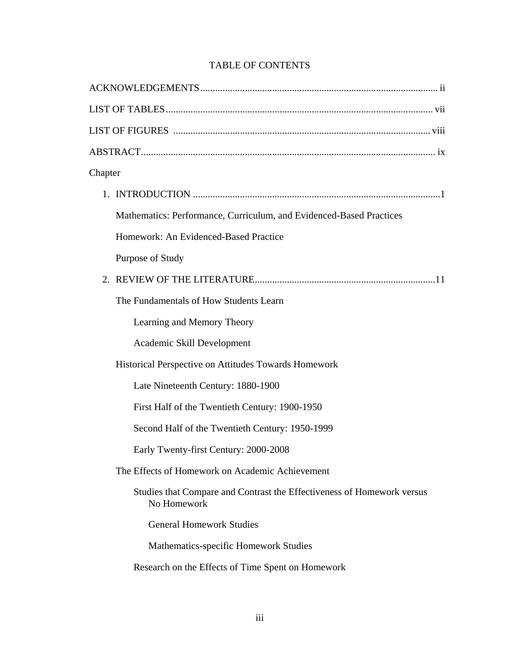# TABLE OF CONTENTS

| Chapter                                                                               |  |  |  |  |
|---------------------------------------------------------------------------------------|--|--|--|--|
|                                                                                       |  |  |  |  |
| Mathematics: Performance, Curriculum, and Evidenced-Based Practices                   |  |  |  |  |
| Homework: An Evidenced-Based Practice                                                 |  |  |  |  |
| Purpose of Study                                                                      |  |  |  |  |
|                                                                                       |  |  |  |  |
| The Fundamentals of How Students Learn                                                |  |  |  |  |
| Learning and Memory Theory                                                            |  |  |  |  |
| Academic Skill Development                                                            |  |  |  |  |
| Historical Perspective on Attitudes Towards Homework                                  |  |  |  |  |
| Late Nineteenth Century: 1880-1900                                                    |  |  |  |  |
| First Half of the Twentieth Century: 1900-1950                                        |  |  |  |  |
| Second Half of the Twentieth Century: 1950-1999                                       |  |  |  |  |
| Early Twenty-first Century: 2000-2008                                                 |  |  |  |  |
| The Effects of Homework on Academic Achievement                                       |  |  |  |  |
| Studies that Compare and Contrast the Effectiveness of Homework versus<br>No Homework |  |  |  |  |
| <b>General Homework Studies</b>                                                       |  |  |  |  |
| Mathematics-specific Homework Studies                                                 |  |  |  |  |
| Research on the Effects of Time Spent on Homework                                     |  |  |  |  |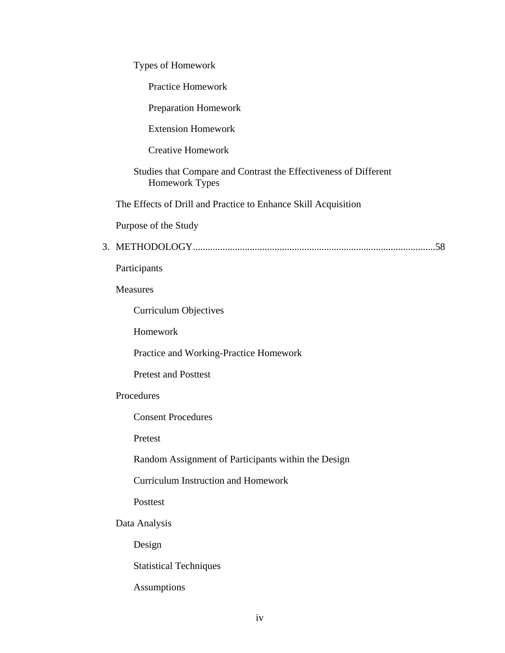| Types of Homework                                                                  |
|------------------------------------------------------------------------------------|
| <b>Practice Homework</b>                                                           |
| <b>Preparation Homework</b>                                                        |
| <b>Extension Homework</b>                                                          |
| <b>Creative Homework</b>                                                           |
| Studies that Compare and Contrast the Effectiveness of Different<br>Homework Types |
| The Effects of Drill and Practice to Enhance Skill Acquisition                     |
| Purpose of the Study                                                               |
|                                                                                    |
| Participants                                                                       |
| Measures                                                                           |
| <b>Curriculum Objectives</b>                                                       |
| Homework                                                                           |
| Practice and Working-Practice Homework                                             |
| <b>Pretest and Posttest</b>                                                        |
| Procedures                                                                         |
| <b>Consent Procedures</b>                                                          |
| Pretest                                                                            |
| Random Assignment of Participants within the Design                                |
| <b>Curriculum Instruction and Homework</b>                                         |
| Posttest                                                                           |
| Data Analysis                                                                      |
| Design                                                                             |
| <b>Statistical Techniques</b>                                                      |
| <b>Assumptions</b>                                                                 |
|                                                                                    |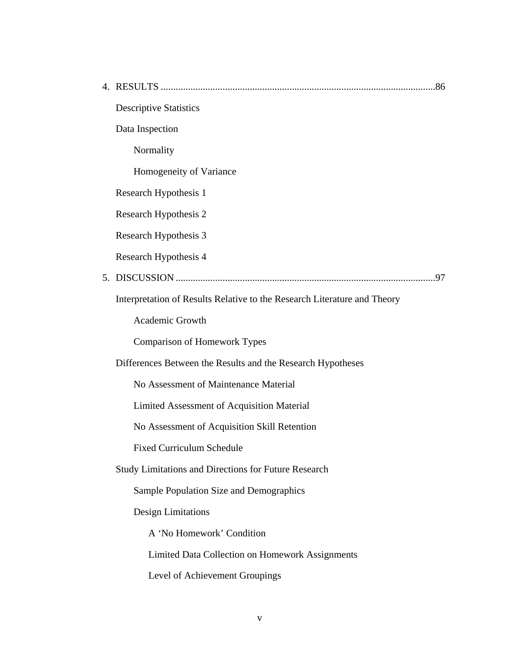| <b>Descriptive Statistics</b>                                            |  |
|--------------------------------------------------------------------------|--|
| Data Inspection                                                          |  |
| Normality                                                                |  |
| Homogeneity of Variance                                                  |  |
| Research Hypothesis 1                                                    |  |
| Research Hypothesis 2                                                    |  |
| Research Hypothesis 3                                                    |  |
| Research Hypothesis 4                                                    |  |
|                                                                          |  |
| Interpretation of Results Relative to the Research Literature and Theory |  |
| Academic Growth                                                          |  |
| Comparison of Homework Types                                             |  |
| Differences Between the Results and the Research Hypotheses              |  |
| No Assessment of Maintenance Material                                    |  |
| <b>Limited Assessment of Acquisition Material</b>                        |  |
| No Assessment of Acquisition Skill Retention                             |  |
| <b>Fixed Curriculum Schedule</b>                                         |  |
| <b>Study Limitations and Directions for Future Research</b>              |  |
| Sample Population Size and Demographics                                  |  |
| <b>Design Limitations</b>                                                |  |
| A 'No Homework' Condition                                                |  |
| <b>Limited Data Collection on Homework Assignments</b>                   |  |
| Level of Achievement Groupings                                           |  |
|                                                                          |  |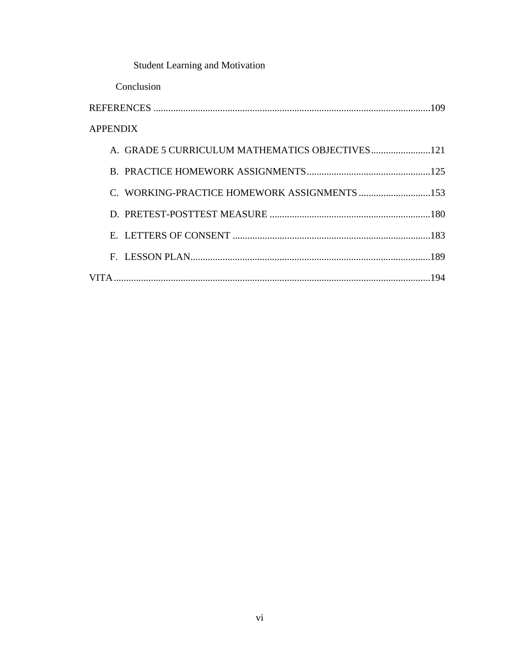| <b>Student Learning and Motivation</b> |  |
|----------------------------------------|--|
| Conclusion                             |  |
|                                        |  |
| <b>APPENDIX</b>                        |  |
|                                        |  |
|                                        |  |
|                                        |  |
|                                        |  |
|                                        |  |
|                                        |  |
|                                        |  |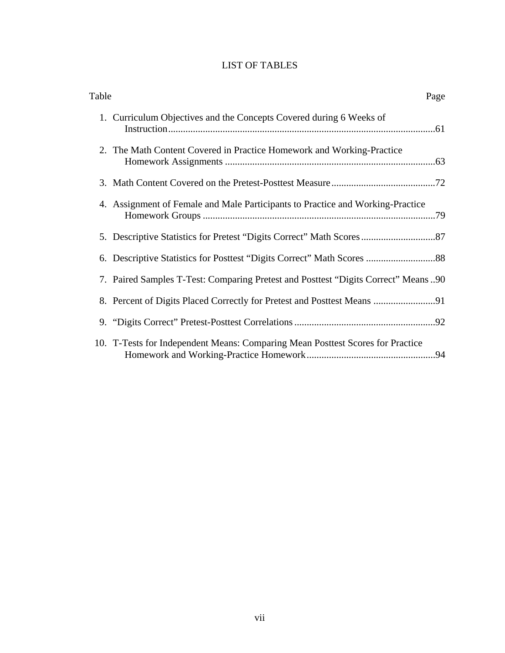# LIST OF TABLES

| Table | Page                                                                              |  |
|-------|-----------------------------------------------------------------------------------|--|
|       | 1. Curriculum Objectives and the Concepts Covered during 6 Weeks of               |  |
|       | 2. The Math Content Covered in Practice Homework and Working-Practice             |  |
|       |                                                                                   |  |
|       | 4. Assignment of Female and Male Participants to Practice and Working-Practice    |  |
|       |                                                                                   |  |
|       |                                                                                   |  |
|       | 7. Paired Samples T-Test: Comparing Pretest and Posttest "Digits Correct" Means90 |  |
|       |                                                                                   |  |
|       |                                                                                   |  |
|       | 10. T-Tests for Independent Means: Comparing Mean Posttest Scores for Practice    |  |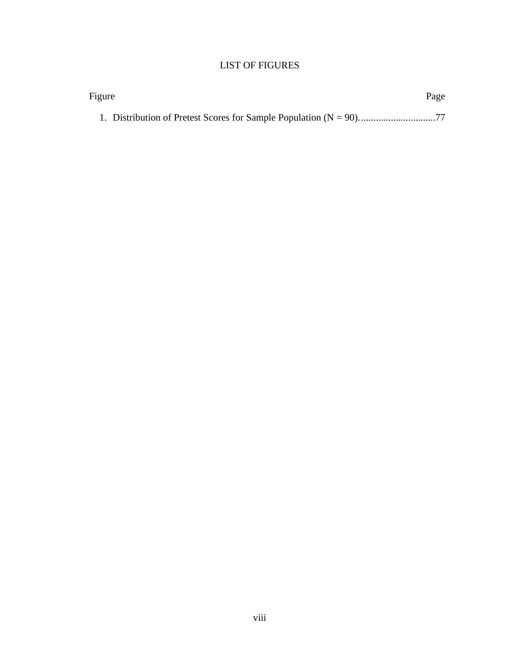# LIST OF FIGURES

| Figure | Page |
|--------|------|
|        |      |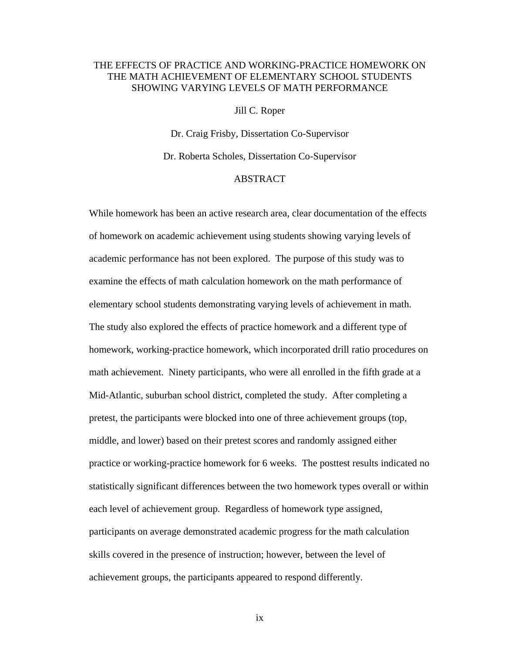## THE EFFECTS OF PRACTICE AND WORKING-PRACTICE HOMEWORK ON THE MATH ACHIEVEMENT OF ELEMENTARY SCHOOL STUDENTS SHOWING VARYING LEVELS OF MATH PERFORMANCE

Jill C. Roper

Dr. Craig Frisby, Dissertation Co-Supervisor Dr. Roberta Scholes, Dissertation Co-Supervisor

## ABSTRACT

While homework has been an active research area, clear documentation of the effects of homework on academic achievement using students showing varying levels of academic performance has not been explored. The purpose of this study was to examine the effects of math calculation homework on the math performance of elementary school students demonstrating varying levels of achievement in math. The study also explored the effects of practice homework and a different type of homework, working-practice homework, which incorporated drill ratio procedures on math achievement. Ninety participants, who were all enrolled in the fifth grade at a Mid-Atlantic, suburban school district, completed the study. After completing a pretest, the participants were blocked into one of three achievement groups (top, middle, and lower) based on their pretest scores and randomly assigned either practice or working-practice homework for 6 weeks. The posttest results indicated no statistically significant differences between the two homework types overall or within each level of achievement group. Regardless of homework type assigned, participants on average demonstrated academic progress for the math calculation skills covered in the presence of instruction; however, between the level of achievement groups, the participants appeared to respond differently.

ix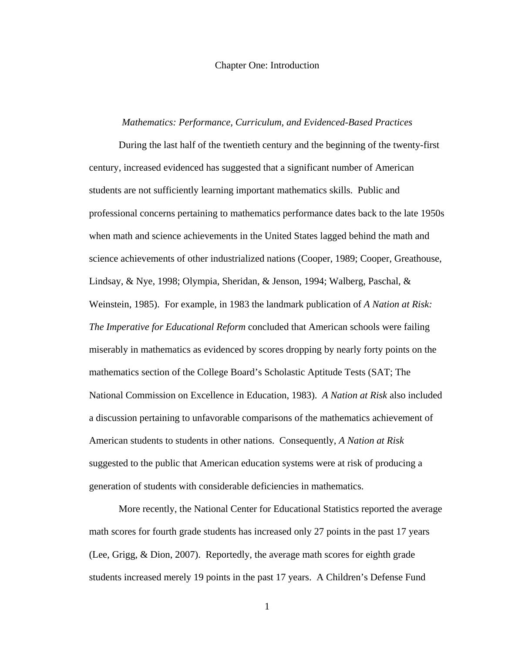#### Chapter One: Introduction

#### *Mathematics: Performance, Curriculum, and Evidenced-Based Practices*

During the last half of the twentieth century and the beginning of the twenty-first century, increased evidenced has suggested that a significant number of American students are not sufficiently learning important mathematics skills. Public and professional concerns pertaining to mathematics performance dates back to the late 1950s when math and science achievements in the United States lagged behind the math and science achievements of other industrialized nations (Cooper, 1989; Cooper, Greathouse, Lindsay, & Nye, 1998; Olympia, Sheridan, & Jenson, 1994; Walberg, Paschal, & Weinstein, 1985). For example, in 1983 the landmark publication of *A Nation at Risk: The Imperative for Educational Reform* concluded that American schools were failing miserably in mathematics as evidenced by scores dropping by nearly forty points on the mathematics section of the College Board's Scholastic Aptitude Tests (SAT; The National Commission on Excellence in Education, 1983). *A Nation at Risk* also included a discussion pertaining to unfavorable comparisons of the mathematics achievement of American students to students in other nations. Consequently, *A Nation at Risk* suggested to the public that American education systems were at risk of producing a generation of students with considerable deficiencies in mathematics.

More recently, the National Center for Educational Statistics reported the average math scores for fourth grade students has increased only 27 points in the past 17 years (Lee, Grigg, & Dion, 2007). Reportedly, the average math scores for eighth grade students increased merely 19 points in the past 17 years. A Children's Defense Fund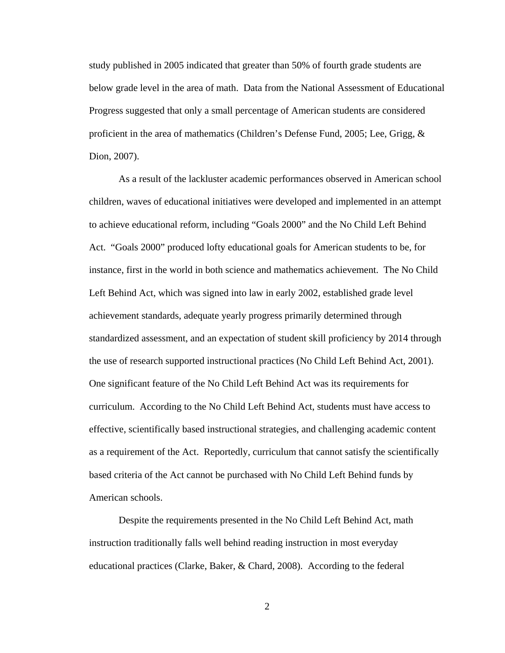study published in 2005 indicated that greater than 50% of fourth grade students are below grade level in the area of math. Data from the National Assessment of Educational Progress suggested that only a small percentage of American students are considered proficient in the area of mathematics (Children's Defense Fund, 2005; Lee, Grigg, & Dion, 2007).

As a result of the lackluster academic performances observed in American school children, waves of educational initiatives were developed and implemented in an attempt to achieve educational reform, including "Goals 2000" and the No Child Left Behind Act. "Goals 2000" produced lofty educational goals for American students to be, for instance, first in the world in both science and mathematics achievement. The No Child Left Behind Act, which was signed into law in early 2002, established grade level achievement standards, adequate yearly progress primarily determined through standardized assessment, and an expectation of student skill proficiency by 2014 through the use of research supported instructional practices (No Child Left Behind Act, 2001). One significant feature of the No Child Left Behind Act was its requirements for curriculum. According to the No Child Left Behind Act, students must have access to effective, scientifically based instructional strategies, and challenging academic content as a requirement of the Act. Reportedly, curriculum that cannot satisfy the scientifically based criteria of the Act cannot be purchased with No Child Left Behind funds by American schools.

Despite the requirements presented in the No Child Left Behind Act, math instruction traditionally falls well behind reading instruction in most everyday educational practices (Clarke, Baker, & Chard, 2008). According to the federal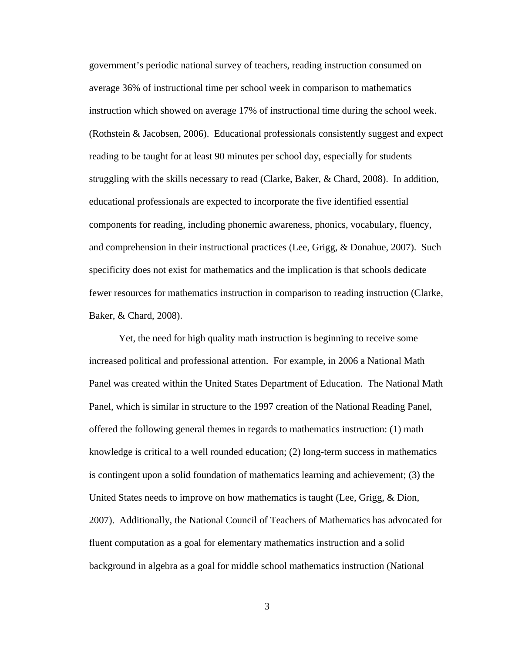government's periodic national survey of teachers, reading instruction consumed on average 36% of instructional time per school week in comparison to mathematics instruction which showed on average 17% of instructional time during the school week. (Rothstein & Jacobsen, 2006). Educational professionals consistently suggest and expect reading to be taught for at least 90 minutes per school day, especially for students struggling with the skills necessary to read (Clarke, Baker, & Chard, 2008). In addition, educational professionals are expected to incorporate the five identified essential components for reading, including phonemic awareness, phonics, vocabulary, fluency, and comprehension in their instructional practices (Lee, Grigg, & Donahue, 2007). Such specificity does not exist for mathematics and the implication is that schools dedicate fewer resources for mathematics instruction in comparison to reading instruction (Clarke, Baker, & Chard, 2008).

Yet, the need for high quality math instruction is beginning to receive some increased political and professional attention. For example, in 2006 a National Math Panel was created within the United States Department of Education. The National Math Panel, which is similar in structure to the 1997 creation of the National Reading Panel, offered the following general themes in regards to mathematics instruction: (1) math knowledge is critical to a well rounded education; (2) long-term success in mathematics is contingent upon a solid foundation of mathematics learning and achievement; (3) the United States needs to improve on how mathematics is taught (Lee, Grigg, & Dion, 2007). Additionally, the National Council of Teachers of Mathematics has advocated for fluent computation as a goal for elementary mathematics instruction and a solid background in algebra as a goal for middle school mathematics instruction (National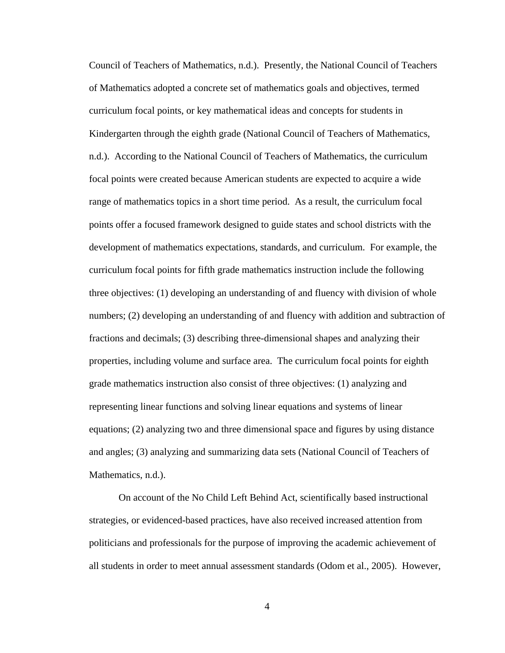Council of Teachers of Mathematics, n.d.). Presently, the National Council of Teachers of Mathematics adopted a concrete set of mathematics goals and objectives, termed curriculum focal points, or key mathematical ideas and concepts for students in Kindergarten through the eighth grade (National Council of Teachers of Mathematics, n.d.). According to the National Council of Teachers of Mathematics, the curriculum focal points were created because American students are expected to acquire a wide range of mathematics topics in a short time period. As a result, the curriculum focal points offer a focused framework designed to guide states and school districts with the development of mathematics expectations, standards, and curriculum. For example, the curriculum focal points for fifth grade mathematics instruction include the following three objectives: (1) developing an understanding of and fluency with division of whole numbers; (2) developing an understanding of and fluency with addition and subtraction of fractions and decimals; (3) describing three-dimensional shapes and analyzing their properties, including volume and surface area. The curriculum focal points for eighth grade mathematics instruction also consist of three objectives: (1) analyzing and representing linear functions and solving linear equations and systems of linear equations; (2) analyzing two and three dimensional space and figures by using distance and angles; (3) analyzing and summarizing data sets (National Council of Teachers of Mathematics, n.d.).

On account of the No Child Left Behind Act, scientifically based instructional strategies, or evidenced-based practices, have also received increased attention from politicians and professionals for the purpose of improving the academic achievement of all students in order to meet annual assessment standards (Odom et al., 2005). However,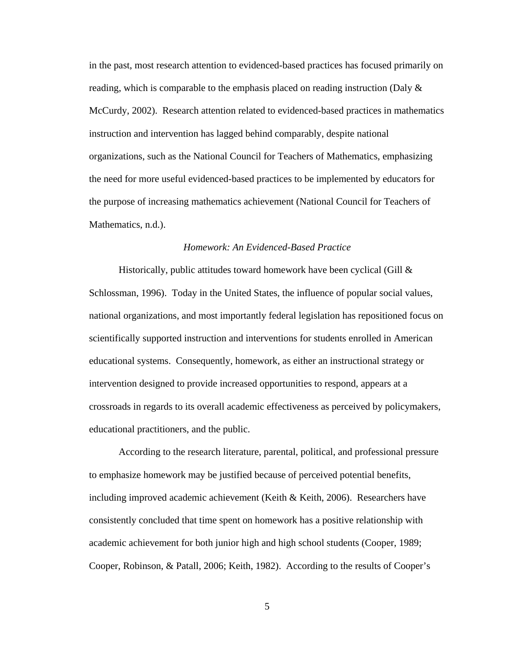in the past, most research attention to evidenced-based practices has focused primarily on reading, which is comparable to the emphasis placed on reading instruction (Daly & McCurdy, 2002). Research attention related to evidenced-based practices in mathematics instruction and intervention has lagged behind comparably, despite national organizations, such as the National Council for Teachers of Mathematics, emphasizing the need for more useful evidenced-based practices to be implemented by educators for the purpose of increasing mathematics achievement (National Council for Teachers of Mathematics, n.d.).

### *Homework: An Evidenced-Based Practice*

Historically, public attitudes toward homework have been cyclical (Gill  $\&$ Schlossman, 1996). Today in the United States, the influence of popular social values, national organizations, and most importantly federal legislation has repositioned focus on scientifically supported instruction and interventions for students enrolled in American educational systems. Consequently, homework, as either an instructional strategy or intervention designed to provide increased opportunities to respond, appears at a crossroads in regards to its overall academic effectiveness as perceived by policymakers, educational practitioners, and the public.

According to the research literature, parental, political, and professional pressure to emphasize homework may be justified because of perceived potential benefits, including improved academic achievement (Keith & Keith, 2006). Researchers have consistently concluded that time spent on homework has a positive relationship with academic achievement for both junior high and high school students (Cooper, 1989; Cooper, Robinson, & Patall, 2006; Keith, 1982). According to the results of Cooper's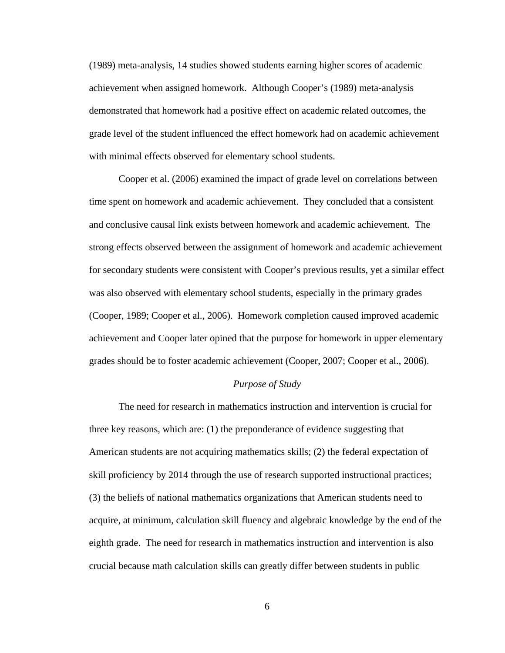(1989) meta-analysis, 14 studies showed students earning higher scores of academic achievement when assigned homework. Although Cooper's (1989) meta-analysis demonstrated that homework had a positive effect on academic related outcomes, the grade level of the student influenced the effect homework had on academic achievement with minimal effects observed for elementary school students.

Cooper et al. (2006) examined the impact of grade level on correlations between time spent on homework and academic achievement. They concluded that a consistent and conclusive causal link exists between homework and academic achievement. The strong effects observed between the assignment of homework and academic achievement for secondary students were consistent with Cooper's previous results, yet a similar effect was also observed with elementary school students, especially in the primary grades (Cooper, 1989; Cooper et al., 2006). Homework completion caused improved academic achievement and Cooper later opined that the purpose for homework in upper elementary grades should be to foster academic achievement (Cooper, 2007; Cooper et al., 2006).

### *Purpose of Study*

The need for research in mathematics instruction and intervention is crucial for three key reasons, which are: (1) the preponderance of evidence suggesting that American students are not acquiring mathematics skills; (2) the federal expectation of skill proficiency by 2014 through the use of research supported instructional practices; (3) the beliefs of national mathematics organizations that American students need to acquire, at minimum, calculation skill fluency and algebraic knowledge by the end of the eighth grade. The need for research in mathematics instruction and intervention is also crucial because math calculation skills can greatly differ between students in public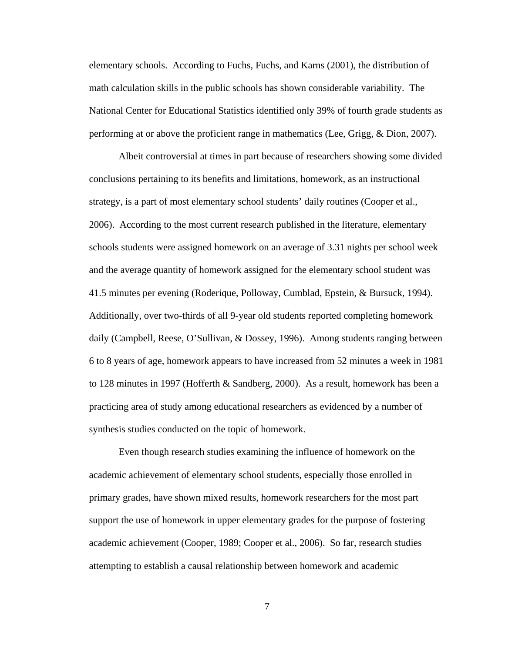elementary schools. According to Fuchs, Fuchs, and Karns (2001), the distribution of math calculation skills in the public schools has shown considerable variability. The National Center for Educational Statistics identified only 39% of fourth grade students as performing at or above the proficient range in mathematics (Lee, Grigg, & Dion, 2007).

Albeit controversial at times in part because of researchers showing some divided conclusions pertaining to its benefits and limitations, homework, as an instructional strategy, is a part of most elementary school students' daily routines (Cooper et al., 2006). According to the most current research published in the literature, elementary schools students were assigned homework on an average of 3.31 nights per school week and the average quantity of homework assigned for the elementary school student was 41.5 minutes per evening (Roderique, Polloway, Cumblad, Epstein, & Bursuck, 1994). Additionally, over two-thirds of all 9-year old students reported completing homework daily (Campbell, Reese, O'Sullivan, & Dossey, 1996). Among students ranging between 6 to 8 years of age, homework appears to have increased from 52 minutes a week in 1981 to 128 minutes in 1997 (Hofferth & Sandberg, 2000). As a result, homework has been a practicing area of study among educational researchers as evidenced by a number of synthesis studies conducted on the topic of homework.

Even though research studies examining the influence of homework on the academic achievement of elementary school students, especially those enrolled in primary grades, have shown mixed results, homework researchers for the most part support the use of homework in upper elementary grades for the purpose of fostering academic achievement (Cooper, 1989; Cooper et al., 2006). So far, research studies attempting to establish a causal relationship between homework and academic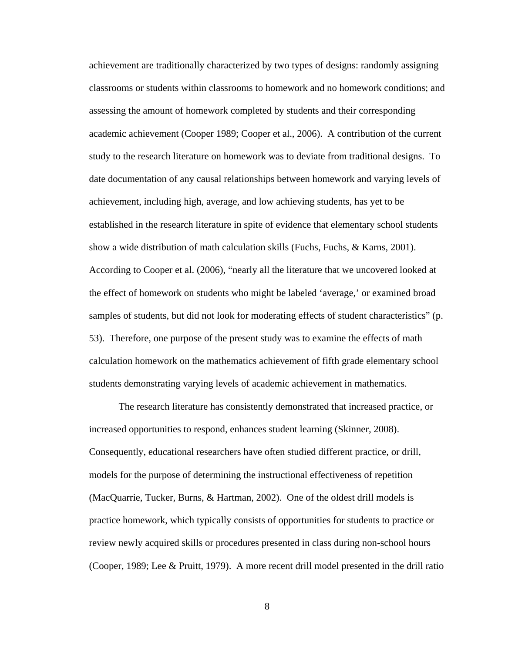achievement are traditionally characterized by two types of designs: randomly assigning classrooms or students within classrooms to homework and no homework conditions; and assessing the amount of homework completed by students and their corresponding academic achievement (Cooper 1989; Cooper et al., 2006). A contribution of the current study to the research literature on homework was to deviate from traditional designs. To date documentation of any causal relationships between homework and varying levels of achievement, including high, average, and low achieving students, has yet to be established in the research literature in spite of evidence that elementary school students show a wide distribution of math calculation skills (Fuchs, Fuchs, & Karns, 2001). According to Cooper et al. (2006), "nearly all the literature that we uncovered looked at the effect of homework on students who might be labeled 'average,' or examined broad samples of students, but did not look for moderating effects of student characteristics" (p. 53). Therefore, one purpose of the present study was to examine the effects of math calculation homework on the mathematics achievement of fifth grade elementary school students demonstrating varying levels of academic achievement in mathematics.

The research literature has consistently demonstrated that increased practice, or increased opportunities to respond, enhances student learning (Skinner, 2008). Consequently, educational researchers have often studied different practice, or drill, models for the purpose of determining the instructional effectiveness of repetition (MacQuarrie, Tucker, Burns, & Hartman, 2002). One of the oldest drill models is practice homework, which typically consists of opportunities for students to practice or review newly acquired skills or procedures presented in class during non-school hours (Cooper, 1989; Lee & Pruitt, 1979). A more recent drill model presented in the drill ratio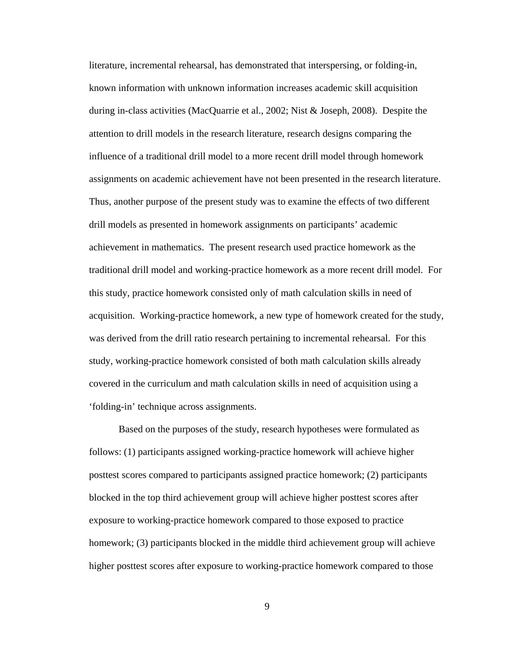literature, incremental rehearsal, has demonstrated that interspersing, or folding-in, known information with unknown information increases academic skill acquisition during in-class activities (MacQuarrie et al., 2002; Nist & Joseph, 2008). Despite the attention to drill models in the research literature, research designs comparing the influence of a traditional drill model to a more recent drill model through homework assignments on academic achievement have not been presented in the research literature. Thus, another purpose of the present study was to examine the effects of two different drill models as presented in homework assignments on participants' academic achievement in mathematics. The present research used practice homework as the traditional drill model and working-practice homework as a more recent drill model. For this study, practice homework consisted only of math calculation skills in need of acquisition. Working-practice homework, a new type of homework created for the study, was derived from the drill ratio research pertaining to incremental rehearsal. For this study, working-practice homework consisted of both math calculation skills already covered in the curriculum and math calculation skills in need of acquisition using a 'folding-in' technique across assignments.

Based on the purposes of the study, research hypotheses were formulated as follows: (1) participants assigned working-practice homework will achieve higher posttest scores compared to participants assigned practice homework; (2) participants blocked in the top third achievement group will achieve higher posttest scores after exposure to working-practice homework compared to those exposed to practice homework; (3) participants blocked in the middle third achievement group will achieve higher posttest scores after exposure to working-practice homework compared to those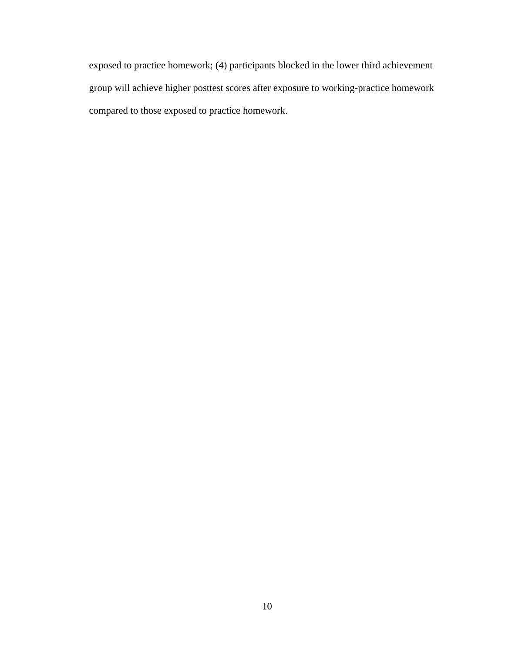exposed to practice homework; (4) participants blocked in the lower third achievement group will achieve higher posttest scores after exposure to working-practice homework compared to those exposed to practice homework.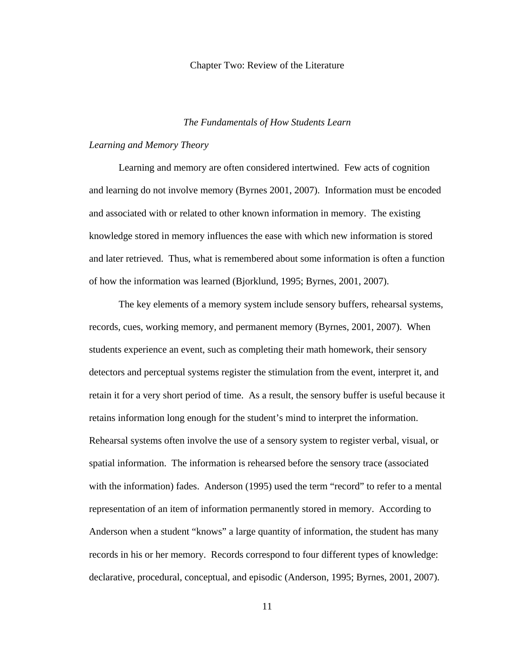#### Chapter Two: Review of the Literature

### *The Fundamentals of How Students Learn*

### *Learning and Memory Theory*

Learning and memory are often considered intertwined. Few acts of cognition and learning do not involve memory (Byrnes 2001, 2007). Information must be encoded and associated with or related to other known information in memory. The existing knowledge stored in memory influences the ease with which new information is stored and later retrieved. Thus, what is remembered about some information is often a function of how the information was learned (Bjorklund, 1995; Byrnes, 2001, 2007).

The key elements of a memory system include sensory buffers, rehearsal systems, records, cues, working memory, and permanent memory (Byrnes, 2001, 2007). When students experience an event, such as completing their math homework, their sensory detectors and perceptual systems register the stimulation from the event, interpret it, and retain it for a very short period of time. As a result, the sensory buffer is useful because it retains information long enough for the student's mind to interpret the information. Rehearsal systems often involve the use of a sensory system to register verbal, visual, or spatial information. The information is rehearsed before the sensory trace (associated with the information) fades. Anderson (1995) used the term "record" to refer to a mental representation of an item of information permanently stored in memory. According to Anderson when a student "knows" a large quantity of information, the student has many records in his or her memory. Records correspond to four different types of knowledge: declarative, procedural, conceptual, and episodic (Anderson, 1995; Byrnes, 2001, 2007).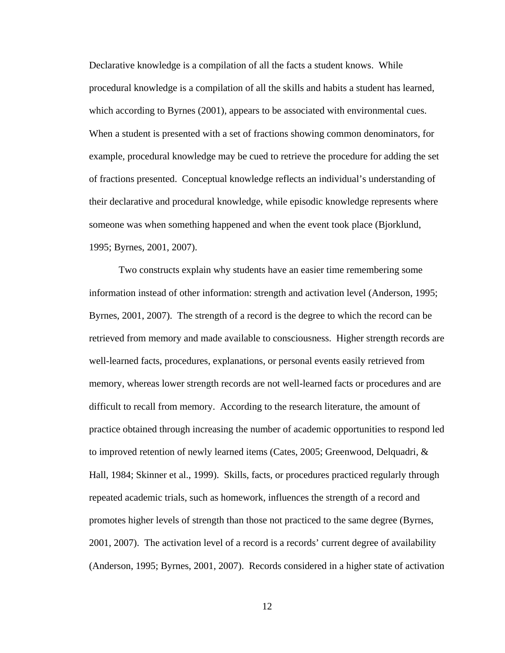Declarative knowledge is a compilation of all the facts a student knows. While procedural knowledge is a compilation of all the skills and habits a student has learned, which according to Byrnes (2001), appears to be associated with environmental cues. When a student is presented with a set of fractions showing common denominators, for example, procedural knowledge may be cued to retrieve the procedure for adding the set of fractions presented. Conceptual knowledge reflects an individual's understanding of their declarative and procedural knowledge, while episodic knowledge represents where someone was when something happened and when the event took place (Bjorklund, 1995; Byrnes, 2001, 2007).

Two constructs explain why students have an easier time remembering some information instead of other information: strength and activation level (Anderson, 1995; Byrnes, 2001, 2007). The strength of a record is the degree to which the record can be retrieved from memory and made available to consciousness. Higher strength records are well-learned facts, procedures, explanations, or personal events easily retrieved from memory, whereas lower strength records are not well-learned facts or procedures and are difficult to recall from memory. According to the research literature, the amount of practice obtained through increasing the number of academic opportunities to respond led to improved retention of newly learned items (Cates, 2005; Greenwood, Delquadri, & Hall, 1984; Skinner et al., 1999). Skills, facts, or procedures practiced regularly through repeated academic trials, such as homework, influences the strength of a record and promotes higher levels of strength than those not practiced to the same degree (Byrnes, 2001, 2007). The activation level of a record is a records' current degree of availability (Anderson, 1995; Byrnes, 2001, 2007). Records considered in a higher state of activation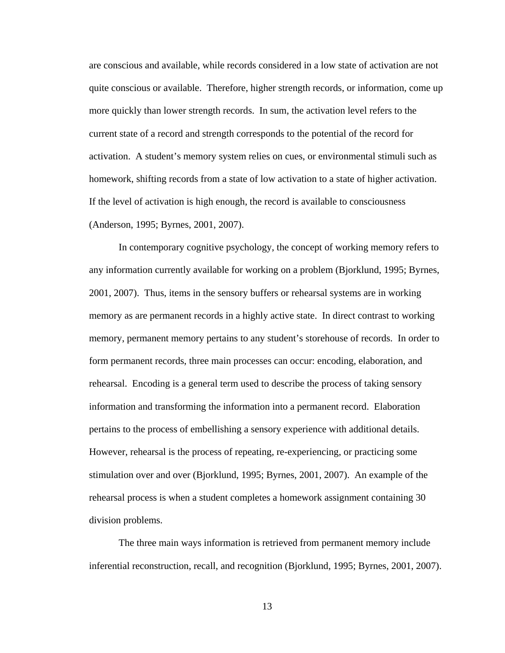are conscious and available, while records considered in a low state of activation are not quite conscious or available. Therefore, higher strength records, or information, come up more quickly than lower strength records. In sum, the activation level refers to the current state of a record and strength corresponds to the potential of the record for activation. A student's memory system relies on cues, or environmental stimuli such as homework, shifting records from a state of low activation to a state of higher activation. If the level of activation is high enough, the record is available to consciousness (Anderson, 1995; Byrnes, 2001, 2007).

In contemporary cognitive psychology, the concept of working memory refers to any information currently available for working on a problem (Bjorklund, 1995; Byrnes, 2001, 2007). Thus, items in the sensory buffers or rehearsal systems are in working memory as are permanent records in a highly active state. In direct contrast to working memory, permanent memory pertains to any student's storehouse of records. In order to form permanent records, three main processes can occur: encoding, elaboration, and rehearsal. Encoding is a general term used to describe the process of taking sensory information and transforming the information into a permanent record. Elaboration pertains to the process of embellishing a sensory experience with additional details. However, rehearsal is the process of repeating, re-experiencing, or practicing some stimulation over and over (Bjorklund, 1995; Byrnes, 2001, 2007). An example of the rehearsal process is when a student completes a homework assignment containing 30 division problems.

The three main ways information is retrieved from permanent memory include inferential reconstruction, recall, and recognition (Bjorklund, 1995; Byrnes, 2001, 2007).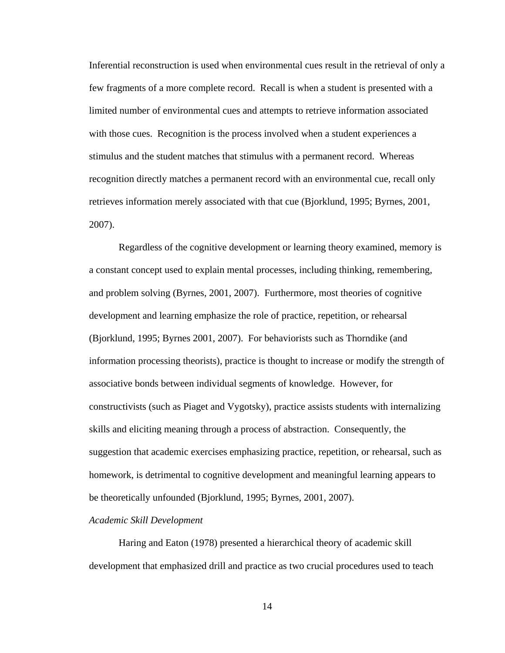Inferential reconstruction is used when environmental cues result in the retrieval of only a few fragments of a more complete record. Recall is when a student is presented with a limited number of environmental cues and attempts to retrieve information associated with those cues. Recognition is the process involved when a student experiences a stimulus and the student matches that stimulus with a permanent record. Whereas recognition directly matches a permanent record with an environmental cue, recall only retrieves information merely associated with that cue (Bjorklund, 1995; Byrnes, 2001, 2007).

Regardless of the cognitive development or learning theory examined, memory is a constant concept used to explain mental processes, including thinking, remembering, and problem solving (Byrnes, 2001, 2007). Furthermore, most theories of cognitive development and learning emphasize the role of practice, repetition, or rehearsal (Bjorklund, 1995; Byrnes 2001, 2007). For behaviorists such as Thorndike (and information processing theorists), practice is thought to increase or modify the strength of associative bonds between individual segments of knowledge. However, for constructivists (such as Piaget and Vygotsky), practice assists students with internalizing skills and eliciting meaning through a process of abstraction. Consequently, the suggestion that academic exercises emphasizing practice, repetition, or rehearsal, such as homework, is detrimental to cognitive development and meaningful learning appears to be theoretically unfounded (Bjorklund, 1995; Byrnes, 2001, 2007).

#### *Academic Skill Development*

Haring and Eaton (1978) presented a hierarchical theory of academic skill development that emphasized drill and practice as two crucial procedures used to teach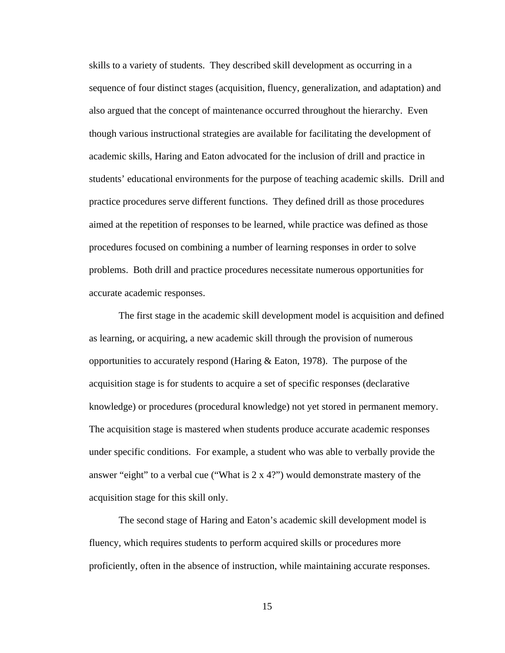skills to a variety of students. They described skill development as occurring in a sequence of four distinct stages (acquisition, fluency, generalization, and adaptation) and also argued that the concept of maintenance occurred throughout the hierarchy. Even though various instructional strategies are available for facilitating the development of academic skills, Haring and Eaton advocated for the inclusion of drill and practice in students' educational environments for the purpose of teaching academic skills. Drill and practice procedures serve different functions. They defined drill as those procedures aimed at the repetition of responses to be learned, while practice was defined as those procedures focused on combining a number of learning responses in order to solve problems. Both drill and practice procedures necessitate numerous opportunities for accurate academic responses.

The first stage in the academic skill development model is acquisition and defined as learning, or acquiring, a new academic skill through the provision of numerous opportunities to accurately respond (Haring  $&$  Eaton, 1978). The purpose of the acquisition stage is for students to acquire a set of specific responses (declarative knowledge) or procedures (procedural knowledge) not yet stored in permanent memory. The acquisition stage is mastered when students produce accurate academic responses under specific conditions. For example, a student who was able to verbally provide the answer "eight" to a verbal cue ("What is  $2 \times 4$ ") would demonstrate mastery of the acquisition stage for this skill only.

The second stage of Haring and Eaton's academic skill development model is fluency, which requires students to perform acquired skills or procedures more proficiently, often in the absence of instruction, while maintaining accurate responses.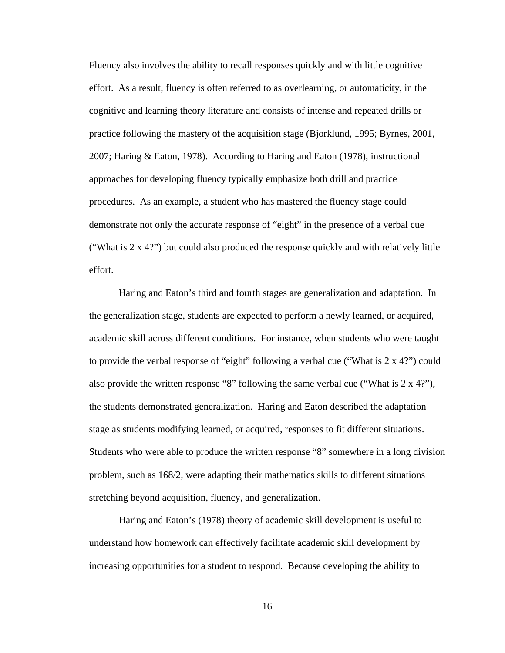Fluency also involves the ability to recall responses quickly and with little cognitive effort. As a result, fluency is often referred to as overlearning, or automaticity, in the cognitive and learning theory literature and consists of intense and repeated drills or practice following the mastery of the acquisition stage (Bjorklund, 1995; Byrnes, 2001, 2007; Haring & Eaton, 1978). According to Haring and Eaton (1978), instructional approaches for developing fluency typically emphasize both drill and practice procedures. As an example, a student who has mastered the fluency stage could demonstrate not only the accurate response of "eight" in the presence of a verbal cue ("What is 2 x 4?") but could also produced the response quickly and with relatively little effort.

Haring and Eaton's third and fourth stages are generalization and adaptation. In the generalization stage, students are expected to perform a newly learned, or acquired, academic skill across different conditions. For instance, when students who were taught to provide the verbal response of "eight" following a verbal cue ("What is  $2 \times 4$ ") could also provide the written response "8" following the same verbal cue ("What is 2 x 4?"), the students demonstrated generalization. Haring and Eaton described the adaptation stage as students modifying learned, or acquired, responses to fit different situations. Students who were able to produce the written response "8" somewhere in a long division problem, such as 168/2, were adapting their mathematics skills to different situations stretching beyond acquisition, fluency, and generalization.

Haring and Eaton's (1978) theory of academic skill development is useful to understand how homework can effectively facilitate academic skill development by increasing opportunities for a student to respond. Because developing the ability to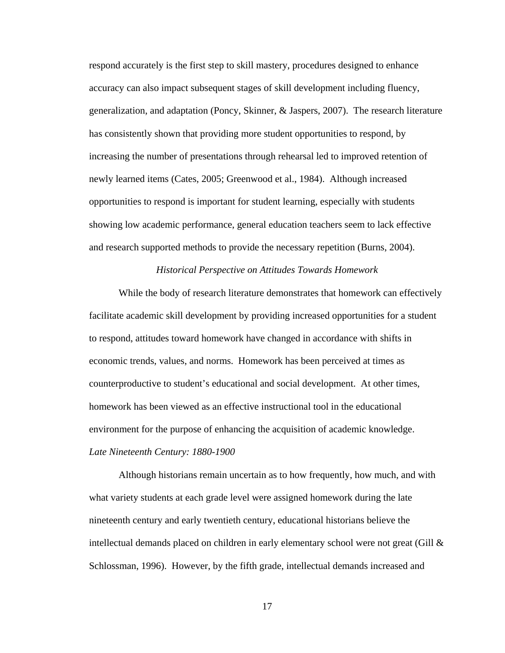respond accurately is the first step to skill mastery, procedures designed to enhance accuracy can also impact subsequent stages of skill development including fluency, generalization, and adaptation (Poncy, Skinner, & Jaspers, 2007). The research literature has consistently shown that providing more student opportunities to respond, by increasing the number of presentations through rehearsal led to improved retention of newly learned items (Cates, 2005; Greenwood et al., 1984). Although increased opportunities to respond is important for student learning, especially with students showing low academic performance, general education teachers seem to lack effective and research supported methods to provide the necessary repetition (Burns, 2004).

## *Historical Perspective on Attitudes Towards Homework*

While the body of research literature demonstrates that homework can effectively facilitate academic skill development by providing increased opportunities for a student to respond, attitudes toward homework have changed in accordance with shifts in economic trends, values, and norms. Homework has been perceived at times as counterproductive to student's educational and social development. At other times, homework has been viewed as an effective instructional tool in the educational environment for the purpose of enhancing the acquisition of academic knowledge. *Late Nineteenth Century: 1880-1900* 

Although historians remain uncertain as to how frequently, how much, and with what variety students at each grade level were assigned homework during the late nineteenth century and early twentieth century, educational historians believe the intellectual demands placed on children in early elementary school were not great (Gill  $\&$ Schlossman, 1996). However, by the fifth grade, intellectual demands increased and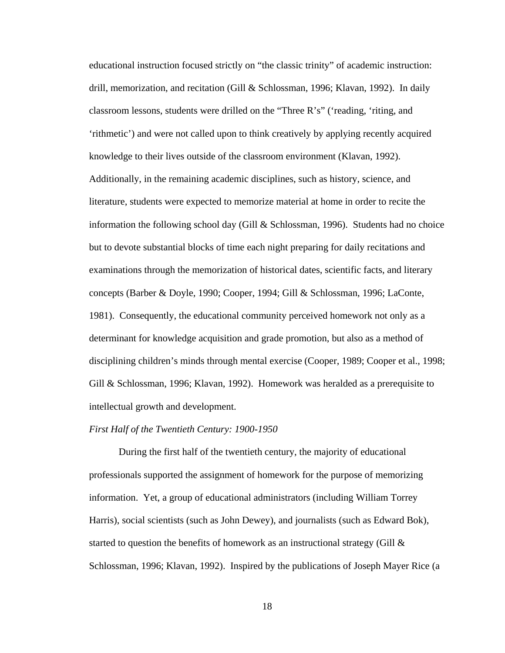educational instruction focused strictly on "the classic trinity" of academic instruction: drill, memorization, and recitation (Gill & Schlossman, 1996; Klavan, 1992). In daily classroom lessons, students were drilled on the "Three R's" ('reading, 'riting, and 'rithmetic') and were not called upon to think creatively by applying recently acquired knowledge to their lives outside of the classroom environment (Klavan, 1992). Additionally, in the remaining academic disciplines, such as history, science, and literature, students were expected to memorize material at home in order to recite the information the following school day (Gill & Schlossman, 1996). Students had no choice but to devote substantial blocks of time each night preparing for daily recitations and examinations through the memorization of historical dates, scientific facts, and literary concepts (Barber & Doyle, 1990; Cooper, 1994; Gill & Schlossman, 1996; LaConte, 1981). Consequently, the educational community perceived homework not only as a determinant for knowledge acquisition and grade promotion, but also as a method of disciplining children's minds through mental exercise (Cooper, 1989; Cooper et al., 1998; Gill & Schlossman, 1996; Klavan, 1992). Homework was heralded as a prerequisite to intellectual growth and development.

### *First Half of the Twentieth Century: 1900-1950*

During the first half of the twentieth century, the majority of educational professionals supported the assignment of homework for the purpose of memorizing information. Yet, a group of educational administrators (including William Torrey Harris), social scientists (such as John Dewey), and journalists (such as Edward Bok), started to question the benefits of homework as an instructional strategy (Gill  $\&$ Schlossman, 1996; Klavan, 1992). Inspired by the publications of Joseph Mayer Rice (a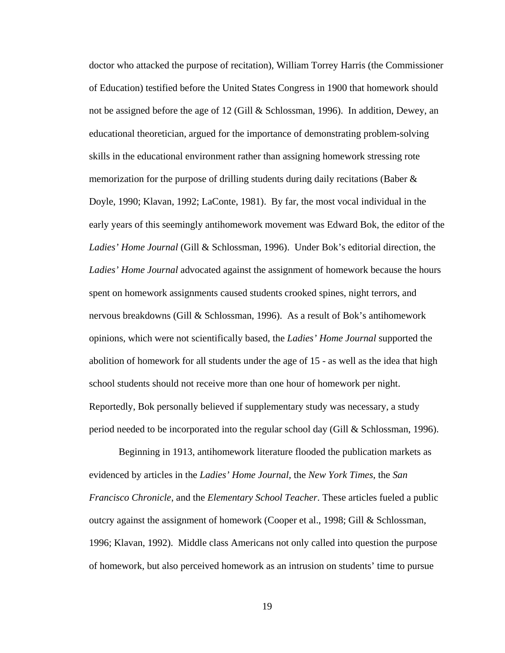doctor who attacked the purpose of recitation), William Torrey Harris (the Commissioner of Education) testified before the United States Congress in 1900 that homework should not be assigned before the age of 12 (Gill & Schlossman, 1996). In addition, Dewey, an educational theoretician, argued for the importance of demonstrating problem-solving skills in the educational environment rather than assigning homework stressing rote memorization for the purpose of drilling students during daily recitations (Baber  $\&$ Doyle, 1990; Klavan, 1992; LaConte, 1981). By far, the most vocal individual in the early years of this seemingly antihomework movement was Edward Bok, the editor of the *Ladies' Home Journal* (Gill & Schlossman, 1996). Under Bok's editorial direction, the *Ladies' Home Journal* advocated against the assignment of homework because the hours spent on homework assignments caused students crooked spines, night terrors, and nervous breakdowns (Gill & Schlossman, 1996). As a result of Bok's antihomework opinions, which were not scientifically based, the *Ladies' Home Journal* supported the abolition of homework for all students under the age of 15 - as well as the idea that high school students should not receive more than one hour of homework per night. Reportedly, Bok personally believed if supplementary study was necessary, a study period needed to be incorporated into the regular school day (Gill & Schlossman, 1996).

Beginning in 1913, antihomework literature flooded the publication markets as evidenced by articles in the *Ladies' Home Journal*, the *New York Times*, the *San Francisco Chronicle*, and the *Elementary School Teacher*. These articles fueled a public outcry against the assignment of homework (Cooper et al., 1998; Gill & Schlossman, 1996; Klavan, 1992). Middle class Americans not only called into question the purpose of homework, but also perceived homework as an intrusion on students' time to pursue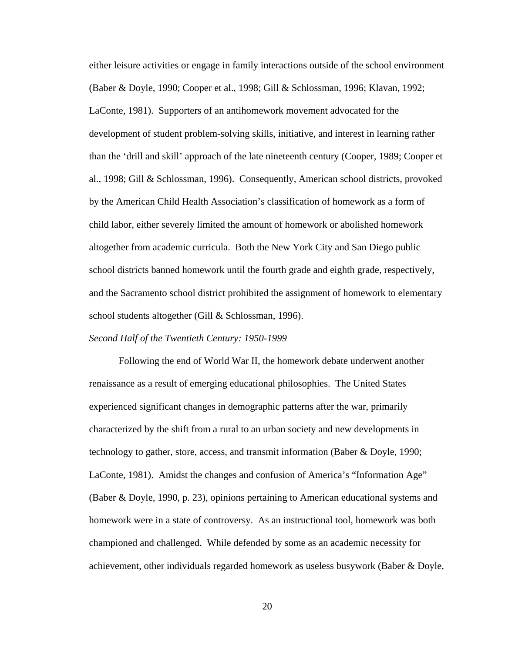either leisure activities or engage in family interactions outside of the school environment (Baber & Doyle, 1990; Cooper et al., 1998; Gill & Schlossman, 1996; Klavan, 1992; LaConte, 1981). Supporters of an antihomework movement advocated for the development of student problem-solving skills, initiative, and interest in learning rather than the 'drill and skill' approach of the late nineteenth century (Cooper, 1989; Cooper et al., 1998; Gill & Schlossman, 1996). Consequently, American school districts, provoked by the American Child Health Association's classification of homework as a form of child labor, either severely limited the amount of homework or abolished homework altogether from academic curricula. Both the New York City and San Diego public school districts banned homework until the fourth grade and eighth grade, respectively, and the Sacramento school district prohibited the assignment of homework to elementary school students altogether (Gill & Schlossman, 1996).

### *Second Half of the Twentieth Century: 1950-1999*

Following the end of World War II, the homework debate underwent another renaissance as a result of emerging educational philosophies. The United States experienced significant changes in demographic patterns after the war, primarily characterized by the shift from a rural to an urban society and new developments in technology to gather, store, access, and transmit information (Baber & Doyle, 1990; LaConte, 1981). Amidst the changes and confusion of America's "Information Age" (Baber & Doyle, 1990, p. 23), opinions pertaining to American educational systems and homework were in a state of controversy. As an instructional tool, homework was both championed and challenged. While defended by some as an academic necessity for achievement, other individuals regarded homework as useless busywork (Baber & Doyle,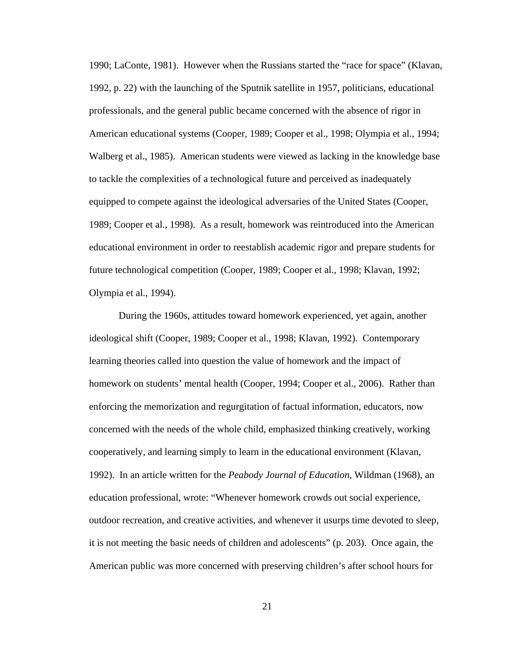1990; LaConte, 1981). However when the Russians started the "race for space" (Klavan, 1992, p. 22) with the launching of the Sputnik satellite in 1957, politicians, educational professionals, and the general public became concerned with the absence of rigor in American educational systems (Cooper, 1989; Cooper et al., 1998; Olympia et al., 1994; Walberg et al., 1985). American students were viewed as lacking in the knowledge base to tackle the complexities of a technological future and perceived as inadequately equipped to compete against the ideological adversaries of the United States (Cooper, 1989; Cooper et al., 1998). As a result, homework was reintroduced into the American educational environment in order to reestablish academic rigor and prepare students for future technological competition (Cooper, 1989; Cooper et al., 1998; Klavan, 1992; Olympia et al., 1994).

During the 1960s, attitudes toward homework experienced, yet again, another ideological shift (Cooper, 1989; Cooper et al., 1998; Klavan, 1992). Contemporary learning theories called into question the value of homework and the impact of homework on students' mental health (Cooper, 1994; Cooper et al., 2006). Rather than enforcing the memorization and regurgitation of factual information, educators, now concerned with the needs of the whole child, emphasized thinking creatively, working cooperatively, and learning simply to learn in the educational environment (Klavan, 1992). In an article written for the *Peabody Journal of Education*, Wildman (1968), an education professional, wrote: "Whenever homework crowds out social experience, outdoor recreation, and creative activities, and whenever it usurps time devoted to sleep, it is not meeting the basic needs of children and adolescents" (p. 203). Once again, the American public was more concerned with preserving children's after school hours for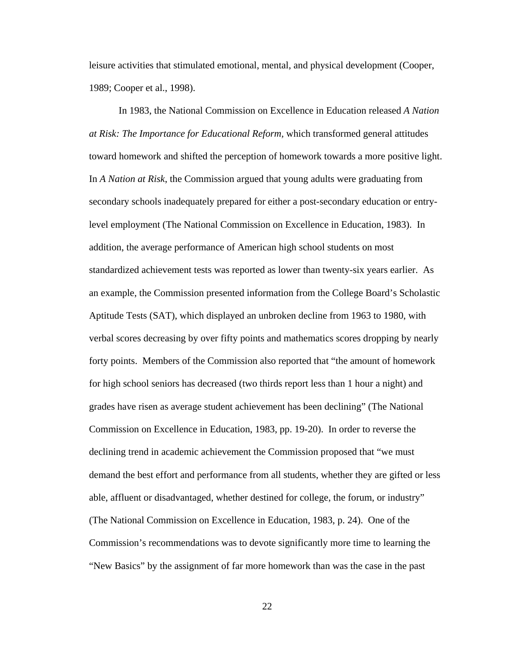leisure activities that stimulated emotional, mental, and physical development (Cooper, 1989; Cooper et al., 1998).

In 1983, the National Commission on Excellence in Education released *A Nation at Risk: The Importance for Educational Reform,* which transformed general attitudes toward homework and shifted the perception of homework towards a more positive light. In *A Nation at Risk*, the Commission argued that young adults were graduating from secondary schools inadequately prepared for either a post-secondary education or entrylevel employment (The National Commission on Excellence in Education, 1983). In addition, the average performance of American high school students on most standardized achievement tests was reported as lower than twenty-six years earlier. As an example, the Commission presented information from the College Board's Scholastic Aptitude Tests (SAT), which displayed an unbroken decline from 1963 to 1980, with verbal scores decreasing by over fifty points and mathematics scores dropping by nearly forty points. Members of the Commission also reported that "the amount of homework for high school seniors has decreased (two thirds report less than 1 hour a night) and grades have risen as average student achievement has been declining" (The National Commission on Excellence in Education, 1983, pp. 19-20). In order to reverse the declining trend in academic achievement the Commission proposed that "we must demand the best effort and performance from all students, whether they are gifted or less able, affluent or disadvantaged, whether destined for college, the forum, or industry" (The National Commission on Excellence in Education, 1983, p. 24). One of the Commission's recommendations was to devote significantly more time to learning the "New Basics" by the assignment of far more homework than was the case in the past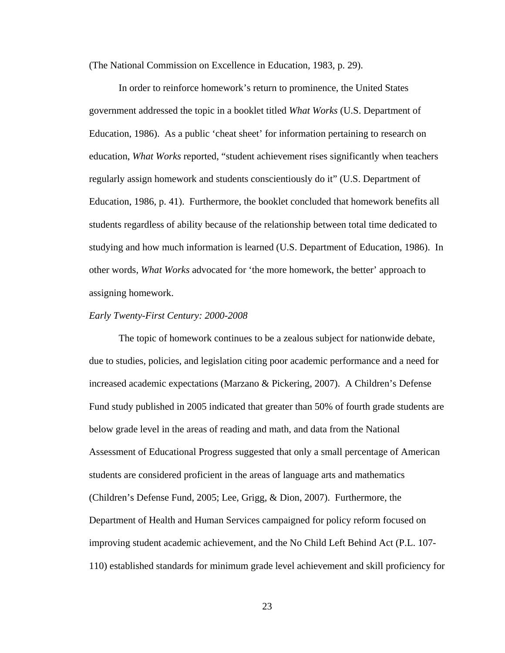(The National Commission on Excellence in Education, 1983, p. 29).

 In order to reinforce homework's return to prominence, the United States government addressed the topic in a booklet titled *What Works* (U.S. Department of Education, 1986). As a public 'cheat sheet' for information pertaining to research on education, *What Works* reported, "student achievement rises significantly when teachers regularly assign homework and students conscientiously do it" (U.S. Department of Education, 1986, p. 41). Furthermore, the booklet concluded that homework benefits all students regardless of ability because of the relationship between total time dedicated to studying and how much information is learned (U.S. Department of Education, 1986). In other words, *What Works* advocated for 'the more homework, the better' approach to assigning homework.

#### *Early Twenty-First Century: 2000-2008*

The topic of homework continues to be a zealous subject for nationwide debate, due to studies, policies, and legislation citing poor academic performance and a need for increased academic expectations (Marzano & Pickering, 2007). A Children's Defense Fund study published in 2005 indicated that greater than 50% of fourth grade students are below grade level in the areas of reading and math, and data from the National Assessment of Educational Progress suggested that only a small percentage of American students are considered proficient in the areas of language arts and mathematics (Children's Defense Fund, 2005; Lee, Grigg, & Dion, 2007). Furthermore, the Department of Health and Human Services campaigned for policy reform focused on improving student academic achievement, and the No Child Left Behind Act (P.L. 107- 110) established standards for minimum grade level achievement and skill proficiency for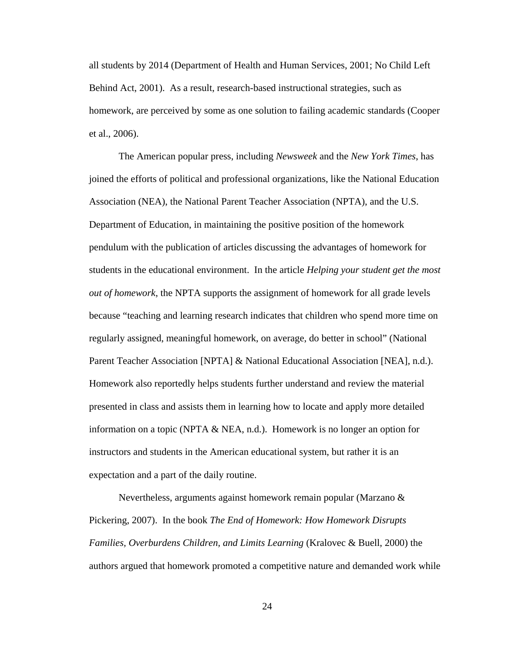all students by 2014 (Department of Health and Human Services, 2001; No Child Left Behind Act, 2001). As a result, research-based instructional strategies, such as homework, are perceived by some as one solution to failing academic standards (Cooper et al., 2006).

The American popular press, including *Newsweek* and the *New York Times*, has joined the efforts of political and professional organizations, like the National Education Association (NEA), the National Parent Teacher Association (NPTA), and the U.S. Department of Education, in maintaining the positive position of the homework pendulum with the publication of articles discussing the advantages of homework for students in the educational environment. In the article *Helping your student get the most out of homework*, the NPTA supports the assignment of homework for all grade levels because "teaching and learning research indicates that children who spend more time on regularly assigned, meaningful homework, on average, do better in school" (National Parent Teacher Association [NPTA] & National Educational Association [NEA], n.d.). Homework also reportedly helps students further understand and review the material presented in class and assists them in learning how to locate and apply more detailed information on a topic (NPTA & NEA, n.d.). Homework is no longer an option for instructors and students in the American educational system, but rather it is an expectation and a part of the daily routine.

Nevertheless, arguments against homework remain popular (Marzano & Pickering, 2007). In the book *The End of Homework: How Homework Disrupts Families, Overburdens Children, and Limits Learning* (Kralovec & Buell, 2000) the authors argued that homework promoted a competitive nature and demanded work while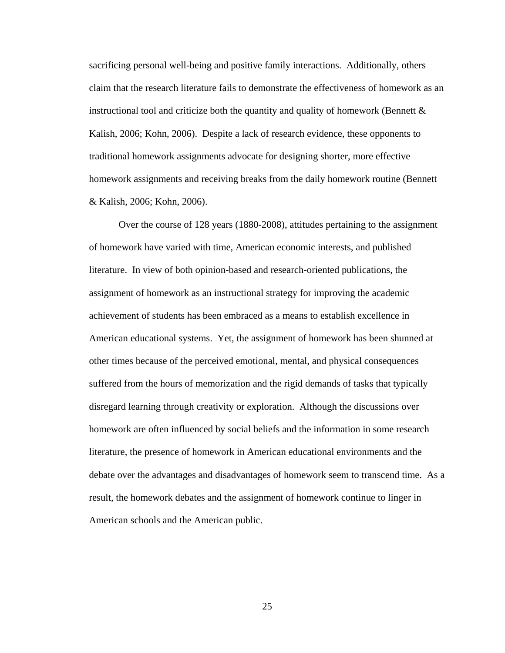sacrificing personal well-being and positive family interactions. Additionally, others claim that the research literature fails to demonstrate the effectiveness of homework as an instructional tool and criticize both the quantity and quality of homework (Bennett  $\&$ Kalish, 2006; Kohn, 2006). Despite a lack of research evidence, these opponents to traditional homework assignments advocate for designing shorter, more effective homework assignments and receiving breaks from the daily homework routine (Bennett & Kalish, 2006; Kohn, 2006).

Over the course of 128 years (1880-2008), attitudes pertaining to the assignment of homework have varied with time, American economic interests, and published literature. In view of both opinion-based and research-oriented publications, the assignment of homework as an instructional strategy for improving the academic achievement of students has been embraced as a means to establish excellence in American educational systems. Yet, the assignment of homework has been shunned at other times because of the perceived emotional, mental, and physical consequences suffered from the hours of memorization and the rigid demands of tasks that typically disregard learning through creativity or exploration. Although the discussions over homework are often influenced by social beliefs and the information in some research literature, the presence of homework in American educational environments and the debate over the advantages and disadvantages of homework seem to transcend time. As a result, the homework debates and the assignment of homework continue to linger in American schools and the American public.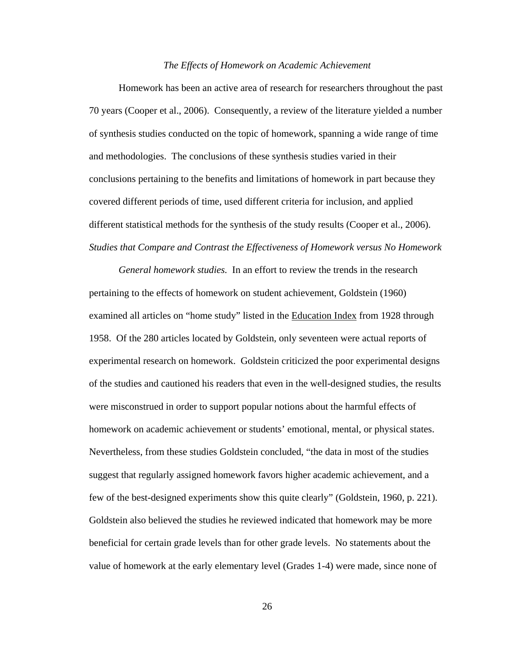#### *The Effects of Homework on Academic Achievement*

Homework has been an active area of research for researchers throughout the past 70 years (Cooper et al., 2006). Consequently, a review of the literature yielded a number of synthesis studies conducted on the topic of homework, spanning a wide range of time and methodologies. The conclusions of these synthesis studies varied in their conclusions pertaining to the benefits and limitations of homework in part because they covered different periods of time, used different criteria for inclusion, and applied different statistical methods for the synthesis of the study results (Cooper et al., 2006). *Studies that Compare and Contrast the Effectiveness of Homework versus No Homework* 

*General homework studies.* In an effort to review the trends in the research pertaining to the effects of homework on student achievement, Goldstein (1960) examined all articles on "home study" listed in the Education Index from 1928 through 1958. Of the 280 articles located by Goldstein, only seventeen were actual reports of experimental research on homework. Goldstein criticized the poor experimental designs of the studies and cautioned his readers that even in the well-designed studies, the results were misconstrued in order to support popular notions about the harmful effects of homework on academic achievement or students' emotional, mental, or physical states. Nevertheless, from these studies Goldstein concluded, "the data in most of the studies suggest that regularly assigned homework favors higher academic achievement, and a few of the best-designed experiments show this quite clearly" (Goldstein, 1960, p. 221). Goldstein also believed the studies he reviewed indicated that homework may be more beneficial for certain grade levels than for other grade levels. No statements about the value of homework at the early elementary level (Grades 1-4) were made, since none of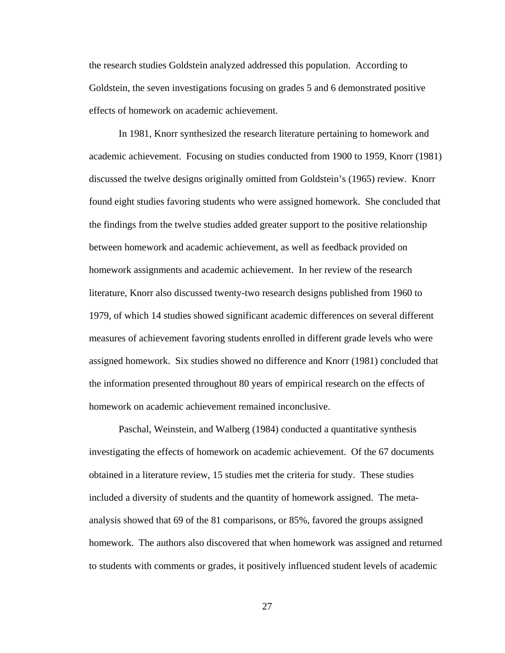the research studies Goldstein analyzed addressed this population. According to Goldstein, the seven investigations focusing on grades 5 and 6 demonstrated positive effects of homework on academic achievement.

In 1981, Knorr synthesized the research literature pertaining to homework and academic achievement. Focusing on studies conducted from 1900 to 1959, Knorr (1981) discussed the twelve designs originally omitted from Goldstein's (1965) review. Knorr found eight studies favoring students who were assigned homework. She concluded that the findings from the twelve studies added greater support to the positive relationship between homework and academic achievement, as well as feedback provided on homework assignments and academic achievement. In her review of the research literature, Knorr also discussed twenty-two research designs published from 1960 to 1979, of which 14 studies showed significant academic differences on several different measures of achievement favoring students enrolled in different grade levels who were assigned homework. Six studies showed no difference and Knorr (1981) concluded that the information presented throughout 80 years of empirical research on the effects of homework on academic achievement remained inconclusive.

Paschal, Weinstein, and Walberg (1984) conducted a quantitative synthesis investigating the effects of homework on academic achievement. Of the 67 documents obtained in a literature review, 15 studies met the criteria for study. These studies included a diversity of students and the quantity of homework assigned. The metaanalysis showed that 69 of the 81 comparisons, or 85%, favored the groups assigned homework. The authors also discovered that when homework was assigned and returned to students with comments or grades, it positively influenced student levels of academic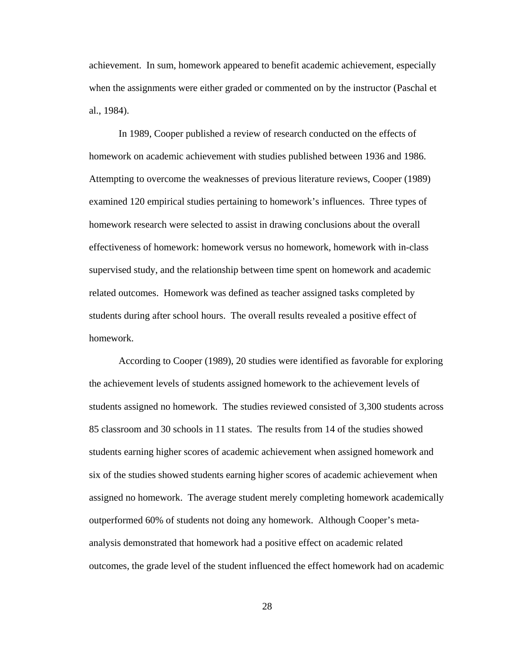achievement. In sum, homework appeared to benefit academic achievement, especially when the assignments were either graded or commented on by the instructor (Paschal et al., 1984).

In 1989, Cooper published a review of research conducted on the effects of homework on academic achievement with studies published between 1936 and 1986. Attempting to overcome the weaknesses of previous literature reviews, Cooper (1989) examined 120 empirical studies pertaining to homework's influences. Three types of homework research were selected to assist in drawing conclusions about the overall effectiveness of homework: homework versus no homework, homework with in-class supervised study, and the relationship between time spent on homework and academic related outcomes. Homework was defined as teacher assigned tasks completed by students during after school hours. The overall results revealed a positive effect of homework.

According to Cooper (1989), 20 studies were identified as favorable for exploring the achievement levels of students assigned homework to the achievement levels of students assigned no homework. The studies reviewed consisted of 3,300 students across 85 classroom and 30 schools in 11 states. The results from 14 of the studies showed students earning higher scores of academic achievement when assigned homework and six of the studies showed students earning higher scores of academic achievement when assigned no homework. The average student merely completing homework academically outperformed 60% of students not doing any homework. Although Cooper's metaanalysis demonstrated that homework had a positive effect on academic related outcomes, the grade level of the student influenced the effect homework had on academic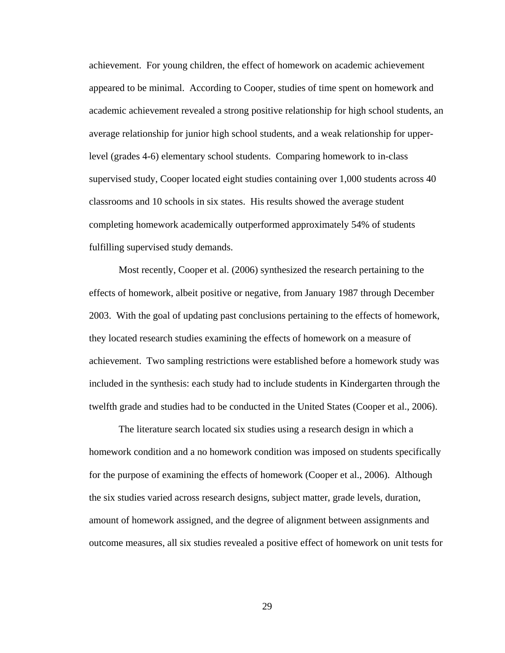achievement. For young children, the effect of homework on academic achievement appeared to be minimal. According to Cooper, studies of time spent on homework and academic achievement revealed a strong positive relationship for high school students, an average relationship for junior high school students, and a weak relationship for upperlevel (grades 4-6) elementary school students. Comparing homework to in-class supervised study, Cooper located eight studies containing over 1,000 students across 40 classrooms and 10 schools in six states. His results showed the average student completing homework academically outperformed approximately 54% of students fulfilling supervised study demands.

Most recently, Cooper et al. (2006) synthesized the research pertaining to the effects of homework, albeit positive or negative, from January 1987 through December 2003. With the goal of updating past conclusions pertaining to the effects of homework, they located research studies examining the effects of homework on a measure of achievement. Two sampling restrictions were established before a homework study was included in the synthesis: each study had to include students in Kindergarten through the twelfth grade and studies had to be conducted in the United States (Cooper et al., 2006).

The literature search located six studies using a research design in which a homework condition and a no homework condition was imposed on students specifically for the purpose of examining the effects of homework (Cooper et al., 2006). Although the six studies varied across research designs, subject matter, grade levels, duration, amount of homework assigned, and the degree of alignment between assignments and outcome measures, all six studies revealed a positive effect of homework on unit tests for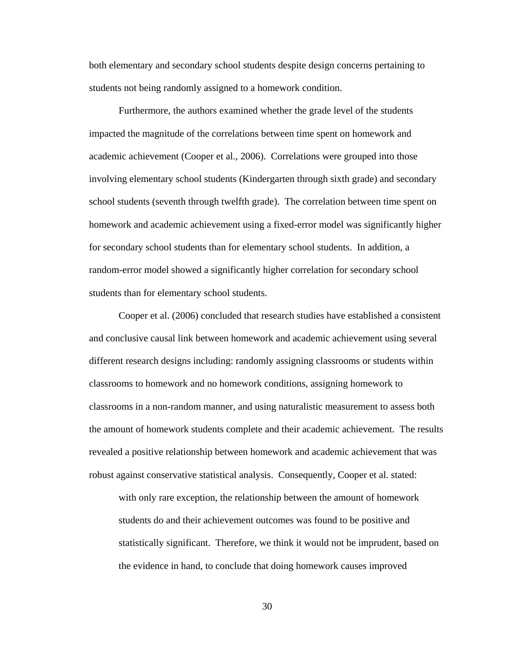both elementary and secondary school students despite design concerns pertaining to students not being randomly assigned to a homework condition.

Furthermore, the authors examined whether the grade level of the students impacted the magnitude of the correlations between time spent on homework and academic achievement (Cooper et al., 2006). Correlations were grouped into those involving elementary school students (Kindergarten through sixth grade) and secondary school students (seventh through twelfth grade). The correlation between time spent on homework and academic achievement using a fixed-error model was significantly higher for secondary school students than for elementary school students. In addition, a random-error model showed a significantly higher correlation for secondary school students than for elementary school students.

Cooper et al. (2006) concluded that research studies have established a consistent and conclusive causal link between homework and academic achievement using several different research designs including: randomly assigning classrooms or students within classrooms to homework and no homework conditions, assigning homework to classrooms in a non-random manner, and using naturalistic measurement to assess both the amount of homework students complete and their academic achievement. The results revealed a positive relationship between homework and academic achievement that was robust against conservative statistical analysis. Consequently, Cooper et al. stated:

with only rare exception, the relationship between the amount of homework students do and their achievement outcomes was found to be positive and statistically significant. Therefore, we think it would not be imprudent, based on the evidence in hand, to conclude that doing homework causes improved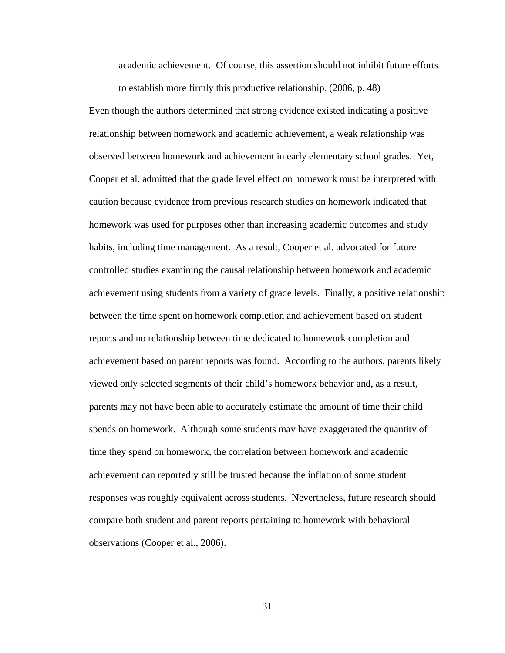academic achievement. Of course, this assertion should not inhibit future efforts to establish more firmly this productive relationship. (2006, p. 48)

Even though the authors determined that strong evidence existed indicating a positive relationship between homework and academic achievement, a weak relationship was observed between homework and achievement in early elementary school grades. Yet, Cooper et al. admitted that the grade level effect on homework must be interpreted with caution because evidence from previous research studies on homework indicated that homework was used for purposes other than increasing academic outcomes and study habits, including time management. As a result, Cooper et al. advocated for future controlled studies examining the causal relationship between homework and academic achievement using students from a variety of grade levels. Finally, a positive relationship between the time spent on homework completion and achievement based on student reports and no relationship between time dedicated to homework completion and achievement based on parent reports was found. According to the authors, parents likely viewed only selected segments of their child's homework behavior and, as a result, parents may not have been able to accurately estimate the amount of time their child spends on homework. Although some students may have exaggerated the quantity of time they spend on homework, the correlation between homework and academic achievement can reportedly still be trusted because the inflation of some student responses was roughly equivalent across students. Nevertheless, future research should compare both student and parent reports pertaining to homework with behavioral observations (Cooper et al., 2006).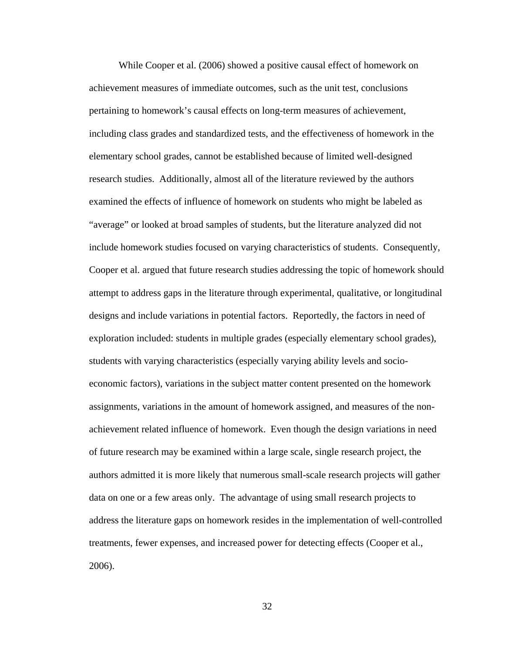While Cooper et al. (2006) showed a positive causal effect of homework on achievement measures of immediate outcomes, such as the unit test, conclusions pertaining to homework's causal effects on long-term measures of achievement, including class grades and standardized tests, and the effectiveness of homework in the elementary school grades, cannot be established because of limited well-designed research studies. Additionally, almost all of the literature reviewed by the authors examined the effects of influence of homework on students who might be labeled as "average" or looked at broad samples of students, but the literature analyzed did not include homework studies focused on varying characteristics of students. Consequently, Cooper et al. argued that future research studies addressing the topic of homework should attempt to address gaps in the literature through experimental, qualitative, or longitudinal designs and include variations in potential factors. Reportedly, the factors in need of exploration included: students in multiple grades (especially elementary school grades), students with varying characteristics (especially varying ability levels and socioeconomic factors), variations in the subject matter content presented on the homework assignments, variations in the amount of homework assigned, and measures of the nonachievement related influence of homework. Even though the design variations in need of future research may be examined within a large scale, single research project, the authors admitted it is more likely that numerous small-scale research projects will gather data on one or a few areas only. The advantage of using small research projects to address the literature gaps on homework resides in the implementation of well-controlled treatments, fewer expenses, and increased power for detecting effects (Cooper et al., 2006).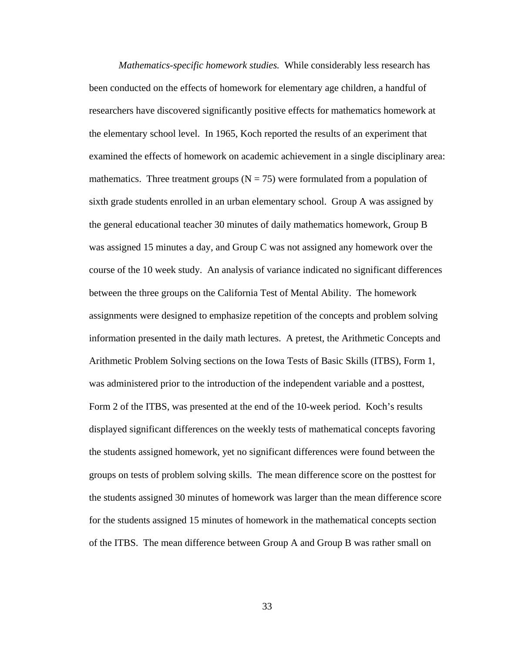*Mathematics-specific homework studies.* While considerably less research has been conducted on the effects of homework for elementary age children, a handful of researchers have discovered significantly positive effects for mathematics homework at the elementary school level. In 1965, Koch reported the results of an experiment that examined the effects of homework on academic achievement in a single disciplinary area: mathematics. Three treatment groups  $(N = 75)$  were formulated from a population of sixth grade students enrolled in an urban elementary school. Group A was assigned by the general educational teacher 30 minutes of daily mathematics homework, Group B was assigned 15 minutes a day, and Group C was not assigned any homework over the course of the 10 week study. An analysis of variance indicated no significant differences between the three groups on the California Test of Mental Ability. The homework assignments were designed to emphasize repetition of the concepts and problem solving information presented in the daily math lectures. A pretest, the Arithmetic Concepts and Arithmetic Problem Solving sections on the Iowa Tests of Basic Skills (ITBS), Form 1, was administered prior to the introduction of the independent variable and a posttest, Form 2 of the ITBS, was presented at the end of the 10-week period. Koch's results displayed significant differences on the weekly tests of mathematical concepts favoring the students assigned homework, yet no significant differences were found between the groups on tests of problem solving skills. The mean difference score on the posttest for the students assigned 30 minutes of homework was larger than the mean difference score for the students assigned 15 minutes of homework in the mathematical concepts section of the ITBS. The mean difference between Group A and Group B was rather small on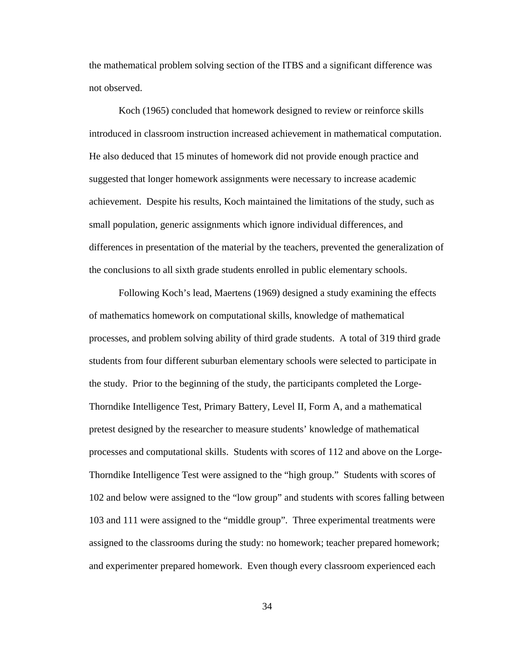the mathematical problem solving section of the ITBS and a significant difference was not observed.

Koch (1965) concluded that homework designed to review or reinforce skills introduced in classroom instruction increased achievement in mathematical computation. He also deduced that 15 minutes of homework did not provide enough practice and suggested that longer homework assignments were necessary to increase academic achievement. Despite his results, Koch maintained the limitations of the study, such as small population, generic assignments which ignore individual differences, and differences in presentation of the material by the teachers, prevented the generalization of the conclusions to all sixth grade students enrolled in public elementary schools.

Following Koch's lead, Maertens (1969) designed a study examining the effects of mathematics homework on computational skills, knowledge of mathematical processes, and problem solving ability of third grade students. A total of 319 third grade students from four different suburban elementary schools were selected to participate in the study. Prior to the beginning of the study, the participants completed the Lorge-Thorndike Intelligence Test, Primary Battery, Level II, Form A, and a mathematical pretest designed by the researcher to measure students' knowledge of mathematical processes and computational skills. Students with scores of 112 and above on the Lorge-Thorndike Intelligence Test were assigned to the "high group." Students with scores of 102 and below were assigned to the "low group" and students with scores falling between 103 and 111 were assigned to the "middle group". Three experimental treatments were assigned to the classrooms during the study: no homework; teacher prepared homework; and experimenter prepared homework. Even though every classroom experienced each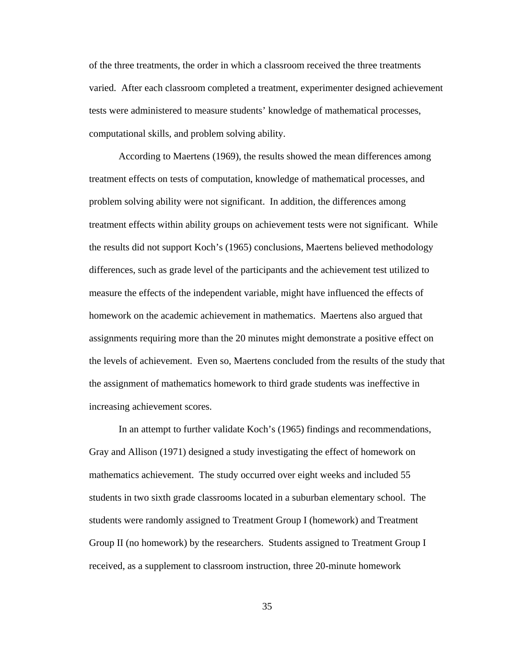of the three treatments, the order in which a classroom received the three treatments varied. After each classroom completed a treatment, experimenter designed achievement tests were administered to measure students' knowledge of mathematical processes, computational skills, and problem solving ability.

According to Maertens (1969), the results showed the mean differences among treatment effects on tests of computation, knowledge of mathematical processes, and problem solving ability were not significant. In addition, the differences among treatment effects within ability groups on achievement tests were not significant. While the results did not support Koch's (1965) conclusions, Maertens believed methodology differences, such as grade level of the participants and the achievement test utilized to measure the effects of the independent variable, might have influenced the effects of homework on the academic achievement in mathematics. Maertens also argued that assignments requiring more than the 20 minutes might demonstrate a positive effect on the levels of achievement. Even so, Maertens concluded from the results of the study that the assignment of mathematics homework to third grade students was ineffective in increasing achievement scores.

In an attempt to further validate Koch's (1965) findings and recommendations, Gray and Allison (1971) designed a study investigating the effect of homework on mathematics achievement. The study occurred over eight weeks and included 55 students in two sixth grade classrooms located in a suburban elementary school. The students were randomly assigned to Treatment Group I (homework) and Treatment Group II (no homework) by the researchers. Students assigned to Treatment Group I received, as a supplement to classroom instruction, three 20-minute homework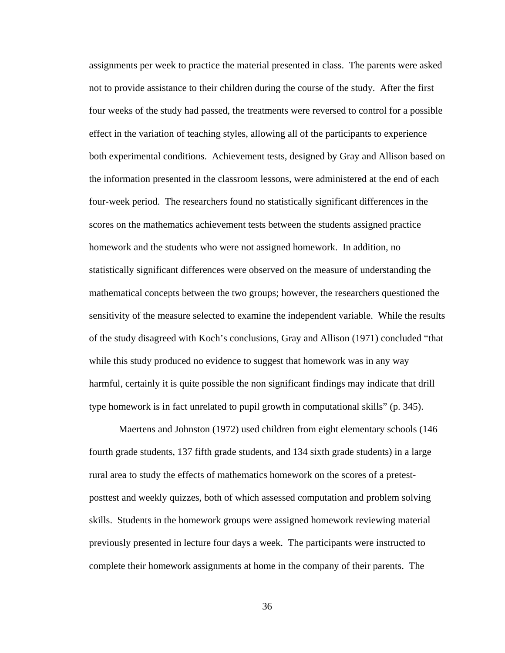assignments per week to practice the material presented in class. The parents were asked not to provide assistance to their children during the course of the study. After the first four weeks of the study had passed, the treatments were reversed to control for a possible effect in the variation of teaching styles, allowing all of the participants to experience both experimental conditions. Achievement tests, designed by Gray and Allison based on the information presented in the classroom lessons, were administered at the end of each four-week period. The researchers found no statistically significant differences in the scores on the mathematics achievement tests between the students assigned practice homework and the students who were not assigned homework. In addition, no statistically significant differences were observed on the measure of understanding the mathematical concepts between the two groups; however, the researchers questioned the sensitivity of the measure selected to examine the independent variable. While the results of the study disagreed with Koch's conclusions, Gray and Allison (1971) concluded "that while this study produced no evidence to suggest that homework was in any way harmful, certainly it is quite possible the non significant findings may indicate that drill type homework is in fact unrelated to pupil growth in computational skills" (p. 345).

Maertens and Johnston (1972) used children from eight elementary schools (146 fourth grade students, 137 fifth grade students, and 134 sixth grade students) in a large rural area to study the effects of mathematics homework on the scores of a pretestposttest and weekly quizzes, both of which assessed computation and problem solving skills. Students in the homework groups were assigned homework reviewing material previously presented in lecture four days a week. The participants were instructed to complete their homework assignments at home in the company of their parents. The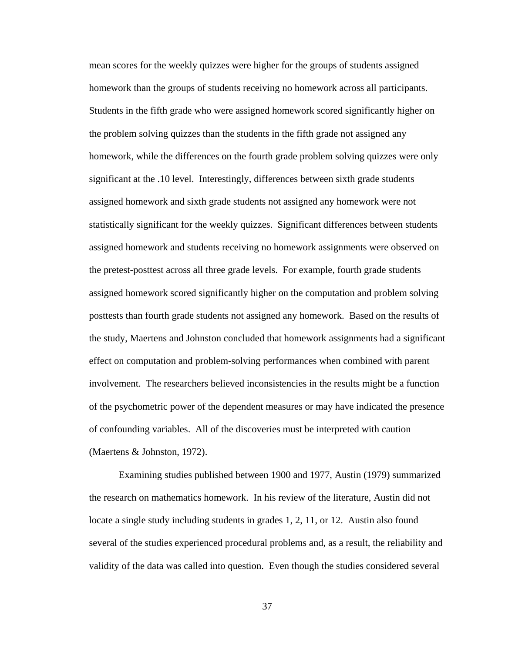mean scores for the weekly quizzes were higher for the groups of students assigned homework than the groups of students receiving no homework across all participants. Students in the fifth grade who were assigned homework scored significantly higher on the problem solving quizzes than the students in the fifth grade not assigned any homework, while the differences on the fourth grade problem solving quizzes were only significant at the .10 level. Interestingly, differences between sixth grade students assigned homework and sixth grade students not assigned any homework were not statistically significant for the weekly quizzes. Significant differences between students assigned homework and students receiving no homework assignments were observed on the pretest-posttest across all three grade levels. For example, fourth grade students assigned homework scored significantly higher on the computation and problem solving posttests than fourth grade students not assigned any homework. Based on the results of the study, Maertens and Johnston concluded that homework assignments had a significant effect on computation and problem-solving performances when combined with parent involvement. The researchers believed inconsistencies in the results might be a function of the psychometric power of the dependent measures or may have indicated the presence of confounding variables. All of the discoveries must be interpreted with caution (Maertens & Johnston, 1972).

Examining studies published between 1900 and 1977, Austin (1979) summarized the research on mathematics homework. In his review of the literature, Austin did not locate a single study including students in grades 1, 2, 11, or 12. Austin also found several of the studies experienced procedural problems and, as a result, the reliability and validity of the data was called into question. Even though the studies considered several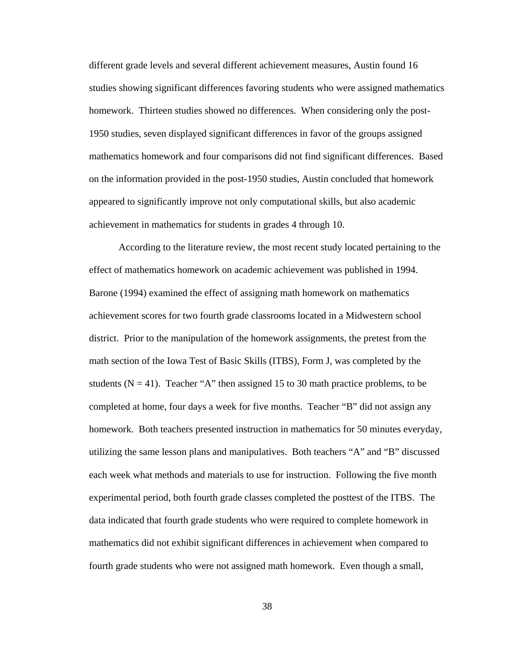different grade levels and several different achievement measures, Austin found 16 studies showing significant differences favoring students who were assigned mathematics homework. Thirteen studies showed no differences. When considering only the post-1950 studies, seven displayed significant differences in favor of the groups assigned mathematics homework and four comparisons did not find significant differences. Based on the information provided in the post-1950 studies, Austin concluded that homework appeared to significantly improve not only computational skills, but also academic achievement in mathematics for students in grades 4 through 10.

According to the literature review, the most recent study located pertaining to the effect of mathematics homework on academic achievement was published in 1994. Barone (1994) examined the effect of assigning math homework on mathematics achievement scores for two fourth grade classrooms located in a Midwestern school district. Prior to the manipulation of the homework assignments, the pretest from the math section of the Iowa Test of Basic Skills (ITBS), Form J, was completed by the students ( $N = 41$ ). Teacher "A" then assigned 15 to 30 math practice problems, to be completed at home, four days a week for five months. Teacher "B" did not assign any homework. Both teachers presented instruction in mathematics for 50 minutes everyday, utilizing the same lesson plans and manipulatives. Both teachers "A" and "B" discussed each week what methods and materials to use for instruction. Following the five month experimental period, both fourth grade classes completed the posttest of the ITBS. The data indicated that fourth grade students who were required to complete homework in mathematics did not exhibit significant differences in achievement when compared to fourth grade students who were not assigned math homework. Even though a small,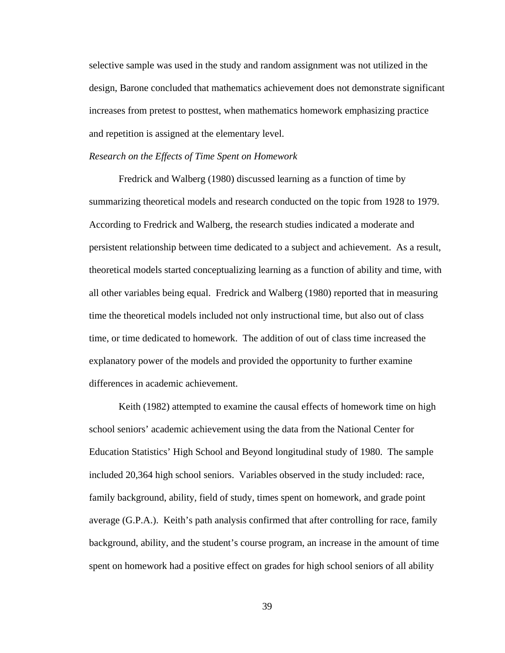selective sample was used in the study and random assignment was not utilized in the design, Barone concluded that mathematics achievement does not demonstrate significant increases from pretest to posttest, when mathematics homework emphasizing practice and repetition is assigned at the elementary level.

#### *Research on the Effects of Time Spent on Homework*

Fredrick and Walberg (1980) discussed learning as a function of time by summarizing theoretical models and research conducted on the topic from 1928 to 1979. According to Fredrick and Walberg, the research studies indicated a moderate and persistent relationship between time dedicated to a subject and achievement. As a result, theoretical models started conceptualizing learning as a function of ability and time, with all other variables being equal. Fredrick and Walberg (1980) reported that in measuring time the theoretical models included not only instructional time, but also out of class time, or time dedicated to homework. The addition of out of class time increased the explanatory power of the models and provided the opportunity to further examine differences in academic achievement.

Keith (1982) attempted to examine the causal effects of homework time on high school seniors' academic achievement using the data from the National Center for Education Statistics' High School and Beyond longitudinal study of 1980. The sample included 20,364 high school seniors. Variables observed in the study included: race, family background, ability, field of study, times spent on homework, and grade point average (G.P.A.). Keith's path analysis confirmed that after controlling for race, family background, ability, and the student's course program, an increase in the amount of time spent on homework had a positive effect on grades for high school seniors of all ability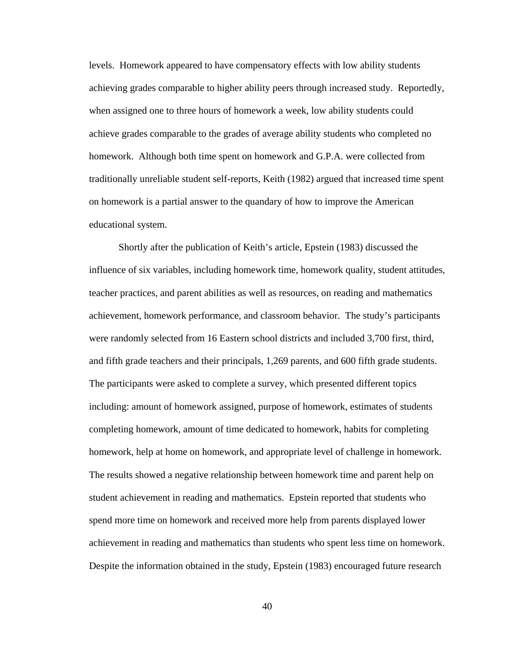levels. Homework appeared to have compensatory effects with low ability students achieving grades comparable to higher ability peers through increased study. Reportedly, when assigned one to three hours of homework a week, low ability students could achieve grades comparable to the grades of average ability students who completed no homework. Although both time spent on homework and G.P.A. were collected from traditionally unreliable student self-reports, Keith (1982) argued that increased time spent on homework is a partial answer to the quandary of how to improve the American educational system.

Shortly after the publication of Keith's article, Epstein (1983) discussed the influence of six variables, including homework time, homework quality, student attitudes, teacher practices, and parent abilities as well as resources, on reading and mathematics achievement, homework performance, and classroom behavior. The study's participants were randomly selected from 16 Eastern school districts and included 3,700 first, third, and fifth grade teachers and their principals, 1,269 parents, and 600 fifth grade students. The participants were asked to complete a survey, which presented different topics including: amount of homework assigned, purpose of homework, estimates of students completing homework, amount of time dedicated to homework, habits for completing homework, help at home on homework, and appropriate level of challenge in homework. The results showed a negative relationship between homework time and parent help on student achievement in reading and mathematics. Epstein reported that students who spend more time on homework and received more help from parents displayed lower achievement in reading and mathematics than students who spent less time on homework. Despite the information obtained in the study, Epstein (1983) encouraged future research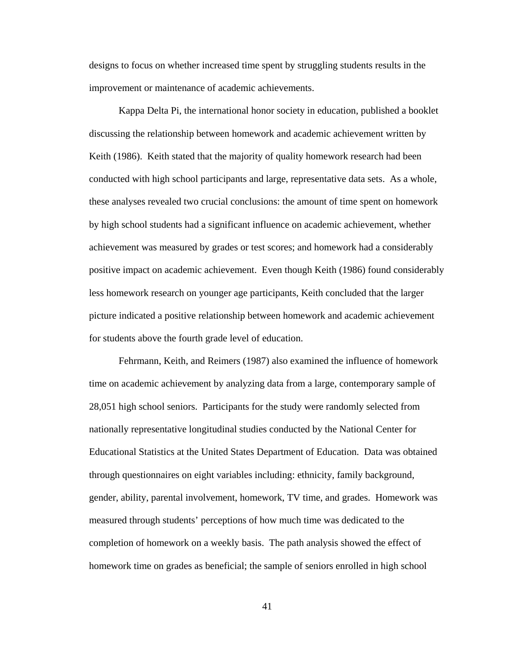designs to focus on whether increased time spent by struggling students results in the improvement or maintenance of academic achievements.

Kappa Delta Pi, the international honor society in education, published a booklet discussing the relationship between homework and academic achievement written by Keith (1986). Keith stated that the majority of quality homework research had been conducted with high school participants and large, representative data sets. As a whole, these analyses revealed two crucial conclusions: the amount of time spent on homework by high school students had a significant influence on academic achievement, whether achievement was measured by grades or test scores; and homework had a considerably positive impact on academic achievement. Even though Keith (1986) found considerably less homework research on younger age participants, Keith concluded that the larger picture indicated a positive relationship between homework and academic achievement for students above the fourth grade level of education.

Fehrmann, Keith, and Reimers (1987) also examined the influence of homework time on academic achievement by analyzing data from a large, contemporary sample of 28,051 high school seniors. Participants for the study were randomly selected from nationally representative longitudinal studies conducted by the National Center for Educational Statistics at the United States Department of Education. Data was obtained through questionnaires on eight variables including: ethnicity, family background, gender, ability, parental involvement, homework, TV time, and grades. Homework was measured through students' perceptions of how much time was dedicated to the completion of homework on a weekly basis. The path analysis showed the effect of homework time on grades as beneficial; the sample of seniors enrolled in high school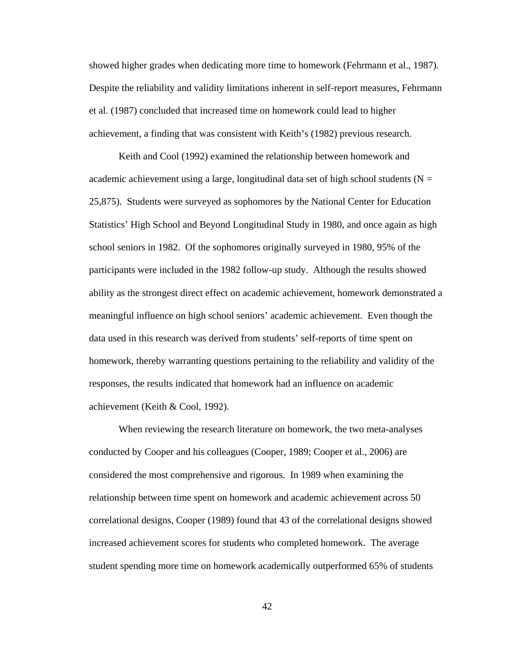showed higher grades when dedicating more time to homework (Fehrmann et al., 1987). Despite the reliability and validity limitations inherent in self-report measures, Fehrmann et al. (1987) concluded that increased time on homework could lead to higher achievement, a finding that was consistent with Keith's (1982) previous research.

Keith and Cool (1992) examined the relationship between homework and academic achievement using a large, longitudinal data set of high school students ( $N =$ 25,875). Students were surveyed as sophomores by the National Center for Education Statistics' High School and Beyond Longitudinal Study in 1980, and once again as high school seniors in 1982. Of the sophomores originally surveyed in 1980, 95% of the participants were included in the 1982 follow-up study. Although the results showed ability as the strongest direct effect on academic achievement, homework demonstrated a meaningful influence on high school seniors' academic achievement. Even though the data used in this research was derived from students' self-reports of time spent on homework, thereby warranting questions pertaining to the reliability and validity of the responses, the results indicated that homework had an influence on academic achievement (Keith & Cool, 1992).

When reviewing the research literature on homework, the two meta-analyses conducted by Cooper and his colleagues (Cooper, 1989; Cooper et al., 2006) are considered the most comprehensive and rigorous. In 1989 when examining the relationship between time spent on homework and academic achievement across 50 correlational designs, Cooper (1989) found that 43 of the correlational designs showed increased achievement scores for students who completed homework. The average student spending more time on homework academically outperformed 65% of students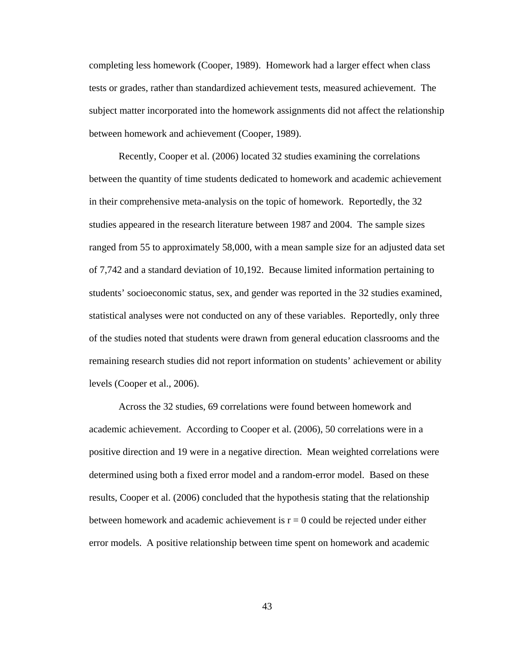completing less homework (Cooper, 1989). Homework had a larger effect when class tests or grades, rather than standardized achievement tests, measured achievement. The subject matter incorporated into the homework assignments did not affect the relationship between homework and achievement (Cooper, 1989).

Recently, Cooper et al. (2006) located 32 studies examining the correlations between the quantity of time students dedicated to homework and academic achievement in their comprehensive meta-analysis on the topic of homework. Reportedly, the 32 studies appeared in the research literature between 1987 and 2004. The sample sizes ranged from 55 to approximately 58,000, with a mean sample size for an adjusted data set of 7,742 and a standard deviation of 10,192. Because limited information pertaining to students' socioeconomic status, sex, and gender was reported in the 32 studies examined, statistical analyses were not conducted on any of these variables. Reportedly, only three of the studies noted that students were drawn from general education classrooms and the remaining research studies did not report information on students' achievement or ability levels (Cooper et al., 2006).

Across the 32 studies, 69 correlations were found between homework and academic achievement. According to Cooper et al. (2006), 50 correlations were in a positive direction and 19 were in a negative direction. Mean weighted correlations were determined using both a fixed error model and a random-error model. Based on these results, Cooper et al. (2006) concluded that the hypothesis stating that the relationship between homework and academic achievement is  $r = 0$  could be rejected under either error models. A positive relationship between time spent on homework and academic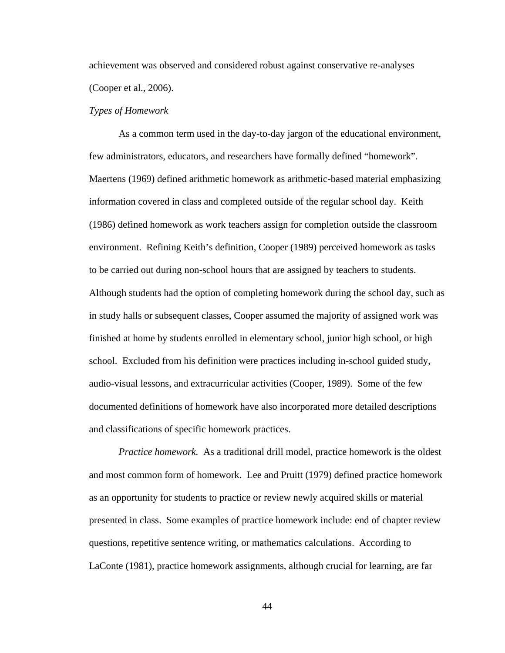achievement was observed and considered robust against conservative re-analyses (Cooper et al., 2006).

### *Types of Homework*

As a common term used in the day-to-day jargon of the educational environment, few administrators, educators, and researchers have formally defined "homework". Maertens (1969) defined arithmetic homework as arithmetic-based material emphasizing information covered in class and completed outside of the regular school day. Keith (1986) defined homework as work teachers assign for completion outside the classroom environment. Refining Keith's definition, Cooper (1989) perceived homework as tasks to be carried out during non-school hours that are assigned by teachers to students. Although students had the option of completing homework during the school day, such as in study halls or subsequent classes, Cooper assumed the majority of assigned work was finished at home by students enrolled in elementary school, junior high school, or high school. Excluded from his definition were practices including in-school guided study, audio-visual lessons, and extracurricular activities (Cooper, 1989). Some of the few documented definitions of homework have also incorporated more detailed descriptions and classifications of specific homework practices.

*Practice homework.* As a traditional drill model, practice homework is the oldest and most common form of homework. Lee and Pruitt (1979) defined practice homework as an opportunity for students to practice or review newly acquired skills or material presented in class. Some examples of practice homework include: end of chapter review questions, repetitive sentence writing, or mathematics calculations. According to LaConte (1981), practice homework assignments, although crucial for learning, are far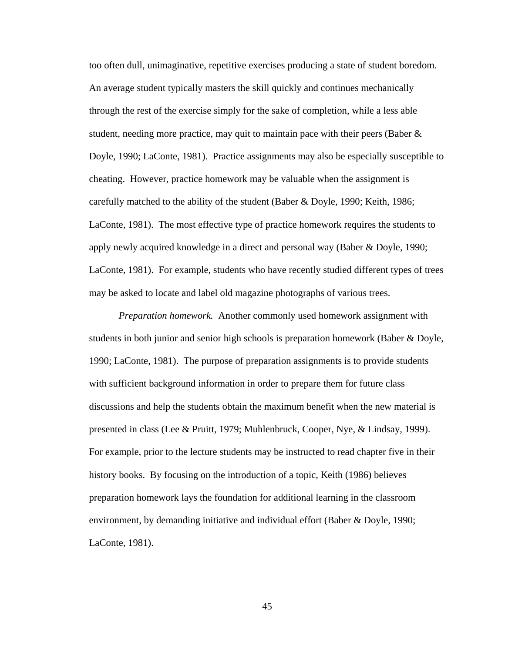too often dull, unimaginative, repetitive exercises producing a state of student boredom. An average student typically masters the skill quickly and continues mechanically through the rest of the exercise simply for the sake of completion, while a less able student, needing more practice, may quit to maintain pace with their peers (Baber  $\&$ Doyle, 1990; LaConte, 1981). Practice assignments may also be especially susceptible to cheating. However, practice homework may be valuable when the assignment is carefully matched to the ability of the student (Baber & Doyle, 1990; Keith, 1986; LaConte, 1981). The most effective type of practice homework requires the students to apply newly acquired knowledge in a direct and personal way (Baber & Doyle, 1990; LaConte, 1981). For example, students who have recently studied different types of trees may be asked to locate and label old magazine photographs of various trees.

*Preparation homework.* Another commonly used homework assignment with students in both junior and senior high schools is preparation homework (Baber & Doyle, 1990; LaConte, 1981). The purpose of preparation assignments is to provide students with sufficient background information in order to prepare them for future class discussions and help the students obtain the maximum benefit when the new material is presented in class (Lee & Pruitt, 1979; Muhlenbruck, Cooper, Nye, & Lindsay, 1999). For example, prior to the lecture students may be instructed to read chapter five in their history books. By focusing on the introduction of a topic, Keith (1986) believes preparation homework lays the foundation for additional learning in the classroom environment, by demanding initiative and individual effort (Baber & Doyle, 1990; LaConte, 1981).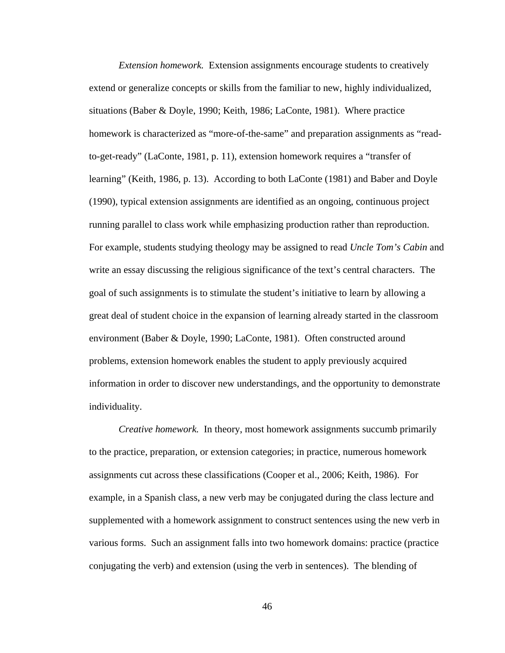*Extension homework.* Extension assignments encourage students to creatively extend or generalize concepts or skills from the familiar to new, highly individualized, situations (Baber & Doyle, 1990; Keith, 1986; LaConte, 1981). Where practice homework is characterized as "more-of-the-same" and preparation assignments as "readto-get-ready" (LaConte, 1981, p. 11), extension homework requires a "transfer of learning" (Keith, 1986, p. 13). According to both LaConte (1981) and Baber and Doyle (1990), typical extension assignments are identified as an ongoing, continuous project running parallel to class work while emphasizing production rather than reproduction. For example, students studying theology may be assigned to read *Uncle Tom's Cabin* and write an essay discussing the religious significance of the text's central characters. The goal of such assignments is to stimulate the student's initiative to learn by allowing a great deal of student choice in the expansion of learning already started in the classroom environment (Baber & Doyle, 1990; LaConte, 1981). Often constructed around problems, extension homework enables the student to apply previously acquired information in order to discover new understandings, and the opportunity to demonstrate individuality.

*Creative homework.* In theory, most homework assignments succumb primarily to the practice, preparation, or extension categories; in practice, numerous homework assignments cut across these classifications (Cooper et al., 2006; Keith, 1986). For example, in a Spanish class, a new verb may be conjugated during the class lecture and supplemented with a homework assignment to construct sentences using the new verb in various forms. Such an assignment falls into two homework domains: practice (practice conjugating the verb) and extension (using the verb in sentences). The blending of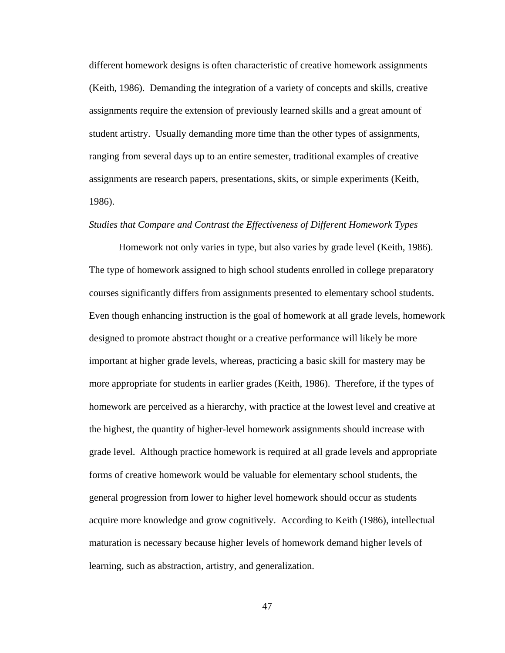different homework designs is often characteristic of creative homework assignments (Keith, 1986). Demanding the integration of a variety of concepts and skills, creative assignments require the extension of previously learned skills and a great amount of student artistry. Usually demanding more time than the other types of assignments, ranging from several days up to an entire semester, traditional examples of creative assignments are research papers, presentations, skits, or simple experiments (Keith, 1986).

#### *Studies that Compare and Contrast the Effectiveness of Different Homework Types*

Homework not only varies in type, but also varies by grade level (Keith, 1986). The type of homework assigned to high school students enrolled in college preparatory courses significantly differs from assignments presented to elementary school students. Even though enhancing instruction is the goal of homework at all grade levels, homework designed to promote abstract thought or a creative performance will likely be more important at higher grade levels, whereas, practicing a basic skill for mastery may be more appropriate for students in earlier grades (Keith, 1986). Therefore, if the types of homework are perceived as a hierarchy, with practice at the lowest level and creative at the highest, the quantity of higher-level homework assignments should increase with grade level. Although practice homework is required at all grade levels and appropriate forms of creative homework would be valuable for elementary school students, the general progression from lower to higher level homework should occur as students acquire more knowledge and grow cognitively. According to Keith (1986), intellectual maturation is necessary because higher levels of homework demand higher levels of learning, such as abstraction, artistry, and generalization.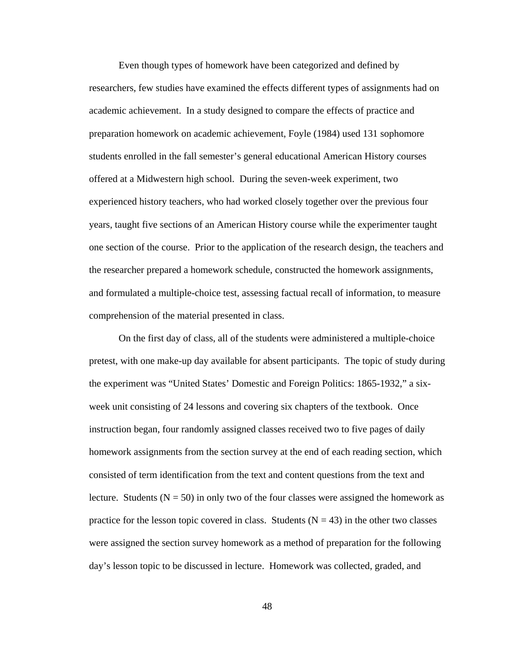Even though types of homework have been categorized and defined by researchers, few studies have examined the effects different types of assignments had on academic achievement. In a study designed to compare the effects of practice and preparation homework on academic achievement, Foyle (1984) used 131 sophomore students enrolled in the fall semester's general educational American History courses offered at a Midwestern high school. During the seven-week experiment, two experienced history teachers, who had worked closely together over the previous four years, taught five sections of an American History course while the experimenter taught one section of the course. Prior to the application of the research design, the teachers and the researcher prepared a homework schedule, constructed the homework assignments, and formulated a multiple-choice test, assessing factual recall of information, to measure comprehension of the material presented in class.

On the first day of class, all of the students were administered a multiple-choice pretest, with one make-up day available for absent participants. The topic of study during the experiment was "United States' Domestic and Foreign Politics: 1865-1932," a sixweek unit consisting of 24 lessons and covering six chapters of the textbook. Once instruction began, four randomly assigned classes received two to five pages of daily homework assignments from the section survey at the end of each reading section, which consisted of term identification from the text and content questions from the text and lecture. Students ( $N = 50$ ) in only two of the four classes were assigned the homework as practice for the lesson topic covered in class. Students ( $N = 43$ ) in the other two classes were assigned the section survey homework as a method of preparation for the following day's lesson topic to be discussed in lecture. Homework was collected, graded, and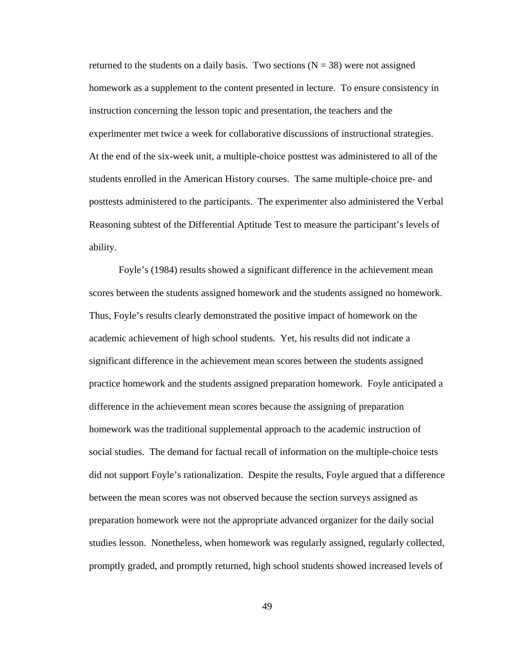returned to the students on a daily basis. Two sections ( $N = 38$ ) were not assigned homework as a supplement to the content presented in lecture. To ensure consistency in instruction concerning the lesson topic and presentation, the teachers and the experimenter met twice a week for collaborative discussions of instructional strategies. At the end of the six-week unit, a multiple-choice posttest was administered to all of the students enrolled in the American History courses. The same multiple-choice pre- and posttests administered to the participants. The experimenter also administered the Verbal Reasoning subtest of the Differential Aptitude Test to measure the participant's levels of ability.

Foyle's (1984) results showed a significant difference in the achievement mean scores between the students assigned homework and the students assigned no homework. Thus, Foyle's results clearly demonstrated the positive impact of homework on the academic achievement of high school students. Yet, his results did not indicate a significant difference in the achievement mean scores between the students assigned practice homework and the students assigned preparation homework. Foyle anticipated a difference in the achievement mean scores because the assigning of preparation homework was the traditional supplemental approach to the academic instruction of social studies. The demand for factual recall of information on the multiple-choice tests did not support Foyle's rationalization. Despite the results, Foyle argued that a difference between the mean scores was not observed because the section surveys assigned as preparation homework were not the appropriate advanced organizer for the daily social studies lesson. Nonetheless, when homework was regularly assigned, regularly collected, promptly graded, and promptly returned, high school students showed increased levels of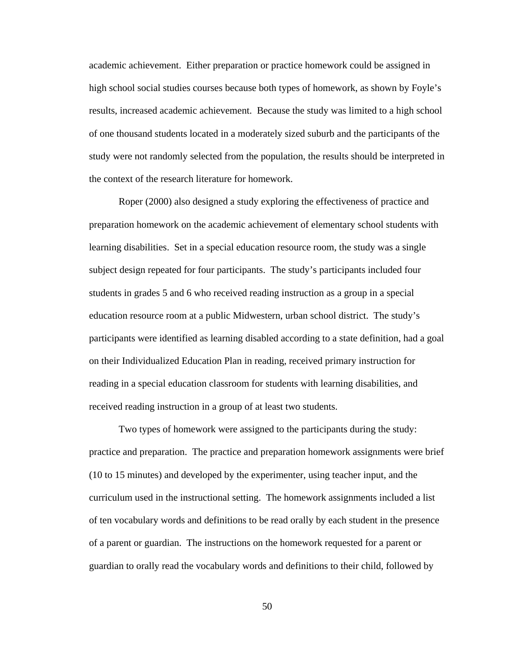academic achievement. Either preparation or practice homework could be assigned in high school social studies courses because both types of homework, as shown by Foyle's results, increased academic achievement. Because the study was limited to a high school of one thousand students located in a moderately sized suburb and the participants of the study were not randomly selected from the population, the results should be interpreted in the context of the research literature for homework.

Roper (2000) also designed a study exploring the effectiveness of practice and preparation homework on the academic achievement of elementary school students with learning disabilities. Set in a special education resource room, the study was a single subject design repeated for four participants. The study's participants included four students in grades 5 and 6 who received reading instruction as a group in a special education resource room at a public Midwestern, urban school district. The study's participants were identified as learning disabled according to a state definition, had a goal on their Individualized Education Plan in reading, received primary instruction for reading in a special education classroom for students with learning disabilities, and received reading instruction in a group of at least two students.

 Two types of homework were assigned to the participants during the study: practice and preparation. The practice and preparation homework assignments were brief (10 to 15 minutes) and developed by the experimenter, using teacher input, and the curriculum used in the instructional setting. The homework assignments included a list of ten vocabulary words and definitions to be read orally by each student in the presence of a parent or guardian. The instructions on the homework requested for a parent or guardian to orally read the vocabulary words and definitions to their child, followed by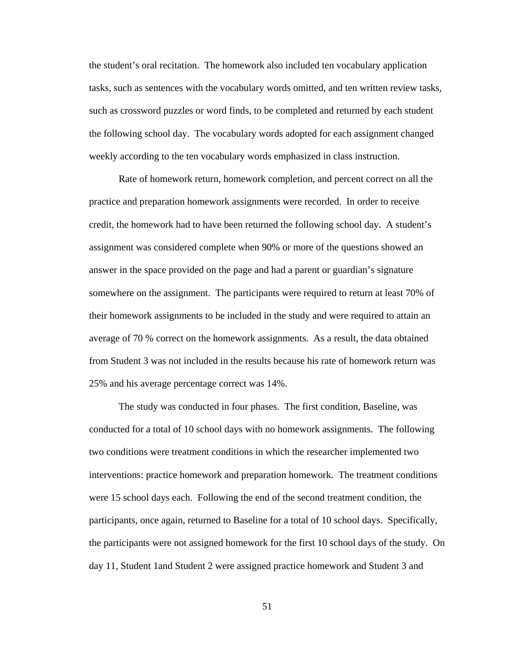the student's oral recitation. The homework also included ten vocabulary application tasks, such as sentences with the vocabulary words omitted, and ten written review tasks, such as crossword puzzles or word finds, to be completed and returned by each student the following school day. The vocabulary words adopted for each assignment changed weekly according to the ten vocabulary words emphasized in class instruction.

Rate of homework return, homework completion, and percent correct on all the practice and preparation homework assignments were recorded. In order to receive credit, the homework had to have been returned the following school day. A student's assignment was considered complete when 90% or more of the questions showed an answer in the space provided on the page and had a parent or guardian's signature somewhere on the assignment. The participants were required to return at least 70% of their homework assignments to be included in the study and were required to attain an average of 70 % correct on the homework assignments. As a result, the data obtained from Student 3 was not included in the results because his rate of homework return was 25% and his average percentage correct was 14%.

The study was conducted in four phases. The first condition, Baseline, was conducted for a total of 10 school days with no homework assignments. The following two conditions were treatment conditions in which the researcher implemented two interventions: practice homework and preparation homework. The treatment conditions were 15 school days each. Following the end of the second treatment condition, the participants, once again, returned to Baseline for a total of 10 school days. Specifically, the participants were not assigned homework for the first 10 school days of the study. On day 11, Student 1and Student 2 were assigned practice homework and Student 3 and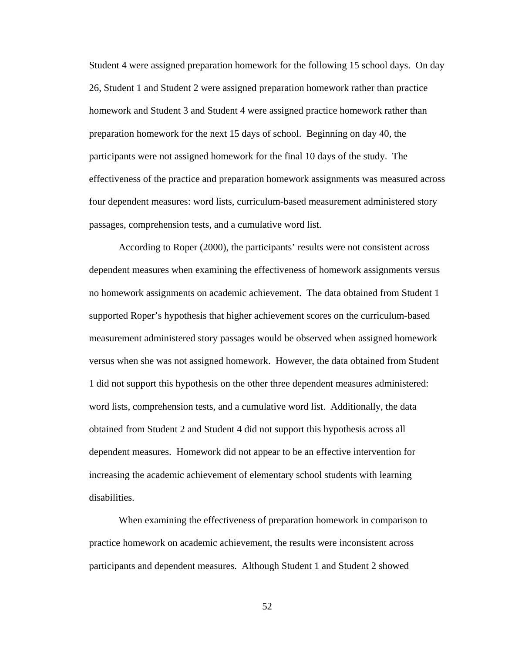Student 4 were assigned preparation homework for the following 15 school days. On day 26, Student 1 and Student 2 were assigned preparation homework rather than practice homework and Student 3 and Student 4 were assigned practice homework rather than preparation homework for the next 15 days of school. Beginning on day 40, the participants were not assigned homework for the final 10 days of the study. The effectiveness of the practice and preparation homework assignments was measured across four dependent measures: word lists, curriculum-based measurement administered story passages, comprehension tests, and a cumulative word list.

According to Roper (2000), the participants' results were not consistent across dependent measures when examining the effectiveness of homework assignments versus no homework assignments on academic achievement. The data obtained from Student 1 supported Roper's hypothesis that higher achievement scores on the curriculum-based measurement administered story passages would be observed when assigned homework versus when she was not assigned homework. However, the data obtained from Student 1 did not support this hypothesis on the other three dependent measures administered: word lists, comprehension tests, and a cumulative word list. Additionally, the data obtained from Student 2 and Student 4 did not support this hypothesis across all dependent measures. Homework did not appear to be an effective intervention for increasing the academic achievement of elementary school students with learning disabilities.

When examining the effectiveness of preparation homework in comparison to practice homework on academic achievement, the results were inconsistent across participants and dependent measures. Although Student 1 and Student 2 showed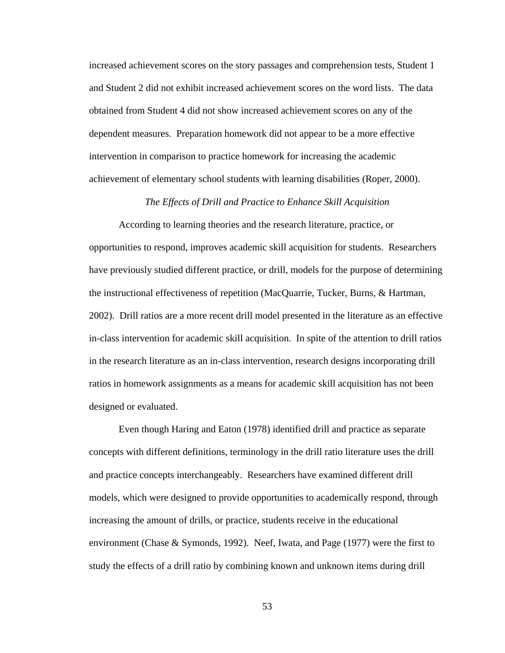increased achievement scores on the story passages and comprehension tests, Student 1 and Student 2 did not exhibit increased achievement scores on the word lists. The data obtained from Student 4 did not show increased achievement scores on any of the dependent measures. Preparation homework did not appear to be a more effective intervention in comparison to practice homework for increasing the academic achievement of elementary school students with learning disabilities (Roper, 2000).

### *The Effects of Drill and Practice to Enhance Skill Acquisition*

According to learning theories and the research literature, practice, or opportunities to respond, improves academic skill acquisition for students. Researchers have previously studied different practice, or drill, models for the purpose of determining the instructional effectiveness of repetition (MacQuarrie, Tucker, Burns, & Hartman, 2002). Drill ratios are a more recent drill model presented in the literature as an effective in-class intervention for academic skill acquisition. In spite of the attention to drill ratios in the research literature as an in-class intervention, research designs incorporating drill ratios in homework assignments as a means for academic skill acquisition has not been designed or evaluated.

Even though Haring and Eaton (1978) identified drill and practice as separate concepts with different definitions, terminology in the drill ratio literature uses the drill and practice concepts interchangeably. Researchers have examined different drill models, which were designed to provide opportunities to academically respond, through increasing the amount of drills, or practice, students receive in the educational environment (Chase & Symonds, 1992). Neef, Iwata, and Page (1977) were the first to study the effects of a drill ratio by combining known and unknown items during drill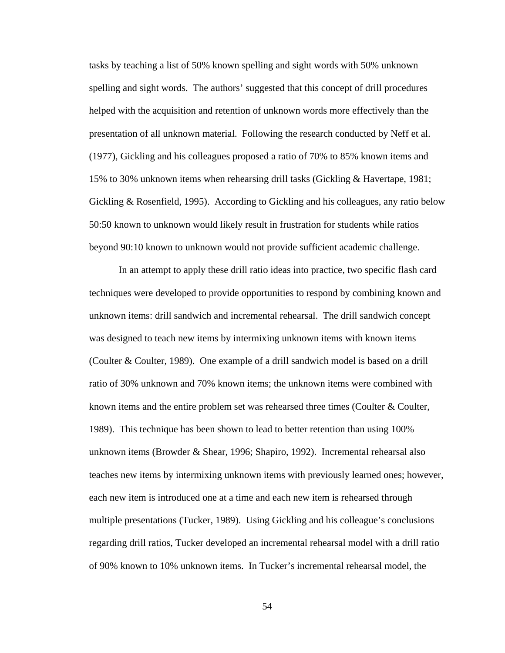tasks by teaching a list of 50% known spelling and sight words with 50% unknown spelling and sight words. The authors' suggested that this concept of drill procedures helped with the acquisition and retention of unknown words more effectively than the presentation of all unknown material. Following the research conducted by Neff et al. (1977), Gickling and his colleagues proposed a ratio of 70% to 85% known items and 15% to 30% unknown items when rehearsing drill tasks (Gickling & Havertape, 1981; Gickling & Rosenfield, 1995). According to Gickling and his colleagues, any ratio below 50:50 known to unknown would likely result in frustration for students while ratios beyond 90:10 known to unknown would not provide sufficient academic challenge.

In an attempt to apply these drill ratio ideas into practice, two specific flash card techniques were developed to provide opportunities to respond by combining known and unknown items: drill sandwich and incremental rehearsal. The drill sandwich concept was designed to teach new items by intermixing unknown items with known items (Coulter & Coulter, 1989). One example of a drill sandwich model is based on a drill ratio of 30% unknown and 70% known items; the unknown items were combined with known items and the entire problem set was rehearsed three times (Coulter  $\&$  Coulter, 1989). This technique has been shown to lead to better retention than using 100% unknown items (Browder & Shear, 1996; Shapiro, 1992). Incremental rehearsal also teaches new items by intermixing unknown items with previously learned ones; however, each new item is introduced one at a time and each new item is rehearsed through multiple presentations (Tucker, 1989). Using Gickling and his colleague's conclusions regarding drill ratios, Tucker developed an incremental rehearsal model with a drill ratio of 90% known to 10% unknown items. In Tucker's incremental rehearsal model, the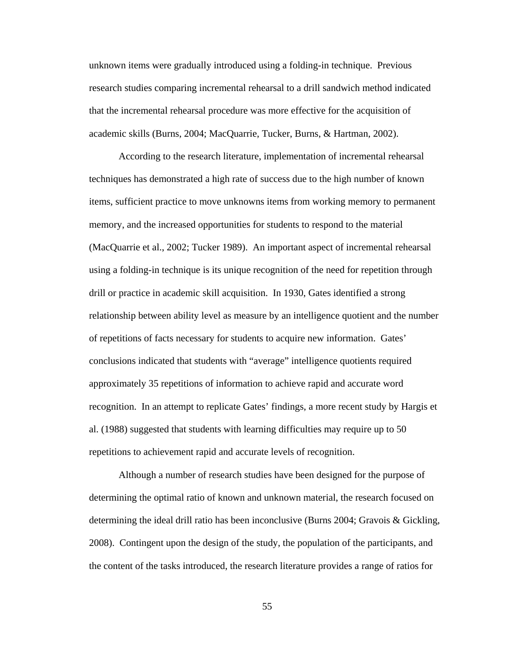unknown items were gradually introduced using a folding-in technique. Previous research studies comparing incremental rehearsal to a drill sandwich method indicated that the incremental rehearsal procedure was more effective for the acquisition of academic skills (Burns, 2004; MacQuarrie, Tucker, Burns, & Hartman, 2002).

According to the research literature, implementation of incremental rehearsal techniques has demonstrated a high rate of success due to the high number of known items, sufficient practice to move unknowns items from working memory to permanent memory, and the increased opportunities for students to respond to the material (MacQuarrie et al., 2002; Tucker 1989). An important aspect of incremental rehearsal using a folding-in technique is its unique recognition of the need for repetition through drill or practice in academic skill acquisition. In 1930, Gates identified a strong relationship between ability level as measure by an intelligence quotient and the number of repetitions of facts necessary for students to acquire new information. Gates' conclusions indicated that students with "average" intelligence quotients required approximately 35 repetitions of information to achieve rapid and accurate word recognition. In an attempt to replicate Gates' findings, a more recent study by Hargis et al. (1988) suggested that students with learning difficulties may require up to 50 repetitions to achievement rapid and accurate levels of recognition.

Although a number of research studies have been designed for the purpose of determining the optimal ratio of known and unknown material, the research focused on determining the ideal drill ratio has been inconclusive (Burns 2004; Gravois & Gickling, 2008). Contingent upon the design of the study, the population of the participants, and the content of the tasks introduced, the research literature provides a range of ratios for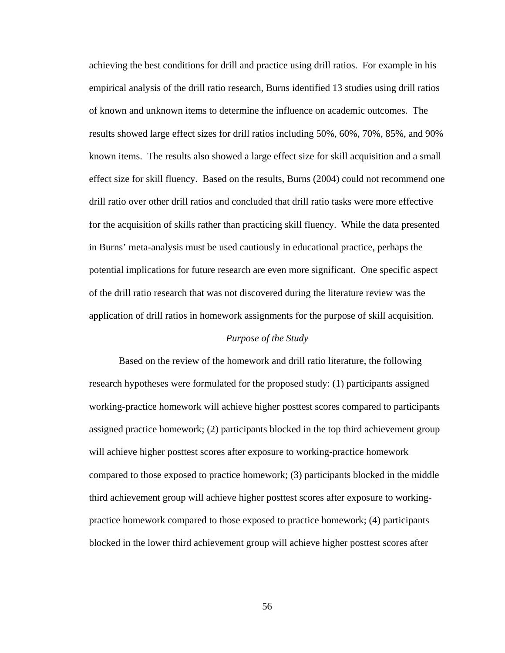achieving the best conditions for drill and practice using drill ratios. For example in his empirical analysis of the drill ratio research, Burns identified 13 studies using drill ratios of known and unknown items to determine the influence on academic outcomes. The results showed large effect sizes for drill ratios including 50%, 60%, 70%, 85%, and 90% known items. The results also showed a large effect size for skill acquisition and a small effect size for skill fluency. Based on the results, Burns (2004) could not recommend one drill ratio over other drill ratios and concluded that drill ratio tasks were more effective for the acquisition of skills rather than practicing skill fluency. While the data presented in Burns' meta-analysis must be used cautiously in educational practice, perhaps the potential implications for future research are even more significant. One specific aspect of the drill ratio research that was not discovered during the literature review was the application of drill ratios in homework assignments for the purpose of skill acquisition.

### *Purpose of the Study*

Based on the review of the homework and drill ratio literature, the following research hypotheses were formulated for the proposed study: (1) participants assigned working-practice homework will achieve higher posttest scores compared to participants assigned practice homework; (2) participants blocked in the top third achievement group will achieve higher posttest scores after exposure to working-practice homework compared to those exposed to practice homework; (3) participants blocked in the middle third achievement group will achieve higher posttest scores after exposure to workingpractice homework compared to those exposed to practice homework; (4) participants blocked in the lower third achievement group will achieve higher posttest scores after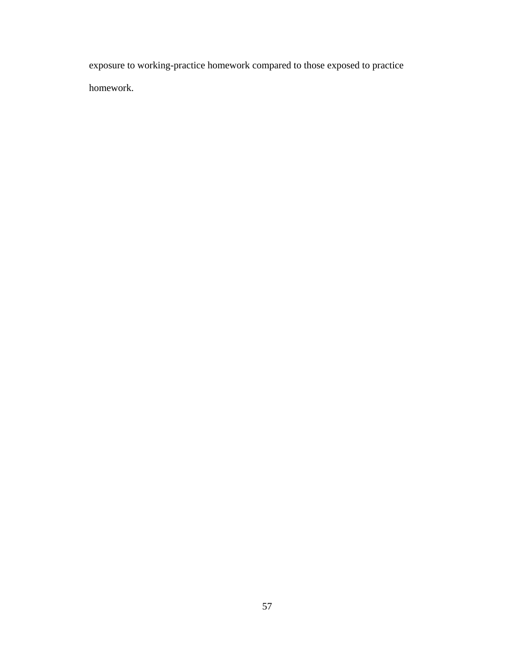exposure to working-practice homework compared to those exposed to practice homework.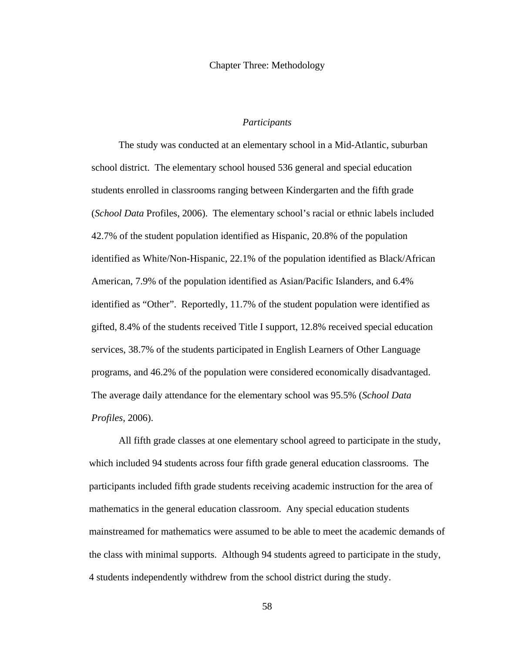### Chapter Three: Methodology

# *Participants*

The study was conducted at an elementary school in a Mid-Atlantic, suburban school district. The elementary school housed 536 general and special education students enrolled in classrooms ranging between Kindergarten and the fifth grade (*School Data* Profiles, 2006). The elementary school's racial or ethnic labels included 42.7% of the student population identified as Hispanic, 20.8% of the population identified as White/Non-Hispanic, 22.1% of the population identified as Black/African American, 7.9% of the population identified as Asian/Pacific Islanders, and 6.4% identified as "Other". Reportedly, 11.7% of the student population were identified as gifted, 8.4% of the students received Title I support, 12.8% received special education services, 38.7% of the students participated in English Learners of Other Language programs, and 46.2% of the population were considered economically disadvantaged. The average daily attendance for the elementary school was 95.5% (*School Data Profiles*, 2006).

All fifth grade classes at one elementary school agreed to participate in the study, which included 94 students across four fifth grade general education classrooms. The participants included fifth grade students receiving academic instruction for the area of mathematics in the general education classroom. Any special education students mainstreamed for mathematics were assumed to be able to meet the academic demands of the class with minimal supports. Although 94 students agreed to participate in the study, 4 students independently withdrew from the school district during the study.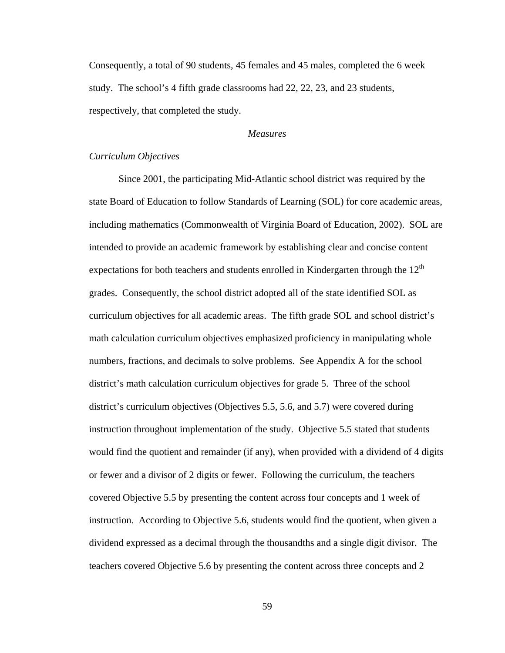Consequently, a total of 90 students, 45 females and 45 males, completed the 6 week study. The school's 4 fifth grade classrooms had 22, 22, 23, and 23 students, respectively, that completed the study.

# *Measures*

### *Curriculum Objectives*

Since 2001, the participating Mid-Atlantic school district was required by the state Board of Education to follow Standards of Learning (SOL) for core academic areas, including mathematics (Commonwealth of Virginia Board of Education, 2002). SOL are intended to provide an academic framework by establishing clear and concise content expectations for both teachers and students enrolled in Kindergarten through the  $12<sup>th</sup>$ grades. Consequently, the school district adopted all of the state identified SOL as curriculum objectives for all academic areas. The fifth grade SOL and school district's math calculation curriculum objectives emphasized proficiency in manipulating whole numbers, fractions, and decimals to solve problems. See Appendix A for the school district's math calculation curriculum objectives for grade 5. Three of the school district's curriculum objectives (Objectives 5.5, 5.6, and 5.7) were covered during instruction throughout implementation of the study. Objective 5.5 stated that students would find the quotient and remainder (if any), when provided with a dividend of 4 digits or fewer and a divisor of 2 digits or fewer. Following the curriculum, the teachers covered Objective 5.5 by presenting the content across four concepts and 1 week of instruction. According to Objective 5.6, students would find the quotient, when given a dividend expressed as a decimal through the thousandths and a single digit divisor. The teachers covered Objective 5.6 by presenting the content across three concepts and 2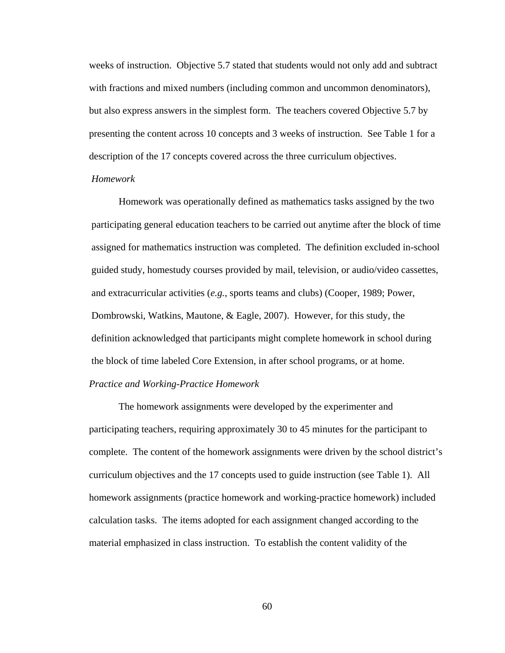weeks of instruction. Objective 5.7 stated that students would not only add and subtract with fractions and mixed numbers (including common and uncommon denominators), but also express answers in the simplest form. The teachers covered Objective 5.7 by presenting the content across 10 concepts and 3 weeks of instruction. See Table 1 for a description of the 17 concepts covered across the three curriculum objectives.

# *Homework*

Homework was operationally defined as mathematics tasks assigned by the two participating general education teachers to be carried out anytime after the block of time assigned for mathematics instruction was completed. The definition excluded in-school guided study, homestudy courses provided by mail, television, or audio/video cassettes, and extracurricular activities (*e.g.*, sports teams and clubs) (Cooper, 1989; Power, Dombrowski, Watkins, Mautone, & Eagle, 2007). However, for this study, the definition acknowledged that participants might complete homework in school during the block of time labeled Core Extension, in after school programs, or at home. *Practice and Working-Practice Homework* 

The homework assignments were developed by the experimenter and participating teachers, requiring approximately 30 to 45 minutes for the participant to complete. The content of the homework assignments were driven by the school district's curriculum objectives and the 17 concepts used to guide instruction (see Table 1). All homework assignments (practice homework and working-practice homework) included calculation tasks. The items adopted for each assignment changed according to the material emphasized in class instruction. To establish the content validity of the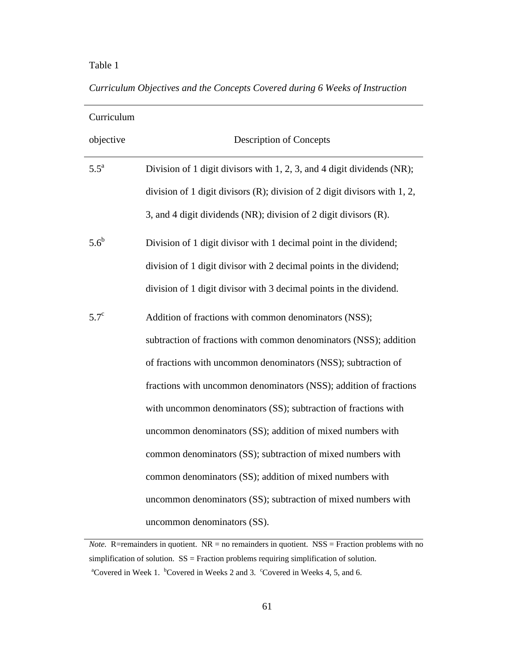*Curriculum Objectives and the Concepts Covered during 6 Weeks of Instruction* 

| Curriculum    |                                                                              |
|---------------|------------------------------------------------------------------------------|
| objective     | <b>Description of Concepts</b>                                               |
| $5.5^a$       | Division of 1 digit divisors with 1, 2, 3, and 4 digit dividends (NR);       |
|               | division of 1 digit divisors $(R)$ ; division of 2 digit divisors with 1, 2, |
|               | 3, and 4 digit dividends (NR); division of 2 digit divisors (R).             |
| $5.6^{\rm b}$ | Division of 1 digit divisor with 1 decimal point in the dividend;            |
|               | division of 1 digit divisor with 2 decimal points in the dividend;           |
|               | division of 1 digit divisor with 3 decimal points in the dividend.           |
| $5.7^{\circ}$ | Addition of fractions with common denominators (NSS);                        |
|               | subtraction of fractions with common denominators (NSS); addition            |
|               | of fractions with uncommon denominators (NSS); subtraction of                |
|               | fractions with uncommon denominators (NSS); addition of fractions            |
|               | with uncommon denominators (SS); subtraction of fractions with               |
|               | uncommon denominators (SS); addition of mixed numbers with                   |
|               | common denominators (SS); subtraction of mixed numbers with                  |
|               | common denominators (SS); addition of mixed numbers with                     |
|               | uncommon denominators (SS); subtraction of mixed numbers with                |
|               | uncommon denominators (SS).                                                  |

*Note.* R=remainders in quotient. NR = no remainders in quotient. NSS = Fraction problems with no simplification of solution. SS = Fraction problems requiring simplification of solution. <sup>a</sup>Covered in Week 1. <sup>b</sup>Covered in Weeks 2 and 3. Covered in Weeks 4, 5, and 6.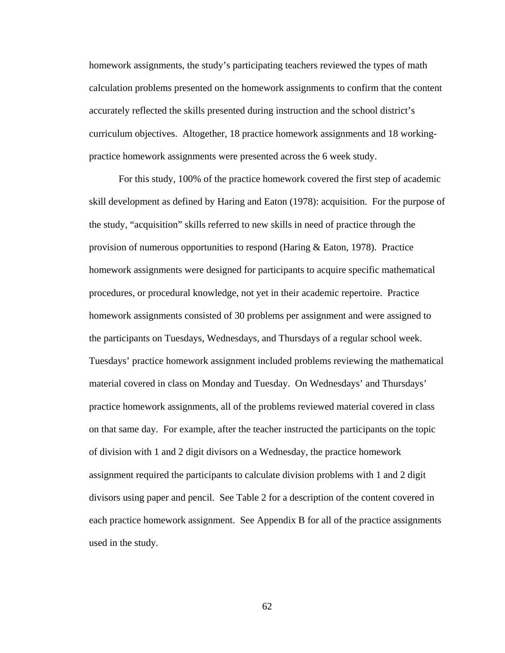homework assignments, the study's participating teachers reviewed the types of math calculation problems presented on the homework assignments to confirm that the content accurately reflected the skills presented during instruction and the school district's curriculum objectives. Altogether, 18 practice homework assignments and 18 workingpractice homework assignments were presented across the 6 week study.

For this study, 100% of the practice homework covered the first step of academic skill development as defined by Haring and Eaton (1978): acquisition. For the purpose of the study, "acquisition" skills referred to new skills in need of practice through the provision of numerous opportunities to respond (Haring & Eaton, 1978). Practice homework assignments were designed for participants to acquire specific mathematical procedures, or procedural knowledge, not yet in their academic repertoire. Practice homework assignments consisted of 30 problems per assignment and were assigned to the participants on Tuesdays, Wednesdays, and Thursdays of a regular school week. Tuesdays' practice homework assignment included problems reviewing the mathematical material covered in class on Monday and Tuesday. On Wednesdays' and Thursdays' practice homework assignments, all of the problems reviewed material covered in class on that same day. For example, after the teacher instructed the participants on the topic of division with 1 and 2 digit divisors on a Wednesday, the practice homework assignment required the participants to calculate division problems with 1 and 2 digit divisors using paper and pencil. See Table 2 for a description of the content covered in each practice homework assignment. See Appendix B for all of the practice assignments used in the study.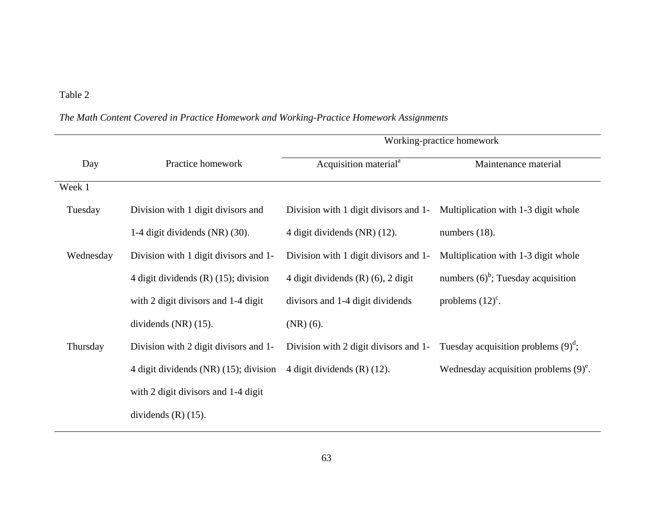|                                         | Working-practice homework               |                                          |  |  |  |  |
|-----------------------------------------|-----------------------------------------|------------------------------------------|--|--|--|--|
| Practice homework                       | Acquisition material <sup>a</sup>       |                                          |  |  |  |  |
|                                         |                                         |                                          |  |  |  |  |
| Division with 1 digit divisors and      | Division with 1 digit divisors and 1-   | Multiplication with 1-3 digit whole      |  |  |  |  |
| 1-4 digit dividends (NR) (30).          | 4 digit dividends (NR) (12).            | numbers $(18)$ .                         |  |  |  |  |
| Division with 1 digit divisors and 1-   | Division with 1 digit divisors and 1-   | Multiplication with 1-3 digit whole      |  |  |  |  |
| 4 digit dividends $(R)$ (15); division  | 4 digit dividends $(R)$ $(6)$ , 2 digit | numbers $(6)^b$ ; Tuesday acquisition    |  |  |  |  |
| with 2 digit divisors and 1-4 digit     | divisors and 1-4 digit dividends        | problems $(12)^c$ .                      |  |  |  |  |
| dividends $(NR)$ $(15)$ .               | $(NR)$ (6).                             |                                          |  |  |  |  |
| Division with 2 digit divisors and 1-   | Division with 2 digit divisors and 1-   | Tuesday acquisition problems $(9)^d$ ;   |  |  |  |  |
| 4 digit dividends $(NR)$ (15); division | 4 digit dividends $(R)$ (12).           | Wednesday acquisition problems $(9)^e$ . |  |  |  |  |
| with 2 digit divisors and 1-4 digit     |                                         |                                          |  |  |  |  |
| dividends $(R)$ (15).                   |                                         |                                          |  |  |  |  |
|                                         |                                         |                                          |  |  |  |  |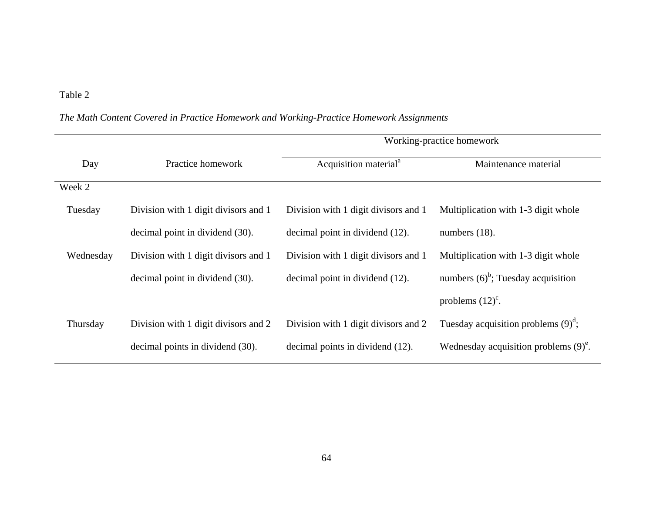## Working-practice homework Day Practice homework Acquisition material<sup>a</sup> Maintenance material Week 2 Tuesday Division with 1 digit divisors and 1 decimal point in dividend (30). Division with 1 digit divisors and 1 decimal point in dividend (12). Multiplication with 1-3 digit whole numbers (18). Wednesday Division with 1 digit divisors and 1 decimal point in dividend (30). Division with 1 digit divisors and 1 decimal point in dividend (12). Multiplication with 1-3 digit whole numbers  $(6)^b$ ; Tuesday acquisition problems  $(12)^c$ . Thursday Division with 1 digit divisors and 2 decimal points in dividend (30). Division with 1 digit divisors and 2 decimal points in dividend (12). Tuesday acquisition problems  $(9)^d$ ; Wednesday acquisition problems  $(9)^e$ .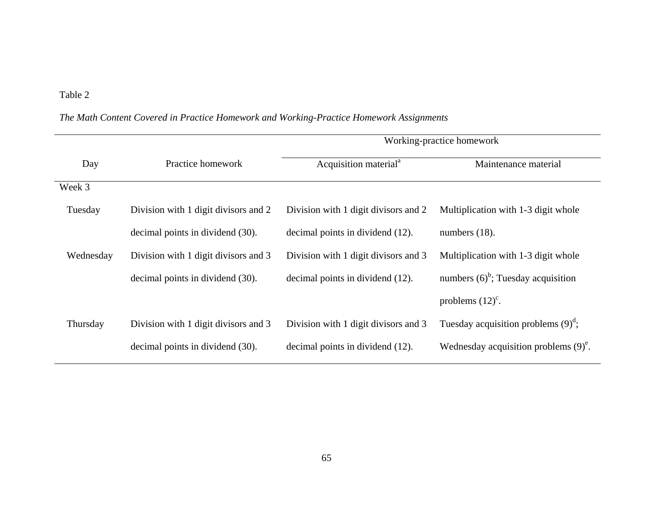## Working-practice homework Day Practice homework Acquisition material<sup>a</sup> Maintenance material Week 3 Tuesday Division with 1 digit divisors and 2 decimal points in dividend (30). Division with 1 digit divisors and 2 decimal points in dividend (12). Multiplication with 1-3 digit whole numbers (18). Wednesday Division with 1 digit divisors and 3 decimal points in dividend (30). Division with 1 digit divisors and 3 decimal points in dividend (12). Multiplication with 1-3 digit whole numbers  $(6)^b$ ; Tuesday acquisition problems  $(12)^c$ . Thursday Division with 1 digit divisors and 3 decimal points in dividend (30). Division with 1 digit divisors and 3 decimal points in dividend (12). Tuesday acquisition problems  $(9)^d$ ; Wednesday acquisition problems  $(9)^e$ .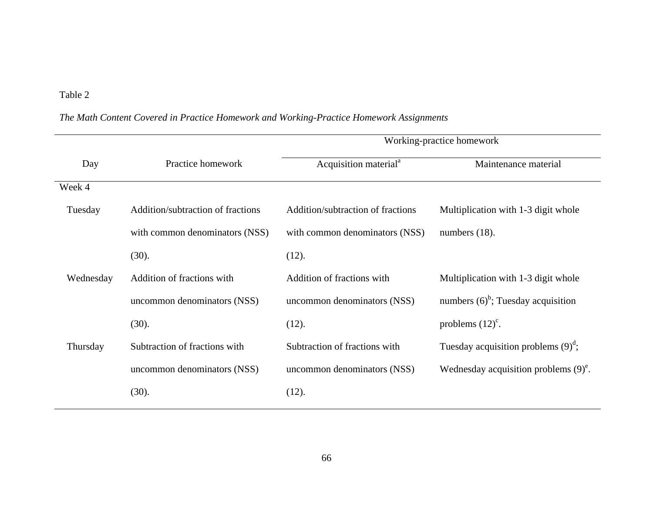|           |                                   |                                   | Working-practice homework                |
|-----------|-----------------------------------|-----------------------------------|------------------------------------------|
| Day       | Practice homework                 | Acquisition material <sup>a</sup> | Maintenance material                     |
| Week 4    |                                   |                                   |                                          |
| Tuesday   | Addition/subtraction of fractions | Addition/subtraction of fractions | Multiplication with 1-3 digit whole      |
|           | with common denominators (NSS)    | with common denominators (NSS)    | numbers $(18)$ .                         |
|           | (30).                             | (12).                             |                                          |
| Wednesday | Addition of fractions with        | Addition of fractions with        | Multiplication with 1-3 digit whole      |
|           | uncommon denominators (NSS)       | uncommon denominators (NSS)       | numbers $(6)^b$ ; Tuesday acquisition    |
|           | (30).                             | (12).                             | problems $(12)^c$ .                      |
| Thursday  | Subtraction of fractions with     | Subtraction of fractions with     | Tuesday acquisition problems $(9)^d$ ;   |
|           | uncommon denominators (NSS)       | uncommon denominators (NSS)       | Wednesday acquisition problems $(9)^e$ . |
|           | (30).                             | (12).                             |                                          |
|           |                                   |                                   |                                          |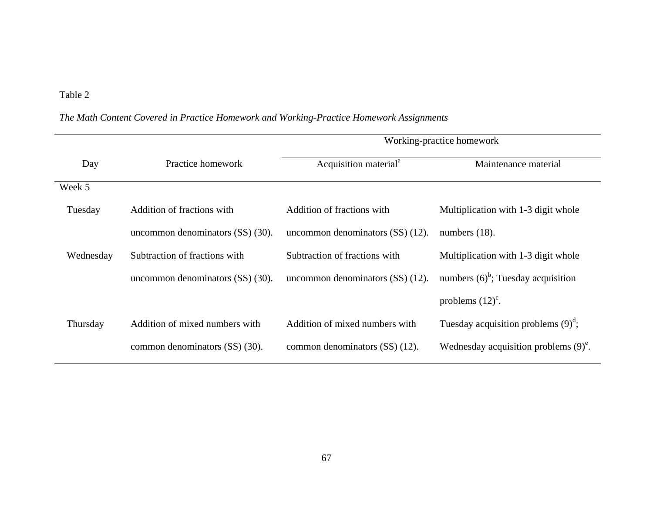|           |                                  |                                       | Working-practice homework                |  |  |
|-----------|----------------------------------|---------------------------------------|------------------------------------------|--|--|
| Day       | Practice homework                | Acquisition material <sup>a</sup>     | Maintenance material                     |  |  |
| Week 5    |                                  |                                       |                                          |  |  |
| Tuesday   | Addition of fractions with       | Addition of fractions with            | Multiplication with 1-3 digit whole      |  |  |
|           | uncommon denominators (SS) (30). | uncommon denominators $(SS)$ $(12)$ . | numbers $(18)$ .                         |  |  |
| Wednesday | Subtraction of fractions with    | Subtraction of fractions with         | Multiplication with 1-3 digit whole      |  |  |
|           | uncommon denominators (SS) (30). | uncommon denominators (SS) (12).      | numbers $(6)^b$ ; Tuesday acquisition    |  |  |
|           |                                  |                                       | problems $(12)^c$ .                      |  |  |
| Thursday  | Addition of mixed numbers with   | Addition of mixed numbers with        | Tuesday acquisition problems $(9)^d$ ;   |  |  |
|           | common denominators (SS) (30).   | common denominators (SS) (12).        | Wednesday acquisition problems $(9)^e$ . |  |  |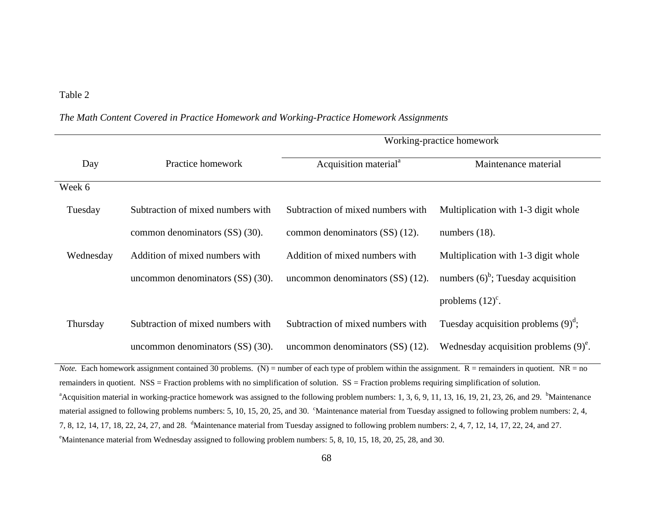## Working-practice homework Day Practice homework Acquisition material<sup>a</sup> Maintenance material Week 6 Tuesday Subtraction of mixed numbers with common denominators (SS) (30). Subtraction of mixed numbers with common denominators (SS) (12). Multiplication with 1-3 digit whole numbers  $(18)$ . Wednesday Addition of mixed numbers with uncommon denominators (SS) (30). Addition of mixed numbers with uncommon denominators (SS) (12). Multiplication with 1-3 digit whole numbers  $(6)^b$ ; Tuesday acquisition problems  $(12)^c$ . Thursday Subtraction of mixed numbers with uncommon denominators (SS) (30). Subtraction of mixed numbers with uncommon denominators (SS) (12). Tuesday acquisition problems  $(9)^d$ ; Wednesday acquisition problems  $(9)^e$ .

### *The Math Content Covered in Practice Homework and Working-Practice Homework Assignments*

*Note*. Each homework assignment contained 30 problems. (N) = number of each type of problem within the assignment.  $R =$  remainders in quotient. NR = no remainders in quotient. NSS = Fraction problems with no simplification of solution. SS = Fraction problems requiring simplification of solution. <sup>a</sup>Acquisition material in working-practice homework was assigned to the following problem numbers: 1, 3, 6, 9, 11, 13, 16, 19, 21, 23, 26, and 29. <sup>b</sup>Maintenance material assigned to following problems numbers: 5, 10, 15, 20, 25, and 30.  $^{\circ}$ Maintenance material from Tuesday assigned to following problem numbers: 2, 4, 7, 8, 12, 14, 17, 18, 22, 24, 27, and 28. dMaintenance material from Tuesday assigned to following problem numbers: 2, 4, 7, 12, 14, 17, 22, 24, and 27.  $\textdegree$ Maintenance material from Wednesday assigned to following problem numbers: 5, 8, 10, 15, 18, 20, 25, 28, and 30.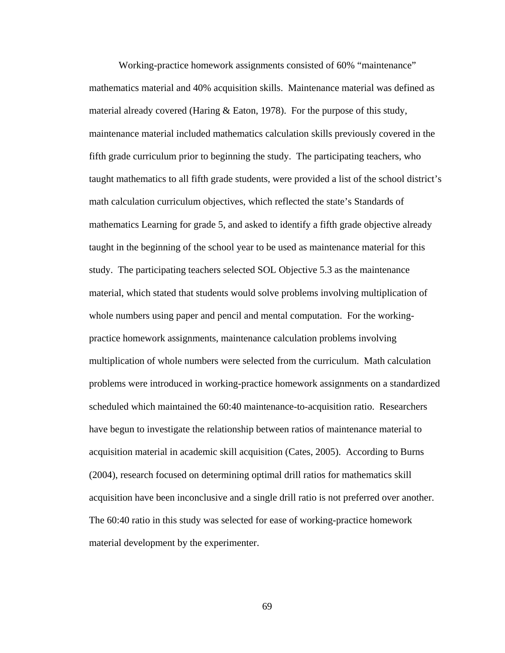Working-practice homework assignments consisted of 60% "maintenance" mathematics material and 40% acquisition skills. Maintenance material was defined as material already covered (Haring  $&$  Eaton, 1978). For the purpose of this study, maintenance material included mathematics calculation skills previously covered in the fifth grade curriculum prior to beginning the study. The participating teachers, who taught mathematics to all fifth grade students, were provided a list of the school district's math calculation curriculum objectives, which reflected the state's Standards of mathematics Learning for grade 5, and asked to identify a fifth grade objective already taught in the beginning of the school year to be used as maintenance material for this study. The participating teachers selected SOL Objective 5.3 as the maintenance material, which stated that students would solve problems involving multiplication of whole numbers using paper and pencil and mental computation. For the workingpractice homework assignments, maintenance calculation problems involving multiplication of whole numbers were selected from the curriculum. Math calculation problems were introduced in working-practice homework assignments on a standardized scheduled which maintained the 60:40 maintenance-to-acquisition ratio. Researchers have begun to investigate the relationship between ratios of maintenance material to acquisition material in academic skill acquisition (Cates, 2005). According to Burns (2004), research focused on determining optimal drill ratios for mathematics skill acquisition have been inconclusive and a single drill ratio is not preferred over another. The 60:40 ratio in this study was selected for ease of working-practice homework material development by the experimenter.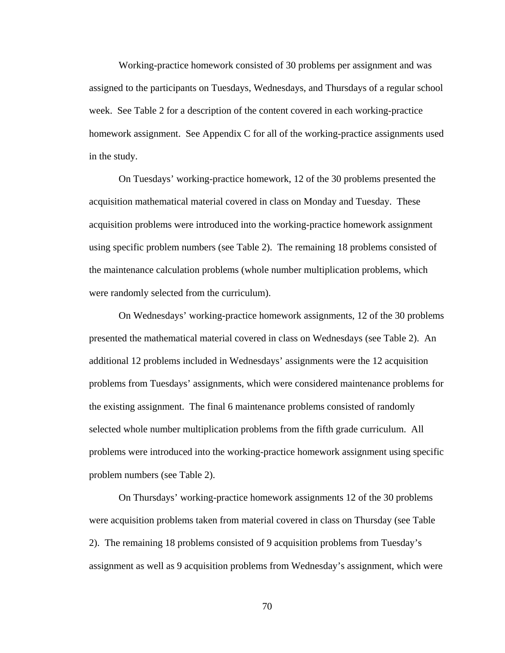Working-practice homework consisted of 30 problems per assignment and was assigned to the participants on Tuesdays, Wednesdays, and Thursdays of a regular school week. See Table 2 for a description of the content covered in each working-practice homework assignment. See Appendix C for all of the working-practice assignments used in the study.

On Tuesdays' working-practice homework, 12 of the 30 problems presented the acquisition mathematical material covered in class on Monday and Tuesday. These acquisition problems were introduced into the working-practice homework assignment using specific problem numbers (see Table 2). The remaining 18 problems consisted of the maintenance calculation problems (whole number multiplication problems, which were randomly selected from the curriculum).

On Wednesdays' working-practice homework assignments, 12 of the 30 problems presented the mathematical material covered in class on Wednesdays (see Table 2). An additional 12 problems included in Wednesdays' assignments were the 12 acquisition problems from Tuesdays' assignments, which were considered maintenance problems for the existing assignment. The final 6 maintenance problems consisted of randomly selected whole number multiplication problems from the fifth grade curriculum. All problems were introduced into the working-practice homework assignment using specific problem numbers (see Table 2).

On Thursdays' working-practice homework assignments 12 of the 30 problems were acquisition problems taken from material covered in class on Thursday (see Table 2). The remaining 18 problems consisted of 9 acquisition problems from Tuesday's assignment as well as 9 acquisition problems from Wednesday's assignment, which were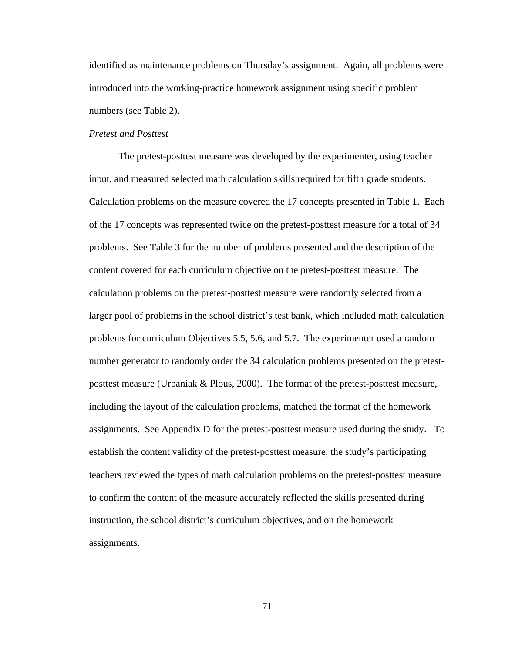identified as maintenance problems on Thursday's assignment. Again, all problems were introduced into the working-practice homework assignment using specific problem numbers (see Table 2).

### *Pretest and Posttest*

The pretest-posttest measure was developed by the experimenter, using teacher input, and measured selected math calculation skills required for fifth grade students. Calculation problems on the measure covered the 17 concepts presented in Table 1. Each of the 17 concepts was represented twice on the pretest-posttest measure for a total of 34 problems. See Table 3 for the number of problems presented and the description of the content covered for each curriculum objective on the pretest-posttest measure. The calculation problems on the pretest-posttest measure were randomly selected from a larger pool of problems in the school district's test bank, which included math calculation problems for curriculum Objectives 5.5, 5.6, and 5.7. The experimenter used a random number generator to randomly order the 34 calculation problems presented on the pretestposttest measure (Urbaniak & Plous, 2000). The format of the pretest-posttest measure, including the layout of the calculation problems, matched the format of the homework assignments. See Appendix D for the pretest-posttest measure used during the study. To establish the content validity of the pretest-posttest measure, the study's participating teachers reviewed the types of math calculation problems on the pretest-posttest measure to confirm the content of the measure accurately reflected the skills presented during instruction, the school district's curriculum objectives, and on the homework assignments.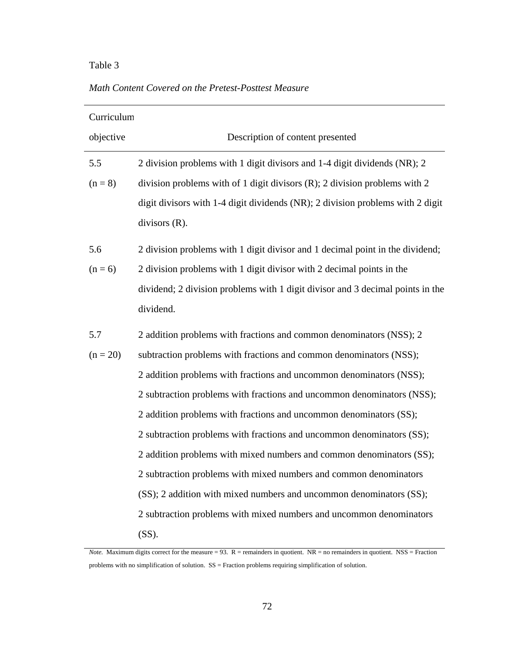## *Math Content Covered on the Pretest-Posttest Measure*

| Curriculum |                                                                                |
|------------|--------------------------------------------------------------------------------|
| objective  | Description of content presented                                               |
| 5.5        | 2 division problems with 1 digit divisors and 1-4 digit dividends (NR); 2      |
| $(n = 8)$  | division problems with of 1 digit divisors $(R)$ ; 2 division problems with 2  |
|            | digit divisors with 1-4 digit dividends (NR); 2 division problems with 2 digit |
|            | divisors $(R)$ .                                                               |
| 5.6        | 2 division problems with 1 digit divisor and 1 decimal point in the dividend;  |
| $(n = 6)$  | 2 division problems with 1 digit divisor with 2 decimal points in the          |
|            | dividend; 2 division problems with 1 digit divisor and 3 decimal points in the |
|            | dividend.                                                                      |
| 5.7        | 2 addition problems with fractions and common denominators (NSS); 2            |
| $(n = 20)$ | subtraction problems with fractions and common denominators (NSS);             |
|            | 2 addition problems with fractions and uncommon denominators (NSS);            |
|            | 2 subtraction problems with fractions and uncommon denominators (NSS);         |
|            | 2 addition problems with fractions and uncommon denominators (SS);             |
|            | 2 subtraction problems with fractions and uncommon denominators (SS);          |
|            | 2 addition problems with mixed numbers and common denominators (SS);           |
|            | 2 subtraction problems with mixed numbers and common denominators              |
|            | (SS); 2 addition with mixed numbers and uncommon denominators (SS);            |
|            | 2 subtraction problems with mixed numbers and uncommon denominators            |
|            | (SS).                                                                          |

*Note.* Maximum digits correct for the measure = 93. R = remainders in quotient. NR = no remainders in quotient. NSS = Fraction problems with no simplification of solution. SS = Fraction problems requiring simplification of solution.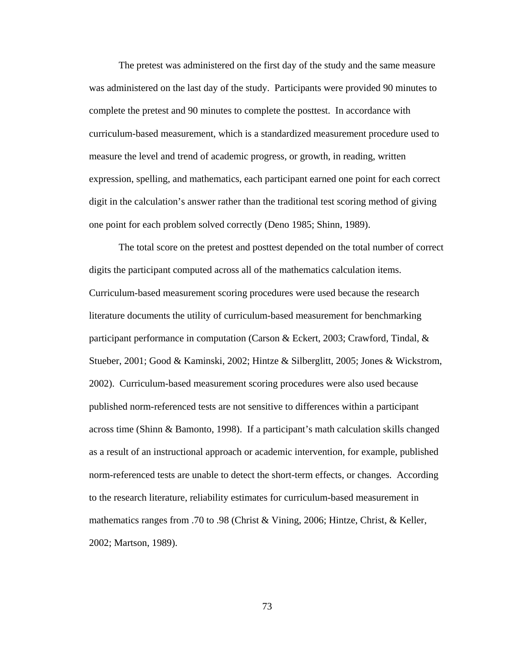The pretest was administered on the first day of the study and the same measure was administered on the last day of the study. Participants were provided 90 minutes to complete the pretest and 90 minutes to complete the posttest. In accordance with curriculum-based measurement, which is a standardized measurement procedure used to measure the level and trend of academic progress, or growth, in reading, written expression, spelling, and mathematics, each participant earned one point for each correct digit in the calculation's answer rather than the traditional test scoring method of giving one point for each problem solved correctly (Deno 1985; Shinn, 1989).

The total score on the pretest and posttest depended on the total number of correct digits the participant computed across all of the mathematics calculation items. Curriculum-based measurement scoring procedures were used because the research literature documents the utility of curriculum-based measurement for benchmarking participant performance in computation (Carson & Eckert, 2003; Crawford, Tindal, & Stueber, 2001; Good & Kaminski, 2002; Hintze & Silberglitt, 2005; Jones & Wickstrom, 2002). Curriculum-based measurement scoring procedures were also used because published norm-referenced tests are not sensitive to differences within a participant across time (Shinn & Bamonto, 1998). If a participant's math calculation skills changed as a result of an instructional approach or academic intervention, for example, published norm-referenced tests are unable to detect the short-term effects, or changes. According to the research literature, reliability estimates for curriculum-based measurement in mathematics ranges from .70 to .98 (Christ & Vining, 2006; Hintze, Christ, & Keller, 2002; Martson, 1989).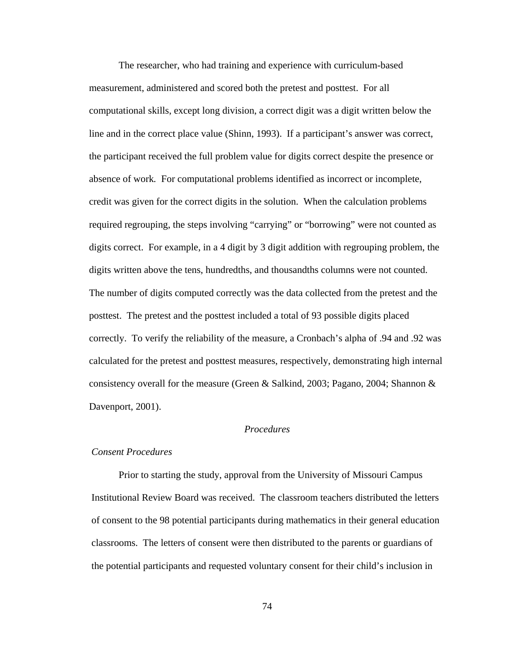The researcher, who had training and experience with curriculum-based measurement, administered and scored both the pretest and posttest. For all computational skills, except long division, a correct digit was a digit written below the line and in the correct place value (Shinn, 1993). If a participant's answer was correct, the participant received the full problem value for digits correct despite the presence or absence of work*.* For computational problems identified as incorrect or incomplete, credit was given for the correct digits in the solution. When the calculation problems required regrouping, the steps involving "carrying" or "borrowing" were not counted as digits correct. For example, in a 4 digit by 3 digit addition with regrouping problem, the digits written above the tens, hundredths, and thousandths columns were not counted. The number of digits computed correctly was the data collected from the pretest and the posttest. The pretest and the posttest included a total of 93 possible digits placed correctly. To verify the reliability of the measure, a Cronbach's alpha of .94 and .92 was calculated for the pretest and posttest measures, respectively, demonstrating high internal consistency overall for the measure (Green & Salkind, 2003; Pagano, 2004; Shannon & Davenport, 2001).

## *Procedures*

#### *Consent Procedures*

Prior to starting the study, approval from the University of Missouri Campus Institutional Review Board was received. The classroom teachers distributed the letters of consent to the 98 potential participants during mathematics in their general education classrooms. The letters of consent were then distributed to the parents or guardians of the potential participants and requested voluntary consent for their child's inclusion in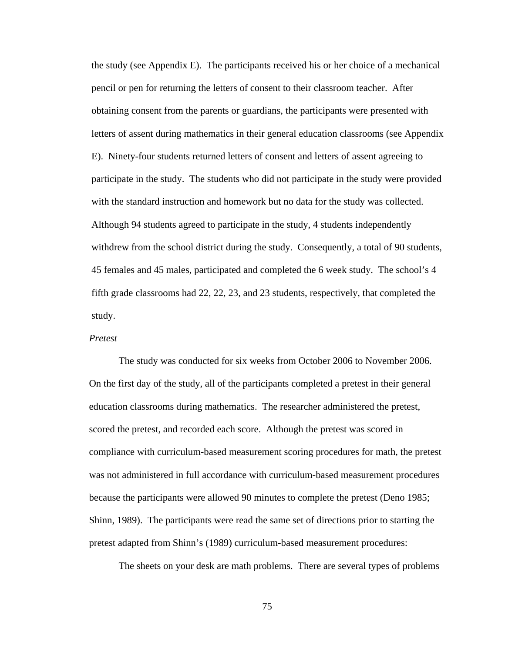the study (see Appendix E). The participants received his or her choice of a mechanical pencil or pen for returning the letters of consent to their classroom teacher. After obtaining consent from the parents or guardians, the participants were presented with letters of assent during mathematics in their general education classrooms (see Appendix E). Ninety-four students returned letters of consent and letters of assent agreeing to participate in the study. The students who did not participate in the study were provided with the standard instruction and homework but no data for the study was collected. Although 94 students agreed to participate in the study, 4 students independently withdrew from the school district during the study. Consequently, a total of 90 students, 45 females and 45 males, participated and completed the 6 week study. The school's 4 fifth grade classrooms had 22, 22, 23, and 23 students, respectively, that completed the study.

### *Pretest*

The study was conducted for six weeks from October 2006 to November 2006. On the first day of the study, all of the participants completed a pretest in their general education classrooms during mathematics. The researcher administered the pretest, scored the pretest, and recorded each score. Although the pretest was scored in compliance with curriculum-based measurement scoring procedures for math, the pretest was not administered in full accordance with curriculum-based measurement procedures because the participants were allowed 90 minutes to complete the pretest (Deno 1985; Shinn, 1989). The participants were read the same set of directions prior to starting the pretest adapted from Shinn's (1989) curriculum-based measurement procedures:

The sheets on your desk are math problems. There are several types of problems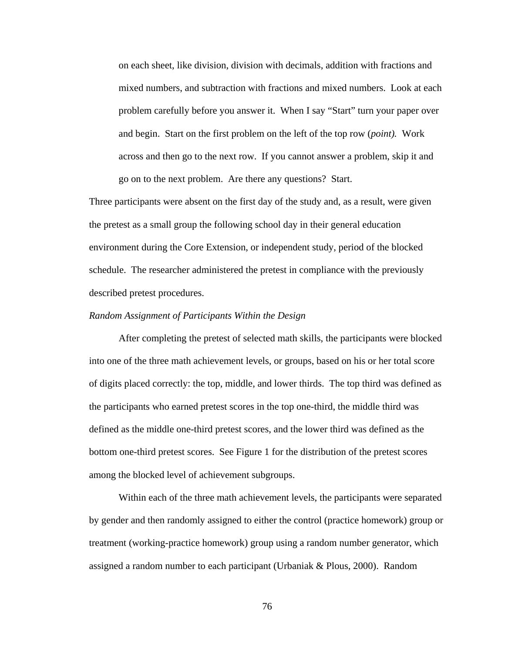on each sheet, like division, division with decimals, addition with fractions and mixed numbers, and subtraction with fractions and mixed numbers. Look at each problem carefully before you answer it. When I say "Start" turn your paper over and begin. Start on the first problem on the left of the top row (*point).* Work across and then go to the next row. If you cannot answer a problem, skip it and go on to the next problem. Are there any questions? Start.

Three participants were absent on the first day of the study and, as a result, were given the pretest as a small group the following school day in their general education environment during the Core Extension, or independent study, period of the blocked schedule. The researcher administered the pretest in compliance with the previously described pretest procedures.

#### *Random Assignment of Participants Within the Design*

After completing the pretest of selected math skills, the participants were blocked into one of the three math achievement levels, or groups, based on his or her total score of digits placed correctly: the top, middle, and lower thirds. The top third was defined as the participants who earned pretest scores in the top one-third, the middle third was defined as the middle one-third pretest scores, and the lower third was defined as the bottom one-third pretest scores. See Figure 1 for the distribution of the pretest scores among the blocked level of achievement subgroups.

Within each of the three math achievement levels, the participants were separated by gender and then randomly assigned to either the control (practice homework) group or treatment (working-practice homework) group using a random number generator, which assigned a random number to each participant (Urbaniak & Plous, 2000). Random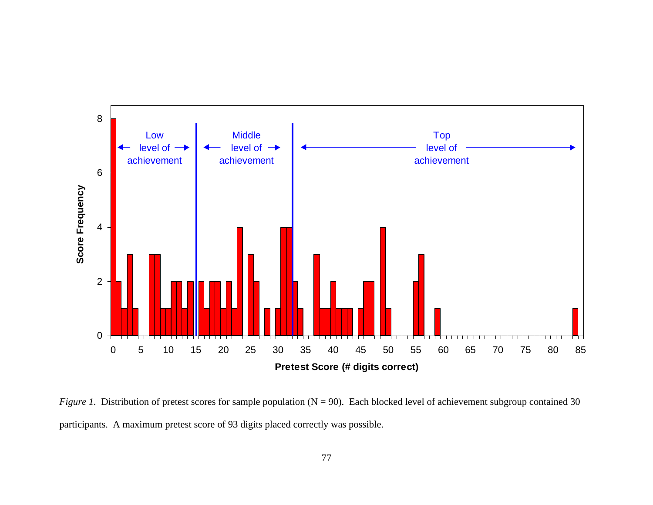

*Figure 1.* Distribution of pretest scores for sample population (N = 90). Each blocked level of achievement subgroup contained 30 participants. A maximum pretest score of 93 digits placed correctly was possible.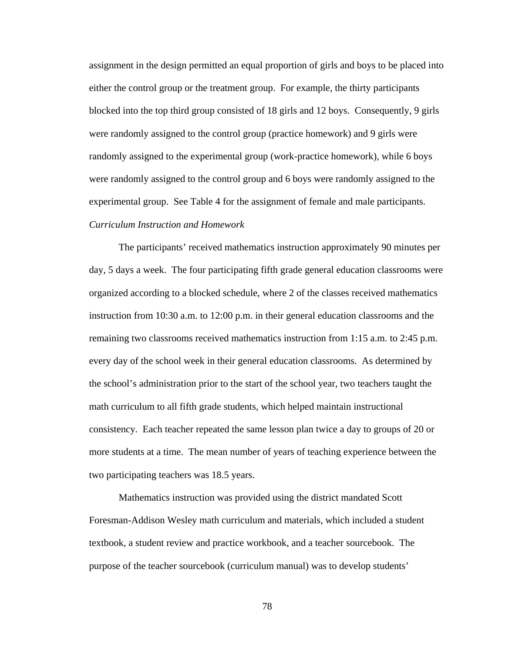assignment in the design permitted an equal proportion of girls and boys to be placed into either the control group or the treatment group. For example, the thirty participants blocked into the top third group consisted of 18 girls and 12 boys. Consequently, 9 girls were randomly assigned to the control group (practice homework) and 9 girls were randomly assigned to the experimental group (work-practice homework), while 6 boys were randomly assigned to the control group and 6 boys were randomly assigned to the experimental group. See Table 4 for the assignment of female and male participants. *Curriculum Instruction and Homework* 

The participants' received mathematics instruction approximately 90 minutes per day, 5 days a week. The four participating fifth grade general education classrooms were organized according to a blocked schedule, where 2 of the classes received mathematics instruction from 10:30 a.m. to 12:00 p.m. in their general education classrooms and the remaining two classrooms received mathematics instruction from 1:15 a.m. to 2:45 p.m. every day of the school week in their general education classrooms. As determined by the school's administration prior to the start of the school year, two teachers taught the math curriculum to all fifth grade students, which helped maintain instructional consistency. Each teacher repeated the same lesson plan twice a day to groups of 20 or more students at a time. The mean number of years of teaching experience between the two participating teachers was 18.5 years.

Mathematics instruction was provided using the district mandated Scott Foresman-Addison Wesley math curriculum and materials, which included a student textbook, a student review and practice workbook, and a teacher sourcebook. The purpose of the teacher sourcebook (curriculum manual) was to develop students'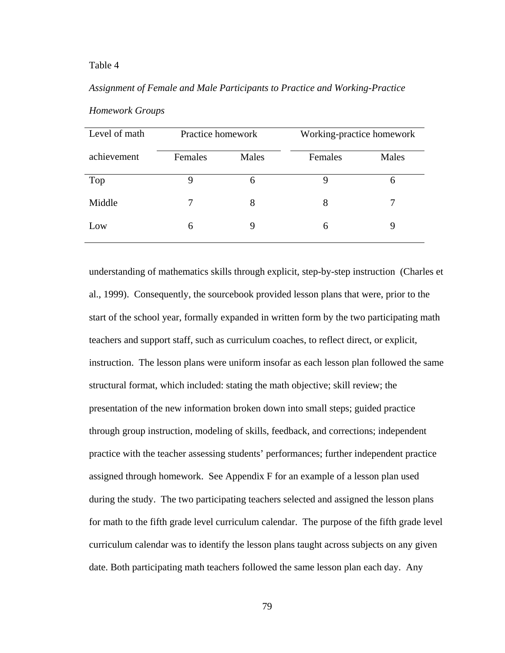*Assignment of Female and Male Participants to Practice and Working-Practice Homework Groups* 

| Level of math | Practice homework |       | Working-practice homework |       |  |  |
|---------------|-------------------|-------|---------------------------|-------|--|--|
| achievement   | Females           | Males | Females                   | Males |  |  |
| Top           | 9                 | 6     | 9                         | 6     |  |  |
| Middle        | 7                 | 8     | 8                         | 7     |  |  |
| Low           | 6                 | 9     | 6                         | 9     |  |  |

understanding of mathematics skills through explicit, step-by-step instruction (Charles et al., 1999). Consequently, the sourcebook provided lesson plans that were, prior to the start of the school year, formally expanded in written form by the two participating math teachers and support staff, such as curriculum coaches, to reflect direct, or explicit, instruction. The lesson plans were uniform insofar as each lesson plan followed the same structural format, which included: stating the math objective; skill review; the presentation of the new information broken down into small steps; guided practice through group instruction, modeling of skills, feedback, and corrections; independent practice with the teacher assessing students' performances; further independent practice assigned through homework. See Appendix F for an example of a lesson plan used during the study. The two participating teachers selected and assigned the lesson plans for math to the fifth grade level curriculum calendar. The purpose of the fifth grade level curriculum calendar was to identify the lesson plans taught across subjects on any given date. Both participating math teachers followed the same lesson plan each day. Any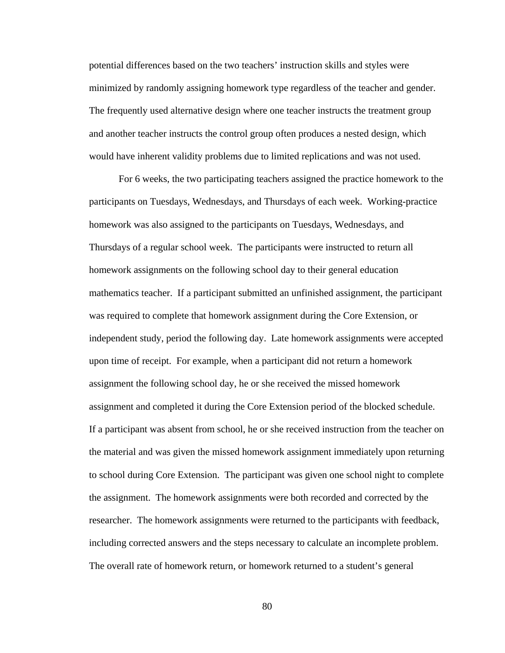potential differences based on the two teachers' instruction skills and styles were minimized by randomly assigning homework type regardless of the teacher and gender. The frequently used alternative design where one teacher instructs the treatment group and another teacher instructs the control group often produces a nested design, which would have inherent validity problems due to limited replications and was not used.

For 6 weeks, the two participating teachers assigned the practice homework to the participants on Tuesdays, Wednesdays, and Thursdays of each week. Working-practice homework was also assigned to the participants on Tuesdays, Wednesdays, and Thursdays of a regular school week. The participants were instructed to return all homework assignments on the following school day to their general education mathematics teacher. If a participant submitted an unfinished assignment, the participant was required to complete that homework assignment during the Core Extension, or independent study, period the following day. Late homework assignments were accepted upon time of receipt. For example, when a participant did not return a homework assignment the following school day, he or she received the missed homework assignment and completed it during the Core Extension period of the blocked schedule. If a participant was absent from school, he or she received instruction from the teacher on the material and was given the missed homework assignment immediately upon returning to school during Core Extension. The participant was given one school night to complete the assignment. The homework assignments were both recorded and corrected by the researcher. The homework assignments were returned to the participants with feedback, including corrected answers and the steps necessary to calculate an incomplete problem. The overall rate of homework return, or homework returned to a student's general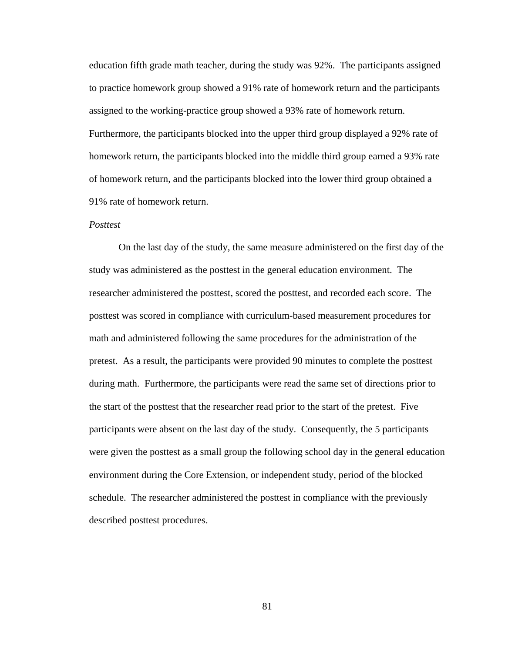education fifth grade math teacher, during the study was 92%. The participants assigned to practice homework group showed a 91% rate of homework return and the participants assigned to the working-practice group showed a 93% rate of homework return. Furthermore, the participants blocked into the upper third group displayed a 92% rate of homework return, the participants blocked into the middle third group earned a 93% rate of homework return, and the participants blocked into the lower third group obtained a 91% rate of homework return.

## *Posttest*

On the last day of the study, the same measure administered on the first day of the study was administered as the posttest in the general education environment. The researcher administered the posttest, scored the posttest, and recorded each score. The posttest was scored in compliance with curriculum-based measurement procedures for math and administered following the same procedures for the administration of the pretest. As a result, the participants were provided 90 minutes to complete the posttest during math. Furthermore, the participants were read the same set of directions prior to the start of the posttest that the researcher read prior to the start of the pretest. Five participants were absent on the last day of the study. Consequently, the 5 participants were given the posttest as a small group the following school day in the general education environment during the Core Extension, or independent study, period of the blocked schedule. The researcher administered the posttest in compliance with the previously described posttest procedures.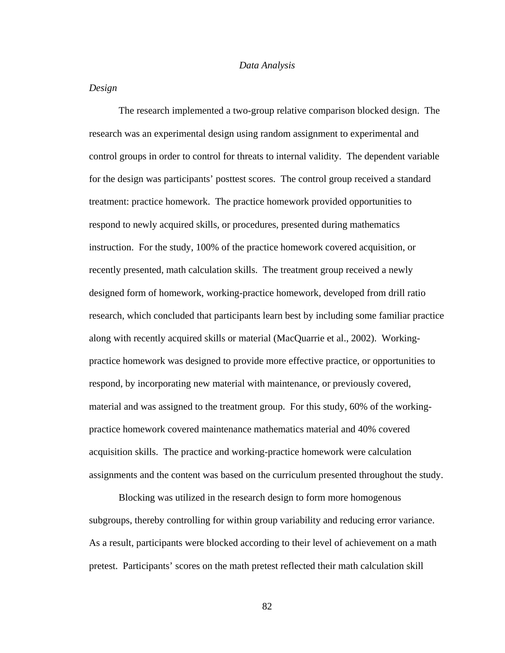#### *Data Analysis*

#### *Design*

The research implemented a two-group relative comparison blocked design. The research was an experimental design using random assignment to experimental and control groups in order to control for threats to internal validity. The dependent variable for the design was participants' posttest scores. The control group received a standard treatment: practice homework. The practice homework provided opportunities to respond to newly acquired skills, or procedures, presented during mathematics instruction. For the study, 100% of the practice homework covered acquisition, or recently presented, math calculation skills. The treatment group received a newly designed form of homework, working-practice homework, developed from drill ratio research, which concluded that participants learn best by including some familiar practice along with recently acquired skills or material (MacQuarrie et al., 2002). Workingpractice homework was designed to provide more effective practice, or opportunities to respond, by incorporating new material with maintenance, or previously covered, material and was assigned to the treatment group. For this study, 60% of the workingpractice homework covered maintenance mathematics material and 40% covered acquisition skills. The practice and working-practice homework were calculation assignments and the content was based on the curriculum presented throughout the study.

Blocking was utilized in the research design to form more homogenous subgroups, thereby controlling for within group variability and reducing error variance. As a result, participants were blocked according to their level of achievement on a math pretest. Participants' scores on the math pretest reflected their math calculation skill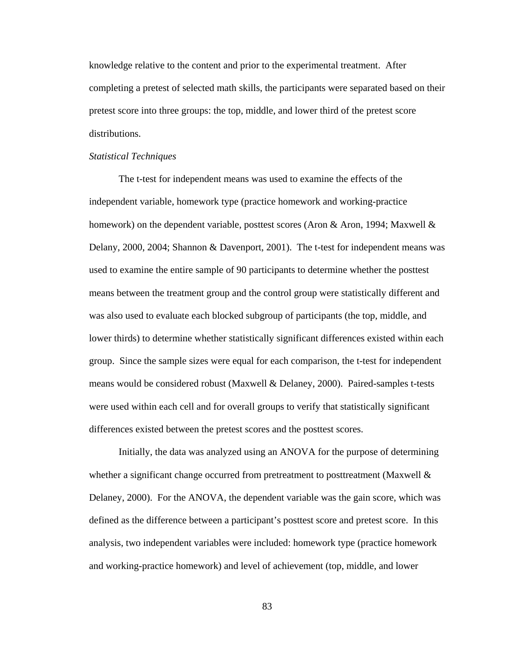knowledge relative to the content and prior to the experimental treatment. After completing a pretest of selected math skills, the participants were separated based on their pretest score into three groups: the top, middle, and lower third of the pretest score distributions.

#### *Statistical Techniques*

The t-test for independent means was used to examine the effects of the independent variable, homework type (practice homework and working-practice homework) on the dependent variable, posttest scores (Aron & Aron, 1994; Maxwell & Delany, 2000, 2004; Shannon & Davenport, 2001). The t-test for independent means was used to examine the entire sample of 90 participants to determine whether the posttest means between the treatment group and the control group were statistically different and was also used to evaluate each blocked subgroup of participants (the top, middle, and lower thirds) to determine whether statistically significant differences existed within each group. Since the sample sizes were equal for each comparison, the t-test for independent means would be considered robust (Maxwell  $\&$  Delaney, 2000). Paired-samples t-tests were used within each cell and for overall groups to verify that statistically significant differences existed between the pretest scores and the posttest scores.

 Initially, the data was analyzed using an ANOVA for the purpose of determining whether a significant change occurred from pretreatment to posttreatment (Maxwell  $\&$ Delaney, 2000). For the ANOVA, the dependent variable was the gain score, which was defined as the difference between a participant's posttest score and pretest score. In this analysis, two independent variables were included: homework type (practice homework and working-practice homework) and level of achievement (top, middle, and lower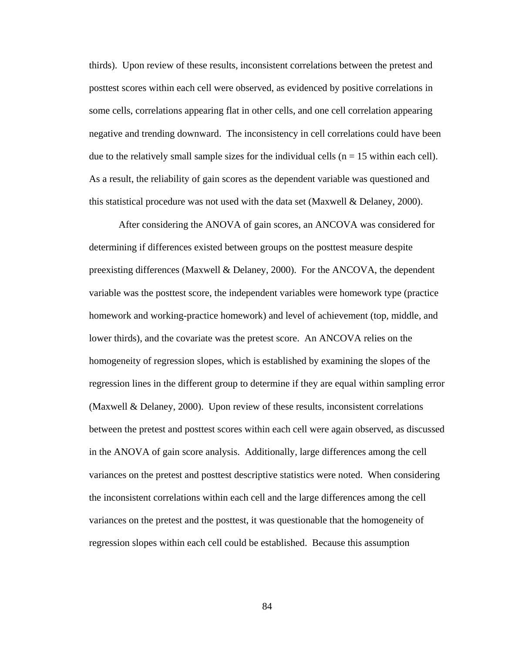thirds). Upon review of these results, inconsistent correlations between the pretest and posttest scores within each cell were observed, as evidenced by positive correlations in some cells, correlations appearing flat in other cells, and one cell correlation appearing negative and trending downward. The inconsistency in cell correlations could have been due to the relatively small sample sizes for the individual cells  $(n = 15$  within each cell). As a result, the reliability of gain scores as the dependent variable was questioned and this statistical procedure was not used with the data set (Maxwell & Delaney, 2000).

 After considering the ANOVA of gain scores, an ANCOVA was considered for determining if differences existed between groups on the posttest measure despite preexisting differences (Maxwell & Delaney, 2000). For the ANCOVA, the dependent variable was the posttest score, the independent variables were homework type (practice homework and working-practice homework) and level of achievement (top, middle, and lower thirds), and the covariate was the pretest score. An ANCOVA relies on the homogeneity of regression slopes, which is established by examining the slopes of the regression lines in the different group to determine if they are equal within sampling error (Maxwell & Delaney, 2000). Upon review of these results, inconsistent correlations between the pretest and posttest scores within each cell were again observed, as discussed in the ANOVA of gain score analysis. Additionally, large differences among the cell variances on the pretest and posttest descriptive statistics were noted. When considering the inconsistent correlations within each cell and the large differences among the cell variances on the pretest and the posttest, it was questionable that the homogeneity of regression slopes within each cell could be established. Because this assumption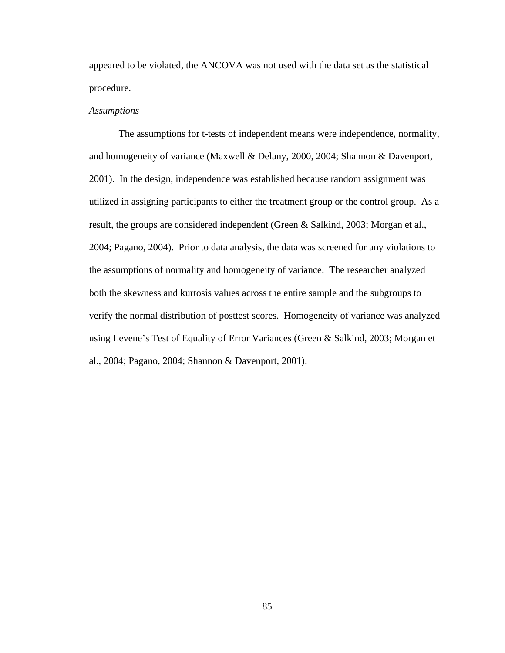appeared to be violated, the ANCOVA was not used with the data set as the statistical procedure.

## *Assumptions*

The assumptions for t-tests of independent means were independence, normality, and homogeneity of variance (Maxwell & Delany, 2000, 2004; Shannon & Davenport, 2001). In the design, independence was established because random assignment was utilized in assigning participants to either the treatment group or the control group. As a result, the groups are considered independent (Green & Salkind, 2003; Morgan et al., 2004; Pagano, 2004). Prior to data analysis, the data was screened for any violations to the assumptions of normality and homogeneity of variance. The researcher analyzed both the skewness and kurtosis values across the entire sample and the subgroups to verify the normal distribution of posttest scores. Homogeneity of variance was analyzed using Levene's Test of Equality of Error Variances (Green & Salkind, 2003; Morgan et al., 2004; Pagano, 2004; Shannon & Davenport, 2001).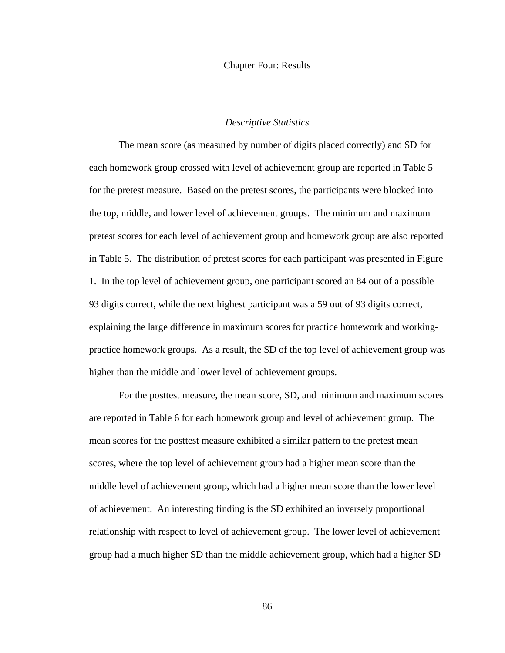#### Chapter Four: Results

## *Descriptive Statistics*

 The mean score (as measured by number of digits placed correctly) and SD for each homework group crossed with level of achievement group are reported in Table 5 for the pretest measure. Based on the pretest scores, the participants were blocked into the top, middle, and lower level of achievement groups. The minimum and maximum pretest scores for each level of achievement group and homework group are also reported in Table 5. The distribution of pretest scores for each participant was presented in Figure 1. In the top level of achievement group, one participant scored an 84 out of a possible 93 digits correct, while the next highest participant was a 59 out of 93 digits correct, explaining the large difference in maximum scores for practice homework and workingpractice homework groups. As a result, the SD of the top level of achievement group was higher than the middle and lower level of achievement groups.

For the posttest measure, the mean score, SD, and minimum and maximum scores are reported in Table 6 for each homework group and level of achievement group. The mean scores for the posttest measure exhibited a similar pattern to the pretest mean scores, where the top level of achievement group had a higher mean score than the middle level of achievement group, which had a higher mean score than the lower level of achievement. An interesting finding is the SD exhibited an inversely proportional relationship with respect to level of achievement group. The lower level of achievement group had a much higher SD than the middle achievement group, which had a higher SD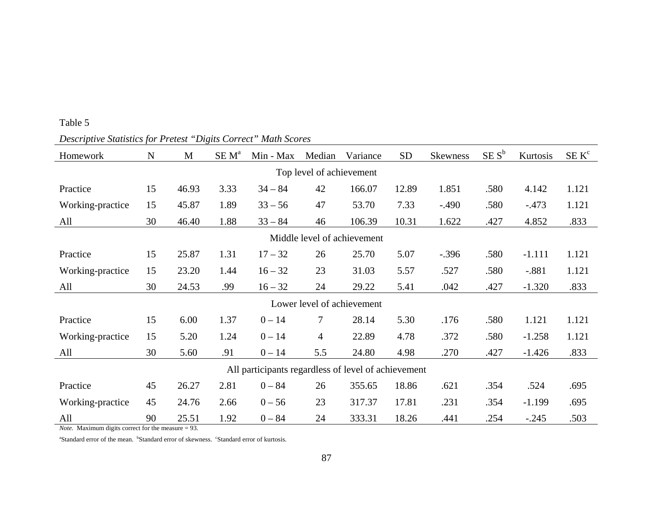| Homework                                            | $\mathbf N$ | M     | SE M <sup>a</sup> | Min - Max | Median         | Variance                   | <b>SD</b> | <b>Skewness</b> | $SE S^b$ | Kurtosis | SE K <sup>c</sup> |
|-----------------------------------------------------|-------------|-------|-------------------|-----------|----------------|----------------------------|-----------|-----------------|----------|----------|-------------------|
| Top level of achievement                            |             |       |                   |           |                |                            |           |                 |          |          |                   |
| Practice                                            | 15          | 46.93 | 3.33              | $34 - 84$ | 42             | 166.07                     | 12.89     | 1.851           | .580     | 4.142    | 1.121             |
| Working-practice                                    | 15          | 45.87 | 1.89              | $33 - 56$ | 47             | 53.70                      | 7.33      | $-.490$         | .580     | $-.473$  | 1.121             |
| All                                                 | 30          | 46.40 | 1.88              | $33 - 84$ | 46             | 106.39                     | 10.31     | 1.622           | .427     | 4.852    | .833              |
| Middle level of achievement                         |             |       |                   |           |                |                            |           |                 |          |          |                   |
| Practice                                            | 15          | 25.87 | 1.31              | $17 - 32$ | 26             | 25.70                      | 5.07      | $-.396$         | .580     | $-1.111$ | 1.121             |
| Working-practice                                    | 15          | 23.20 | 1.44              | $16 - 32$ | 23             | 31.03                      | 5.57      | .527            | .580     | $-.881$  | 1.121             |
| All                                                 | 30          | 24.53 | .99               | $16 - 32$ | 24             | 29.22                      | 5.41      | .042            | .427     | $-1.320$ | .833              |
|                                                     |             |       |                   |           |                | Lower level of achievement |           |                 |          |          |                   |
| Practice                                            | 15          | 6.00  | 1.37              | $0 - 14$  | 7              | 28.14                      | 5.30      | .176            | .580     | 1.121    | 1.121             |
| Working-practice                                    | 15          | 5.20  | 1.24              | $0 - 14$  | $\overline{4}$ | 22.89                      | 4.78      | .372            | .580     | $-1.258$ | 1.121             |
| All                                                 | 30          | 5.60  | .91               | $0 - 14$  | 5.5            | 24.80                      | 4.98      | .270            | .427     | $-1.426$ | .833              |
| All participants regardless of level of achievement |             |       |                   |           |                |                            |           |                 |          |          |                   |
| Practice                                            | 45          | 26.27 | 2.81              | $0 - 84$  | 26             | 355.65                     | 18.86     | .621            | .354     | .524     | .695              |
| Working-practice                                    | 45          | 24.76 | 2.66              | $0 - 56$  | 23             | 317.37                     | 17.81     | .231            | .354     | $-1.199$ | .695              |
| All                                                 | 90          | 25.51 | 1.92              | $0 - 84$  | 24             | 333.31                     | 18.26     | .441            | .254     | $-.245$  | .503              |

## *Descriptive Statistics for Pretest "Digits Correct" Math Scores*

Table 5

*Note.* Maximum digits correct for the measure = 93.

<sup>a</sup>Standard error of the mean. <sup>b</sup>Standard error of skewness. <sup>c</sup>Standard error of kurtosis.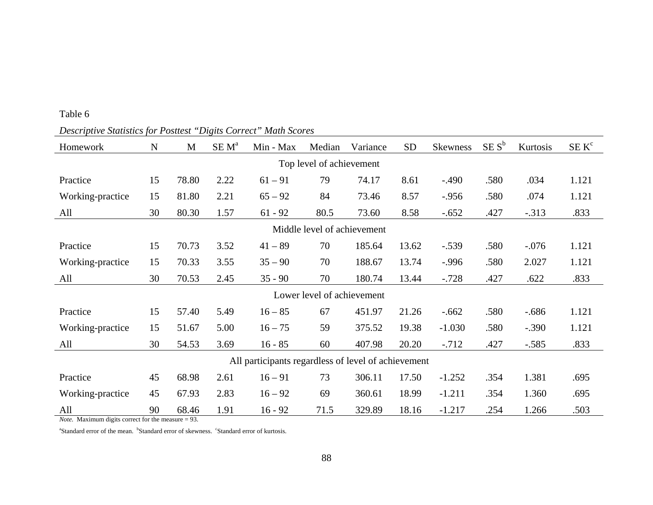| Homework                                            | $\mathbf N$ | M     | SE M <sup>a</sup> | Min - Max | Median                     | Variance | <b>SD</b> | <b>Skewness</b> | $SE S^b$ | Kurtosis | SE K <sup>c</sup> |
|-----------------------------------------------------|-------------|-------|-------------------|-----------|----------------------------|----------|-----------|-----------------|----------|----------|-------------------|
| Top level of achievement                            |             |       |                   |           |                            |          |           |                 |          |          |                   |
| Practice                                            | 15          | 78.80 | 2.22              | $61 - 91$ | 79                         | 74.17    | 8.61      | $-.490$         | .580     | .034     | 1.121             |
| Working-practice                                    | 15          | 81.80 | 2.21              | $65 - 92$ | 84                         | 73.46    | 8.57      | $-.956$         | .580     | .074     | 1.121             |
| All                                                 | 30          | 80.30 | 1.57              | $61 - 92$ | 80.5                       | 73.60    | 8.58      | $-.652$         | .427     | $-.313$  | .833              |
| Middle level of achievement                         |             |       |                   |           |                            |          |           |                 |          |          |                   |
| Practice                                            | 15          | 70.73 | 3.52              | $41 - 89$ | 70                         | 185.64   | 13.62     | $-.539$         | .580     | $-.076$  | 1.121             |
| Working-practice                                    | 15          | 70.33 | 3.55              | $35 - 90$ | 70                         | 188.67   | 13.74     | $-.996$         | .580     | 2.027    | 1.121             |
| All                                                 | 30          | 70.53 | 2.45              | $35 - 90$ | 70                         | 180.74   | 13.44     | $-.728$         | .427     | .622     | .833              |
|                                                     |             |       |                   |           | Lower level of achievement |          |           |                 |          |          |                   |
| Practice                                            | 15          | 57.40 | 5.49              | $16 - 85$ | 67                         | 451.97   | 21.26     | $-.662$         | .580     | $-.686$  | 1.121             |
| Working-practice                                    | 15          | 51.67 | 5.00              | $16 - 75$ | 59                         | 375.52   | 19.38     | $-1.030$        | .580     | $-.390$  | 1.121             |
| All                                                 | 30          | 54.53 | 3.69              | $16 - 85$ | 60                         | 407.98   | 20.20     | $-712$          | .427     | $-.585$  | .833              |
| All participants regardless of level of achievement |             |       |                   |           |                            |          |           |                 |          |          |                   |
| Practice                                            | 45          | 68.98 | 2.61              | $16 - 91$ | 73                         | 306.11   | 17.50     | $-1.252$        | .354     | 1.381    | .695              |
| Working-practice                                    | 45          | 67.93 | 2.83              | $16 - 92$ | 69                         | 360.61   | 18.99     | $-1.211$        | .354     | 1.360    | .695              |
| All                                                 | 90          | 68.46 | 1.91              | $16 - 92$ | 71.5                       | 329.89   | 18.16     | $-1.217$        | .254     | 1.266    | .503              |

# *Descriptive Statistics for Posttest "Digits Correct" Math Scores*

Table 6

*Note.* Maximum digits correct for the measure = 93.

<sup>a</sup>Standard error of the mean. <sup>b</sup>Standard error of skewness. *CStandard error of kurtosis*.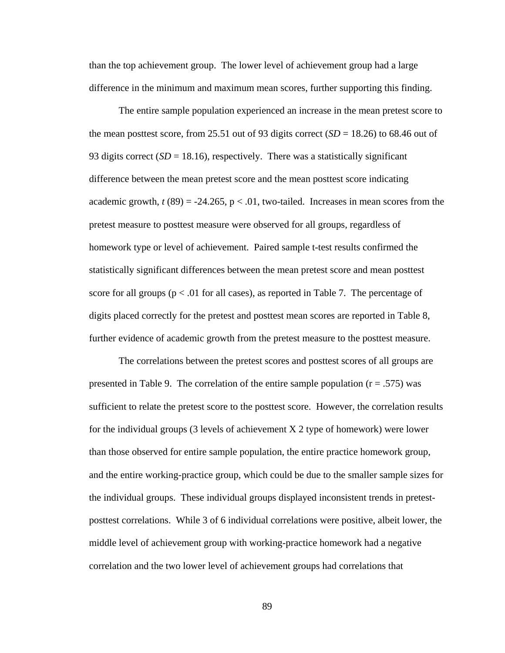than the top achievement group. The lower level of achievement group had a large difference in the minimum and maximum mean scores, further supporting this finding.

The entire sample population experienced an increase in the mean pretest score to the mean posttest score, from 25.51 out of 93 digits correct  $(SD = 18.26)$  to 68.46 out of 93 digits correct  $(SD = 18.16)$ , respectively. There was a statistically significant difference between the mean pretest score and the mean posttest score indicating academic growth,  $t(89) = -24.265$ ,  $p < .01$ , two-tailed. Increases in mean scores from the pretest measure to posttest measure were observed for all groups, regardless of homework type or level of achievement. Paired sample t-test results confirmed the statistically significant differences between the mean pretest score and mean posttest score for all groups ( $p < .01$  for all cases), as reported in Table 7. The percentage of digits placed correctly for the pretest and posttest mean scores are reported in Table 8, further evidence of academic growth from the pretest measure to the posttest measure.

The correlations between the pretest scores and posttest scores of all groups are presented in Table 9. The correlation of the entire sample population  $(r = .575)$  was sufficient to relate the pretest score to the posttest score. However, the correlation results for the individual groups (3 levels of achievement X 2 type of homework) were lower than those observed for entire sample population, the entire practice homework group, and the entire working-practice group, which could be due to the smaller sample sizes for the individual groups. These individual groups displayed inconsistent trends in pretestposttest correlations. While 3 of 6 individual correlations were positive, albeit lower, the middle level of achievement group with working-practice homework had a negative correlation and the two lower level of achievement groups had correlations that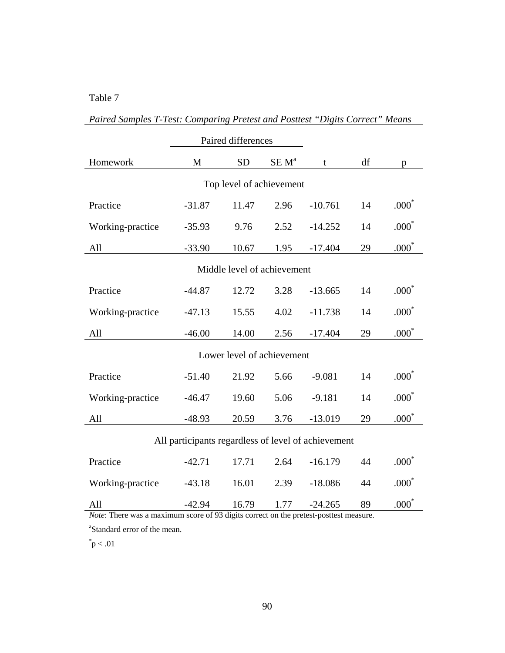|                          | Paired differences                                  |                            |      |           |    |                  |  |  |  |  |  |
|--------------------------|-----------------------------------------------------|----------------------------|------|-----------|----|------------------|--|--|--|--|--|
| Homework                 | M                                                   | <b>SD</b>                  | t    | df        | p  |                  |  |  |  |  |  |
| Top level of achievement |                                                     |                            |      |           |    |                  |  |  |  |  |  |
| Practice                 | $-31.87$                                            | 11.47                      | 2.96 | $-10.761$ | 14 | $.000*$          |  |  |  |  |  |
| Working-practice         | $-35.93$                                            | 9.76                       | 2.52 | $-14.252$ | 14 | $.000*$          |  |  |  |  |  |
| All                      | $-33.90$                                            | 10.67                      | 1.95 | $-17.404$ | 29 | $.000*$          |  |  |  |  |  |
|                          | Middle level of achievement                         |                            |      |           |    |                  |  |  |  |  |  |
| Practice                 | $-44.87$                                            | 12.72                      | 3.28 | $-13.665$ | 14 | $.000^{\degree}$ |  |  |  |  |  |
| Working-practice         | $-47.13$                                            | 15.55                      | 4.02 | $-11.738$ | 14 | $.000*$          |  |  |  |  |  |
| All                      | $-46.00$                                            | 14.00                      | 2.56 | $-17.404$ | 29 | $.000*$          |  |  |  |  |  |
|                          |                                                     | Lower level of achievement |      |           |    |                  |  |  |  |  |  |
| Practice                 | $-51.40$                                            | 21.92                      | 5.66 | $-9.081$  | 14 | $.000^*$         |  |  |  |  |  |
| Working-practice         | $-46.47$                                            | 19.60                      | 5.06 | $-9.181$  | 14 | $.000*$          |  |  |  |  |  |
| All                      | $-48.93$                                            | 20.59                      | 3.76 | $-13.019$ | 29 | $.000*$          |  |  |  |  |  |
|                          | All participants regardless of level of achievement |                            |      |           |    |                  |  |  |  |  |  |
| Practice                 | $-42.71$                                            | 17.71                      | 2.64 | $-16.179$ | 44 | $.000^{\degree}$ |  |  |  |  |  |
| Working-practice         | $-43.18$                                            | 16.01                      | 2.39 | $-18.086$ | 44 | $.000*$          |  |  |  |  |  |
| All                      | $-42.94$                                            | 16.79                      | 1.77 | $-24.265$ | 89 | $.000*$          |  |  |  |  |  |

*Paired Samples T-Test: Comparing Pretest and Posttest "Digits Correct" Means* 

*Note*: There was a maximum score of 93 digits correct on the pretest-posttest measure.

a Standard error of the mean.

 $p < .01$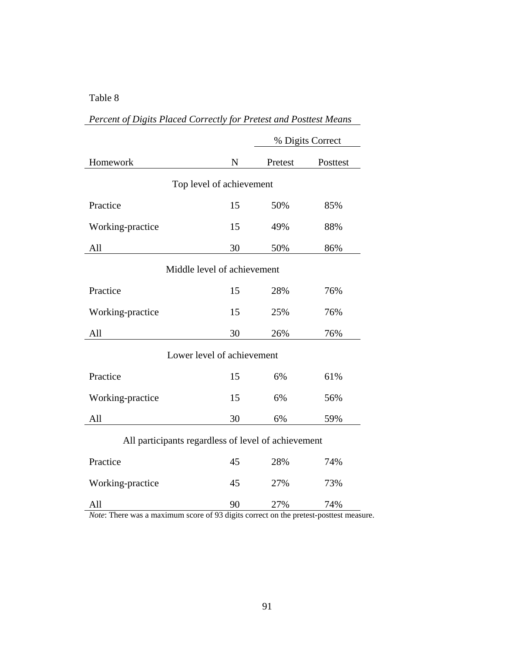|                                                     |    | i ercent of Digus I tacea Correctly for I relest and I ostlest means<br>% Digits Correct |          |  |  |  |  |  |  |
|-----------------------------------------------------|----|------------------------------------------------------------------------------------------|----------|--|--|--|--|--|--|
| Homework                                            | N  | Pretest                                                                                  | Posttest |  |  |  |  |  |  |
| Top level of achievement                            |    |                                                                                          |          |  |  |  |  |  |  |
| Practice                                            | 15 | 50%                                                                                      | 85%      |  |  |  |  |  |  |
| Working-practice                                    | 15 | 49%                                                                                      | 88%      |  |  |  |  |  |  |
| All                                                 | 30 | 50%                                                                                      | 86%      |  |  |  |  |  |  |
| Middle level of achievement                         |    |                                                                                          |          |  |  |  |  |  |  |
| Practice                                            | 15 | 28%                                                                                      | 76%      |  |  |  |  |  |  |
| Working-practice                                    | 15 | 25%                                                                                      | 76%      |  |  |  |  |  |  |
| All                                                 | 30 | 26%                                                                                      | 76%      |  |  |  |  |  |  |
| Lower level of achievement                          |    |                                                                                          |          |  |  |  |  |  |  |
| Practice                                            | 15 | 6%                                                                                       | 61%      |  |  |  |  |  |  |
| Working-practice                                    | 15 | 6%                                                                                       | 56%      |  |  |  |  |  |  |
| All                                                 | 30 | 6%                                                                                       | 59%      |  |  |  |  |  |  |
| All participants regardless of level of achievement |    |                                                                                          |          |  |  |  |  |  |  |
| Practice                                            | 45 | 28%                                                                                      | 74%      |  |  |  |  |  |  |
| Working-practice                                    | 45 | 27%                                                                                      | 73%      |  |  |  |  |  |  |

# *Percent of Digits Placed Correctly for Pretest and Posttest Means*

*Note*: There was a maximum score of 93 digits correct on the pretest-posttest measure.

All 90 27% 74%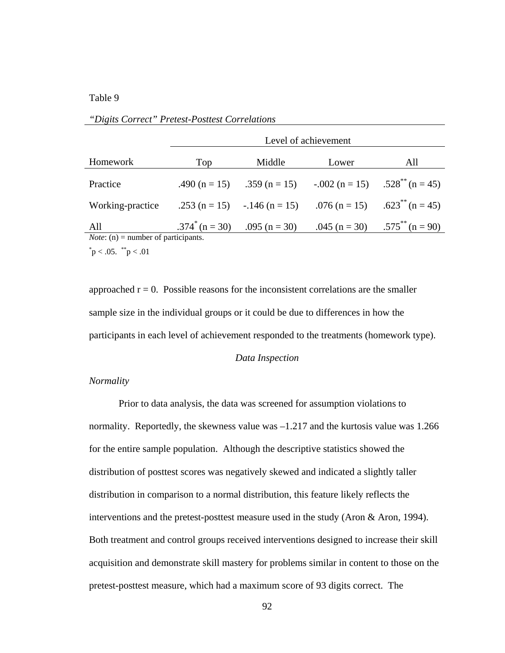| Level of achievement |                                            |                                         |                                                                                                                                                    |  |  |  |  |  |  |
|----------------------|--------------------------------------------|-----------------------------------------|----------------------------------------------------------------------------------------------------------------------------------------------------|--|--|--|--|--|--|
| Top                  | Middle                                     | Lower                                   | All                                                                                                                                                |  |  |  |  |  |  |
|                      |                                            |                                         |                                                                                                                                                    |  |  |  |  |  |  |
|                      |                                            |                                         |                                                                                                                                                    |  |  |  |  |  |  |
|                      |                                            |                                         | .045 (n = 30) .575 <sup>**</sup> (n = 90)                                                                                                          |  |  |  |  |  |  |
|                      | <i>Note:</i> (n) = number of participants. | $.374^{\circ}$ (n = 30) $.095$ (n = 30) | .490 (n = 15) .359 (n = 15) $-.002$ (n = 15) .528 <sup>**</sup> (n = 45)<br>.253 (n = 15) -.146 (n = 15) .076 (n = 15) .623 <sup>**</sup> (n = 45) |  |  |  |  |  |  |

#### *"Digits Correct" Pretest-Posttest Correlations*

 $p < .05.$  \*\*p < .01

approached  $r = 0$ . Possible reasons for the inconsistent correlations are the smaller sample size in the individual groups or it could be due to differences in how the participants in each level of achievement responded to the treatments (homework type).

## *Data Inspection*

## *Normality*

Prior to data analysis, the data was screened for assumption violations to normality. Reportedly, the skewness value was –1.217 and the kurtosis value was 1.266 for the entire sample population. Although the descriptive statistics showed the distribution of posttest scores was negatively skewed and indicated a slightly taller distribution in comparison to a normal distribution, this feature likely reflects the interventions and the pretest-posttest measure used in the study (Aron & Aron, 1994). Both treatment and control groups received interventions designed to increase their skill acquisition and demonstrate skill mastery for problems similar in content to those on the pretest-posttest measure, which had a maximum score of 93 digits correct. The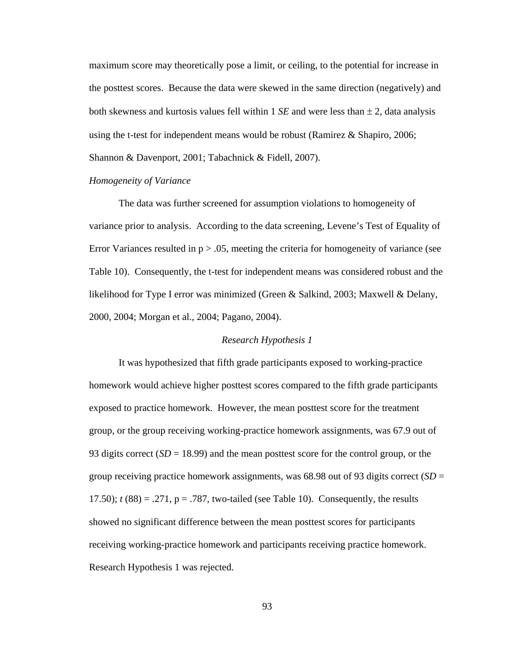maximum score may theoretically pose a limit, or ceiling, to the potential for increase in the posttest scores. Because the data were skewed in the same direction (negatively) and both skewness and kurtosis values fell within  $1 \, \text{SE}$  and were less than  $\pm 2$ , data analysis using the t-test for independent means would be robust (Ramirez & Shapiro, 2006; Shannon & Davenport, 2001; Tabachnick & Fidell, 2007).

#### *Homogeneity of Variance*

The data was further screened for assumption violations to homogeneity of variance prior to analysis. According to the data screening, Levene's Test of Equality of Error Variances resulted in  $p > 0.05$ , meeting the criteria for homogeneity of variance (see Table 10). Consequently, the t-test for independent means was considered robust and the likelihood for Type I error was minimized (Green & Salkind, 2003; Maxwell & Delany, 2000, 2004; Morgan et al., 2004; Pagano, 2004).

## *Research Hypothesis 1*

 It was hypothesized that fifth grade participants exposed to working-practice homework would achieve higher posttest scores compared to the fifth grade participants exposed to practice homework. However, the mean posttest score for the treatment group, or the group receiving working-practice homework assignments, was 67.9 out of 93 digits correct (*SD* = 18.99) and the mean posttest score for the control group, or the group receiving practice homework assignments, was 68.98 out of 93 digits correct (*SD* = 17.50); *t* (88) = .271, p = .787, two-tailed (see Table 10). Consequently, the results showed no significant difference between the mean posttest scores for participants receiving working-practice homework and participants receiving practice homework. Research Hypothesis 1 was rejected.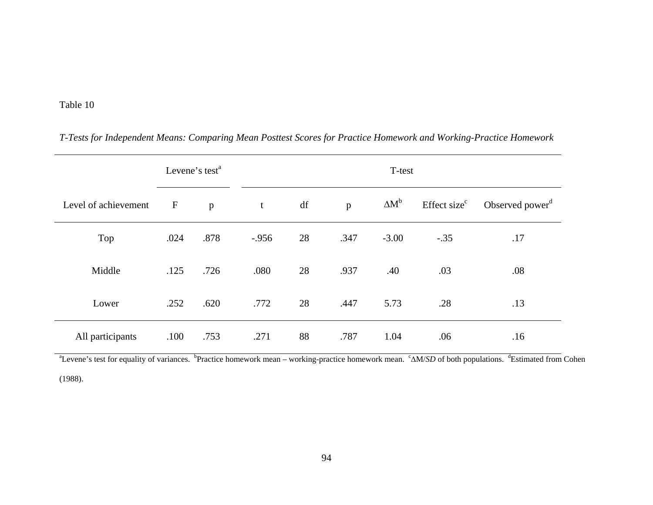|                      | Levene's test <sup>a</sup> |              |         |    | T-test |              |                          |                             |  |
|----------------------|----------------------------|--------------|---------|----|--------|--------------|--------------------------|-----------------------------|--|
| Level of achievement | $\mathbf F$                | $\mathbf{p}$ | t       | df | p      | $\Delta M^b$ | Effect size <sup>c</sup> | Observed power <sup>d</sup> |  |
| Top                  | .024                       | .878         | $-.956$ | 28 | .347   | $-3.00$      | $-.35$                   | .17                         |  |
| Middle               | .125                       | .726         | .080    | 28 | .937   | .40          | .03                      | .08                         |  |
| Lower                | .252                       | .620         | .772    | 28 | .447   | 5.73         | .28                      | .13                         |  |
| All participants     | .100                       | .753         | .271    | 88 | .787   | 1.04         | .06                      | .16                         |  |

*T-Tests for Independent Means: Comparing Mean Posttest Scores for Practice Homework and Working-Practice Homework* 

<sup>a</sup>Levene's test for equality of variances. <sup>b</sup>Practice homework mean – working-practice homework mean. <sup>c</sup> $\Delta M/SD$  of both populations. <sup>d</sup>Estimated from Cohen

(1988).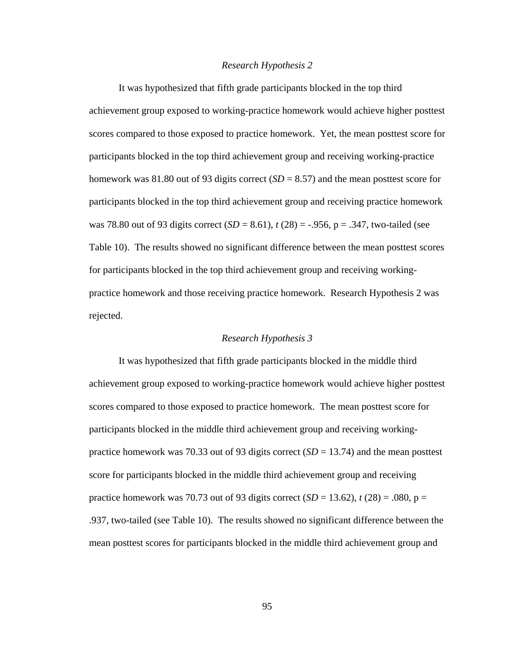#### *Research Hypothesis 2*

 It was hypothesized that fifth grade participants blocked in the top third achievement group exposed to working-practice homework would achieve higher posttest scores compared to those exposed to practice homework. Yet, the mean posttest score for participants blocked in the top third achievement group and receiving working-practice homework was 81.80 out of 93 digits correct  $(SD = 8.57)$  and the mean posttest score for participants blocked in the top third achievement group and receiving practice homework was 78.80 out of 93 digits correct  $(SD = 8.61)$ ,  $t(28) = -.956$ ,  $p = .347$ , two-tailed (see Table 10). The results showed no significant difference between the mean posttest scores for participants blocked in the top third achievement group and receiving workingpractice homework and those receiving practice homework. Research Hypothesis 2 was rejected.

### *Research Hypothesis 3*

It was hypothesized that fifth grade participants blocked in the middle third achievement group exposed to working-practice homework would achieve higher posttest scores compared to those exposed to practice homework. The mean posttest score for participants blocked in the middle third achievement group and receiving workingpractice homework was 70.33 out of 93 digits correct (*SD* = 13.74) and the mean posttest score for participants blocked in the middle third achievement group and receiving practice homework was 70.73 out of 93 digits correct  $(SD = 13.62)$ ,  $t(28) = .080$ ,  $p =$ .937, two-tailed (see Table 10). The results showed no significant difference between the mean posttest scores for participants blocked in the middle third achievement group and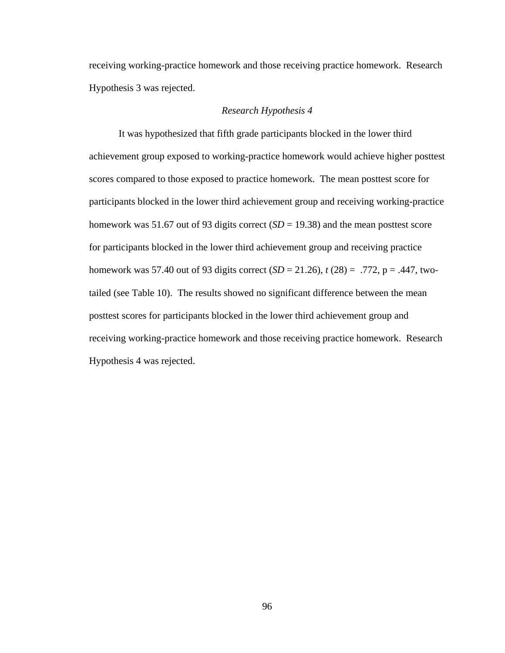receiving working-practice homework and those receiving practice homework. Research Hypothesis 3 was rejected.

## *Research Hypothesis 4*

It was hypothesized that fifth grade participants blocked in the lower third achievement group exposed to working-practice homework would achieve higher posttest scores compared to those exposed to practice homework. The mean posttest score for participants blocked in the lower third achievement group and receiving working-practice homework was 51.67 out of 93 digits correct  $(SD = 19.38)$  and the mean posttest score for participants blocked in the lower third achievement group and receiving practice homework was 57.40 out of 93 digits correct (*SD* = 21.26), *t* (28) = .772, p = .447, twotailed (see Table 10). The results showed no significant difference between the mean posttest scores for participants blocked in the lower third achievement group and receiving working-practice homework and those receiving practice homework. Research Hypothesis 4 was rejected.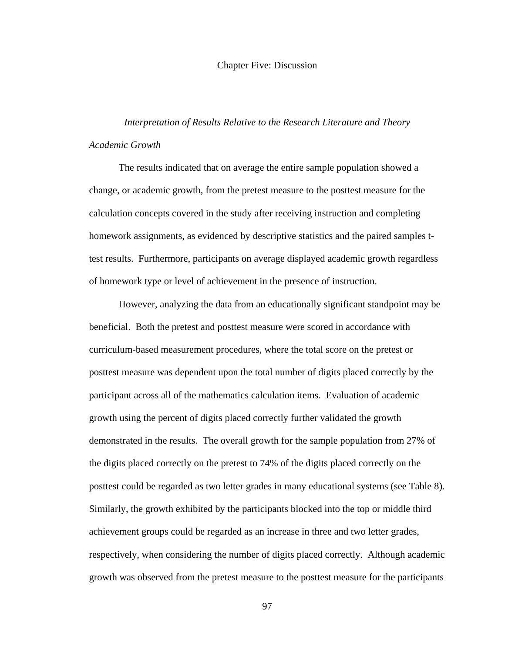#### Chapter Five: Discussion

# *Interpretation of Results Relative to the Research Literature and Theory Academic Growth*

The results indicated that on average the entire sample population showed a change, or academic growth, from the pretest measure to the posttest measure for the calculation concepts covered in the study after receiving instruction and completing homework assignments, as evidenced by descriptive statistics and the paired samples ttest results. Furthermore, participants on average displayed academic growth regardless of homework type or level of achievement in the presence of instruction.

However, analyzing the data from an educationally significant standpoint may be beneficial. Both the pretest and posttest measure were scored in accordance with curriculum-based measurement procedures, where the total score on the pretest or posttest measure was dependent upon the total number of digits placed correctly by the participant across all of the mathematics calculation items. Evaluation of academic growth using the percent of digits placed correctly further validated the growth demonstrated in the results. The overall growth for the sample population from 27% of the digits placed correctly on the pretest to 74% of the digits placed correctly on the posttest could be regarded as two letter grades in many educational systems (see Table 8). Similarly, the growth exhibited by the participants blocked into the top or middle third achievement groups could be regarded as an increase in three and two letter grades, respectively, when considering the number of digits placed correctly. Although academic growth was observed from the pretest measure to the posttest measure for the participants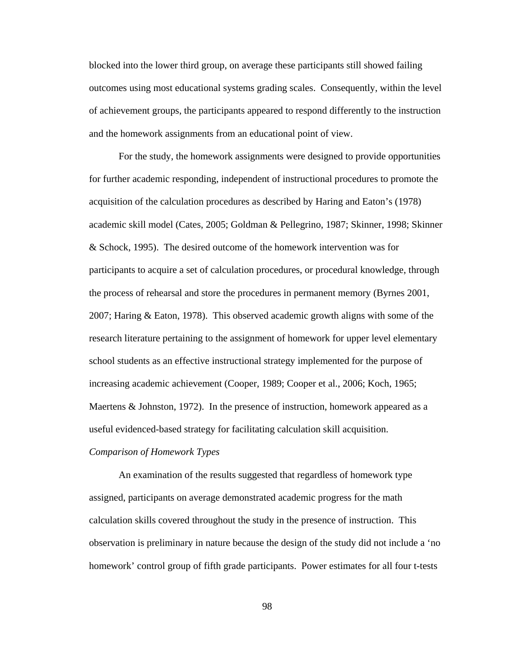blocked into the lower third group, on average these participants still showed failing outcomes using most educational systems grading scales. Consequently, within the level of achievement groups, the participants appeared to respond differently to the instruction and the homework assignments from an educational point of view.

For the study, the homework assignments were designed to provide opportunities for further academic responding, independent of instructional procedures to promote the acquisition of the calculation procedures as described by Haring and Eaton's (1978) academic skill model (Cates, 2005; Goldman & Pellegrino, 1987; Skinner, 1998; Skinner & Schock, 1995). The desired outcome of the homework intervention was for participants to acquire a set of calculation procedures, or procedural knowledge, through the process of rehearsal and store the procedures in permanent memory (Byrnes 2001, 2007; Haring & Eaton, 1978). This observed academic growth aligns with some of the research literature pertaining to the assignment of homework for upper level elementary school students as an effective instructional strategy implemented for the purpose of increasing academic achievement (Cooper, 1989; Cooper et al., 2006; Koch, 1965; Maertens & Johnston, 1972). In the presence of instruction, homework appeared as a useful evidenced-based strategy for facilitating calculation skill acquisition.

#### *Comparison of Homework Types*

An examination of the results suggested that regardless of homework type assigned, participants on average demonstrated academic progress for the math calculation skills covered throughout the study in the presence of instruction. This observation is preliminary in nature because the design of the study did not include a 'no homework' control group of fifth grade participants. Power estimates for all four t-tests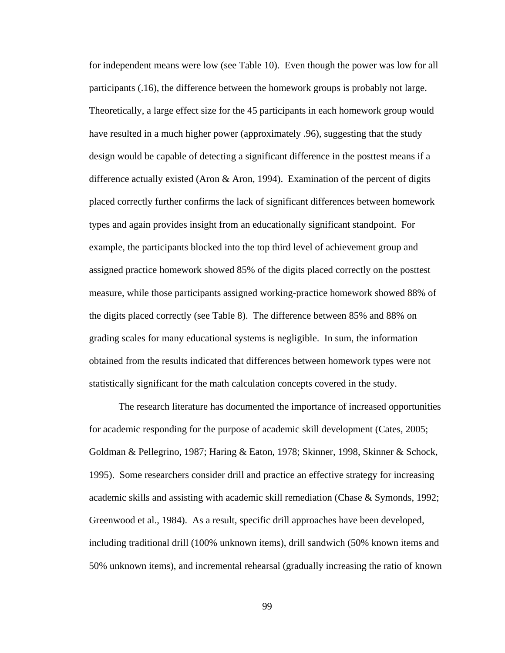for independent means were low (see Table 10). Even though the power was low for all participants (.16), the difference between the homework groups is probably not large. Theoretically, a large effect size for the 45 participants in each homework group would have resulted in a much higher power (approximately .96), suggesting that the study design would be capable of detecting a significant difference in the posttest means if a difference actually existed (Aron & Aron, 1994). Examination of the percent of digits placed correctly further confirms the lack of significant differences between homework types and again provides insight from an educationally significant standpoint. For example, the participants blocked into the top third level of achievement group and assigned practice homework showed 85% of the digits placed correctly on the posttest measure, while those participants assigned working-practice homework showed 88% of the digits placed correctly (see Table 8). The difference between 85% and 88% on grading scales for many educational systems is negligible. In sum, the information obtained from the results indicated that differences between homework types were not statistically significant for the math calculation concepts covered in the study.

 The research literature has documented the importance of increased opportunities for academic responding for the purpose of academic skill development (Cates, 2005; Goldman & Pellegrino, 1987; Haring & Eaton, 1978; Skinner, 1998, Skinner & Schock, 1995). Some researchers consider drill and practice an effective strategy for increasing academic skills and assisting with academic skill remediation (Chase & Symonds, 1992; Greenwood et al., 1984). As a result, specific drill approaches have been developed, including traditional drill (100% unknown items), drill sandwich (50% known items and 50% unknown items), and incremental rehearsal (gradually increasing the ratio of known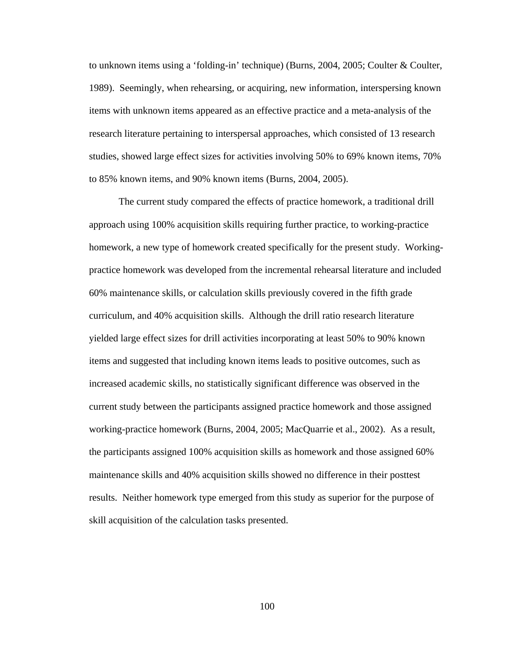to unknown items using a 'folding-in' technique) (Burns, 2004, 2005; Coulter & Coulter, 1989). Seemingly, when rehearsing, or acquiring, new information, interspersing known items with unknown items appeared as an effective practice and a meta-analysis of the research literature pertaining to interspersal approaches, which consisted of 13 research studies, showed large effect sizes for activities involving 50% to 69% known items, 70% to 85% known items, and 90% known items (Burns, 2004, 2005).

 The current study compared the effects of practice homework, a traditional drill approach using 100% acquisition skills requiring further practice, to working-practice homework, a new type of homework created specifically for the present study. Workingpractice homework was developed from the incremental rehearsal literature and included 60% maintenance skills, or calculation skills previously covered in the fifth grade curriculum, and 40% acquisition skills. Although the drill ratio research literature yielded large effect sizes for drill activities incorporating at least 50% to 90% known items and suggested that including known items leads to positive outcomes, such as increased academic skills, no statistically significant difference was observed in the current study between the participants assigned practice homework and those assigned working-practice homework (Burns, 2004, 2005; MacQuarrie et al., 2002). As a result, the participants assigned 100% acquisition skills as homework and those assigned 60% maintenance skills and 40% acquisition skills showed no difference in their posttest results. Neither homework type emerged from this study as superior for the purpose of skill acquisition of the calculation tasks presented.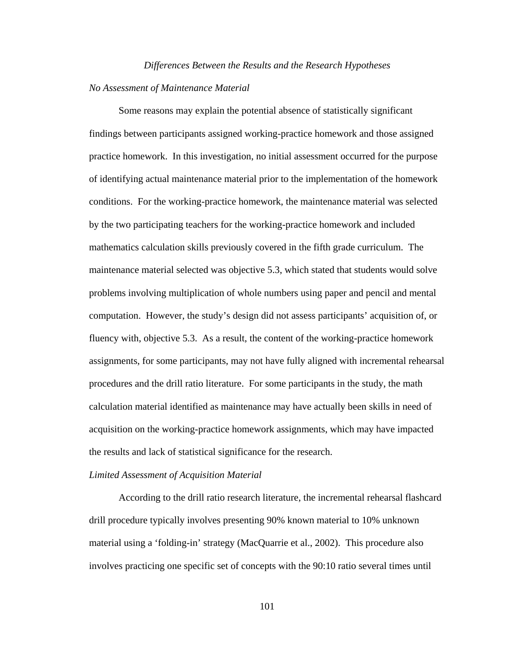# *Differences Between the Results and the Research Hypotheses*

# *No Assessment of Maintenance Material*

Some reasons may explain the potential absence of statistically significant findings between participants assigned working-practice homework and those assigned practice homework. In this investigation, no initial assessment occurred for the purpose of identifying actual maintenance material prior to the implementation of the homework conditions. For the working-practice homework, the maintenance material was selected by the two participating teachers for the working-practice homework and included mathematics calculation skills previously covered in the fifth grade curriculum. The maintenance material selected was objective 5.3, which stated that students would solve problems involving multiplication of whole numbers using paper and pencil and mental computation. However, the study's design did not assess participants' acquisition of, or fluency with, objective 5.3. As a result, the content of the working-practice homework assignments, for some participants, may not have fully aligned with incremental rehearsal procedures and the drill ratio literature. For some participants in the study, the math calculation material identified as maintenance may have actually been skills in need of acquisition on the working-practice homework assignments, which may have impacted the results and lack of statistical significance for the research.

#### *Limited Assessment of Acquisition Material*

 According to the drill ratio research literature, the incremental rehearsal flashcard drill procedure typically involves presenting 90% known material to 10% unknown material using a 'folding-in' strategy (MacQuarrie et al., 2002). This procedure also involves practicing one specific set of concepts with the 90:10 ratio several times until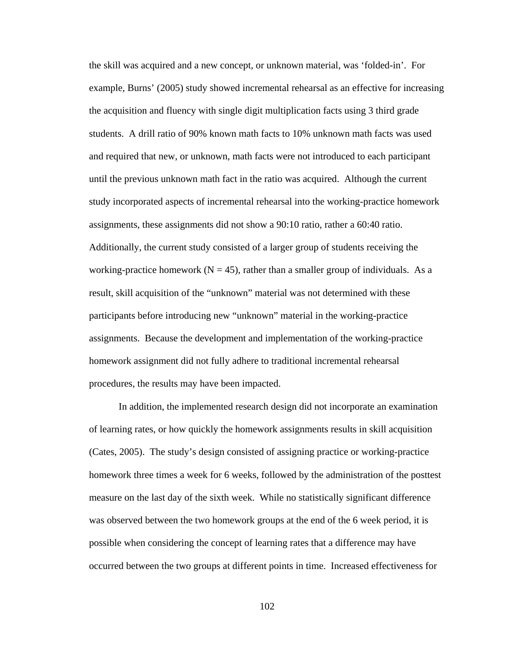the skill was acquired and a new concept, or unknown material, was 'folded-in'. For example, Burns' (2005) study showed incremental rehearsal as an effective for increasing the acquisition and fluency with single digit multiplication facts using 3 third grade students. A drill ratio of 90% known math facts to 10% unknown math facts was used and required that new, or unknown, math facts were not introduced to each participant until the previous unknown math fact in the ratio was acquired. Although the current study incorporated aspects of incremental rehearsal into the working-practice homework assignments, these assignments did not show a 90:10 ratio, rather a 60:40 ratio. Additionally, the current study consisted of a larger group of students receiving the working-practice homework ( $N = 45$ ), rather than a smaller group of individuals. As a result, skill acquisition of the "unknown" material was not determined with these participants before introducing new "unknown" material in the working-practice assignments. Because the development and implementation of the working-practice homework assignment did not fully adhere to traditional incremental rehearsal procedures, the results may have been impacted.

In addition, the implemented research design did not incorporate an examination of learning rates, or how quickly the homework assignments results in skill acquisition (Cates, 2005). The study's design consisted of assigning practice or working-practice homework three times a week for 6 weeks, followed by the administration of the posttest measure on the last day of the sixth week. While no statistically significant difference was observed between the two homework groups at the end of the 6 week period, it is possible when considering the concept of learning rates that a difference may have occurred between the two groups at different points in time. Increased effectiveness for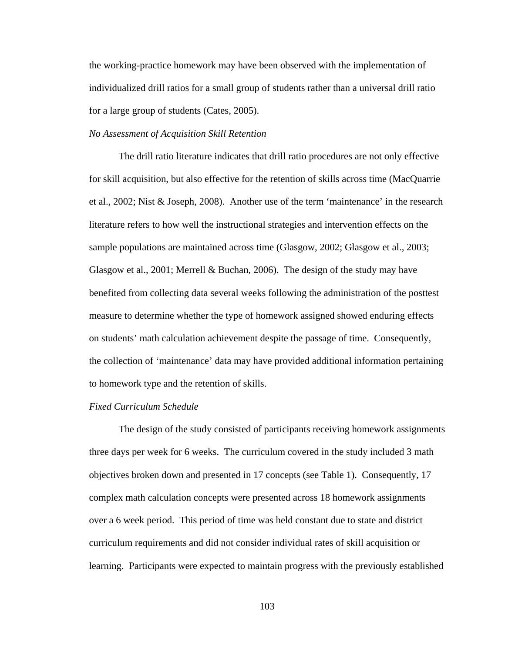the working-practice homework may have been observed with the implementation of individualized drill ratios for a small group of students rather than a universal drill ratio for a large group of students (Cates, 2005).

#### *No Assessment of Acquisition Skill Retention*

The drill ratio literature indicates that drill ratio procedures are not only effective for skill acquisition, but also effective for the retention of skills across time (MacQuarrie et al., 2002; Nist & Joseph, 2008). Another use of the term 'maintenance' in the research literature refers to how well the instructional strategies and intervention effects on the sample populations are maintained across time (Glasgow, 2002; Glasgow et al., 2003; Glasgow et al., 2001; Merrell & Buchan, 2006). The design of the study may have benefited from collecting data several weeks following the administration of the posttest measure to determine whether the type of homework assigned showed enduring effects on students' math calculation achievement despite the passage of time. Consequently, the collection of 'maintenance' data may have provided additional information pertaining to homework type and the retention of skills.

#### *Fixed Curriculum Schedule*

 The design of the study consisted of participants receiving homework assignments three days per week for 6 weeks. The curriculum covered in the study included 3 math objectives broken down and presented in 17 concepts (see Table 1). Consequently, 17 complex math calculation concepts were presented across 18 homework assignments over a 6 week period. This period of time was held constant due to state and district curriculum requirements and did not consider individual rates of skill acquisition or learning. Participants were expected to maintain progress with the previously established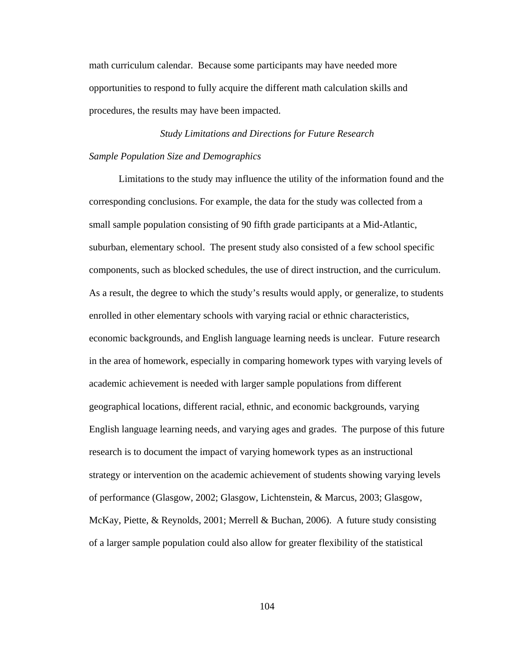math curriculum calendar. Because some participants may have needed more opportunities to respond to fully acquire the different math calculation skills and procedures, the results may have been impacted.

# *Study Limitations and Directions for Future Research Sample Population Size and Demographics*

Limitations to the study may influence the utility of the information found and the corresponding conclusions. For example, the data for the study was collected from a small sample population consisting of 90 fifth grade participants at a Mid-Atlantic, suburban, elementary school. The present study also consisted of a few school specific components, such as blocked schedules, the use of direct instruction, and the curriculum. As a result, the degree to which the study's results would apply, or generalize, to students enrolled in other elementary schools with varying racial or ethnic characteristics, economic backgrounds, and English language learning needs is unclear. Future research in the area of homework, especially in comparing homework types with varying levels of academic achievement is needed with larger sample populations from different geographical locations, different racial, ethnic, and economic backgrounds, varying English language learning needs, and varying ages and grades. The purpose of this future research is to document the impact of varying homework types as an instructional strategy or intervention on the academic achievement of students showing varying levels of performance (Glasgow, 2002; Glasgow, Lichtenstein, & Marcus, 2003; Glasgow, McKay, Piette, & Reynolds, 2001; Merrell & Buchan, 2006). A future study consisting of a larger sample population could also allow for greater flexibility of the statistical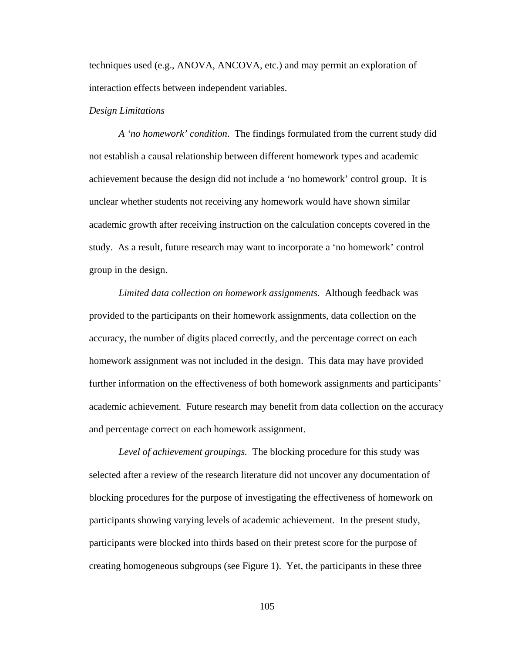techniques used (e.g., ANOVA, ANCOVA, etc.) and may permit an exploration of interaction effects between independent variables.

#### *Design Limitations*

*A 'no homework' condition*. The findings formulated from the current study did not establish a causal relationship between different homework types and academic achievement because the design did not include a 'no homework' control group. It is unclear whether students not receiving any homework would have shown similar academic growth after receiving instruction on the calculation concepts covered in the study. As a result, future research may want to incorporate a 'no homework' control group in the design.

*Limited data collection on homework assignments.* Although feedback was provided to the participants on their homework assignments, data collection on the accuracy, the number of digits placed correctly, and the percentage correct on each homework assignment was not included in the design. This data may have provided further information on the effectiveness of both homework assignments and participants' academic achievement. Future research may benefit from data collection on the accuracy and percentage correct on each homework assignment.

*Level of achievement groupings.* The blocking procedure for this study was selected after a review of the research literature did not uncover any documentation of blocking procedures for the purpose of investigating the effectiveness of homework on participants showing varying levels of academic achievement.In the present study, participants were blocked into thirds based on their pretest score for the purpose of creating homogeneous subgroups (see Figure 1). Yet, the participants in these three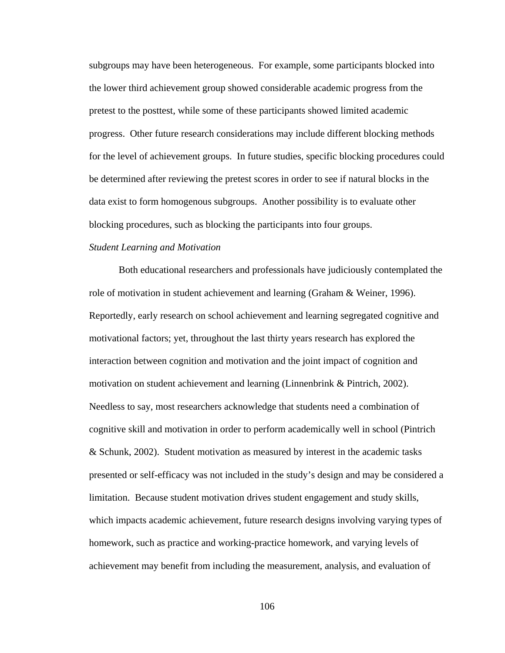subgroups may have been heterogeneous. For example, some participants blocked into the lower third achievement group showed considerable academic progress from the pretest to the posttest, while some of these participants showed limited academic progress. Other future research considerations may include different blocking methods for the level of achievement groups. In future studies, specific blocking procedures could be determined after reviewing the pretest scores in order to see if natural blocks in the data exist to form homogenous subgroups. Another possibility is to evaluate other blocking procedures, such as blocking the participants into four groups.

#### *Student Learning and Motivation*

Both educational researchers and professionals have judiciously contemplated the role of motivation in student achievement and learning (Graham & Weiner, 1996). Reportedly, early research on school achievement and learning segregated cognitive and motivational factors; yet, throughout the last thirty years research has explored the interaction between cognition and motivation and the joint impact of cognition and motivation on student achievement and learning (Linnenbrink & Pintrich, 2002). Needless to say, most researchers acknowledge that students need a combination of cognitive skill and motivation in order to perform academically well in school (Pintrich & Schunk, 2002). Student motivation as measured by interest in the academic tasks presented or self-efficacy was not included in the study's design and may be considered a limitation. Because student motivation drives student engagement and study skills, which impacts academic achievement, future research designs involving varying types of homework, such as practice and working-practice homework, and varying levels of achievement may benefit from including the measurement, analysis, and evaluation of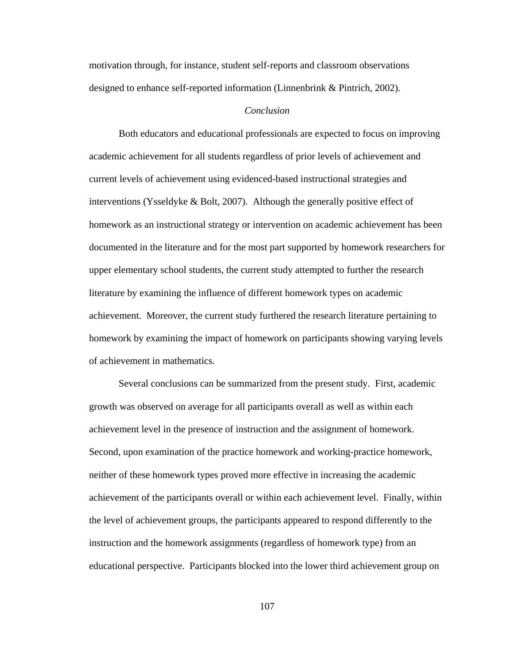motivation through, for instance, student self-reports and classroom observations designed to enhance self-reported information (Linnenbrink & Pintrich, 2002).

#### *Conclusion*

Both educators and educational professionals are expected to focus on improving academic achievement for all students regardless of prior levels of achievement and current levels of achievement using evidenced-based instructional strategies and interventions (Ysseldyke  $\&$  Bolt, 2007). Although the generally positive effect of homework as an instructional strategy or intervention on academic achievement has been documented in the literature and for the most part supported by homework researchers for upper elementary school students, the current study attempted to further the research literature by examining the influence of different homework types on academic achievement. Moreover, the current study furthered the research literature pertaining to homework by examining the impact of homework on participants showing varying levels of achievement in mathematics.

Several conclusions can be summarized from the present study. First, academic growth was observed on average for all participants overall as well as within each achievement level in the presence of instruction and the assignment of homework. Second, upon examination of the practice homework and working-practice homework, neither of these homework types proved more effective in increasing the academic achievement of the participants overall or within each achievement level. Finally, within the level of achievement groups, the participants appeared to respond differently to the instruction and the homework assignments (regardless of homework type) from an educational perspective. Participants blocked into the lower third achievement group on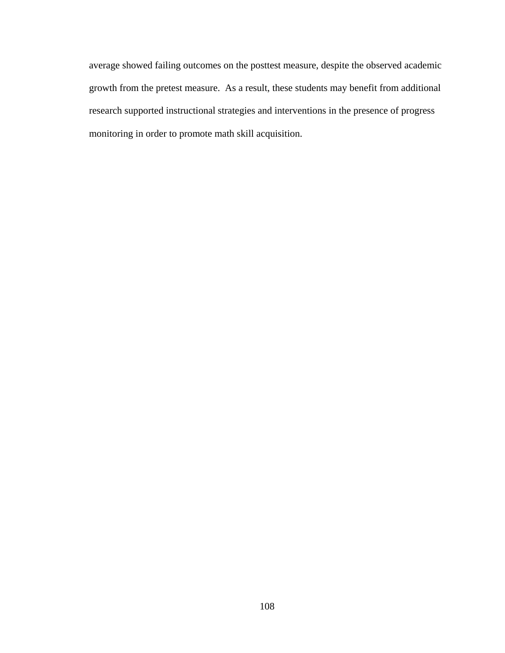average showed failing outcomes on the posttest measure, despite the observed academic growth from the pretest measure. As a result, these students may benefit from additional research supported instructional strategies and interventions in the presence of progress monitoring in order to promote math skill acquisition.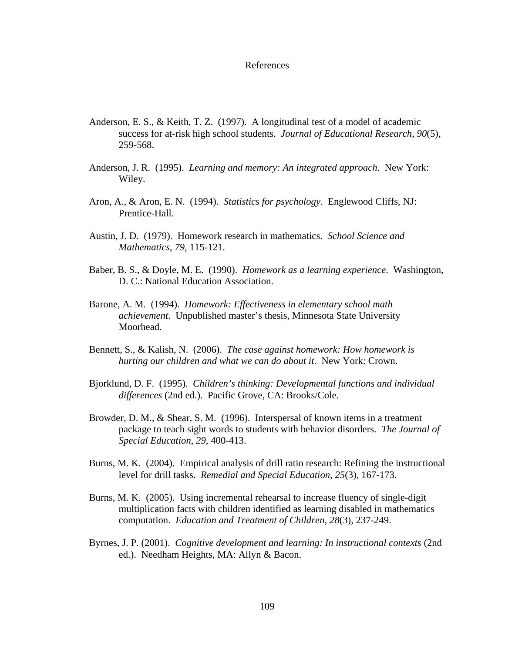#### References

- Anderson, E. S., & Keith, T. Z. (1997). A longitudinal test of a model of academic success for at-risk high school students. *Journal of Educational Research*, *90*(5), 259-568.
- Anderson, J. R. (1995). *Learning and memory: An integrated approach*. New York: Wiley.
- Aron, A., & Aron, E. N. (1994). *Statistics for psychology*. Englewood Cliffs, NJ: Prentice-Hall.
- Austin, J. D. (1979). Homework research in mathematics. *School Science and Mathematics*, *79*, 115-121.
- Baber, B. S., & Doyle, M. E. (1990). *Homework as a learning experience*. Washington, D. C.: National Education Association.
- Barone, A. M. (1994). *Homework: Effectiveness in elementary school math achievement*. Unpublished master's thesis, Minnesota State University Moorhead.
- Bennett, S., & Kalish, N. (2006). *The case against homework: How homework is hurting our children and what we can do about it*. New York: Crown.
- Bjorklund, D. F. (1995). *Children's thinking: Developmental functions and individual differences* (2nd ed.). Pacific Grove, CA: Brooks/Cole.
- Browder, D. M., & Shear, S. M. (1996). Interspersal of known items in a treatment package to teach sight words to students with behavior disorders. *The Journal of Special Education*, *29*, 400-413.
- Burns, M. K. (2004). Empirical analysis of drill ratio research: Refining the instructional level for drill tasks. *Remedial and Special Education, 25*(3)*,* 167-173.
- Burns, M. K. (2005). Using incremental rehearsal to increase fluency of single-digit multiplication facts with children identified as learning disabled in mathematics computation. *Education and Treatment of Children, 28*(3)*,* 237-249.
- Byrnes, J. P. (2001). *Cognitive development and learning: In instructional contexts* (2nd ed.). Needham Heights, MA: Allyn & Bacon.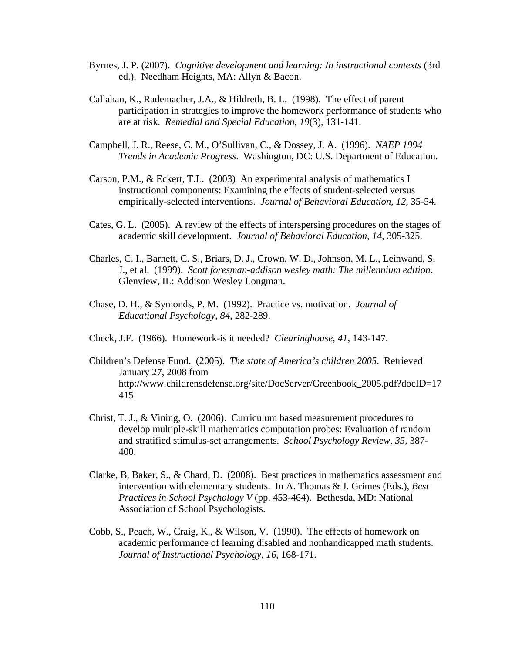- Byrnes, J. P. (2007). *Cognitive development and learning: In instructional contexts* (3rd ed.). Needham Heights, MA: Allyn & Bacon.
- Callahan, K., Rademacher, J.A., & Hildreth, B. L. (1998). The effect of parent participation in strategies to improve the homework performance of students who are at risk. *Remedial and Special Education*, *19*(3), 131-141.
- Campbell, J. R., Reese, C. M., O'Sullivan, C., & Dossey, J. A. (1996). *NAEP 1994 Trends in Academic Progress*. Washington, DC: U.S. Department of Education.
- Carson, P.M., & Eckert, T.L. (2003) An experimental analysis of mathematics I instructional components: Examining the effects of student-selected versus empirically-selected interventions. *Journal of Behavioral Education*, *12,* 35-54.
- Cates, G. L. (2005). A review of the effects of interspersing procedures on the stages of academic skill development. *Journal of Behavioral Education*, *14*, 305-325.
- Charles, C. I., Barnett, C. S., Briars, D. J., Crown, W. D., Johnson, M. L., Leinwand, S. J., et al. (1999). *Scott foresman-addison wesley math: The millennium edition*. Glenview, IL: Addison Wesley Longman.
- Chase, D. H., & Symonds, P. M. (1992). Practice vs. motivation. *Journal of Educational Psychology*, *84*, 282-289.
- Check, J.F. (1966). Homework-is it needed? *Clearinghouse*, *41*, 143-147.
- Children's Defense Fund. (2005). *The state of America's children 2005*. Retrieved January 27, 2008 from http://www.childrensdefense.org/site/DocServer/Greenbook\_2005.pdf?docID=17 415
- Christ, T. J., & Vining, O. (2006). Curriculum based measurement procedures to develop multiple-skill mathematics computation probes: Evaluation of random and stratified stimulus-set arrangements. *School Psychology Review*, *35*, 387- 400.
- Clarke, B, Baker, S., & Chard, D. (2008). Best practices in mathematics assessment and intervention with elementary students. In A. Thomas & J. Grimes (Eds.), *Best Practices in School Psychology V* (pp. 453-464). Bethesda, MD: National Association of School Psychologists.
- Cobb, S., Peach, W., Craig, K., & Wilson, V. (1990). The effects of homework on academic performance of learning disabled and nonhandicapped math students. *Journal of Instructional Psychology*, *16*, 168-171.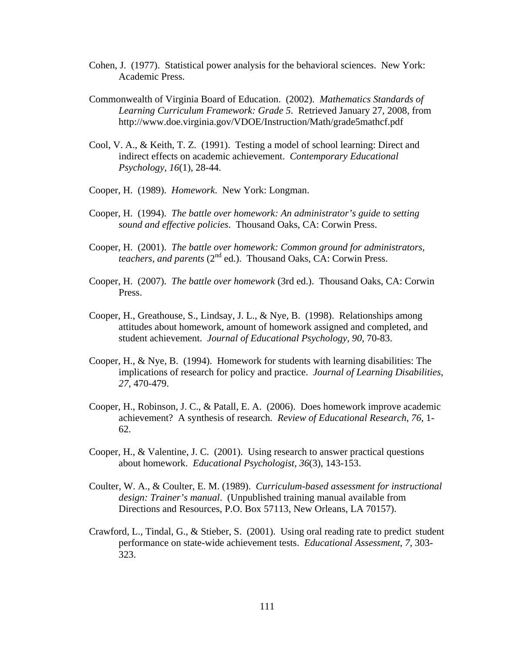- Cohen, J. (1977). Statistical power analysis for the behavioral sciences. New York: Academic Press.
- Commonwealth of Virginia Board of Education. (2002). *Mathematics Standards of Learning Curriculum Framework: Grade 5*. Retrieved January 27, 2008, from http://www.doe.virginia.gov/VDOE/Instruction/Math/grade5mathcf.pdf
- Cool, V. A., & Keith, T. Z. (1991). Testing a model of school learning: Direct and indirect effects on academic achievement. *Contemporary Educational Psychology*, *16*(1), 28-44.
- Cooper, H. (1989). *Homework*. New York: Longman.
- Cooper, H. (1994). *The battle over homework: An administrator's guide to setting sound and effective policies*. Thousand Oaks, CA: Corwin Press.
- Cooper, H. (2001). *The battle over homework: Common ground for administrators, teachers, and parents* (2<sup>nd</sup> ed.). Thousand Oaks, CA: Corwin Press.
- Cooper, H. (2007). *The battle over homework* (3rd ed.). Thousand Oaks, CA: Corwin Press.
- Cooper, H., Greathouse, S., Lindsay, J. L., & Nye, B. (1998). Relationships among attitudes about homework, amount of homework assigned and completed, and student achievement. *Journal of Educational Psychology*, *90*, 70-83.
- Cooper, H., & Nye, B. (1994). Homework for students with learning disabilities: The implications of research for policy and practice. *Journal of Learning Disabilities*, *27*, 470-479.
- Cooper, H., Robinson, J. C., & Patall, E. A. (2006). Does homework improve academic achievement? A synthesis of research. *Review of Educational Research*, *76*, 1- 62.
- Cooper, H., & Valentine, J. C. (2001). Using research to answer practical questions about homework. *Educational Psychologist*, *36*(3), 143-153.
- Coulter, W. A., & Coulter, E. M. (1989). *Curriculum-based assessment for instructional design: Trainer's manual*. (Unpublished training manual available from Directions and Resources, P.O. Box 57113, New Orleans, LA 70157).
- Crawford, L., Tindal, G., & Stieber, S. (2001). Using oral reading rate to predict student performance on state-wide achievement tests. *Educational Assessment*, *7*, 303- 323.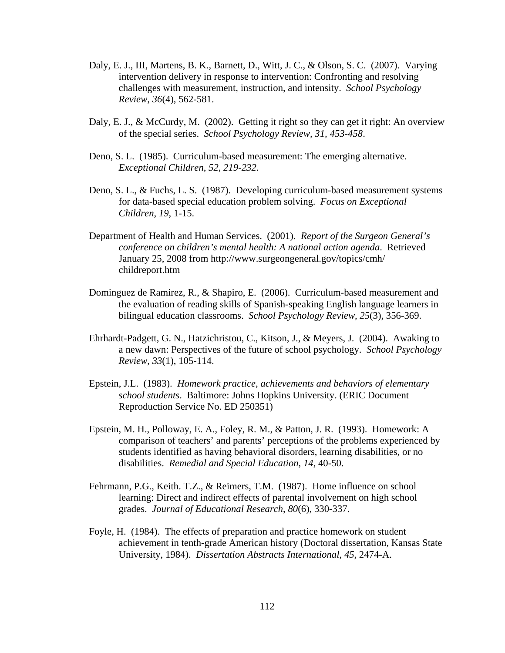- Daly, E. J., III, Martens, B. K., Barnett, D., Witt, J. C., & Olson, S. C. (2007). Varying intervention delivery in response to intervention: Confronting and resolving challenges with measurement, instruction, and intensity. *School Psychology Review*, *36*(4), 562-581.
- Daly, E. J., & McCurdy, M. (2002). Getting it right so they can get it right: An overview of the special series. *School Psychology Review, 31, 453-458*.
- Deno, S. L. (1985). Curriculum-based measurement: The emerging alternative. *Exceptional Children*, *52*, *219-232*.
- Deno, S. L., & Fuchs, L. S. (1987). Developing curriculum-based measurement systems for data-based special education problem solving. *Focus on Exceptional Children*, *19*, 1-15.
- Department of Health and Human Services. (2001). *Report of the Surgeon General's conference on children's mental health: A national action agenda*. Retrieved January 25, 2008 from http://www.surgeongeneral.gov/topics/cmh/ childreport.htm
- Dominguez de Ramirez, R., & Shapiro, E. (2006). Curriculum-based measurement and the evaluation of reading skills of Spanish-speaking English language learners in bilingual education classrooms. *School Psychology Review*, *25*(3), 356-369.
- Ehrhardt-Padgett, G. N., Hatzichristou, C., Kitson, J., & Meyers, J. (2004). Awaking to a new dawn: Perspectives of the future of school psychology. *School Psychology Review*, *33*(1), 105-114.
- Epstein, J.L. (1983). *Homework practice, achievements and behaviors of elementary school students*. Baltimore: Johns Hopkins University. (ERIC Document Reproduction Service No. ED 250351)
- Epstein, M. H., Polloway, E. A., Foley, R. M., & Patton, J. R. (1993). Homework: A comparison of teachers' and parents' perceptions of the problems experienced by students identified as having behavioral disorders, learning disabilities, or no disabilities. *Remedial and Special Education*, *14*, 40-50.
- Fehrmann, P.G., Keith. T.Z., & Reimers, T.M. (1987). Home influence on school learning: Direct and indirect effects of parental involvement on high school grades. *Journal of Educational Research*, *80*(6), 330-337.
- Foyle, H. (1984). The effects of preparation and practice homework on student achievement in tenth-grade American history (Doctoral dissertation, Kansas State University, 1984). *Dissertation Abstracts International*, *45*, 2474-A.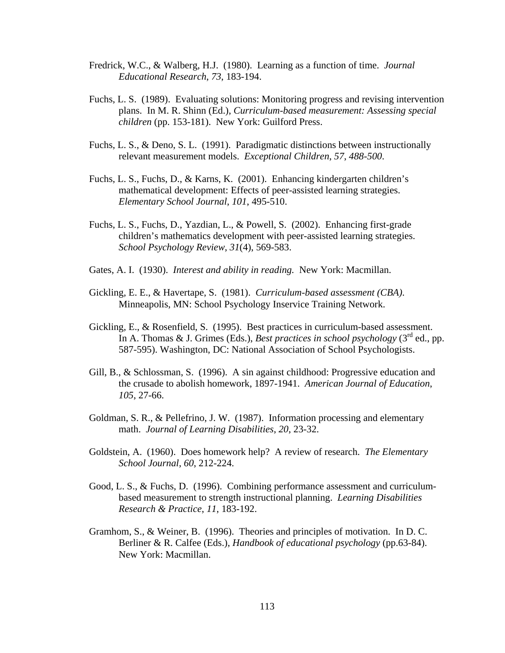- Fredrick, W.C., & Walberg, H.J. (1980). Learning as a function of time. *Journal Educational Research*, *73*, 183-194.
- Fuchs, L. S. (1989). Evaluating solutions: Monitoring progress and revising intervention plans. In M. R. Shinn (Ed.), *Curriculum-based measurement: Assessing special children* (pp. 153-181). New York: Guilford Press.
- Fuchs, L. S., & Deno, S. L. (1991). Paradigmatic distinctions between instructionally relevant measurement models. *Exceptional Children*, *57*, *488-500*.
- Fuchs, L. S., Fuchs, D., & Karns, K. (2001). Enhancing kindergarten children's mathematical development: Effects of peer-assisted learning strategies. *Elementary School Journal*, *101*, 495-510.
- Fuchs, L. S., Fuchs, D., Yazdian, L., & Powell, S. (2002). Enhancing first-grade children's mathematics development with peer-assisted learning strategies. *School Psychology Review*, *31*(4), 569-583.
- Gates, A. I. (1930). *Interest and ability in reading.* New York: Macmillan.
- Gickling, E. E., & Havertape, S. (1981). *Curriculum-based assessment (CBA)*. Minneapolis, MN: School Psychology Inservice Training Network.
- Gickling, E., & Rosenfield, S. (1995). Best practices in curriculum-based assessment. In A. Thomas & J. Grimes (Eds.), *Best practices in school psychology* (3<sup>rd</sup> ed., pp. 587-595). Washington, DC: National Association of School Psychologists.
- Gill, B., & Schlossman, S. (1996). A sin against childhood: Progressive education and the crusade to abolish homework, 1897-1941. *American Journal of Education*, *105*, 27-66.
- Goldman, S. R., & Pellefrino, J. W. (1987). Information processing and elementary math. *Journal of Learning Disabilities*, *20*, 23-32.
- Goldstein, A. (1960). Does homework help? A review of research. *The Elementary School Journal*, *60*, 212-224.
- Good, L. S., & Fuchs, D. (1996). Combining performance assessment and curriculumbased measurement to strength instructional planning. *Learning Disabilities Research & Practice*, *11*, 183-192.
- Gramhom, S., & Weiner, B. (1996). Theories and principles of motivation. In D. C. Berliner & R. Calfee (Eds.), *Handbook of educational psychology* (pp.63-84). New York: Macmillan.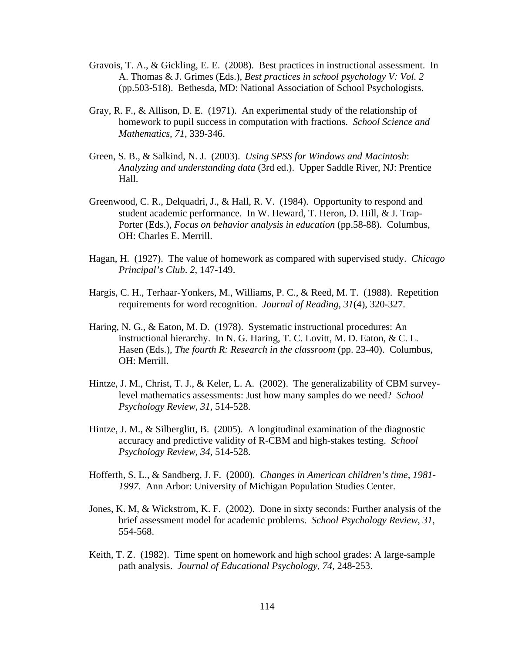- Gravois, T. A., & Gickling, E. E. (2008). Best practices in instructional assessment. In A. Thomas & J. Grimes (Eds.), *Best practices in school psychology V: Vol. 2*  (pp.503-518). Bethesda, MD: National Association of School Psychologists.
- Gray, R. F., & Allison, D. E. (1971). An experimental study of the relationship of homework to pupil success in computation with fractions. *School Science and Mathematics*, *71*, 339-346.
- Green, S. B., & Salkind, N. J. (2003). *Using SPSS for Windows and Macintosh*: *Analyzing and understanding data* (3rd ed.). Upper Saddle River, NJ: Prentice Hall.
- Greenwood, C. R., Delquadri, J., & Hall, R. V. (1984). Opportunity to respond and student academic performance. In W. Heward, T. Heron, D. Hill, & J. Trap-Porter (Eds.), *Focus on behavior analysis in education* (pp.58-88). Columbus, OH: Charles E. Merrill.
- Hagan, H. (1927). The value of homework as compared with supervised study. *Chicago Principal's Club*. *2*, 147-149.
- Hargis, C. H., Terhaar-Yonkers, M., Williams, P. C., & Reed, M. T. (1988). Repetition requirements for word recognition. *Journal of Reading, 31*(4), 320-327.
- Haring, N. G., & Eaton, M. D. (1978). Systematic instructional procedures: An instructional hierarchy. In N. G. Haring, T. C. Lovitt, M. D. Eaton, & C. L. Hasen (Eds.), *The fourth R: Research in the classroom* (pp. 23-40). Columbus, OH: Merrill.
- Hintze, J. M., Christ, T. J., & Keler, L. A. (2002). The generalizability of CBM surveylevel mathematics assessments: Just how many samples do we need? *School Psychology Review*, *31*, 514-528.
- Hintze, J. M., & Silberglitt, B. (2005). A longitudinal examination of the diagnostic accuracy and predictive validity of R-CBM and high-stakes testing. *School Psychology Review*, *34*, 514-528.
- Hofferth, S. L., & Sandberg, J. F. (2000). *Changes in American children's time, 1981- 1997*. Ann Arbor: University of Michigan Population Studies Center.
- Jones, K. M, & Wickstrom, K. F. (2002). Done in sixty seconds: Further analysis of the brief assessment model for academic problems. *School Psychology Review*, *31*, 554-568.
- Keith, T. Z. (1982). Time spent on homework and high school grades: A large-sample path analysis. *Journal of Educational Psychology*, *74*, 248-253.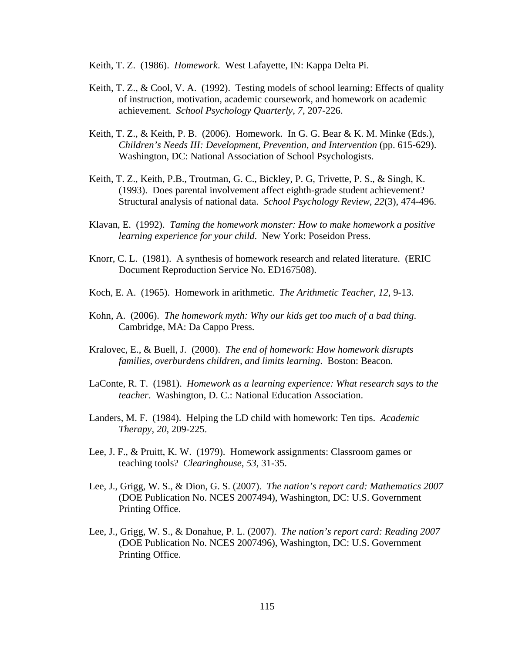Keith, T. Z. (1986). *Homework*. West Lafayette, IN: Kappa Delta Pi.

- Keith, T. Z., & Cool, V. A. (1992). Testing models of school learning: Effects of quality of instruction, motivation, academic coursework, and homework on academic achievement. *School Psychology Quarterly*, *7*, 207-226.
- Keith, T. Z., & Keith, P. B. (2006). Homework. In G. G. Bear & K. M. Minke (Eds.), *Children's Needs III: Development, Prevention, and Intervention* (pp. 615-629). Washington, DC: National Association of School Psychologists.
- Keith, T. Z., Keith, P.B., Troutman, G. C., Bickley, P. G, Trivette, P. S., & Singh, K. (1993). Does parental involvement affect eighth-grade student achievement? Structural analysis of national data. *School Psychology Review*, *22*(3), 474-496.
- Klavan, E. (1992). *Taming the homework monster: How to make homework a positive learning experience for your child*. New York: Poseidon Press.
- Knorr, C. L. (1981). A synthesis of homework research and related literature. (ERIC Document Reproduction Service No. ED167508).
- Koch, E. A. (1965). Homework in arithmetic. *The Arithmetic Teacher*, *12*, 9-13.
- Kohn, A. (2006). *The homework myth: Why our kids get too much of a bad thing*. Cambridge, MA: Da Cappo Press.
- Kralovec, E., & Buell, J. (2000). *The end of homework: How homework disrupts families, overburdens children, and limits learning*. Boston: Beacon.
- LaConte, R. T. (1981). *Homework as a learning experience: What research says to the teacher*. Washington, D. C.: National Education Association.
- Landers, M. F. (1984). Helping the LD child with homework: Ten tips. *Academic Therapy*, *20*, 209-225.
- Lee, J. F., & Pruitt, K. W. (1979). Homework assignments: Classroom games or teaching tools? *Clearinghouse*, *53*, 31-35.
- Lee, J., Grigg, W. S., & Dion, G. S. (2007). *The nation's report card: Mathematics 2007* (DOE Publication No. NCES 2007494), Washington, DC: U.S. Government Printing Office.
- Lee, J., Grigg, W. S., & Donahue, P. L. (2007). *The nation's report card: Reading 2007* (DOE Publication No. NCES 2007496), Washington, DC: U.S. Government Printing Office.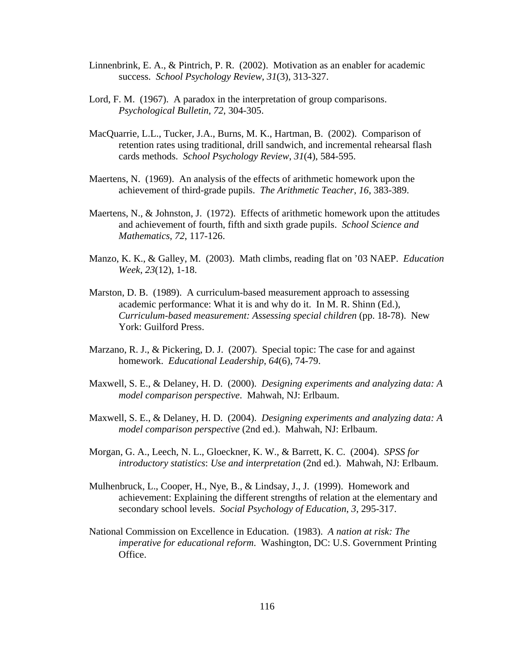- Linnenbrink, E. A., & Pintrich, P. R. (2002). Motivation as an enabler for academic success. *School Psychology Review*, *31*(3), 313-327.
- Lord, F. M. (1967). A paradox in the interpretation of group comparisons. *Psychological Bulletin*, *72*, 304-305.
- MacQuarrie, L.L., Tucker, J.A., Burns, M. K., Hartman, B. (2002). Comparison of retention rates using traditional, drill sandwich, and incremental rehearsal flash cards methods. *School Psychology Review*, *31*(4), 584-595.
- Maertens, N. (1969). An analysis of the effects of arithmetic homework upon the achievement of third-grade pupils. *The Arithmetic Teacher*, *16*, 383-389.
- Maertens, N., & Johnston, J. (1972). Effects of arithmetic homework upon the attitudes and achievement of fourth, fifth and sixth grade pupils. *School Science and Mathematics*, *72*, 117-126.
- Manzo, K. K., & Galley, M. (2003). Math climbs, reading flat on '03 NAEP. *Education Week*, *23*(12), 1-18.
- Marston, D. B. (1989). A curriculum-based measurement approach to assessing academic performance: What it is and why do it. In M. R. Shinn (Ed.), *Curriculum-based measurement: Assessing special children* (pp. 18-78). New York: Guilford Press.
- Marzano, R. J., & Pickering, D. J. (2007). Special topic: The case for and against homework. *Educational Leadership*, *64*(6), 74-79.
- Maxwell, S. E., & Delaney, H. D. (2000). *Designing experiments and analyzing data: A model comparison perspective*. Mahwah, NJ: Erlbaum.
- Maxwell, S. E., & Delaney, H. D. (2004). *Designing experiments and analyzing data: A model comparison perspective* (2nd ed.). Mahwah, NJ: Erlbaum.
- Morgan, G. A., Leech, N. L., Gloeckner, K. W., & Barrett, K. C. (2004). *SPSS for introductory statistics*: *Use and interpretation* (2nd ed.). Mahwah, NJ: Erlbaum.
- Mulhenbruck, L., Cooper, H., Nye, B., & Lindsay, J., J. (1999). Homework and achievement: Explaining the different strengths of relation at the elementary and secondary school levels. *Social Psychology of Education*, *3*, 295-317.
- National Commission on Excellence in Education. (1983). *A nation at risk: The imperative for educational reform*. Washington, DC: U.S. Government Printing Office.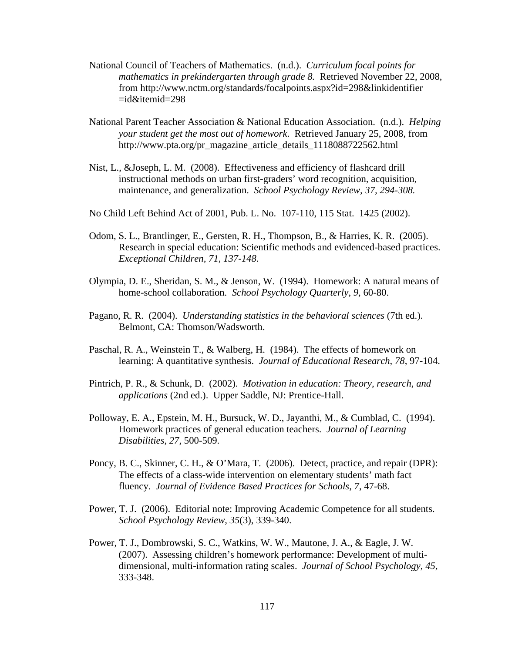- National Council of Teachers of Mathematics. (n.d.). *Curriculum focal points for mathematics in prekindergarten through grade 8.* Retrieved November 22, 2008, from http://www.nctm.org/standards/focalpoints.aspx?id=298&linkidentifier  $=$ id&itemid $=$ 298
- National Parent Teacher Association & National Education Association. (n.d.). *Helping your student get the most out of homework*. Retrieved January 25, 2008, from http://www.pta.org/pr\_magazine\_article\_details\_1118088722562.html
- Nist, L., &Joseph, L. M. (2008). Effectiveness and efficiency of flashcard drill instructional methods on urban first-graders' word recognition, acquisition, maintenance, and generalization. *School Psychology Review, 37, 294-308.*
- No Child Left Behind Act of 2001, Pub. L. No. 107-110, 115 Stat. 1425 (2002).
- Odom, S. L., Brantlinger, E., Gersten, R. H., Thompson, B., & Harries, K. R. (2005). Research in special education: Scientific methods and evidenced-based practices. *Exceptional Children, 71, 137-148*.
- Olympia, D. E., Sheridan, S. M., & Jenson, W. (1994). Homework: A natural means of home-school collaboration. *School Psychology Quarterly*, *9*, 60-80.
- Pagano, R. R. (2004). *Understanding statistics in the behavioral sciences* (7th ed.). Belmont, CA: Thomson/Wadsworth.
- Paschal, R. A., Weinstein T., & Walberg, H. (1984). The effects of homework on learning: A quantitative synthesis. *Journal of Educational Research*, *78*, 97-104.
- Pintrich, P. R., & Schunk, D. (2002). *Motivation in education: Theory, research, and applications* (2nd ed.). Upper Saddle, NJ: Prentice-Hall.
- Polloway, E. A., Epstein, M. H., Bursuck, W. D., Jayanthi, M., & Cumblad, C. (1994). Homework practices of general education teachers. *Journal of Learning Disabilities*, *27*, 500-509.
- Poncy, B. C., Skinner, C. H., & O'Mara, T. (2006). Detect, practice, and repair (DPR): The effects of a class-wide intervention on elementary students' math fact fluency. *Journal of Evidence Based Practices for Schools*, *7*, 47-68.
- Power, T. J. (2006). Editorial note: Improving Academic Competence for all students. *School Psychology Review*, *35*(3), 339-340.
- Power, T. J., Dombrowski, S. C., Watkins, W. W., Mautone, J. A., & Eagle, J. W. (2007). Assessing children's homework performance: Development of multidimensional, multi-information rating scales. *Journal of School Psychology*, *45*, 333-348.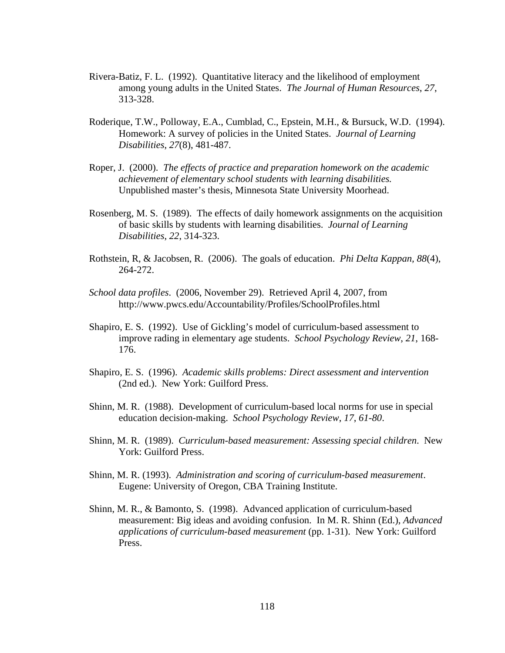- Rivera-Batiz, F. L. (1992). Quantitative literacy and the likelihood of employment among young adults in the United States. *The Journal of Human Resources*, *27*, 313-328.
- Roderique, T.W., Polloway, E.A., Cumblad, C., Epstein, M.H., & Bursuck, W.D. (1994). Homework: A survey of policies in the United States. *Journal of Learning Disabilities*, *27*(8), 481-487.
- Roper, J. (2000). *The effects of practice and preparation homework on the academic achievement of elementary school students with learning disabilities.* Unpublished master's thesis, Minnesota State University Moorhead.
- Rosenberg, M. S. (1989). The effects of daily homework assignments on the acquisition of basic skills by students with learning disabilities. *Journal of Learning Disabilities*, *22*, 314-323.
- Rothstein, R, & Jacobsen, R. (2006). The goals of education. *Phi Delta Kappan, 88*(4), 264-272.
- *School data profiles*. (2006, November 29). Retrieved April 4, 2007, from http://www.pwcs.edu/Accountability/Profiles/SchoolProfiles.html
- Shapiro, E. S. (1992). Use of Gickling's model of curriculum-based assessment to improve rading in elementary age students. *School Psychology Review*, *21*, 168- 176.
- Shapiro, E. S. (1996). *Academic skills problems: Direct assessment and intervention*  (2nd ed.). New York: Guilford Press.
- Shinn, M. R. (1988). Development of curriculum-based local norms for use in special education decision-making. *School Psychology Review*, *17*, *61-80*.
- Shinn, M. R. (1989). *Curriculum-based measurement: Assessing special children*. New York: Guilford Press.
- Shinn, M. R. (1993). *Administration and scoring of curriculum-based measurement*. Eugene: University of Oregon, CBA Training Institute.
- Shinn, M. R., & Bamonto, S. (1998). Advanced application of curriculum-based measurement: Big ideas and avoiding confusion. In M. R. Shinn (Ed.), *Advanced applications of curriculum-based measurement* (pp. 1-31). New York: Guilford Press.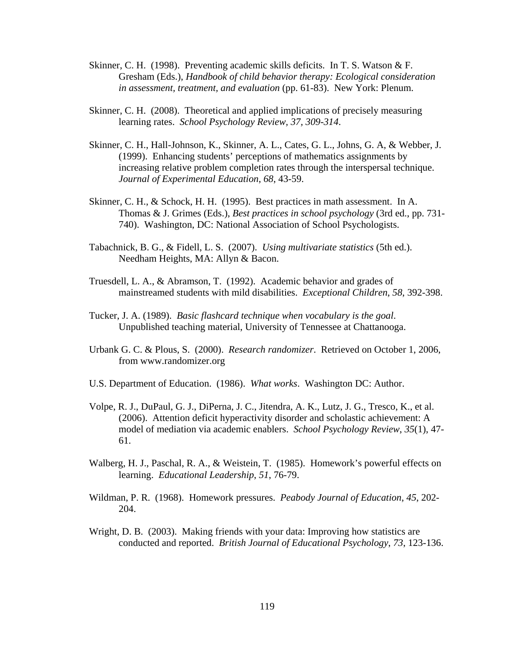- Skinner, C. H. (1998). Preventing academic skills deficits. In T. S. Watson & F. Gresham (Eds.), *Handbook of child behavior therapy: Ecological consideration in assessment, treatment, and evaluation* (pp. 61-83). New York: Plenum.
- Skinner, C. H. (2008). Theoretical and applied implications of precisely measuring learning rates. *School Psychology Review, 37, 309-314*.
- Skinner, C. H., Hall-Johnson, K., Skinner, A. L., Cates, G. L., Johns, G. A, & Webber, J. (1999). Enhancing students' perceptions of mathematics assignments by increasing relative problem completion rates through the interspersal technique. *Journal of Experimental Education*, *68*, 43-59.
- Skinner, C. H., & Schock, H. H. (1995). Best practices in math assessment. In A. Thomas & J. Grimes (Eds.), *Best practices in school psychology* (3rd ed., pp. 731- 740). Washington, DC: National Association of School Psychologists.
- Tabachnick, B. G., & Fidell, L. S. (2007). *Using multivariate statistics* (5th ed.). Needham Heights, MA: Allyn & Bacon.
- Truesdell, L. A., & Abramson, T. (1992). Academic behavior and grades of mainstreamed students with mild disabilities. *Exceptional Children*, *58*, 392-398.
- Tucker, J. A. (1989). *Basic flashcard technique when vocabulary is the goal*. Unpublished teaching material, University of Tennessee at Chattanooga.
- Urbank G. C. & Plous, S. (2000). *Research randomizer*. Retrieved on October 1, 2006, from www.randomizer.org
- U.S. Department of Education. (1986). *What works*. Washington DC: Author.
- Volpe, R. J., DuPaul, G. J., DiPerna, J. C., Jitendra, A. K., Lutz, J. G., Tresco, K., et al. (2006). Attention deficit hyperactivity disorder and scholastic achievement: A model of mediation via academic enablers. *School Psychology Review*, *35*(1), 47- 61.
- Walberg, H. J., Paschal, R. A., & Weistein, T. (1985). Homework's powerful effects on learning. *Educational Leadership*, *51*, 76-79.
- Wildman, P. R. (1968). Homework pressures. *Peabody Journal of Education*, *45*, 202- 204.
- Wright, D. B. (2003). Making friends with your data: Improving how statistics are conducted and reported. *British Journal of Educational Psychology*, *73*, 123-136.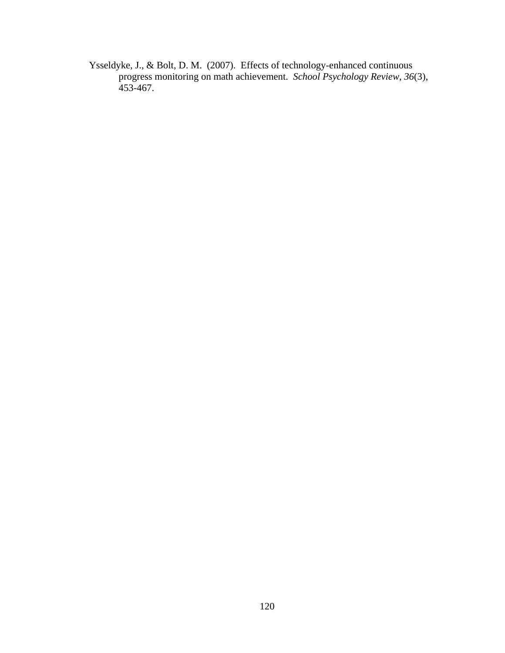Ysseldyke, J., & Bolt, D. M. (2007). Effects of technology-enhanced continuous progress monitoring on math achievement. *School Psychology Review*, *36*(3), 453-467.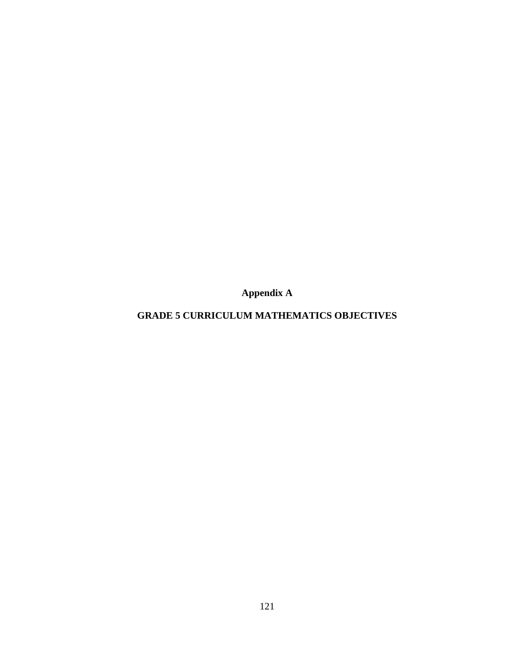**Appendix A** 

# **GRADE 5 CURRICULUM MATHEMATICS OBJECTIVES**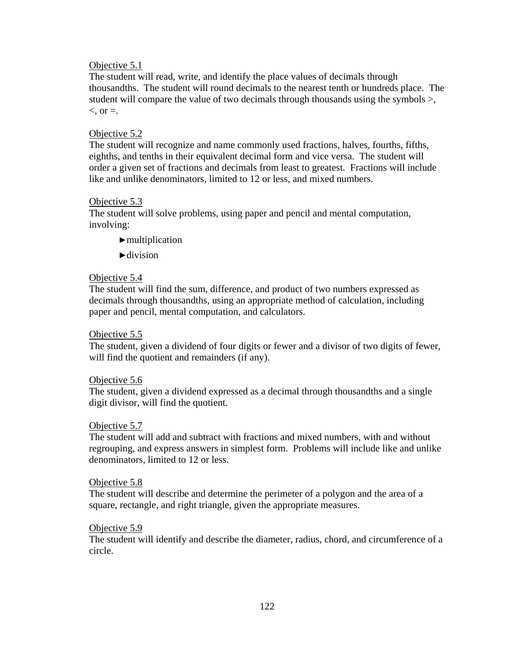# Objective 5.1

The student will read, write, and identify the place values of decimals through thousandths. The student will round decimals to the nearest tenth or hundreds place. The student will compare the value of two decimals through thousands using the symbols >,  $\lt$ , or  $=$ .

#### Objective 5.2

The student will recognize and name commonly used fractions, halves, fourths, fifths, eighths, and tenths in their equivalent decimal form and vice versa. The student will order a given set of fractions and decimals from least to greatest. Fractions will include like and unlike denominators, limited to 12 or less, and mixed numbers.

#### Objective 5.3

The student will solve problems, using paper and pencil and mental computation, involving:

- $\blacktriangleright$  multiplication
- $\blacktriangleright$ division

#### Objective 5.4

The student will find the sum, difference, and product of two numbers expressed as decimals through thousandths, using an appropriate method of calculation, including paper and pencil, mental computation, and calculators.

#### Objective 5.5

The student, given a dividend of four digits or fewer and a divisor of two digits of fewer, will find the quotient and remainders (if any).

#### Objective 5.6

The student, given a dividend expressed as a decimal through thousandths and a single digit divisor, will find the quotient.

#### Objective 5.7

The student will add and subtract with fractions and mixed numbers, with and without regrouping, and express answers in simplest form. Problems will include like and unlike denominators, limited to 12 or less.

#### Objective 5.8

The student will describe and determine the perimeter of a polygon and the area of a square, rectangle, and right triangle, given the appropriate measures.

#### Objective 5.9

The student will identify and describe the diameter, radius, chord, and circumference of a circle.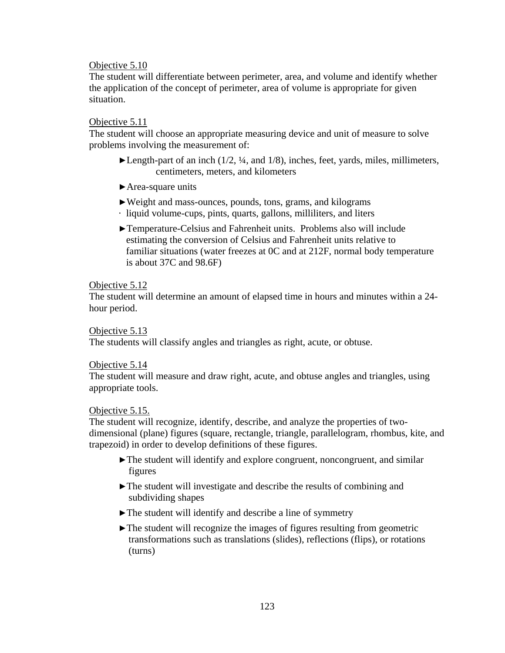# Objective 5.10

The student will differentiate between perimeter, area, and volume and identify whether the application of the concept of perimeter, area of volume is appropriate for given situation.

# Objective 5.11

The student will choose an appropriate measuring device and unit of measure to solve problems involving the measurement of:

- $\blacktriangleright$  Length-part of an inch (1/2,  $\frac{1}{4}$ , and 1/8), inches, feet, yards, miles, millimeters, centimeters, meters, and kilometers
- ▶Area-square units
- ▶Weight and mass-ounces, pounds, tons, grams, and kilograms · liquid volume-cups, pints, quarts, gallons, milliliters, and liters
- ▶Temperature-Celsius and Fahrenheit units. Problems also will include estimating the conversion of Celsius and Fahrenheit units relative to familiar situations (water freezes at 0C and at 212F, normal body temperature is about 37C and 98.6F)

# Objective 5.12

The student will determine an amount of elapsed time in hours and minutes within a 24 hour period.

Objective 5.13

The students will classify angles and triangles as right, acute, or obtuse.

Objective 5.14

The student will measure and draw right, acute, and obtuse angles and triangles, using appropriate tools.

Objective 5.15.

The student will recognize, identify, describe, and analyze the properties of twodimensional (plane) figures (square, rectangle, triangle, parallelogram, rhombus, kite, and trapezoid) in order to develop definitions of these figures.

- ▶The student will identify and explore congruent, noncongruent, and similar figures
- ▶The student will investigate and describe the results of combining and subdividing shapes
- ▶The student will identify and describe a line of symmetry
- $\blacktriangleright$  The student will recognize the images of figures resulting from geometric transformations such as translations (slides), reflections (flips), or rotations (turns)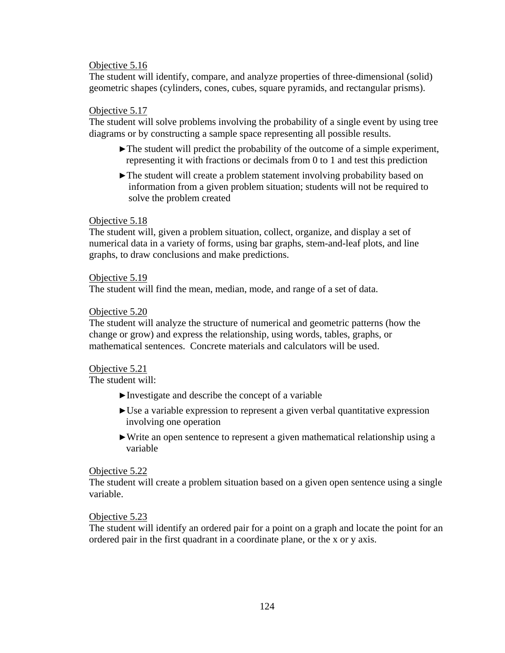# Objective 5.16

The student will identify, compare, and analyze properties of three-dimensional (solid) geometric shapes (cylinders, cones, cubes, square pyramids, and rectangular prisms).

# Objective 5.17

The student will solve problems involving the probability of a single event by using tree diagrams or by constructing a sample space representing all possible results.

- ▶The student will predict the probability of the outcome of a simple experiment, representing it with fractions or decimals from 0 to 1 and test this prediction
- ▶The student will create a problem statement involving probability based on information from a given problem situation; students will not be required to solve the problem created

# Objective 5.18

The student will, given a problem situation, collect, organize, and display a set of numerical data in a variety of forms, using bar graphs, stem-and-leaf plots, and line graphs, to draw conclusions and make predictions.

# Objective 5.19

The student will find the mean, median, mode, and range of a set of data.

# Objective 5.20

The student will analyze the structure of numerical and geometric patterns (how the change or grow) and express the relationship, using words, tables, graphs, or mathematical sentences. Concrete materials and calculators will be used.

# Objective 5.21

The student will:

- $\blacktriangleright$  Investigate and describe the concept of a variable
- $\blacktriangleright$  Use a variable expression to represent a given verbal quantitative expression involving one operation
- ▶Write an open sentence to represent a given mathematical relationship using a variable

# Objective 5.22

The student will create a problem situation based on a given open sentence using a single variable.

# Objective 5.23

The student will identify an ordered pair for a point on a graph and locate the point for an ordered pair in the first quadrant in a coordinate plane, or the x or y axis.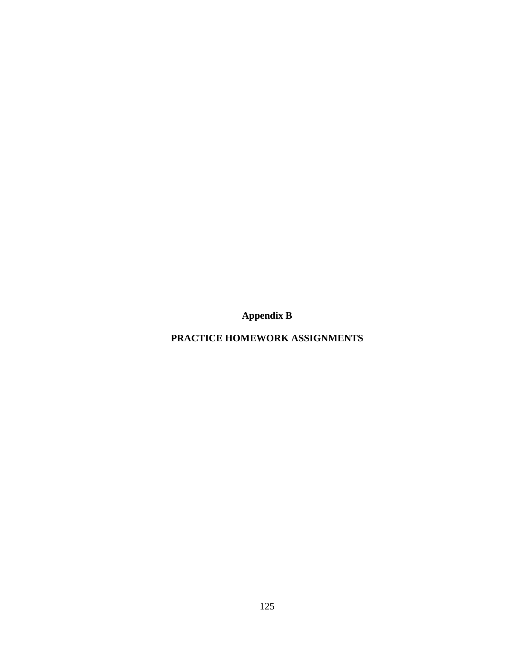**Appendix B** 

**PRACTICE HOMEWORK ASSIGNMENTS**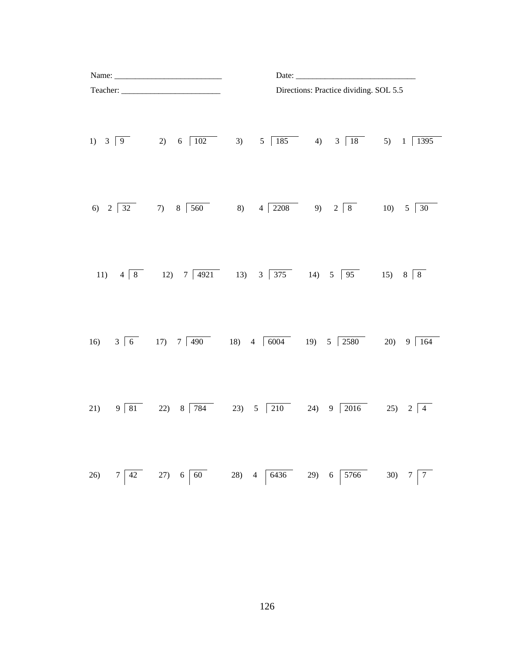|                     |                                              | Directions: Practice dividing. SOL 5.5                                                                                                                                                  |                                                                                        |                |  |  |
|---------------------|----------------------------------------------|-----------------------------------------------------------------------------------------------------------------------------------------------------------------------------------------|----------------------------------------------------------------------------------------|----------------|--|--|
| 1) $3 \overline{9}$ | 2) $6 \overline{102}$                        |                                                                                                                                                                                         | 3) $5\overline{185}$ 4) $3\overline{18}$ 5) $1\overline{1395}$                         |                |  |  |
|                     | 6) $2 \overline{)32}$ 7) 8 $\overline{)560}$ |                                                                                                                                                                                         | 8) $4\overline{)2208}$ 9) $2\overline{)8}$ 10) $5\overline{)30}$                       |                |  |  |
|                     |                                              | 11) $4 \overline{8}$ 12) $7 \overline{4921}$ 13) $3 \overline{375}$ 14) $5 \overline{95}$ 15) $8 \overline{8}$                                                                          |                                                                                        |                |  |  |
| 16)                 |                                              | $3\begin{array}{ l} 6 \\ 17 \end{array}$ $7\begin{array}{ l} 490 \\ 18 \end{array}$ $18)$ $4\begin{array}{ l} 6004 \\ 19 \end{array}$ $19)$ $5\begin{array}{ l} 2580 \\ 11 \end{array}$ |                                                                                        | $20)$ 9 164    |  |  |
| 21)                 |                                              | $9\overline{81}$ 22) $8\overline{784}$ 23) $5\overline{210}$ 24) $9\overline{2016}$                                                                                                     |                                                                                        | 25) 2   4      |  |  |
| 26)<br>$7 \mid 42$  | 27) $6 \mid 60$                              |                                                                                                                                                                                         | 28) 4 $\begin{vmatrix} 6436 & 29 \end{vmatrix}$ 6 $\begin{vmatrix} 5766 \end{vmatrix}$ | 30) $7 \mid 7$ |  |  |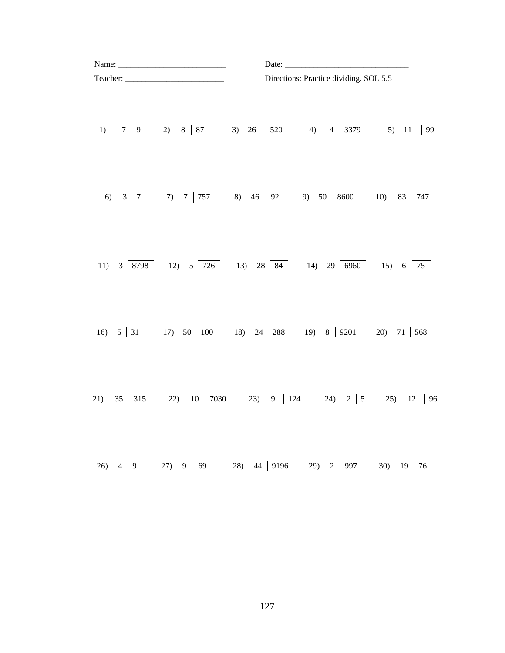|     | Directions: Practice dividing. SOL 5.5                                                                               |  |  |  |  |
|-----|----------------------------------------------------------------------------------------------------------------------|--|--|--|--|
|     | 1) $7\overline{)9}$ 2) $8\overline{)87}$ 3) $26\overline{)520}$ 4) $4\overline{)3379}$ 5) 11 $\overline{)99}$        |  |  |  |  |
|     |                                                                                                                      |  |  |  |  |
|     | 11) $3\overline{)8798}$ 12) $5\overline{)726}$ 13) $28\overline{)84}$ 14) $29\overline{)6960}$ 15) $6\overline{)75}$ |  |  |  |  |
|     |                                                                                                                      |  |  |  |  |
| 21) | 35 315 22) 10 7030 23) 9 124 24) 2 5 25) 12 96                                                                       |  |  |  |  |
| 26) | $4\overline{)9}$ 27) $9\overline{)69}$ 28) 44 $\overline{)9196}$ 29) 2 $\overline{)997}$ 30) 19 76                   |  |  |  |  |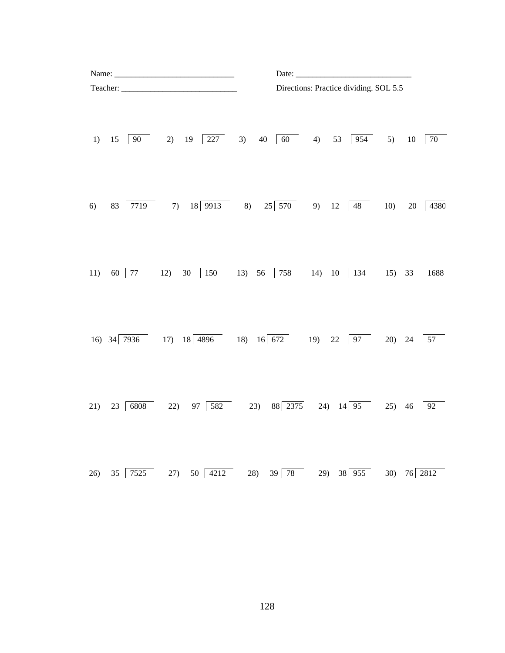|          |         |                                                                                               | Date:                                                                   |                                   |                   |  |  |
|----------|---------|-----------------------------------------------------------------------------------------------|-------------------------------------------------------------------------|-----------------------------------|-------------------|--|--|
| Teacher: |         |                                                                                               | Directions: Practice dividing. SOL 5.5                                  |                                   |                   |  |  |
| 1)       | 15 90   | $19 \overline{227}$<br>2)                                                                     | 3) 40 60                                                                | 53 954<br>4)                      | 5)<br>10 70       |  |  |
| 6)       | 83 7719 |                                                                                               | 7) $18 \overline{)9913}$ 8) $25 \overline{)570}$ 9) $12 \overline{)48}$ |                                   | 10)<br>4380<br>20 |  |  |
| 11)      | 60 77   | 12) 30 150                                                                                    |                                                                         | 13) 56 758 14) 10 134 15) 33 1688 |                   |  |  |
|          |         | 16) $34\overline{7936}$ 17) $18\overline{4896}$ 18) $16\overline{672}$ 19) 22 $\overline{97}$ |                                                                         |                                   | 20) 24   57       |  |  |
| 21)      | 23 6808 |                                                                                               | 22) 97 $\boxed{582}$ 23) 88 2375 24) 14 95                              |                                   | $25)$ 46 92       |  |  |
| 26)      | 35 7525 | 50 4212<br>27)                                                                                | 28) 39 78                                                               | 29) $38 \overline{)955}$          | 30) 76 2812       |  |  |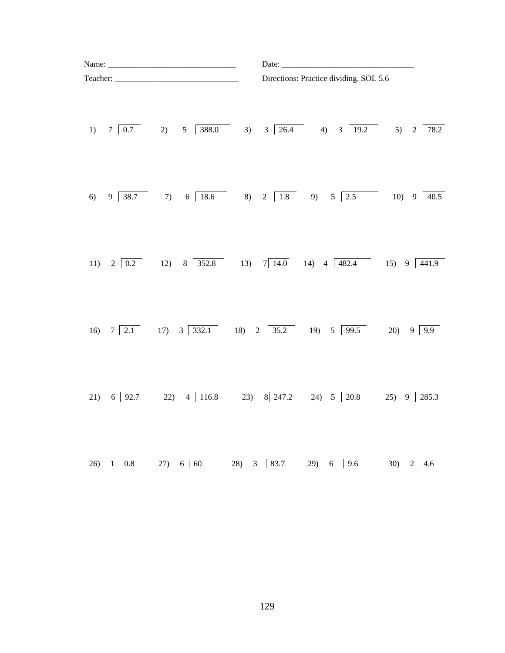|     |  |                                                                                                                                                                             | Directions: Practice dividing. SOL 5.6 |  |  |
|-----|--|-----------------------------------------------------------------------------------------------------------------------------------------------------------------------------|----------------------------------------|--|--|
|     |  | 1) 7 $\boxed{0.7}$ 2) 5 $\boxed{388.0}$ 3) 3 $\boxed{26.4}$ 4) 3 $\boxed{19.2}$ 5) 2 $\boxed{78.2}$                                                                         |                                        |  |  |
| 6)  |  | $9\overline{)38.7}$ 7) 6 18.6 8) 2 1.8 9) 5 2.5 10) 9 40.5                                                                                                                  |                                        |  |  |
|     |  | 11) $2\begin{bmatrix} 0.2 \\ 12 \end{bmatrix}$ 8 $\begin{bmatrix} 352.8 \\ 352.8 \end{bmatrix}$ 13) 7 14.0 14) 4 $\begin{bmatrix} 482.4 \\ 132.4 \end{bmatrix}$ 15) 9 441.9 |                                        |  |  |
|     |  | 16) $7\begin{array}{ c c c c c c c c c } \hline 2.1 & 17 & 3 & 332.1 & 18 & 2 & 35.2 & 19 & 5 & 99.5 & 20 & 9 & 9.9 \ \hline \end{array}$                                   |                                        |  |  |
|     |  | 21) $6\overline{)92.7}$ 22) $4\overline{)116.8}$ 23) $8\overline{)247.2}$ 24) $5\overline{)20.8}$ 25) $9\overline{)285.3}$                                                  |                                        |  |  |
| 26) |  | $1\begin{array}{ l} 0.8 \end{array}$ 27) 6 60 28) 3 83.7 29) 6 9.6 30) 2 4.6                                                                                                |                                        |  |  |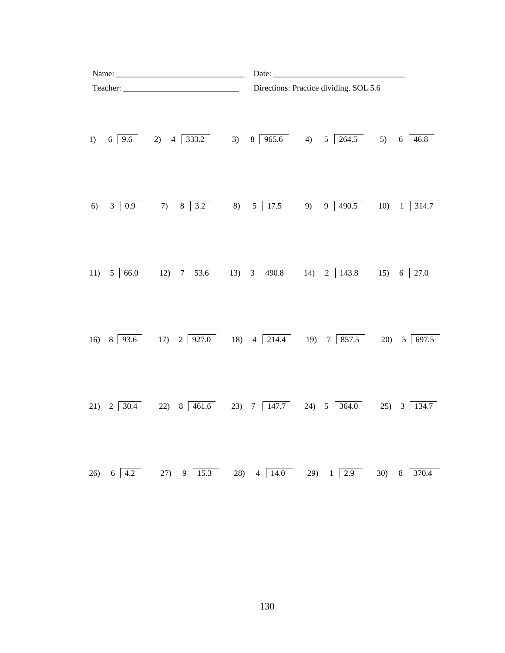|     |  |                                                                                                                                                                                                                           | Directions: Practice dividing. SOL 5.6 |  |  |  |  |  |
|-----|--|---------------------------------------------------------------------------------------------------------------------------------------------------------------------------------------------------------------------------|----------------------------------------|--|--|--|--|--|
|     |  | 1) $6\overline{)9.6}$ 2) $4\overline{)333.2}$ 3) $8\overline{)965.6}$ 4) $5\overline{)264.5}$ 5) $6\overline{)46.8}$                                                                                                      |                                        |  |  |  |  |  |
| 6)  |  | $3\begin{array}{ l} 3 \end{array}$ (0.9 7) $8\begin{array}{ l} 3.2$ (8) $5\begin{array}{ l} 17.5 \end{array}$ (9) $9\begin{array}{ l} 490.5 \end{array}$ 10) $1\begin{array}{ l} 314.7 \end{array}$                       |                                        |  |  |  |  |  |
|     |  |                                                                                                                                                                                                                           |                                        |  |  |  |  |  |
|     |  | 16) 8 $\boxed{93.6}$ 17) 2 $\boxed{927.0}$ 18) 4 $\boxed{214.4}$ 19) 7 $\boxed{857.5}$ 20) 5 697.5                                                                                                                        |                                        |  |  |  |  |  |
|     |  | 21) $2\begin{array}{ l} 30.4 \end{array}$ 22) 8 $\begin{array}{ l} 461.6 \end{array}$ 23) 7 $\begin{array}{ l} 147.7 \end{array}$ 24) 5 $\begin{array}{ l} 364.0 \end{array}$ 25) 3 $\begin{array}{ l} 134.7 \end{array}$ |                                        |  |  |  |  |  |
| 26) |  | $6 \mid 4.2$ 27) 9 15.3 28) 4 14.0 29) 1 2.9 30) 8 370.4                                                                                                                                                                  |                                        |  |  |  |  |  |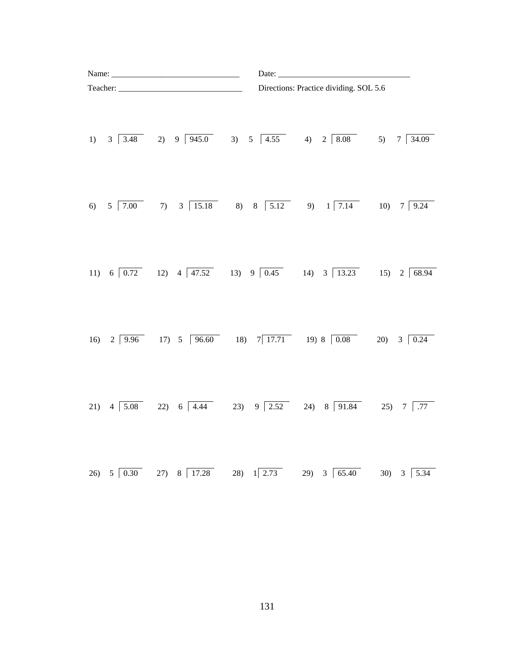|     |  |                                                                                                                            | Date: $\frac{1}{\sqrt{1-\frac{1}{2}}\cdot\frac{1}{2}}$ |                             |  |  |
|-----|--|----------------------------------------------------------------------------------------------------------------------------|--------------------------------------------------------|-----------------------------|--|--|
|     |  |                                                                                                                            | Directions: Practice dividing. SOL 5.6                 |                             |  |  |
| 1)  |  | $3\overline{)3.48}$ 2) $9\overline{)945.0}$ 3) $5\overline{)4.55}$ 4) $2\overline{)8.08}$ 5) $7\overline{)34.09}$          |                                                        |                             |  |  |
| 6)  |  |                                                                                                                            |                                                        |                             |  |  |
|     |  | 11) $6\overline{)0.72}$ 12) $4\overline{)47.52}$ 13) $9\overline{)0.45}$ 14) $3\overline{)13.23}$ 15) $2\overline{)68.94}$ |                                                        |                             |  |  |
| 16) |  | 2 $\boxed{9.96}$ 17) 5 $\boxed{96.60}$ 18) 7 17.71 19) 8 $\boxed{0.08}$                                                    |                                                        | 20) 3 $\boxed{0.24}$        |  |  |
| 21) |  | $4\overline{)5.08}$ 22) 6 4.44 23) 9 2.52 24) 8 91.84 25) 7 7.77                                                           |                                                        |                             |  |  |
|     |  |                                                                                                                            |                                                        | 30)<br>$3 \overline{)5.34}$ |  |  |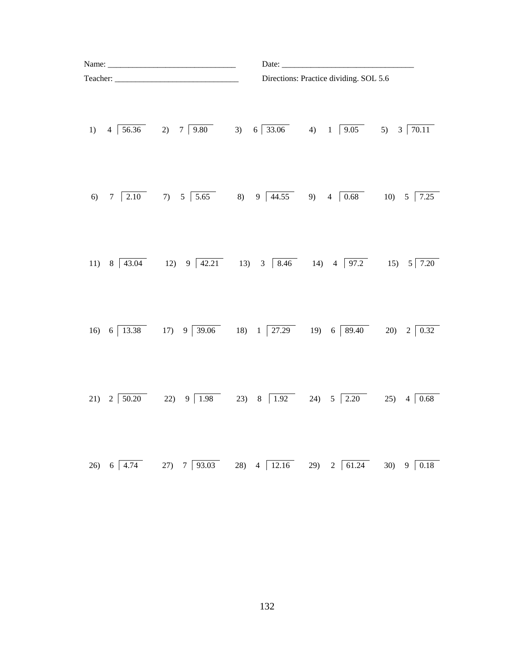|    |  |                                                                                                                                                                                                                      | Date: $\frac{1}{\sqrt{1-\frac{1}{2}}\cdot\frac{1}{2}}$ |  |  |  |  |
|----|--|----------------------------------------------------------------------------------------------------------------------------------------------------------------------------------------------------------------------|--------------------------------------------------------|--|--|--|--|
|    |  |                                                                                                                                                                                                                      | Directions: Practice dividing. SOL 5.6                 |  |  |  |  |
| 1) |  | $4\overline{)56.36}$ 2) $7\overline{)9.80}$ 3) $6\overline{)33.06}$ 4) $1\overline{)9.05}$ 5) $3\overline{)70.11}$                                                                                                   |                                                        |  |  |  |  |
| 6) |  | 7 $\boxed{2.10}$ 7) 5 $\boxed{5.65}$ 8) 9 $\boxed{44.55}$ 9) 4 $\boxed{0.68}$ 10) 5 $\boxed{7.25}$                                                                                                                   |                                                        |  |  |  |  |
|    |  | 11) 8 $\boxed{43.04}$ 12) 9 $\boxed{42.21}$ 13) 3 $\boxed{8.46}$ 14) 4 $\boxed{97.2}$ 15) 5 7.20                                                                                                                     |                                                        |  |  |  |  |
|    |  | 16) 6 $\boxed{13.38}$ 17) 9 $\boxed{39.06}$ 18) 1 $\boxed{27.29}$ 19) 6 $\boxed{89.40}$ 20) 2 $\boxed{0.32}$                                                                                                         |                                                        |  |  |  |  |
|    |  |                                                                                                                                                                                                                      |                                                        |  |  |  |  |
|    |  | 26) $6\begin{array}{ l} 4.74 \end{array}$ 27) $7\begin{array}{ l} 93.03 \end{array}$ 28) $4\begin{array}{ l} 12.16 \end{array}$ 29) $2\begin{array}{ l} 61.24 \end{array}$ 30) $9\begin{array}{ l} 0.18 \end{array}$ |                                                        |  |  |  |  |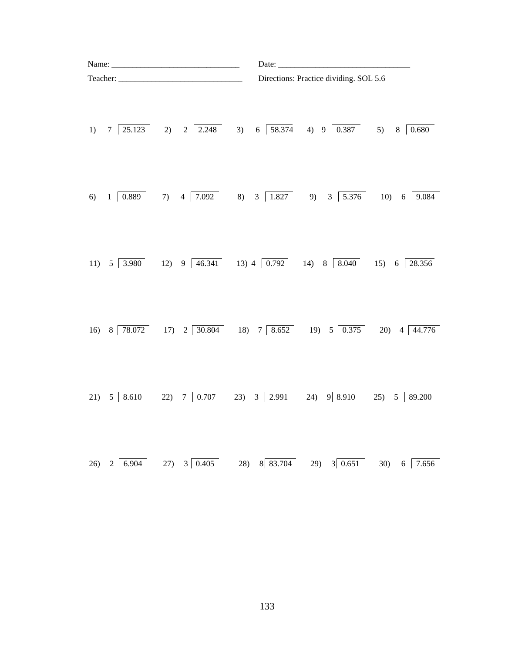|  |                                                                                                                                                                                                 | Directions: Practice dividing. SOL 5.6 |  |
|--|-------------------------------------------------------------------------------------------------------------------------------------------------------------------------------------------------|----------------------------------------|--|
|  | 1) 7 $\boxed{25.123}$ 2) 2 $\boxed{2.248}$ 3) 6 $\boxed{58.374}$ 4) 9 $\boxed{0.387}$ 5) 8 $\boxed{0.680}$                                                                                      |                                        |  |
|  |                                                                                                                                                                                                 |                                        |  |
|  |                                                                                                                                                                                                 |                                        |  |
|  | 16) 8 78.072 17) 2 30.804 18) 7 8.652 19) 5 0.375 20) 4 44.776                                                                                                                                  |                                        |  |
|  |                                                                                                                                                                                                 |                                        |  |
|  | 26) $2\begin{array}{ l} \hline 6.904 \end{array}$ 27) $3\begin{array}{ l} 0.405 \end{array}$ 28) $8\begin{array}{ l} 83.704 \end{array}$ 29) $3\begin{array}{ l} 0.651 \end{array}$ 30) 6 7.656 |                                        |  |

133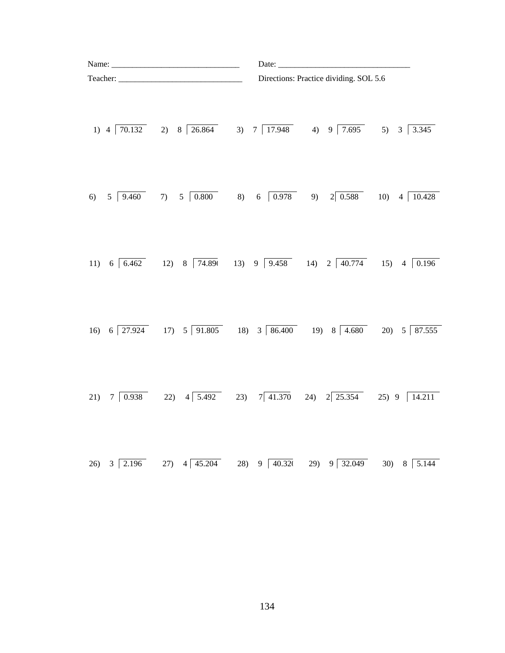|     |                                                                                                                            |  | Date: $\frac{1}{\sqrt{1-\frac{1}{2}}\sqrt{1-\frac{1}{2}}\sqrt{1-\frac{1}{2}}\sqrt{1-\frac{1}{2}}\sqrt{1-\frac{1}{2}}\sqrt{1-\frac{1}{2}}\sqrt{1-\frac{1}{2}}\sqrt{1-\frac{1}{2}}\sqrt{1-\frac{1}{2}}\sqrt{1-\frac{1}{2}}\sqrt{1-\frac{1}{2}}\sqrt{1-\frac{1}{2}}\sqrt{1-\frac{1}{2}}\sqrt{1-\frac{1}{2}}\sqrt{1-\frac{1}{2}}\sqrt{1-\frac{1}{2}}\sqrt{1-\frac{1}{2}}\sqrt{1-\frac{1}{2}}\sqrt{1-\frac{1}{2}}$ |  |
|-----|----------------------------------------------------------------------------------------------------------------------------|--|---------------------------------------------------------------------------------------------------------------------------------------------------------------------------------------------------------------------------------------------------------------------------------------------------------------------------------------------------------------------------------------------------------------|--|
|     |                                                                                                                            |  | Directions: Practice dividing. SOL 5.6                                                                                                                                                                                                                                                                                                                                                                        |  |
|     |                                                                                                                            |  |                                                                                                                                                                                                                                                                                                                                                                                                               |  |
|     |                                                                                                                            |  |                                                                                                                                                                                                                                                                                                                                                                                                               |  |
|     |                                                                                                                            |  |                                                                                                                                                                                                                                                                                                                                                                                                               |  |
|     | 16) 6 27.924 17) 5 91.805 18) 3 86.400 19) 8 4.680 20) 5 87.555                                                            |  |                                                                                                                                                                                                                                                                                                                                                                                                               |  |
|     | 21) 7 $\boxed{0.938}$ 22) 4 $\boxed{5.492}$ 23) 7 41.370 24) 2 25.354 25) 9 14.211                                         |  |                                                                                                                                                                                                                                                                                                                                                                                                               |  |
| 26) | $3\overline{)2.196}$ 27) $4\overline{)45.204}$ 28) $9\overline{)40.32}$ 29) $9\overline{)32.049}$ 30) $8\overline{)5.144}$ |  |                                                                                                                                                                                                                                                                                                                                                                                                               |  |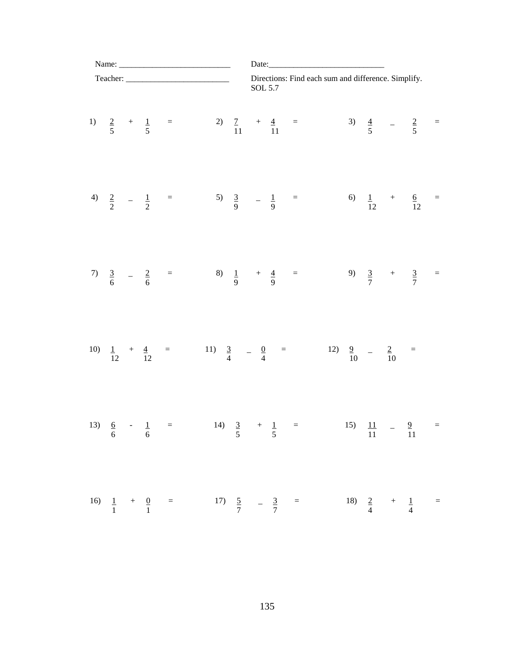|     |                |                |  |                                                                         |             |         |                | Date:                                                                 |                                                                                                                |     |             |     |                                    |                   |
|-----|----------------|----------------|--|-------------------------------------------------------------------------|-------------|---------|----------------|-----------------------------------------------------------------------|----------------------------------------------------------------------------------------------------------------|-----|-------------|-----|------------------------------------|-------------------|
|     |                |                |  |                                                                         |             | SOL 5.7 |                |                                                                       | Directions: Find each sum and difference. Simplify.                                                            |     |             |     |                                    |                   |
|     |                |                |  | 1) $\frac{2}{5}$ + $\frac{1}{5}$ = 2) $\frac{7}{11}$ + $\frac{4}{11}$ = |             |         |                |                                                                       |                                                                                                                |     |             |     | 3) $\frac{4}{5}$ $-\frac{2}{5}$ =  |                   |
|     |                |                |  |                                                                         |             |         |                |                                                                       | 4) $\frac{2}{2}$ – $\frac{1}{2}$ = 5) $\frac{3}{9}$ – $\frac{1}{9}$ = 6) $\frac{1}{12}$ + $\frac{6}{12}$ =     |     |             |     |                                    |                   |
|     |                |                |  |                                                                         |             |         |                | 7) $\frac{3}{6}$ - $\frac{2}{6}$ = 8) $\frac{1}{9}$ + $\frac{4}{9}$ = |                                                                                                                |     |             |     | 9) $\frac{3}{7}$ + $\frac{3}{7}$ = |                   |
| 10) |                |                |  |                                                                         |             |         |                |                                                                       | $\frac{1}{12} + \frac{4}{12} =$ 11) $\frac{3}{4} - \frac{0}{4} =$ 12) $\frac{9}{10} - \frac{2}{10} =$          |     |             |     |                                    |                   |
|     |                |                |  |                                                                         |             |         |                |                                                                       | 13) $\frac{6}{6}$ - $\frac{1}{6}$ = 14) $\frac{3}{5}$ + $\frac{1}{5}$ = 15) $\frac{11}{11}$ - $\frac{9}{11}$ = |     |             |     |                                    |                   |
| 16) | $\overline{1}$ | $+\frac{0}{1}$ |  | $=$ 17)                                                                 | $rac{5}{7}$ |         | $-\frac{3}{7}$ | $\equiv$                                                              |                                                                                                                | 18) | $rac{2}{4}$ | $+$ | $\frac{1}{4}$                      | $\equiv$ $\equiv$ |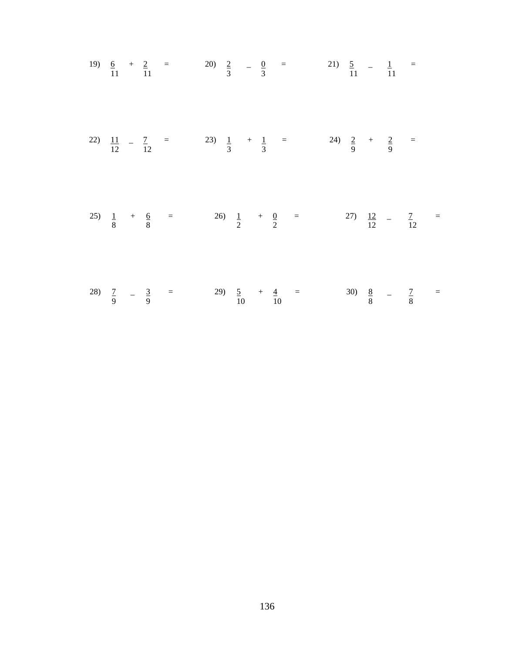|  |  | 19) $\frac{6}{11} + \frac{2}{11} = 20$ $\frac{2}{3} - \frac{0}{3} = 21$ $\frac{5}{11} - \frac{1}{11} =$        |  |  |  |  |  |  |
|--|--|----------------------------------------------------------------------------------------------------------------|--|--|--|--|--|--|
|  |  | 22) $\frac{11}{12}$ - $\frac{7}{12}$ = 23) $\frac{1}{3}$ + $\frac{1}{3}$ = 24) $\frac{2}{9}$ + $\frac{2}{9}$ = |  |  |  |  |  |  |
|  |  | 25) $\frac{1}{8}$ + $\frac{6}{8}$ = 26) $\frac{1}{2}$ + $\frac{0}{2}$ = 27) $\frac{12}{12}$ - $\frac{7}{12}$ = |  |  |  |  |  |  |
|  |  | 28) $\frac{7}{9}$ $\frac{3}{9}$ = 29) $\frac{5}{10}$ + $\frac{4}{10}$ = 30) $\frac{8}{8}$ $\frac{7}{8}$ =      |  |  |  |  |  |  |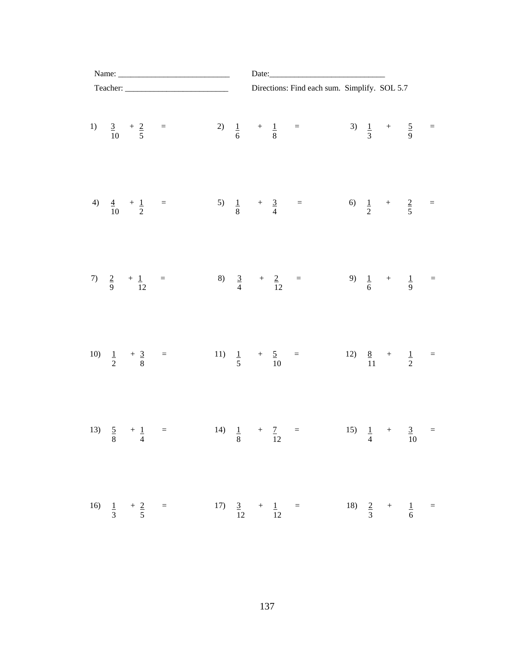|     |               | Name: $\frac{1}{\sqrt{1-\frac{1}{2}}\sqrt{1-\frac{1}{2}}\left(1-\frac{1}{2}\right)}$ |                                   |  |  | Date: |                                                                                                       |  |  |                                      |  |
|-----|---------------|--------------------------------------------------------------------------------------|-----------------------------------|--|--|-------|-------------------------------------------------------------------------------------------------------|--|--|--------------------------------------|--|
|     |               | Teacher:                                                                             |                                   |  |  |       | Directions: Find each sum. Simplify. SOL 5.7                                                          |  |  |                                      |  |
|     |               |                                                                                      | 1) $\frac{3}{10} + \frac{2}{5} =$ |  |  |       | 2) $\frac{1}{6}$ + $\frac{1}{8}$ =                                                                    |  |  | 3) $\frac{1}{3}$ + $\frac{5}{9}$ =   |  |
|     |               |                                                                                      |                                   |  |  |       | 4) $\frac{4}{10} + \frac{1}{2} = 5$ $\frac{1}{8} + \frac{3}{4} = 6$ $\frac{1}{2} + \frac{2}{5} =$     |  |  |                                      |  |
|     |               |                                                                                      |                                   |  |  |       | 7) $\frac{2}{9} + \frac{1}{12} = 8$ $\frac{3}{4} + \frac{2}{12} = 9$ $\frac{1}{6} + \frac{1}{9} =$    |  |  |                                      |  |
|     |               |                                                                                      |                                   |  |  |       | 10) $\frac{1}{2} + \frac{3}{8} = 11$ $\frac{1}{5} + \frac{5}{10} =$                                   |  |  | 12) $\frac{8}{11}$ + $\frac{1}{2}$ = |  |
|     |               |                                                                                      |                                   |  |  |       | 13) $\frac{5}{8} + \frac{1}{4} = 14$ $\frac{1}{8} + \frac{7}{12} = 15$ $\frac{1}{4} + \frac{3}{10} =$ |  |  |                                      |  |
| 16) | $\frac{1}{3}$ |                                                                                      |                                   |  |  |       | $+2/5$ = 17) $\frac{3}{12}$ + $\frac{1}{12}$ =                                                        |  |  | 18) $\frac{2}{3}$ + $\frac{1}{6}$ =  |  |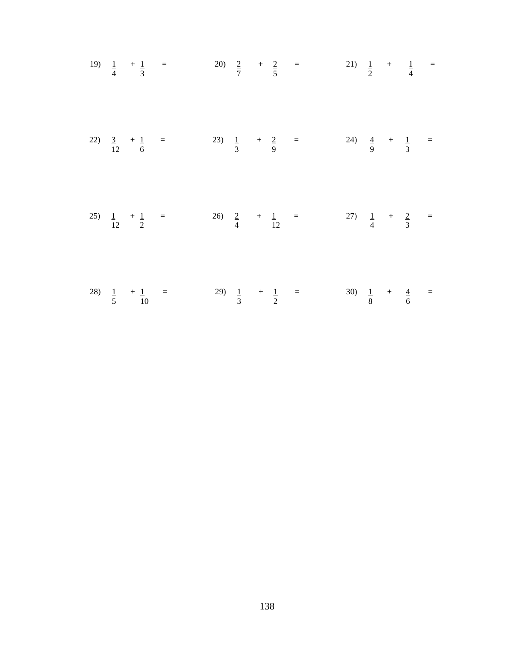|  |  | 19) $\frac{1}{4} + \frac{1}{3} = 20$ $\frac{2}{7} + \frac{2}{5} = 21$ $\frac{1}{2} + \frac{1}{4} =$   |  |  |  |  |  |  |
|--|--|-------------------------------------------------------------------------------------------------------|--|--|--|--|--|--|
|  |  | 22) $\frac{3}{12} + \frac{1}{6} = 23$ $\frac{1}{3} + \frac{2}{9} = 24$ $\frac{4}{9} + \frac{1}{3} =$  |  |  |  |  |  |  |
|  |  | 25) $\frac{1}{12} + \frac{1}{2} = 26$ $\frac{2}{4} + \frac{1}{12} = 27$ $\frac{1}{4} + \frac{2}{3} =$ |  |  |  |  |  |  |
|  |  | 28) $\frac{1}{5} + \frac{1}{10} = 29$ $\frac{1}{3} + \frac{1}{2} = 30$ $\frac{1}{8} + \frac{4}{6} =$  |  |  |  |  |  |  |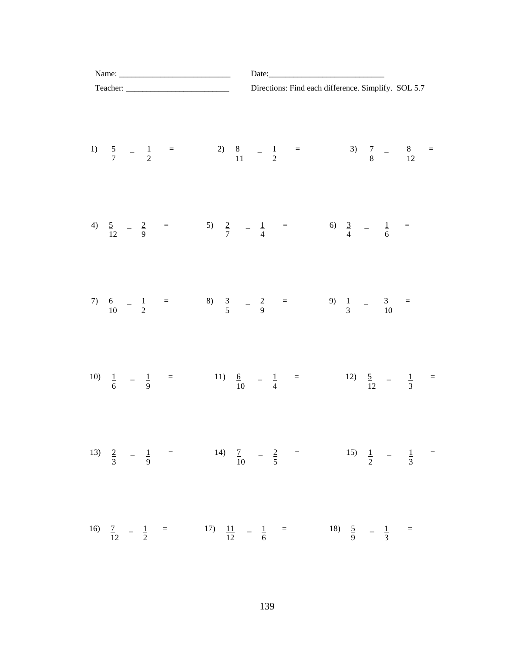|  |  |  |                                                                                                        |  |  |  |  |  |  |  | Directions: Find each difference. Simplify. SOL 5.7                                                           |  |
|--|--|--|--------------------------------------------------------------------------------------------------------|--|--|--|--|--|--|--|---------------------------------------------------------------------------------------------------------------|--|
|  |  |  |                                                                                                        |  |  |  |  |  |  |  | 1) $\frac{5}{7}$ $\frac{1}{2}$ = 2) $\frac{8}{11}$ $\frac{1}{2}$ = 3) $\frac{7}{8}$ $\frac{8}{12}$ =          |  |
|  |  |  | 4) $\frac{5}{12}$ $\frac{2}{9}$ = 5) $\frac{2}{7}$ $\frac{1}{4}$ = 6) $\frac{3}{4}$ $\frac{1}{6}$ =    |  |  |  |  |  |  |  |                                                                                                               |  |
|  |  |  | 7) $\frac{6}{10} - \frac{1}{2} = 8$ $\frac{3}{5} - \frac{2}{9} = 9$ $\frac{1}{3} - \frac{3}{10} =$     |  |  |  |  |  |  |  |                                                                                                               |  |
|  |  |  |                                                                                                        |  |  |  |  |  |  |  | 10) $\frac{1}{6}$ - $\frac{1}{9}$ = 11) $\frac{6}{10}$ - $\frac{1}{4}$ = 12) $\frac{5}{12}$ - $\frac{1}{3}$ = |  |
|  |  |  |                                                                                                        |  |  |  |  |  |  |  | 13) $\frac{2}{3}$ $-\frac{1}{9}$ = 14) $\frac{7}{10}$ $-\frac{2}{5}$ = 15) $\frac{1}{2}$ $-\frac{1}{3}$ =     |  |
|  |  |  | 16) $\frac{7}{12} - \frac{1}{2} = 17$ $\frac{11}{12} - \frac{1}{6} = 18$ $\frac{5}{9} - \frac{1}{3} =$ |  |  |  |  |  |  |  |                                                                                                               |  |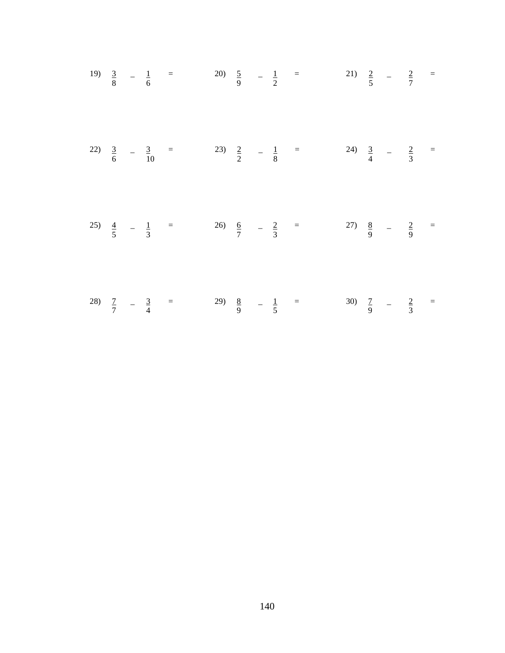|  |  | 19) $\frac{3}{8}$ - $\frac{1}{6}$ = 20) $\frac{5}{9}$ - $\frac{1}{2}$ = 21) $\frac{2}{5}$ - $\frac{2}{7}$ =  |  |  |  |  |  |  |
|--|--|--------------------------------------------------------------------------------------------------------------|--|--|--|--|--|--|
|  |  | 22) $\frac{3}{6}$ - $\frac{3}{10}$ = 23) $\frac{2}{2}$ - $\frac{1}{8}$ = 24) $\frac{3}{4}$ - $\frac{2}{3}$ = |  |  |  |  |  |  |
|  |  | 25) $\frac{4}{5}$ - $\frac{1}{3}$ = 26) $\frac{6}{7}$ - $\frac{2}{3}$ = 27) $\frac{8}{9}$ - $\frac{2}{9}$ =  |  |  |  |  |  |  |
|  |  | 28) $\frac{7}{7}$ $\frac{3}{4}$ = 29) $\frac{8}{9}$ $\frac{1}{5}$ = 30) $\frac{7}{9}$ $\frac{2}{3}$ =        |  |  |  |  |  |  |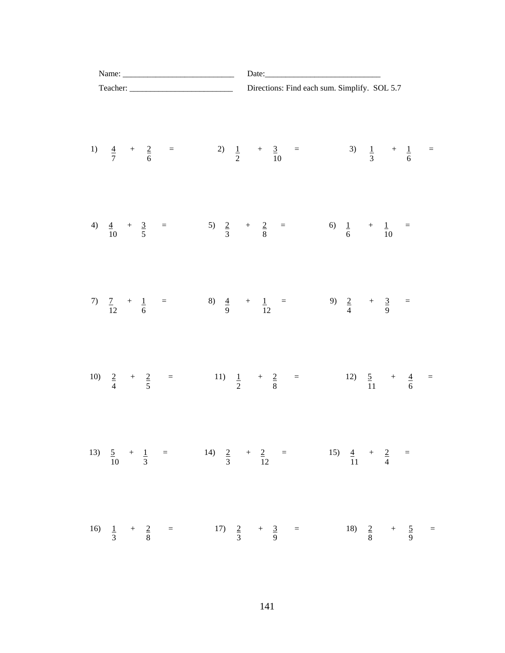|                   | Name: $\frac{1}{\sqrt{1-\frac{1}{2}}\sqrt{1-\frac{1}{2}}\sqrt{1-\frac{1}{2}}\sqrt{1-\frac{1}{2}}\sqrt{1-\frac{1}{2}}\sqrt{1-\frac{1}{2}}\sqrt{1-\frac{1}{2}}\sqrt{1-\frac{1}{2}}\sqrt{1-\frac{1}{2}}\sqrt{1-\frac{1}{2}}\sqrt{1-\frac{1}{2}}\sqrt{1-\frac{1}{2}}\sqrt{1-\frac{1}{2}}\sqrt{1-\frac{1}{2}}\sqrt{1-\frac{1}{2}}\sqrt{1-\frac{1}{2}}\sqrt{1-\frac{1}{2}}\sqrt{1-\frac{1}{2}}\sqrt{1-\frac{1}{2}}$ |  |  |                                                                                                         |  |  |  |  |  | Date: |  |                  |  |                                              |  |
|-------------------|---------------------------------------------------------------------------------------------------------------------------------------------------------------------------------------------------------------------------------------------------------------------------------------------------------------------------------------------------------------------------------------------------------------|--|--|---------------------------------------------------------------------------------------------------------|--|--|--|--|--|-------|--|------------------|--|----------------------------------------------|--|
|                   |                                                                                                                                                                                                                                                                                                                                                                                                               |  |  |                                                                                                         |  |  |  |  |  |       |  |                  |  | Directions: Find each sum. Simplify. SOL 5.7 |  |
|                   |                                                                                                                                                                                                                                                                                                                                                                                                               |  |  | 1) $\frac{4}{7} + \frac{2}{6} =$ 2) $\frac{1}{2} + \frac{3}{10} =$ 3) $\frac{1}{3} + \frac{1}{6} =$     |  |  |  |  |  |       |  |                  |  |                                              |  |
| 4)                |                                                                                                                                                                                                                                                                                                                                                                                                               |  |  | $\frac{4}{10}$ + $\frac{3}{5}$ = 5) $\frac{2}{3}$ + $\frac{2}{8}$ = 6) $\frac{1}{6}$ + $\frac{1}{10}$ = |  |  |  |  |  |       |  |                  |  |                                              |  |
|                   |                                                                                                                                                                                                                                                                                                                                                                                                               |  |  | 7) $\frac{7}{12} + \frac{1}{6} = 8$ $\frac{4}{9} + \frac{1}{12} = 9$ $\frac{2}{4} + \frac{3}{9} =$      |  |  |  |  |  |       |  |                  |  |                                              |  |
|                   |                                                                                                                                                                                                                                                                                                                                                                                                               |  |  | 10) $\frac{2}{4} + \frac{2}{5} = 11$ $\frac{1}{2} + \frac{2}{8} = 12$ $\frac{5}{11} + \frac{4}{6} =$    |  |  |  |  |  |       |  |                  |  |                                              |  |
|                   |                                                                                                                                                                                                                                                                                                                                                                                                               |  |  | 13) $\frac{5}{10} + \frac{1}{3} = 14$ $\frac{2}{3} + \frac{2}{12} = 15$ $\frac{4}{11} + \frac{2}{4} =$  |  |  |  |  |  |       |  |                  |  |                                              |  |
| 16) $\frac{1}{3}$ |                                                                                                                                                                                                                                                                                                                                                                                                               |  |  | $+\frac{2}{8}$ = 17) $\frac{2}{3}$                                                                      |  |  |  |  |  |       |  | $+\frac{3}{9}$ = |  | 18) $\frac{2}{8}$ + $\frac{5}{9}$ =          |  |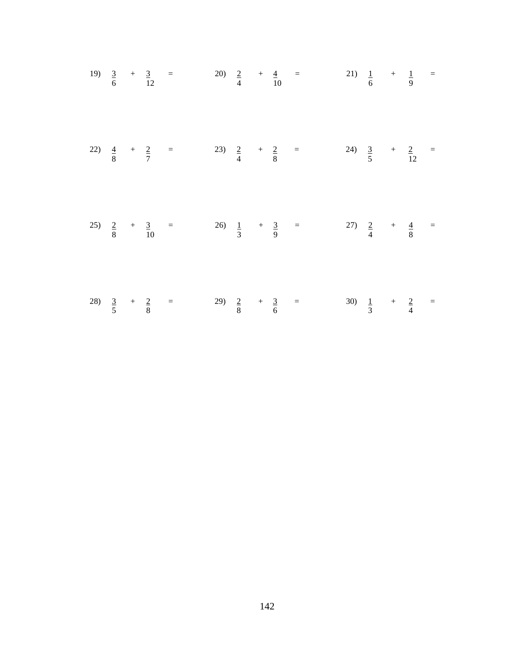|  |  | 19) $\frac{3}{6}$ + $\frac{3}{12}$ = 20) $\frac{2}{4}$ + $\frac{4}{10}$ = 21) $\frac{1}{6}$ + $\frac{1}{9}$ = |  |  |  |  |  |  |
|--|--|---------------------------------------------------------------------------------------------------------------|--|--|--|--|--|--|
|  |  | 22) $\frac{4}{8}$ + $\frac{2}{7}$ = 23) $\frac{2}{4}$ + $\frac{2}{8}$ = 24) $\frac{3}{5}$ + $\frac{2}{12}$ =  |  |  |  |  |  |  |
|  |  | 25) $\frac{2}{8}$ + $\frac{3}{10}$ = 26) $\frac{1}{3}$ + $\frac{3}{9}$ = 27) $\frac{2}{4}$ + $\frac{4}{8}$ =  |  |  |  |  |  |  |
|  |  | 28) $\frac{3}{5}$ + $\frac{2}{8}$ = 29) $\frac{2}{8}$ + $\frac{3}{6}$ = 30) $\frac{1}{3}$ + $\frac{2}{4}$ =   |  |  |  |  |  |  |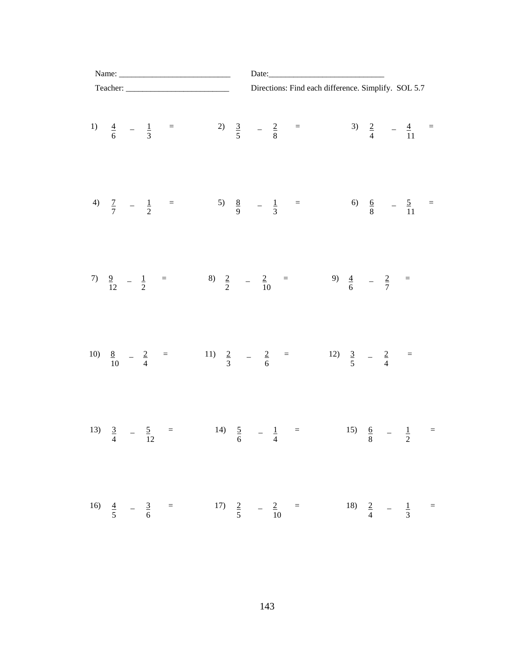|     |             |  | Teacher: |  |                                                      |  |  |  | Directions: Find each difference. Simplify. SOL 5.7                                                          |  |                                    |  |
|-----|-------------|--|----------|--|------------------------------------------------------|--|--|--|--------------------------------------------------------------------------------------------------------------|--|------------------------------------|--|
|     |             |  |          |  |                                                      |  |  |  | 1) $\frac{4}{6}$ $\frac{1}{3}$ = 2) $\frac{3}{5}$ $\frac{2}{8}$ = 3) $\frac{2}{4}$ $\frac{4}{11}$ =          |  |                                    |  |
|     |             |  |          |  |                                                      |  |  |  | 4) $\frac{7}{7}$ $\frac{1}{2}$ = 5) $\frac{8}{9}$ $\frac{1}{3}$ = 6) $\frac{6}{8}$ $\frac{5}{11}$ =          |  |                                    |  |
|     |             |  |          |  |                                                      |  |  |  | 7) $\frac{9}{12}$ $-\frac{1}{2}$ = 8) $\frac{2}{2}$ $-\frac{2}{10}$ = 9) $\frac{4}{6}$ $-\frac{2}{7}$ =      |  |                                    |  |
|     |             |  |          |  |                                                      |  |  |  | 10) $\frac{8}{10}$ - $\frac{2}{4}$ = 11) $\frac{2}{3}$ - $\frac{2}{6}$ = 12) $\frac{3}{5}$ - $\frac{2}{4}$ = |  |                                    |  |
|     |             |  |          |  |                                                      |  |  |  | 13) $\frac{3}{4}$ - $\frac{5}{12}$ = 14) $\frac{5}{6}$ - $\frac{1}{4}$ = 15) $\frac{6}{8}$ - $\frac{1}{2}$ = |  |                                    |  |
| 16) | $rac{4}{5}$ |  |          |  | $-\frac{3}{6}$ = 17) $\frac{2}{5}$ $-\frac{2}{10}$ = |  |  |  |                                                                                                              |  | 18) $\frac{2}{4}$ $-\frac{1}{3}$ = |  |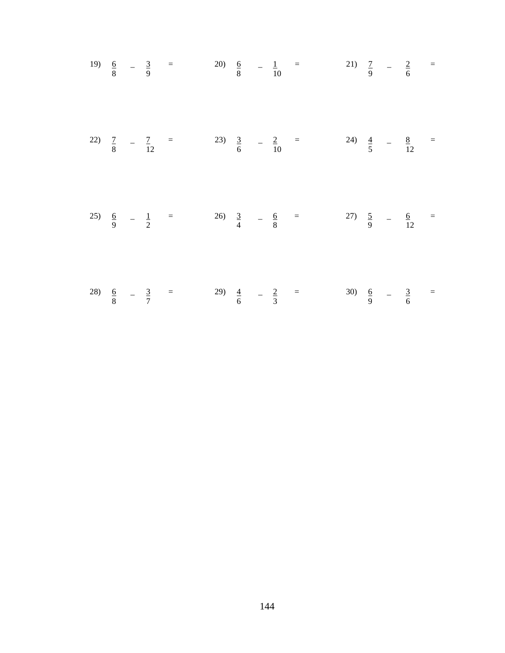|  |  |  |  |  | 19) $\frac{6}{8}$ - $\frac{3}{9}$ = 20) $\frac{6}{8}$ - $\frac{1}{10}$ = 21) $\frac{7}{9}$ - $\frac{2}{6}$ =   |  |  |  |
|--|--|--|--|--|----------------------------------------------------------------------------------------------------------------|--|--|--|
|  |  |  |  |  | 22) $\frac{7}{8}$ - $\frac{7}{12}$ = 23) $\frac{3}{6}$ - $\frac{2}{10}$ = 24) $\frac{4}{5}$ - $\frac{8}{12}$ = |  |  |  |
|  |  |  |  |  | 25) $\frac{6}{9}$ $-\frac{1}{2}$ = 26) $\frac{3}{4}$ $-\frac{6}{8}$ = 27) $\frac{5}{9}$ $-\frac{6}{12}$ =      |  |  |  |
|  |  |  |  |  | 28) $\frac{6}{8}$ - $\frac{3}{7}$ = 29) $\frac{4}{6}$ - $\frac{2}{3}$ = 30) $\frac{6}{9}$ - $\frac{3}{6}$ =    |  |  |  |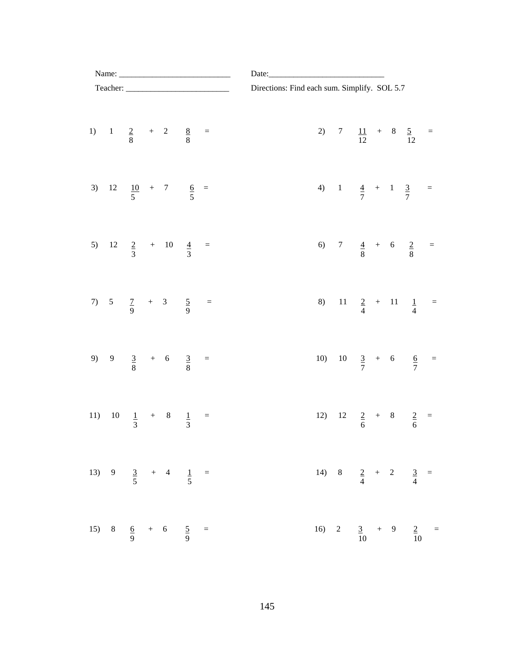|                                          | Name: $\frac{1}{\sqrt{1-\frac{1}{2}}\cdot\frac{1}{2}}$ |  |                   |                                       | Date:         |  |  |  |                                              |  |     |                |  |                    |                                           |                  |
|------------------------------------------|--------------------------------------------------------|--|-------------------|---------------------------------------|---------------|--|--|--|----------------------------------------------|--|-----|----------------|--|--------------------|-------------------------------------------|------------------|
| Teacher:                                 |                                                        |  |                   |                                       |               |  |  |  | Directions: Find each sum. Simplify. SOL 5.7 |  |     |                |  |                    |                                           |                  |
| 1) $1 \tfrac{2}{8}$ + 2 $\tfrac{8}{8}$ = |                                                        |  |                   |                                       |               |  |  |  |                                              |  |     |                |  |                    | 2) 7 $\frac{11}{12}$ + 8 $\frac{5}{12}$ = |                  |
| 3) 12 $\frac{10}{5}$ + 7 $\frac{6}{5}$ = |                                                        |  |                   |                                       |               |  |  |  |                                              |  |     |                |  |                    | 4) 1 $\frac{4}{7}$ + 1 $\frac{3}{7}$ =    |                  |
| 5)                                       |                                                        |  |                   | $12 \frac{2}{3}$ + 10 $\frac{4}{3}$ = |               |  |  |  |                                              |  |     |                |  |                    | 6) 7 $\frac{4}{8}$ + 6 $\frac{2}{8}$ =    |                  |
| 7) $5 \frac{7}{9} + 3 \frac{5}{9} =$     |                                                        |  |                   |                                       |               |  |  |  |                                              |  |     |                |  |                    | 8) 11 $\frac{2}{4}$ + 11 $\frac{1}{4}$ =  |                  |
| 9) 9 $\frac{3}{8}$ + 6 $\frac{3}{8}$ =   |                                                        |  |                   |                                       |               |  |  |  |                                              |  | 10) |                |  |                    | $10 \frac{3}{7} + 6 \frac{6}{7} =$        |                  |
| 11)                                      |                                                        |  |                   | $10 \frac{1}{3} + 8 \frac{1}{3} =$    |               |  |  |  |                                              |  | 12) |                |  |                    | $12 \frac{2}{6} + 8 \frac{2}{6} =$        |                  |
| 13) 9 $\frac{3}{5}$ + 4 $\frac{1}{5}$ =  |                                                        |  |                   |                                       |               |  |  |  |                                              |  |     |                |  |                    | 14) 8 $\frac{2}{4}$ + 2 $\frac{3}{4}$ =   |                  |
| 15)                                      | $\boldsymbol{8}$                                       |  | $\frac{6}{9}$ + 6 |                                       | $rac{5}{9}$ = |  |  |  |                                              |  | 16) | $\overline{c}$ |  | $\frac{3}{10}$ + 9 |                                           | $\frac{2}{10}$ = |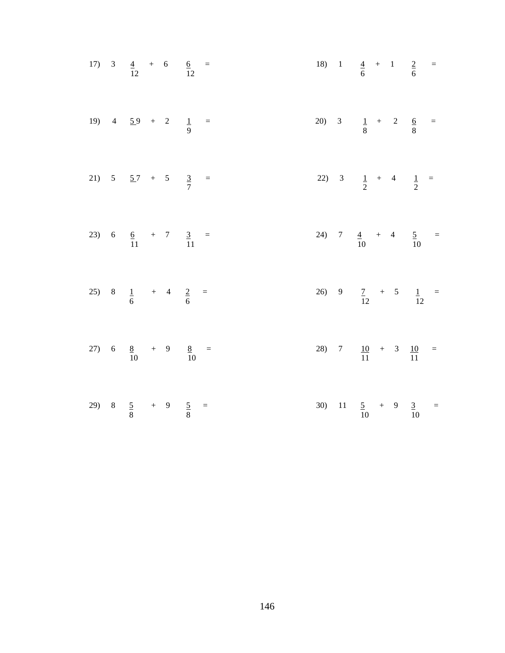| $17)$ | $\frac{4}{12}$ + 6 $\frac{6}{12}$ =       |  |  |     |  |  | 18) 1 $\frac{4}{6}$ + 1 $\frac{2}{6}$ =     |  |
|-------|-------------------------------------------|--|--|-----|--|--|---------------------------------------------|--|
|       | 19) 4 $\frac{59}{9}$ + 2 $\frac{1}{9}$ =  |  |  |     |  |  | 20) 3 $\frac{1}{8}$ + 2 $\frac{6}{8}$ =     |  |
| $21)$ | $5 \frac{57}{7} + 5 \frac{3}{7} =$        |  |  | 22) |  |  | $3 \frac{1}{2} + 4 \frac{1}{2} =$           |  |
| 23)   | 6 $\frac{6}{11}$ + 7 $\frac{3}{11}$ =     |  |  | 24) |  |  | $7 \frac{4}{10} + 4 \frac{5}{10} =$         |  |
| 25)   | $8 \frac{1}{6}$ + 4 $\frac{2}{6}$ =       |  |  |     |  |  | 26) 9 $\frac{7}{12}$ + 5 $\frac{1}{12}$ =   |  |
|       | 27) 6 $\frac{8}{10}$ + 9 $\frac{8}{10}$ = |  |  |     |  |  | 28) 7 $\frac{10}{11}$ + 3 $\frac{10}{11}$ = |  |
| 29)   | $8 \frac{5}{8} + 9 \frac{5}{8} =$         |  |  | 30) |  |  | $\frac{5}{10} + 9 \frac{3}{10} =$           |  |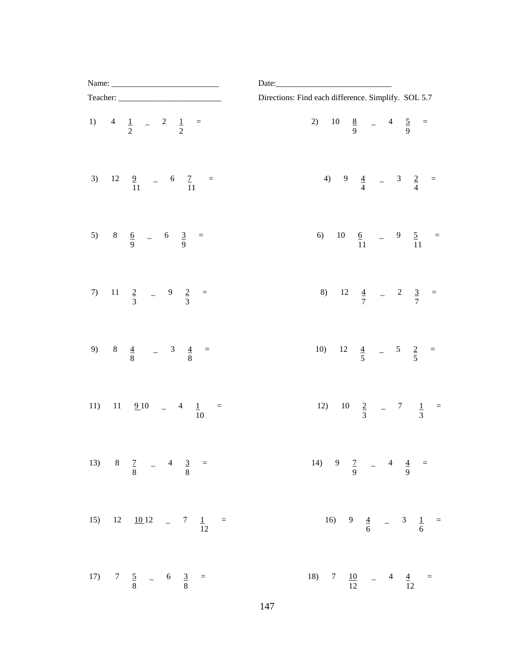|     |       |                                                            |  |  |                  |  | Date: $\overline{\phantom{a}}$ |  |                                                     |  |                                            |  |  |  |                                           |
|-----|-------|------------------------------------------------------------|--|--|------------------|--|--------------------------------|--|-----------------------------------------------------|--|--------------------------------------------|--|--|--|-------------------------------------------|
|     |       | Teacher:                                                   |  |  |                  |  |                                |  | Directions: Find each difference. Simplify. SOL 5.7 |  |                                            |  |  |  |                                           |
|     |       | 1) 4 $\frac{1}{2}$ - 2 $\frac{1}{2}$ =                     |  |  |                  |  |                                |  |                                                     |  | 2) 10 $\frac{8}{9}$ - 4 $\frac{5}{9}$ =    |  |  |  |                                           |
|     | 3) 12 | $\frac{9}{11}$ - 6 $\frac{7}{11}$ =                        |  |  |                  |  |                                |  |                                                     |  | 4) 9 $\frac{4}{4}$ - 3 $\frac{2}{4}$ =     |  |  |  |                                           |
|     |       | 5) 8 $\frac{6}{9}$ - 6 $\frac{3}{9}$ =                     |  |  |                  |  |                                |  |                                                     |  |                                            |  |  |  | 6) 10 $\frac{6}{11}$ - 9 $\frac{5}{11}$ = |
| 7)  |       | $\frac{11}{3}$ $\frac{2}{3}$ $\frac{9}{3}$ $\frac{2}{3}$ = |  |  |                  |  |                                |  |                                                     |  | 8) 12 $\frac{4}{7}$ - 2 $\frac{3}{7}$ =    |  |  |  |                                           |
| 9)  |       | $8 \frac{4}{8} - 3 \frac{4}{8} =$                          |  |  |                  |  |                                |  |                                                     |  | 10) 12 $\frac{4}{5}$ - 5 $\frac{2}{5}$ =   |  |  |  |                                           |
| 11) |       | $11 \quad \underline{9}10 \quad - \quad 4$                 |  |  | $\frac{1}{10}$ = |  |                                |  |                                                     |  |                                            |  |  |  | 12) 10 $\frac{2}{3}$ - 7 $\frac{1}{3}$ =  |
|     |       | 13) 8 $\frac{7}{8}$ - 4 $\frac{3}{8}$ =                    |  |  |                  |  |                                |  |                                                     |  | 14) 9 $\frac{7}{9}$ - 4 $\frac{4}{9}$ =    |  |  |  |                                           |
| 15) |       | 12 $\frac{10}{12}$ - 7 $\frac{1}{12}$ =                    |  |  |                  |  |                                |  |                                                     |  |                                            |  |  |  | 16) 9 $\frac{4}{6}$ - 3 $\frac{1}{6}$ =   |
| 17) |       | $7 \frac{5}{8}$ - 6 $\frac{3}{8}$ =                        |  |  |                  |  |                                |  |                                                     |  | 18) 7 $\frac{10}{12}$ - 4 $\frac{4}{12}$ = |  |  |  |                                           |

147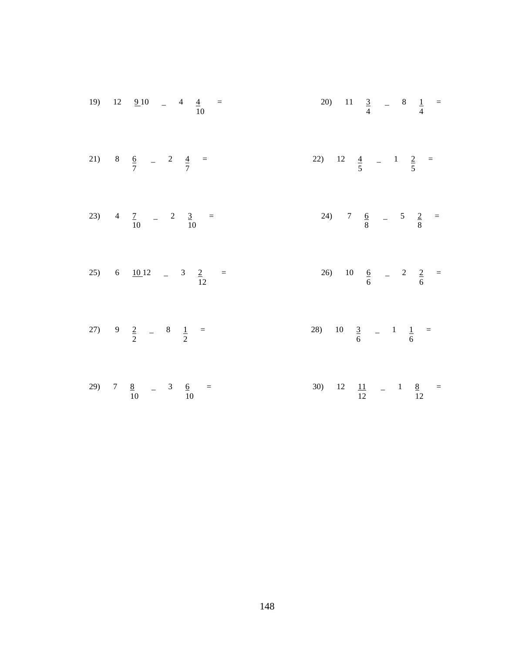|  | 19) 12 $\frac{9}{10}$ - 4 $\frac{4}{10}$ = | 20) 11 $\frac{3}{4}$ - 8 $\frac{1}{4}$ =    |
|--|--------------------------------------------|---------------------------------------------|
|  | 21) 8 $\frac{6}{7}$ - 2 $\frac{4}{7}$ =    | 22) 12 $\frac{4}{5}$ - 1 $\frac{2}{5}$ =    |
|  | 23) 4 $\frac{7}{10}$ - 2 $\frac{3}{10}$ =  | 24) 7 $\frac{6}{8}$ - 5 $\frac{2}{8}$ =     |
|  | 25) 6 $\frac{10}{12}$ - 3 $\frac{2}{12}$ = | 26) 10 $\frac{6}{6}$ - 2 $\frac{2}{6}$ =    |
|  | 27) 9 $\frac{2}{2}$ - 8 $\frac{1}{2}$ =    | 28) 10 $\frac{3}{6}$ - 1 $\frac{1}{6}$ =    |
|  | 29) 7 $\frac{8}{10}$ - 3 $\frac{6}{10}$ =  | 30) 12 $\frac{11}{12}$ - 1 $\frac{8}{12}$ = |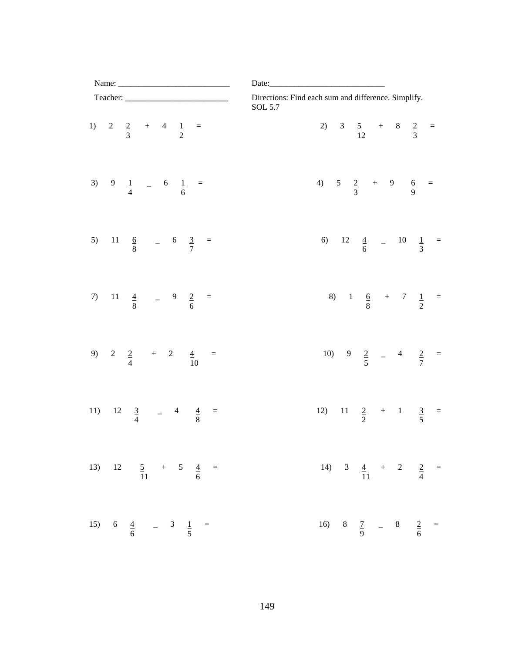|     | Name: $\frac{1}{\sqrt{1-\frac{1}{2}}\cdot\frac{1}{2}}$ |                                                                                    |  |  |  | Date:                                                          |                                          |  |  |  |
|-----|--------------------------------------------------------|------------------------------------------------------------------------------------|--|--|--|----------------------------------------------------------------|------------------------------------------|--|--|--|
|     | Teacher:                                               |                                                                                    |  |  |  | Directions: Find each sum and difference. Simplify.<br>SOL 5.7 |                                          |  |  |  |
|     | 1) 2 $\frac{2}{3}$ + 4 $\frac{1}{2}$ =                 |                                                                                    |  |  |  |                                                                | 2) 3 $\frac{5}{12}$ + 8 $\frac{2}{3}$ =  |  |  |  |
|     | 3) 9 $\frac{1}{4}$ - 6 $\frac{1}{6}$ =                 |                                                                                    |  |  |  |                                                                | 4) $5 \frac{2}{3} + 9 \frac{6}{9} =$     |  |  |  |
| 5)  |                                                        | $\frac{11}{8}$ $\frac{6}{7}$ $\frac{3}{7}$ =                                       |  |  |  |                                                                | 6) 12 $\frac{4}{6}$ - 10 $\frac{1}{3}$ = |  |  |  |
| 7)  |                                                        | $\begin{array}{cccc} 11 & \frac{4}{8} & - & \frac{9}{6} & \frac{2}{6} \end{array}$ |  |  |  |                                                                | 8) 1 $\frac{6}{8}$ + 7 $\frac{1}{2}$ =   |  |  |  |
|     | 9) 2 $\frac{2}{4}$ + 2 $\frac{4}{10}$ =                |                                                                                    |  |  |  |                                                                | 10) 9 $\frac{2}{5}$ - 4 $\frac{2}{7}$ =  |  |  |  |
| 11) |                                                        | $12 \frac{3}{4}$ $-4 \frac{4}{8}$                                                  |  |  |  |                                                                | 12) 11 $\frac{2}{2}$ + 1 $\frac{3}{5}$ = |  |  |  |
|     | 13) 12 $\frac{5}{11}$ + 5 $\frac{4}{6}$ =              |                                                                                    |  |  |  |                                                                | 14) 3 $\frac{4}{11}$ + 2 $\frac{2}{4}$ = |  |  |  |
|     | 15) 6 $\frac{4}{6}$ - 3 $\frac{1}{5}$ =                |                                                                                    |  |  |  |                                                                | 16) 8 $\frac{7}{9}$ - 8 $\frac{2}{6}$ =  |  |  |  |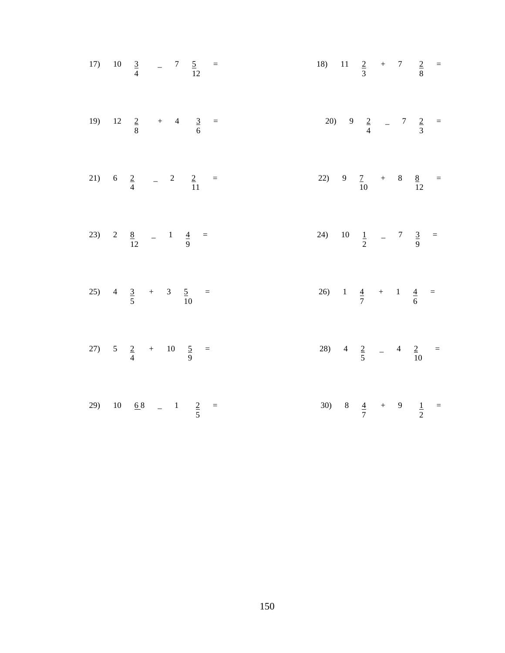| 17) |  |  | $10 \frac{3}{4} - 7 \frac{5}{12} =$        |                                          | 18) 11 $\frac{2}{3}$ + 7 $\frac{2}{8}$ =  |  |  |
|-----|--|--|--------------------------------------------|------------------------------------------|-------------------------------------------|--|--|
| 19) |  |  | $12 \quad \frac{2}{8}$ + 4 $\frac{3}{6}$ = |                                          | 20) 9 $\frac{2}{4}$ - 7 $\frac{2}{3}$ =   |  |  |
| 21) |  |  | $6 \frac{2}{4}$ $- \frac{2}{11}$ =         |                                          | 22) 9 $\frac{7}{10}$ + 8 $\frac{8}{12}$ = |  |  |
| 23) |  |  | $\frac{8}{12}$ - 1 $\frac{4}{9}$ =         | 24) 10 $\frac{1}{2}$ - 7 $\frac{3}{9}$ = |                                           |  |  |
| 25) |  |  | $4 \frac{3}{5} + 3 \frac{5}{10} =$         | 26)                                      | $1 \frac{4}{7}$ + $1 \frac{4}{6}$ =       |  |  |
| 27) |  |  | $5\frac{2}{4}$ + 10 $\frac{5}{9}$ =        |                                          | 28) $4 \frac{2}{5}$ $- 4 \frac{2}{10}$ =  |  |  |
| 29) |  |  | $10 \t 68 - 1 \t 2 =$                      |                                          | 30) 8 $\frac{4}{7}$ + 9 $\frac{1}{2}$ =   |  |  |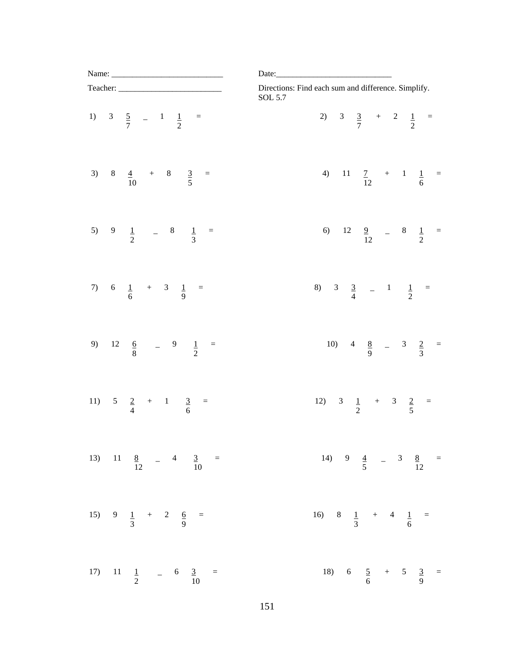| Name: $\frac{1}{\sqrt{1-\frac{1}{2}} \cdot \frac{1}{2}}$         | Date:                                                          |
|------------------------------------------------------------------|----------------------------------------------------------------|
| Teacher:                                                         | Directions: Find each sum and difference. Simplify.<br>SOL 5.7 |
| 1) 3 $\frac{5}{7}$ - 1 $\frac{1}{2}$ =                           | 2) 3 $\frac{3}{7}$ + 2 $\frac{1}{2}$ =                         |
| 3) 8 $\frac{4}{10}$ + 8 $\frac{3}{5}$ =                          | 4) $11 \t\t \frac{7}{12}$ + 1 $\frac{1}{6}$ =                  |
| 5) 9 $\frac{1}{2}$ - 8 $\frac{1}{3}$ =                           | 6) $12 \frac{9}{12}$ - 8 $\frac{1}{2}$ =                       |
| 7) 6 $\frac{1}{6}$ + 3 $\frac{1}{9}$ =                           | 8) 3 $\frac{3}{4}$ - 1 $\frac{1}{2}$ =                         |
| $\frac{12}{8}$ $\frac{6}{8}$ $\frac{9}{2}$ $\frac{1}{2}$ =<br>9) | 10) 4 $\frac{8}{9}$ - 3 $\frac{2}{3}$ =                        |
| 11) $5\frac{2}{4}$ + 1 $\frac{3}{6}$ =                           | 12) 3 $\frac{1}{2}$ + 3 $\frac{2}{5}$ =                        |
| 13) 11 $\frac{8}{12}$ - 4 $\frac{3}{10}$ =                       | 14) 9 $\frac{4}{5}$ - 3 $\frac{8}{12}$ =                       |
| 15) 9 $\frac{1}{3}$ + 2 $\frac{6}{9}$ =                          | 16) 8 $\frac{1}{3}$ + 4 $\frac{1}{6}$ =                        |
| 17)<br>$\frac{11}{2}$ $\frac{1}{2}$ $\frac{6}{10}$ =             | 18) 6 $\frac{5}{6}$ + 5 $\frac{3}{9}$ =                        |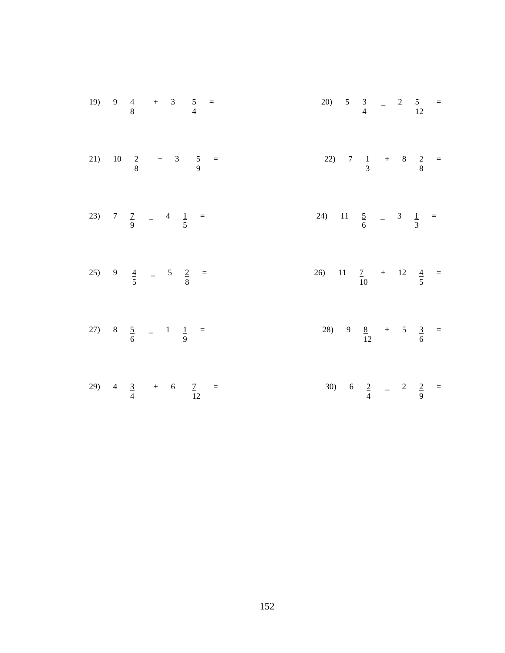|     | 19) 9 $\frac{4}{8}$ + 3 $\frac{5}{4}$ =  |  |  |     | 20) 5 $\frac{3}{4}$ - 2 $\frac{5}{12}$ =                        |  |  |
|-----|------------------------------------------|--|--|-----|-----------------------------------------------------------------|--|--|
|     | 21) 10 $\frac{2}{8}$ + 3 $\frac{5}{9}$ = |  |  |     | 22) 7 $\frac{1}{3}$ + 8 $\frac{2}{8}$ =                         |  |  |
|     | 23) 7 $\frac{7}{9}$ - 4 $\frac{1}{5}$ =  |  |  |     | 24) 11 $\frac{5}{6}$ - 3 $\frac{1}{3}$ =                        |  |  |
|     | 25) 9 $\frac{4}{5}$ - 5 $\frac{2}{8}$ =  |  |  | 26) | $\frac{11}{10}$ $\frac{7}{10}$ + $\frac{12}{5}$ $\frac{4}{5}$ = |  |  |
|     | 27) 8 $\frac{5}{6}$ - 1 $\frac{1}{9}$ =  |  |  |     | 28) 9 $\frac{8}{12}$ + 5 $\frac{3}{6}$ =                        |  |  |
| 29) | $4 \frac{3}{4} + 6 \frac{7}{12} =$       |  |  | 30) | $6 \frac{2}{4}$ - 2 $\frac{2}{9}$ =                             |  |  |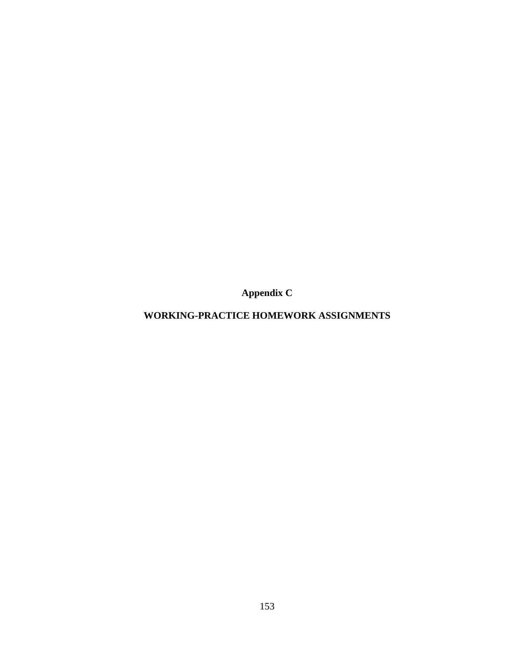**Appendix C** 

## **WORKING-PRACTICE HOMEWORK ASSIGNMENTS**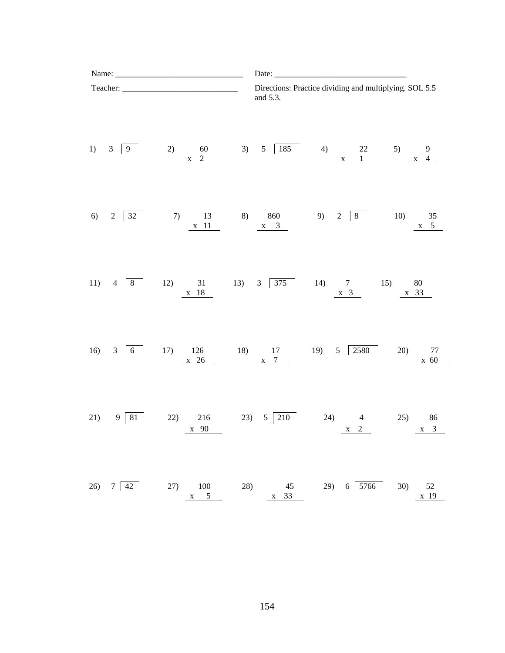|     |                  |                                |                                       | Date: $\frac{1}{\sqrt{1-\frac{1}{2}} \cdot \frac{1}{2}}$         |                                                 |  |  |  |  |  |  |  |
|-----|------------------|--------------------------------|---------------------------------------|------------------------------------------------------------------|-------------------------------------------------|--|--|--|--|--|--|--|
|     |                  |                                | and 5.3.                              | Directions: Practice dividing and multiplying. SOL 5.5           |                                                 |  |  |  |  |  |  |  |
| 1)  | $3 \quad 9$      |                                |                                       | 2) 60 3) 5 185 4) 22 5) 9<br>$x$ 2<br>$x$ 1 $x$ 4                |                                                 |  |  |  |  |  |  |  |
|     |                  | $x$ 11                         | $\begin{array}{c} x \\ 3 \end{array}$ | 6) $2 \overline{)32}$ 7) 13 8) 860 9) $2 \overline{)8}$ 10) 35   | $x \quad 5$                                     |  |  |  |  |  |  |  |
|     |                  | $x$ 18                         |                                       | 11) $4 \overline{8}$ 12) 31 13) 3 375 14) 7 15)<br>$\frac{x}{3}$ | 80<br>$\begin{array}{c} x \quad 33 \end{array}$ |  |  |  |  |  |  |  |
|     |                  | $x \quad 26$                   | $\begin{array}{c} x \\ 7 \end{array}$ | 16) 3 $\boxed{6}$ 17) 126 18) 17 19) 5 2580                      | 20)<br>77<br>x 60                               |  |  |  |  |  |  |  |
|     |                  |                                |                                       | 21) 9 81 22) 216 23) 5 210 24) 4 25) 86<br>x 90                  |                                                 |  |  |  |  |  |  |  |
| 26) | $7 \mid 42 \mid$ | 27)<br>100<br>5<br>$\mathbf X$ | 28)<br>45<br>x 33                     | $6\overline{5766}$<br>29)                                        | 30)<br>52<br>x 19                               |  |  |  |  |  |  |  |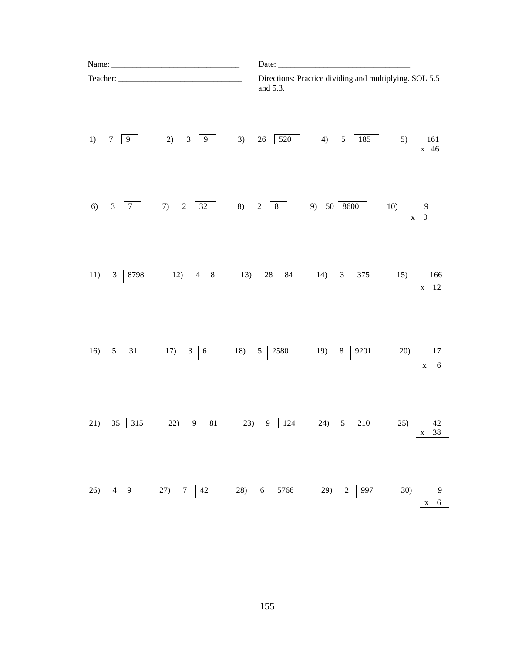|     |                |                                                                                                                                                                                |     | Date: $\frac{1}{\sqrt{1-\frac{1}{2}} \cdot \frac{1}{2}}$           |     |                       |       |                         |  |  |  |
|-----|----------------|--------------------------------------------------------------------------------------------------------------------------------------------------------------------------------|-----|--------------------------------------------------------------------|-----|-----------------------|-------|-------------------------|--|--|--|
|     | Teacher:       |                                                                                                                                                                                |     | Directions: Practice dividing and multiplying. SOL 5.5<br>and 5.3. |     |                       |       |                         |  |  |  |
| 1)  | $7 \mid 9$     | 2) $3 \boxed{9}$                                                                                                                                                               | 3)  | $26\overline{520}$ 4) 5 185                                        |     |                       | 5)    | 161<br>x 46             |  |  |  |
| 6)  | $3 \mid 7$     | 7) $2 \overline{)32}$ 8) $2 \overline{)8}$ 9) $50 \overline{)8600}$                                                                                                            |     |                                                                    |     |                       | 10) 9 | $x \quad 0$             |  |  |  |
| 11) | $\mathfrak{Z}$ |                                                                                                                                                                                |     |                                                                    |     |                       | 15)   | 166<br>x 12             |  |  |  |
| 16) | $5 \mid 31$    | 17) $3\begin{array}{ l} \hline 6 \\ \hline \end{array}$ 18) $5\begin{array}{ l} \hline 2580 \\ \hline \end{array}$ 19) 8 $\begin{array}{ l} \hline 9201 \\ \hline \end{array}$ |     |                                                                    |     |                       |       | 20) 17<br>$x \quad 6$   |  |  |  |
| 21) | 315<br>35      | $\mathbf{9}$<br>22)<br>81                                                                                                                                                      | 23) | 124<br>9                                                           | 24) | $\sqrt{5}$<br>$210\,$ | 25)   | 42<br>38<br>$\mathbf X$ |  |  |  |
|     |                | 26) $4\overline{)9}$ 27) $7\overline{)42}$ 28) $6\overline{)5766}$ 29) $2\overline{)997}$                                                                                      |     |                                                                    |     |                       |       | 30) 9<br>$x = 6$        |  |  |  |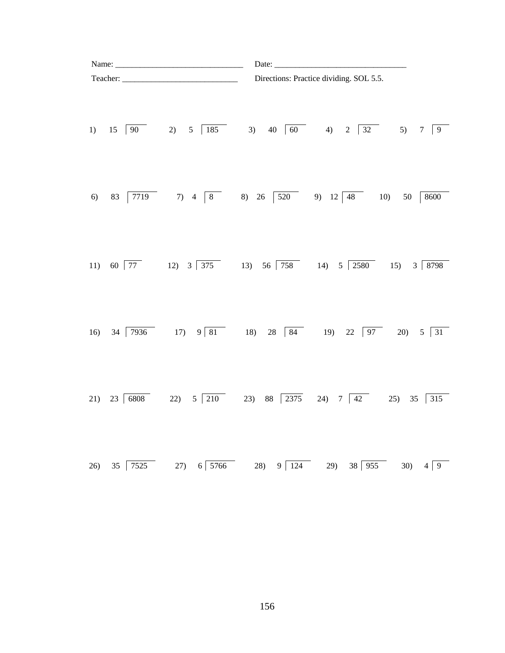|     |            | Date: $\frac{1}{\sqrt{1-\frac{1}{2}} \cdot \frac{1}{2}}$ |                                                                                               |                 |  |  |  |  |  |
|-----|------------|----------------------------------------------------------|-----------------------------------------------------------------------------------------------|-----------------|--|--|--|--|--|
|     |            |                                                          | Directions: Practice dividing. SOL 5.5.                                                       |                 |  |  |  |  |  |
| 1)  | $15 \t 90$ |                                                          | 2) $5\begin{array}{ c c c c c } \hline 185 & 3) & 40 & 60 & 4) & 2 & 32 \ \hline \end{array}$ | 5) $7   9$      |  |  |  |  |  |
| 6)  | 83         |                                                          |                                                                                               |                 |  |  |  |  |  |
| 11) |            |                                                          | 60 $\boxed{77}$ 12) 3 $\boxed{375}$ 13) 56 $\boxed{758}$ 14) 5 $\boxed{2580}$ 15) 3 8798      |                 |  |  |  |  |  |
| 16) | 34 7936    |                                                          | 17) $9\overline{81}$ 18) 28 $\overline{84}$ 19) 22 $\overline{97}$                            | 20) $5 \mid 31$ |  |  |  |  |  |
| 21) |            |                                                          | 23 $\boxed{6808}$ 22) 5 210 23) 88 2375 24) 7 42<br>$25)$ 35 315                              |                 |  |  |  |  |  |
| 26) |            |                                                          | 35 $\boxed{7525}$ 27) 6 $\boxed{5766}$ 28) 9 $\boxed{124}$ 29) 38 $\boxed{955}$<br>30)        | $4 \mid 9$      |  |  |  |  |  |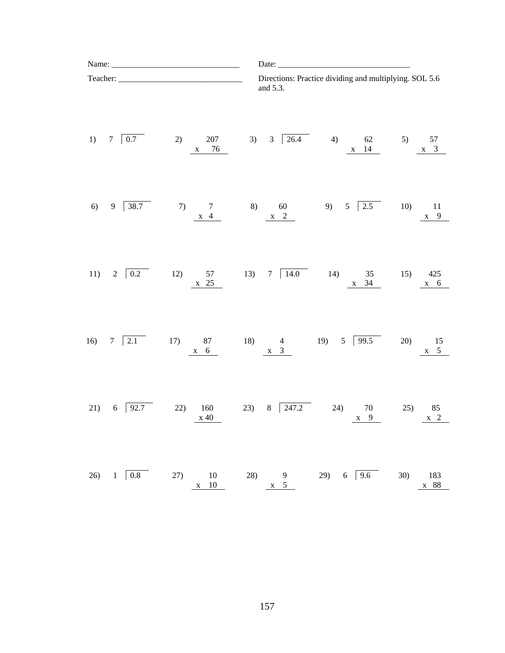|                            |                                        | Date: $\frac{1}{\sqrt{1-\frac{1}{2}}\cdot\frac{1}{2}}$                                   |  |  |  |  |  |  |  |
|----------------------------|----------------------------------------|------------------------------------------------------------------------------------------|--|--|--|--|--|--|--|
|                            |                                        | Directions: Practice dividing and multiplying. SOL 5.6<br>and 5.3.                       |  |  |  |  |  |  |  |
| $7\overline{0.7}$<br>1)    | 207<br>2)<br>76<br>$\mathbf X$         | $3 \overline{)26.4}$<br>4)<br>3)<br>62<br>57<br>5)<br>x 14<br>$x \quad 3$                |  |  |  |  |  |  |  |
| 38.7<br>$\mathbf{9}$<br>6) | 7)<br>$\tau$<br>$x \quad 4$            | 60<br>8)<br>9)<br>5 <sup>1</sup><br>2.5<br>10)<br>11<br>$x \quad 9$<br>$x \quad 2$       |  |  |  |  |  |  |  |
| $2\sqrt{0.2}$<br>11)       | 12)<br>57<br>x 25                      | 13) $7 \overline{)14.0}$<br>14)<br>35<br>15)<br>425<br>34<br>$x \quad 6$<br>$\mathbf{X}$ |  |  |  |  |  |  |  |
| 16)<br>$7 \mid 2.1$        | 17)<br>87<br>$x \quad 6$               | 19) $5 \overline{)99.5}$<br>18) 4<br>20)<br>15<br>$x \quad 3$<br>$x \quad 5$             |  |  |  |  |  |  |  |
| $6\quad 92.7$<br>21)       | 22)<br>160<br>x 40                     | $8\overline{247.2}$<br>23)<br>24)<br>70<br>25)<br>85<br>$x \quad 9$<br>$x \quad 2$       |  |  |  |  |  |  |  |
| $1 \mid 0.8$<br>26)        | 27)<br>$10\,$<br>$10\,$<br>$\mathbf X$ | 29) $6 \overline{)9.6}$<br>28)<br>30)<br>183<br>9<br>$x \quad 5$<br>x 88                 |  |  |  |  |  |  |  |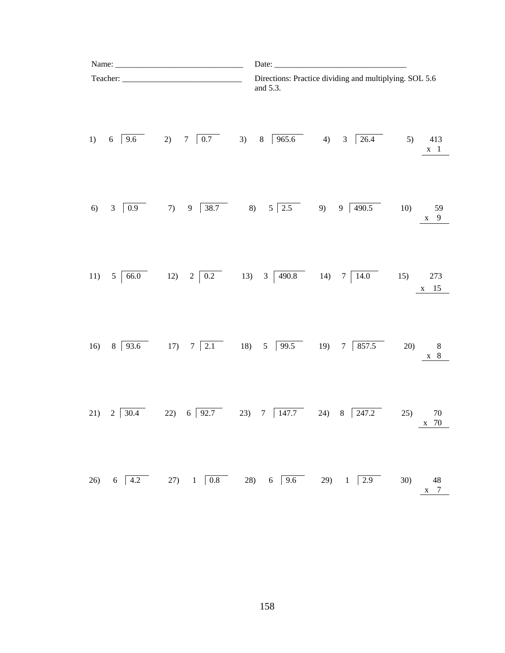|     |                      |                                     | Date: $\_\_$                                                                 |                                                                                                                                                                            |                          |
|-----|----------------------|-------------------------------------|------------------------------------------------------------------------------|----------------------------------------------------------------------------------------------------------------------------------------------------------------------------|--------------------------|
|     | Teacher:             |                                     | and 5.3.                                                                     | Directions: Practice dividing and multiplying. SOL 5.6                                                                                                                     |                          |
| 1)  | $6\quad 9.6$         | $7\overline{\hspace{1em}}0.7$<br>2) | 3)<br>$8\,$                                                                  | $965.6$ 4) 3 26.4                                                                                                                                                          | 413<br>5)<br>$x \quad 1$ |
| 6)  | $3 \ 0.9$            |                                     | 7) 9 $\boxed{38.7}$ 8) 5 $\boxed{2.5}$ 9) 9 $\boxed{490.5}$                  |                                                                                                                                                                            | 10)<br>59<br>$x \quad 9$ |
| 11) | 5 <sup>1</sup>       |                                     | $\overline{66.0}$ 12) 2 $\overline{0.2}$ 13) 3 $\overline{490.8}$ 14) 7 14.0 |                                                                                                                                                                            | 15)<br>273<br>x 15       |
| 16) |                      |                                     | 8 93.6 17) 7 2.1 18) 5 99.5 19) 7 857.5                                      |                                                                                                                                                                            | 20)<br>8<br>$x \quad 8$  |
| 21) | $2 \overline{)30.4}$ | 22) $6 \overline{)92.7}$            | 23)<br>147.7<br>$\boldsymbol{7}$                                             | 24) 8<br>247.2                                                                                                                                                             | 25)<br>70<br>70<br>X     |
|     |                      |                                     |                                                                              | 26) $6\begin{array}{ l} 4.2 \end{array}$ 27) $1\begin{array}{ l} 0.8 \end{array}$ 28) $6\begin{array}{ l} 9.6 \end{array}$ 29) $1\begin{array}{ l} 2.9 \end{array}$ 30) 48 | x <sub>7</sub>           |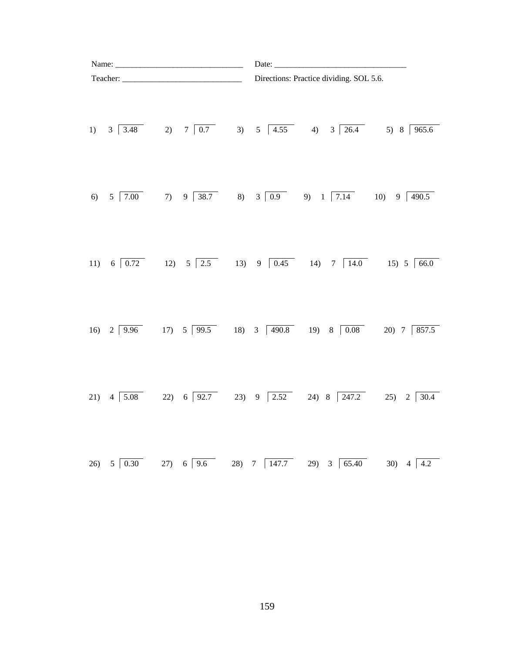|     |                          |                                                                         | Directions: Practice dividing. SOL 5.6.                                                                                |                        |
|-----|--------------------------|-------------------------------------------------------------------------|------------------------------------------------------------------------------------------------------------------------|------------------------|
| 1)  | $3 \overline{)3.48}$     |                                                                         | 2) 7 $\boxed{0.7}$ 3) 5 $\boxed{4.55}$ 4) 3 $\boxed{26.4}$ 5) 8 $\boxed{965.6}$                                        |                        |
| 6)  | $5 \overline{7.00}$      |                                                                         | 7) $9\overline{)38.7}$ 8) $3\overline{)0.9}$ 9) $1\overline{)7.14}$ 10) $9\overline{)490.5}$                           |                        |
|     |                          |                                                                         | 11) $6\overline{)0.72}$ 12) $5\overline{)2.5}$ 13) $9\overline{)0.45}$ 14) $7\overline{)14.0}$ 15) $5\overline{)66.0}$ |                        |
|     | 16) $2 \overline{)9.96}$ |                                                                         | 17) $5\overline{)99.5}$ 18) $3\overline{)490.8}$ 19) $8\overline{)0.08}$ 20) $7\overline{)857.5}$                      |                        |
|     | 21) $4 \overline{)5.08}$ |                                                                         | 22) $6\overline{)92.7}$ 23) $9\overline{)2.52}$ 24) $8\overline{)247.2}$                                               | $2 \quad 30.4$<br>(25) |
| 26) |                          | $5\begin{array}{ c c c c c } \hline 0.30 & 27 \hline \end{array}$ 6 9.6 | 28) 7 $\boxed{147.7}$ 29) 3 $\boxed{65.40}$                                                                            | 30)<br>$4 \; 4.2$      |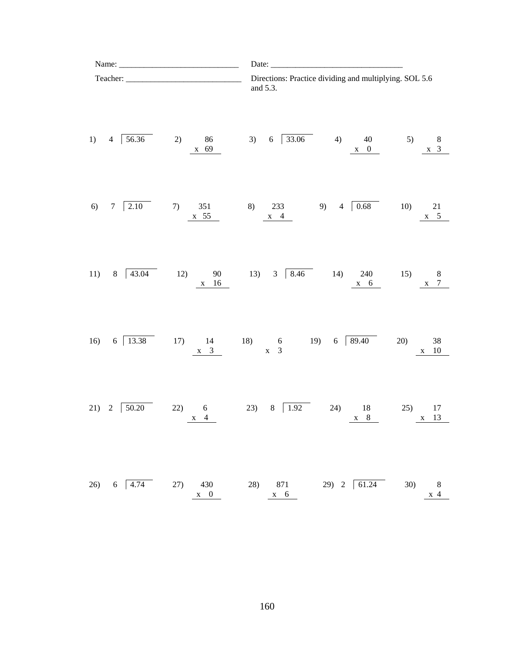| Name: $\frac{1}{\sqrt{1-\frac{1}{2}}}\frac{1}{\sqrt{1-\frac{1}{2}}}\frac{1}{\sqrt{1-\frac{1}{2}}}\frac{1}{\sqrt{1-\frac{1}{2}}}\frac{1}{\sqrt{1-\frac{1}{2}}}\frac{1}{\sqrt{1-\frac{1}{2}}}\frac{1}{\sqrt{1-\frac{1}{2}}}\frac{1}{\sqrt{1-\frac{1}{2}}}\frac{1}{\sqrt{1-\frac{1}{2}}}\frac{1}{\sqrt{1-\frac{1}{2}}}\frac{1}{\sqrt{1-\frac{1}{2}}}\frac{1}{\sqrt{1-\frac{1}{2}}}\frac{1}{\sqrt{1-\frac{1}{2}}}\frac{1}{\$ |                                 | Date: $\frac{1}{\sqrt{1-\frac{1}{2}} \cdot \frac{1}{2}}$                                        |
|--------------------------------------------------------------------------------------------------------------------------------------------------------------------------------------------------------------------------------------------------------------------------------------------------------------------------------------------------------------------------------------------------------------------------|---------------------------------|-------------------------------------------------------------------------------------------------|
|                                                                                                                                                                                                                                                                                                                                                                                                                          |                                 | Directions: Practice dividing and multiplying. SOL 5.6<br>and 5.3.                              |
| 56.36<br>1)<br>$\overline{4}$                                                                                                                                                                                                                                                                                                                                                                                            | 2)<br>x 69                      | 86 3) 6 33.06 4) 40 5) 8<br>$x \quad 0$<br>$x \quad 3$                                          |
| 2.10<br>6)<br>7                                                                                                                                                                                                                                                                                                                                                                                                          | 351<br>7)<br>x 55               | 233 9) 4 $\boxed{0.68}$<br>8)<br>10)<br>21<br>$x \quad 5$<br>$x \quad 4$                        |
| 11)<br>43.04<br>8                                                                                                                                                                                                                                                                                                                                                                                                        | 12)<br>$x$ 16                   | 90 13) 3 8.46 14) 240<br>15)<br>8<br>$x \quad 6$<br>$\mathbf{x}$ 7                              |
| $6\overline{13.38}$<br>16)                                                                                                                                                                                                                                                                                                                                                                                               | $\frac{x}{3}$                   | 17) 14 18) 6 19) 6 89.40<br>20)<br>38<br>$x \quad 3$<br>x 10                                    |
| 21)<br>2 50.20                                                                                                                                                                                                                                                                                                                                                                                                           | 22) 6<br>$x \quad 4$            | 23) $8 \overline{1.92}$<br>24) 18<br>25)<br>17<br>$x \quad 8$<br>x 13                           |
| $6\quad 4.74$<br>26)                                                                                                                                                                                                                                                                                                                                                                                                     | 27) 430<br>$\mathbf{x} \quad 0$ | 29) 2 $\boxed{61.24}$<br>871<br>30)<br>28)<br>$\boldsymbol{8}$<br>$x \quad 6$<br>$\mathbf{x}$ 4 |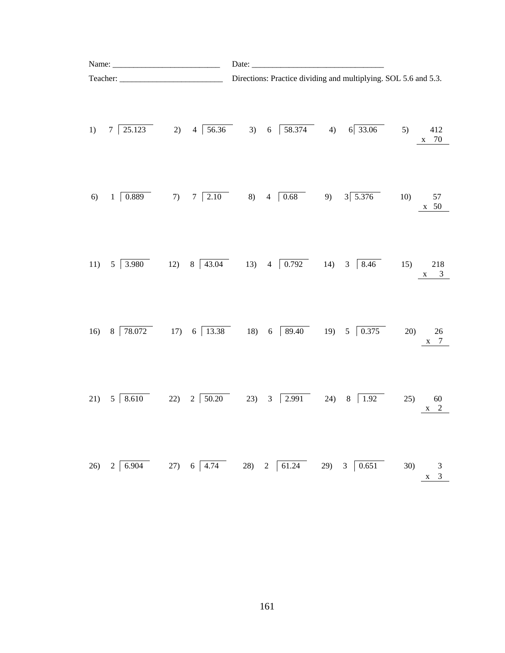|     |                       |                          | Date: $\_\_$                                                                                 |                                                                 |  |             |     |                               |  |  |  |
|-----|-----------------------|--------------------------|----------------------------------------------------------------------------------------------|-----------------------------------------------------------------|--|-------------|-----|-------------------------------|--|--|--|
|     |                       |                          |                                                                                              | Directions: Practice dividing and multiplying. SOL 5.6 and 5.3. |  |             |     |                               |  |  |  |
| 1)  | $7\overline{)25.123}$ | 2)                       | $4\overline{)56.36}$ 3) 6 $\overline{)58.374}$ 4) 6 $\overline{)33.06}$                      |                                                                 |  |             | 5)  | 412<br>70<br>$\mathbf X$      |  |  |  |
| 6)  | $1\ \overline{0.889}$ | 7) $7\overline{)2.10}$   |                                                                                              | 8) 4 $\boxed{0.68}$ 9) 3 $\boxed{5.376}$                        |  |             | 10) | 57<br>$x$ 50                  |  |  |  |
| 11) | $5 \overline{)3.980}$ | 12) $8 \overline{43.04}$ |                                                                                              | 13) 4 $\boxed{0.792}$ 14) 3 $\boxed{8.46}$                      |  |             | 15) | 218<br>$x \quad 3$            |  |  |  |
| 16) |                       |                          | $8\overline{78.072}$ 17) $6\overline{13.38}$ 18) $6\overline{89.40}$ 19) $5\overline{0.375}$ |                                                                 |  |             | 20) | 26<br>$x \quad 7$             |  |  |  |
| 21) | $5\overline{8.610}$   | 22) $2\sqrt{50.20}$      |                                                                                              | 23) 3 $\boxed{2.991}$ 24) 8 $\boxed{1.92}$                      |  |             | 25) | 60<br>$x = 2$                 |  |  |  |
| 26) | $2 \mid 6.904$        | 27) $6 \overline{)4.74}$ |                                                                                              | 28) 2 $\boxed{61.24}$                                           |  | 29) 3 0.651 | 30) | $\mathfrak{Z}$<br>$x \quad 3$ |  |  |  |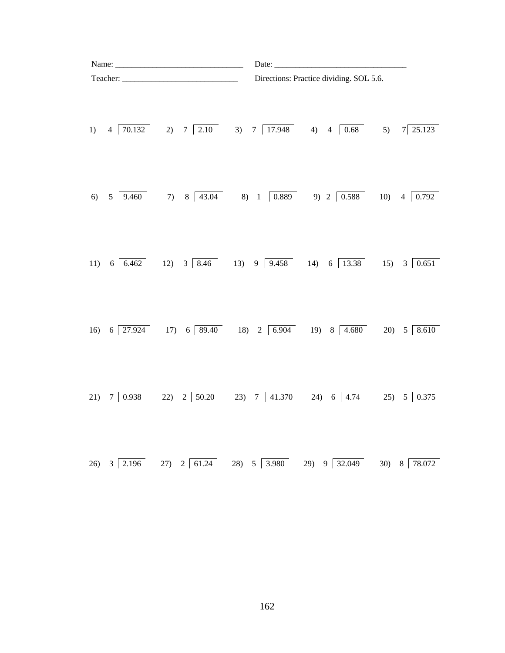|  |                                                                                                               | Directions: Practice dividing. SOL 5.6. |  |
|--|---------------------------------------------------------------------------------------------------------------|-----------------------------------------|--|
|  |                                                                                                               |                                         |  |
|  |                                                                                                               |                                         |  |
|  |                                                                                                               |                                         |  |
|  | 16) 6 $\boxed{27.924}$ 17) 6 89.40 18) 2 6.904 19) 8 4.680 20) 5 8.610                                        |                                         |  |
|  | 21) 7 $\boxed{0.938}$ 22) 2 $\boxed{50.20}$ 23) 7 $\boxed{41.370}$ 24) 6 $\boxed{4.74}$ 25) 5 $\boxed{0.375}$ |                                         |  |
|  | 26) 3 2.196 27) 2 61.24 28) 5 3.980 29) 9 32.049 30) 8 78.072                                                 |                                         |  |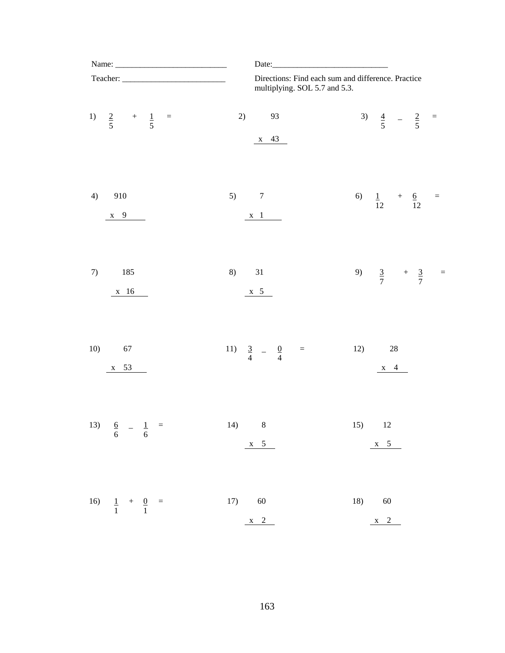|                                        | Date:                                                                                          |  |
|----------------------------------------|------------------------------------------------------------------------------------------------|--|
|                                        | Directions: Find each sum and difference. Practice<br>multiplying. SOL 5.7 and 5.3.            |  |
| 1) $\frac{2}{5}$ + $\frac{1}{5}$ =     | 3) $\frac{4}{5}$ - $\frac{2}{5}$ =<br>2)<br>93<br>x 43                                         |  |
| 4)<br>910<br>$x \quad 9$               | 5) 7<br>6)<br>$\frac{1}{12}$ + $\frac{6}{12}$<br>$=$<br>$\mathbf{x}$ 1                         |  |
| 185<br>7)<br>$x$ 16                    | 31<br>9) $\frac{3}{7}$ + $\frac{3}{7}$<br>8)<br>$=$<br>$\begin{array}{c} x & 5 \\ \end{array}$ |  |
| 10)<br>67<br>53<br>$\mathbf X$         | 11) $\frac{3}{4} - \frac{0}{4}$<br>12) 28<br>$\equiv$<br>$\mathbf{x}$ 4                        |  |
| 13)<br>$\frac{6}{6}$ - $\frac{1}{6}$ = | 14)<br>$\,8\,$<br>15)<br>12<br>$x \quad 5$<br>$x \quad 5$                                      |  |
| 16) $\frac{1}{1} + \frac{0}{1} =$      | 17) 60<br>18) 60<br>$\mathbf{x}$ 2<br>$x \quad 2$                                              |  |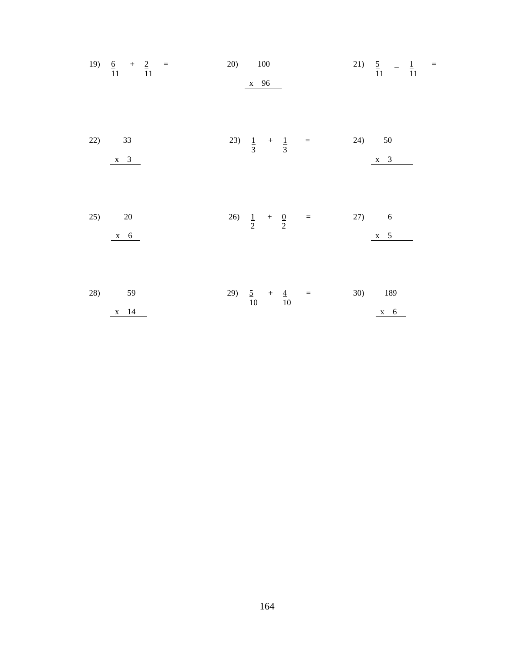|     | 19) $\frac{6}{11} + \frac{2}{11} =$         | 20) 100 | $x$ 96 |  |                                            | 21) $\frac{5}{11}$ - $\frac{1}{11}$ =         |  |
|-----|---------------------------------------------|---------|--------|--|--------------------------------------------|-----------------------------------------------|--|
| 22) | 33<br>$x \quad 3$                           |         |        |  | 23) $\frac{1}{3} + \frac{1}{3} = 24$ 50    | $\begin{array}{c} x & 3 \\ x & 3 \end{array}$ |  |
| 25) | 20<br>$\begin{array}{cc} x & 6 \end{array}$ |         |        |  | 26) $\frac{1}{2} + \frac{0}{2} = 27$ 6     | $\begin{array}{c} x & 5 \end{array}$          |  |
| 28) | 59<br>x 14                                  |         |        |  | 29) $\frac{5}{10} + \frac{4}{10} = 30$ 189 | $x \quad 6$                                   |  |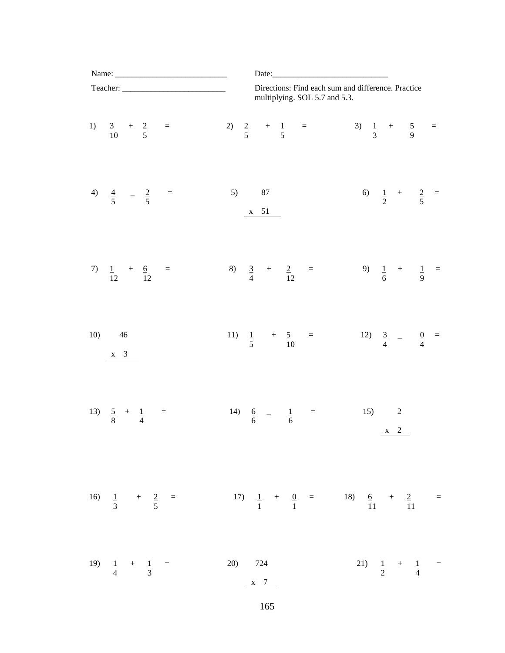|     | Name: $\frac{1}{\sqrt{1-\frac{1}{2}}\cdot\frac{1}{\sqrt{1-\frac{1}{2}}}}$ | Date:                                                                               |
|-----|---------------------------------------------------------------------------|-------------------------------------------------------------------------------------|
|     | Teacher:                                                                  | Directions: Find each sum and difference. Practice<br>multiplying. SOL 5.7 and 5.3. |
|     | 1) $\frac{3}{10}$ + $\frac{2}{5}$ =                                       | 3) $\frac{1}{3}$ + $\frac{5}{9}$ =<br>2) $\frac{2}{5}$ + $\frac{1}{5}$ =            |
|     | 4) $\frac{4}{5}$ $-\frac{2}{5}$ =                                         | 5) 87<br>6) $\frac{1}{2}$ + $\frac{2}{5}$ =<br>$x$ 51                               |
|     | 7) $\frac{1}{12} + \frac{6}{12} =$                                        | 8) $\frac{3}{4} + \frac{2}{12} =$<br>9) $\frac{1}{6}$ + $\frac{1}{9}$ =             |
| 10) | 46<br>$x \quad 3$                                                         | 12) $\frac{3}{4}$ – $\frac{0}{4}$ =<br>11) $\frac{1}{5}$ + $\frac{5}{10}$ =         |
|     | 13) $\frac{5}{8} + \frac{1}{4} =$                                         | 14) $\frac{6}{6}$ – $\frac{1}{6}$<br>15) 2<br>$=$<br>$x \quad 2$                    |
|     | 16) $\frac{1}{3}$ + $\frac{2}{5}$ =                                       | 17) $\frac{1}{1} + \frac{0}{1} = 18$ $\frac{6}{11} + \frac{2}{11} =$                |
|     | 19) $\frac{1}{4}$ + $\frac{1}{3}$ =                                       | 20) 724<br>21) $\frac{1}{2}$ + $\frac{1}{4}$ =<br>$\frac{\mathbf{x}}{2}$            |

165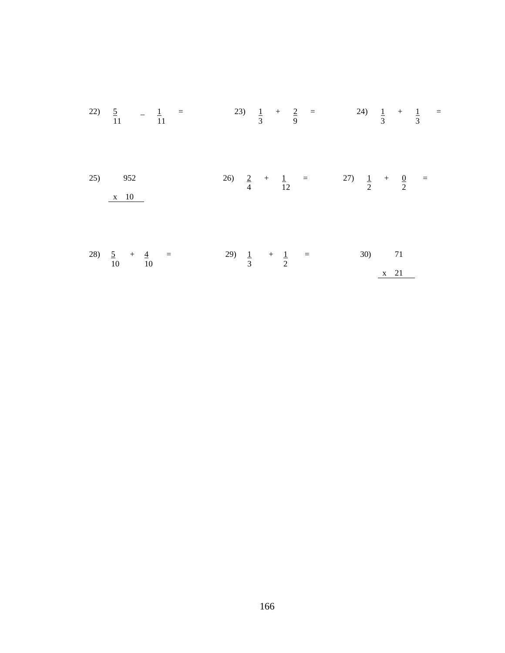|                            | 22) $\frac{5}{11}$ $\frac{1}{11}$ = 23) $\frac{1}{3}$ + $\frac{2}{9}$ = 24) $\frac{1}{3}$ + $\frac{1}{3}$ = |                |
|----------------------------|-------------------------------------------------------------------------------------------------------------|----------------|
| 25) 952<br>$\mathbf{x}$ 10 | 26) $\frac{2}{4} + \frac{1}{12} = 27$ $\frac{1}{2} + \frac{0}{2} =$                                         |                |
|                            | 28) $\frac{5}{10} + \frac{4}{10} = 29$ $\frac{1}{3} + \frac{1}{2} =$                                        | 30) 71<br>x 21 |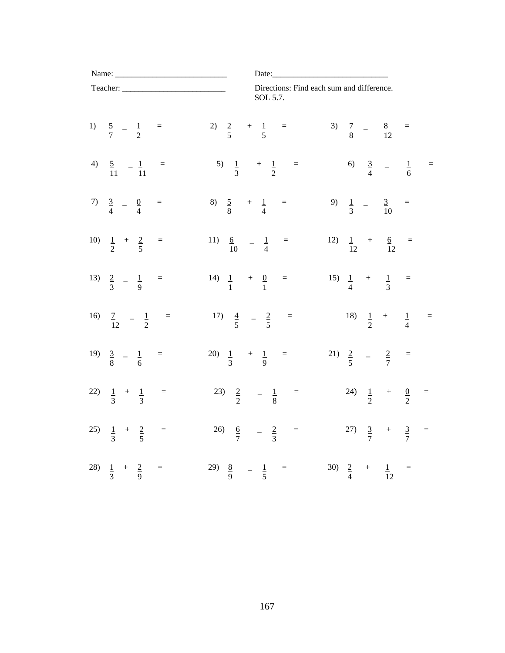|    | Name: $\frac{1}{\sqrt{1-\frac{1}{2}} \cdot \frac{1}{2}}$ |                                      | Date: $\_\_$ |                                           |     |                     |                                     |                 |  |
|----|----------------------------------------------------------|--------------------------------------|--------------|-------------------------------------------|-----|---------------------|-------------------------------------|-----------------|--|
|    | Teacher:                                                 |                                      | SOL 5.7.     | Directions: Find each sum and difference. |     |                     |                                     |                 |  |
|    | 1) $\frac{5}{7}$ - $\frac{1}{2}$ =                       | 2) $\frac{2}{5}$ + $\frac{1}{5}$ =   |              |                                           |     |                     | 3) $\frac{7}{8}$ - $\frac{8}{12}$ = |                 |  |
| 4) | $\frac{5}{11}$ $-\frac{1}{11}$ =                         | 5) $\frac{1}{3}$ + $\frac{1}{2}$ =   |              |                                           |     |                     | 6) $\frac{3}{4}$ – $\frac{1}{6}$ =  |                 |  |
|    | 7) $\frac{3}{4} - \frac{0}{4} =$                         | 8) $\frac{5}{8}$ + $\frac{1}{4}$ =   |              |                                           |     |                     | 9) $\frac{1}{3}$ – $\frac{3}{10}$   | $\equiv$        |  |
|    | 10) $\frac{1}{2} + \frac{2}{5} =$                        | 11) $\frac{6}{10}$ - $\frac{1}{4}$ = |              |                                           | 12) |                     | $\frac{1}{12}$ + $\frac{6}{12}$     | $\quad =$       |  |
|    | 13) $\frac{2}{3} - \frac{1}{9} =$                        | 14) $\frac{1}{1} + \frac{0}{1} =$    |              |                                           |     |                     | 15) $\frac{1}{4}$ + $\frac{1}{3}$ = |                 |  |
|    | 16) $\frac{7}{12} - \frac{1}{2} =$                       | 17) $\frac{4}{5}$ $-\frac{2}{5}$ =   |              |                                           |     |                     | 18) $\frac{1}{2}$ + $\frac{1}{4}$ = |                 |  |
|    | 19) $\frac{3}{8} - \frac{1}{6} =$                        | 20) $\frac{1}{3}$ + $\frac{1}{9}$ =  |              |                                           |     |                     | 21) $\frac{2}{5}$ – $\frac{2}{7}$ = |                 |  |
|    | 22) $\frac{1}{3} + \frac{1}{3} =$                        | 23) $\frac{2}{2}$ $-\frac{1}{8}$ =   |              |                                           |     |                     | 24) $\frac{1}{2}$ +                 | $\frac{0}{2}$ = |  |
|    | 25) $\frac{1}{3} + \frac{2}{5} =$                        | 26) $\frac{6}{7}$ $-\frac{2}{3}$ =   |              |                                           |     |                     | 27) $\frac{3}{7}$ +                 | $\frac{3}{7}$ = |  |
|    | 28) $\frac{1}{3} + \frac{2}{9} =$                        | 29) $\frac{8}{9}$ - $\frac{1}{5}$ =  |              |                                           |     | 30) $\frac{2}{4}$ + | $\frac{1}{12}$ =                    |                 |  |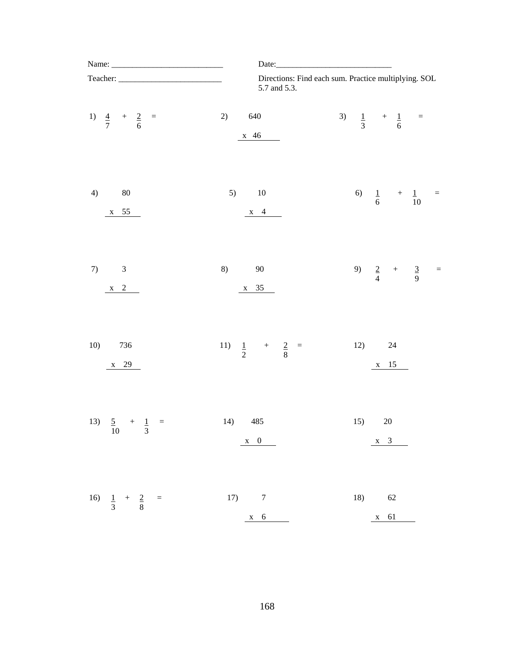|     | Name: $\frac{1}{\sqrt{1-\frac{1}{2}}\cdot\frac{1}{2}}$ | Date: $\_\_$                                                         |     |                                                     |  |
|-----|--------------------------------------------------------|----------------------------------------------------------------------|-----|-----------------------------------------------------|--|
|     | Teacher:                                               | Directions: Find each sum. Practice multiplying. SOL<br>5.7 and 5.3. |     |                                                     |  |
|     | 1) $\frac{4}{7}$ + $\frac{2}{6}$ =                     | 640<br>2)<br>$x$ 46                                                  |     | 3) $\frac{1}{3}$ + $\frac{1}{6}$ =                  |  |
| 4)  | $80\,$<br>55<br>$\mathbf X$                            | 5)<br>10<br>$x \quad 4$                                              |     | 6) $\frac{1}{6}$ + $\frac{1}{10}$ =                 |  |
| 7)  | $\overline{\mathbf{3}}$<br>$x \quad 2$                 | 8)<br>90<br>$x \quad 35$                                             |     | 9) $\frac{2}{4}$ + $\frac{3}{9}$ =                  |  |
| 10) | 736<br>$x \quad 29$                                    | 11) $\frac{1}{2}$ + $\frac{2}{8}$ =                                  |     | 12)<br>24<br>$x$ 15                                 |  |
|     | 13) $\frac{5}{10}$ + $\frac{1}{3}$ =                   | 14)<br>485<br>$x \quad 0$                                            | 15) | 20<br>$\begin{array}{c} x & 3 \\ 3 & 3 \end{array}$ |  |
|     | 16) $\frac{1}{3} + \frac{2}{8} =$                      | 17) 7<br>$x \quad 6$                                                 |     | 18) 62<br>$x \quad 61$                              |  |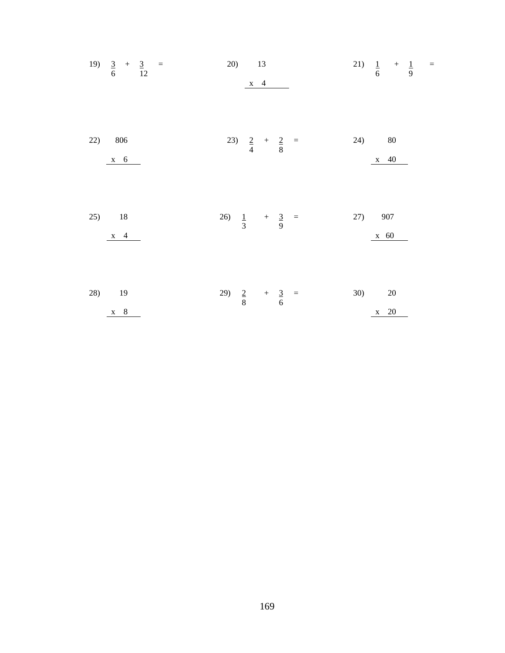|     | 19) $\frac{3}{6} + \frac{3}{12} =$ | $20)$ 13<br>$x \quad 4$                  | 21) $\frac{1}{6}$ + $\frac{1}{9}$ = |
|-----|------------------------------------|------------------------------------------|-------------------------------------|
| 22) | 806<br>$x \quad 6$                 | 23) $\frac{2}{4} + \frac{2}{8} =$        | 24) 80<br>$x = 40$                  |
|     | 25) 18<br>$x \quad 4$              | 26) $\frac{1}{3} + \frac{3}{9} = 27$ 907 | x 60                                |
| 28) | 19<br>$x \quad 8$                  | 29) $\frac{2}{8}$ + $\frac{3}{6}$ =      | 30) 20<br>x 20                      |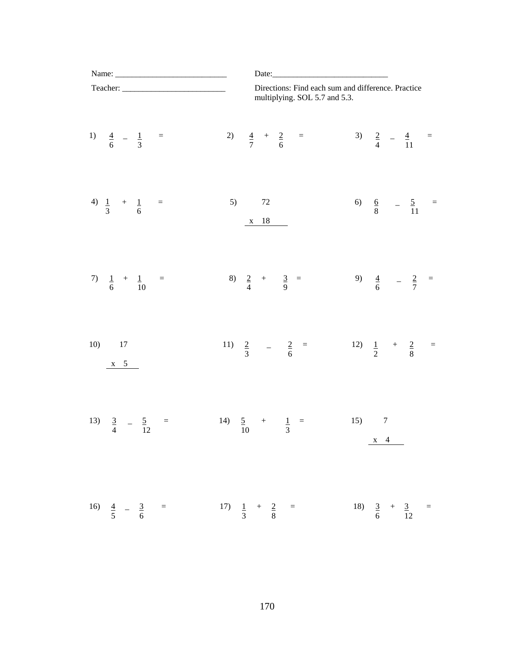| Name: $\frac{1}{\sqrt{1-\frac{1}{2}}\cdot\sqrt{1-\frac{1}{2}}\cdot\sqrt{1-\frac{1}{2}}\cdot\sqrt{1-\frac{1}{2}}\cdot\sqrt{1-\frac{1}{2}}\cdot\sqrt{1-\frac{1}{2}}\cdot\sqrt{1-\frac{1}{2}}\cdot\sqrt{1-\frac{1}{2}}\cdot\sqrt{1-\frac{1}{2}}\cdot\sqrt{1-\frac{1}{2}}\cdot\sqrt{1-\frac{1}{2}}\cdot\sqrt{1-\frac{1}{2}}\cdot\sqrt{1-\frac{1}{2}}\cdot\sqrt{1-\frac{1}{2}}\cdot\sqrt{1-\frac{1}{2}}\cdot\sqrt{1-\frac{1}{2}}\cdot\$ |          | Date:                                                                                             |
|------------------------------------------------------------------------------------------------------------------------------------------------------------------------------------------------------------------------------------------------------------------------------------------------------------------------------------------------------------------------------------------------------------------------------------|----------|---------------------------------------------------------------------------------------------------|
| Teacher:                                                                                                                                                                                                                                                                                                                                                                                                                           |          | Directions: Find each sum and difference. Practice<br>multiplying. SOL 5.7 and 5.3.               |
| 1) $\frac{4}{6} - \frac{1}{3} =$                                                                                                                                                                                                                                                                                                                                                                                                   |          | 2) $\frac{4}{7} + \frac{2}{6} =$<br>3) $\frac{2}{4} - \frac{4}{11} =$                             |
| 4) $\frac{1}{3}$ + $\frac{1}{6}$ =                                                                                                                                                                                                                                                                                                                                                                                                 |          | 5) 72<br>6) $\frac{6}{8}$ - $\frac{5}{11}$<br>$\equiv$<br>$\begin{array}{c c} x & 18 \end{array}$ |
| 7) $\frac{1}{6}$ + $\frac{1}{10}$ =                                                                                                                                                                                                                                                                                                                                                                                                |          | 8) $\frac{2}{4}$ + $\frac{3}{9}$ =<br>9) $\frac{4}{6}$ - $\frac{2}{7}$ =                          |
| 10)<br>17<br>$X \quad 5$                                                                                                                                                                                                                                                                                                                                                                                                           |          | 11) $\frac{2}{3}$ $\qquad - \frac{2}{6}$ =<br>12) $\frac{1}{2}$ + $\frac{2}{8}$ =                 |
| 13) $\frac{3}{4} - \frac{5}{12}$                                                                                                                                                                                                                                                                                                                                                                                                   | $\equiv$ | 15) 7<br>14) $\frac{5}{10}$ + $\frac{1}{3}$ =<br>$x \quad 4$                                      |
| 16) $\frac{4}{5} - \frac{3}{6} =$                                                                                                                                                                                                                                                                                                                                                                                                  |          | 17) $\frac{1}{3}$ + $\frac{2}{8}$ =<br>18) $\frac{3}{6} + \frac{3}{12} =$                         |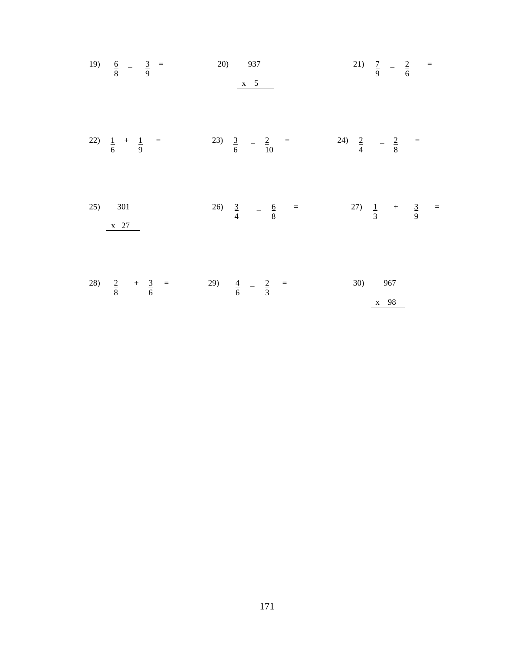|     | 19) $\frac{6}{8}$ - $\frac{3}{9}$ =           | 20) 937<br>$\frac{x}{5}$                                                                               | 21) $\frac{7}{9} - \frac{2}{6} =$ |
|-----|-----------------------------------------------|--------------------------------------------------------------------------------------------------------|-----------------------------------|
|     |                                               | 22) $\frac{1}{6} + \frac{1}{9} =$ 23) $\frac{3}{6} - \frac{2}{10} =$ 24) $\frac{2}{4} - \frac{2}{8} =$ |                                   |
| 25) | 301<br>$\begin{array}{c} x \\ 27 \end{array}$ | 26) $\frac{3}{4}$ – $\frac{6}{8}$ = 27) $\frac{1}{3}$ + $\frac{3}{9}$ =                                |                                   |
|     |                                               | 28) $\frac{2}{8}$ + $\frac{3}{6}$ = 29) $\frac{4}{6}$ - $\frac{2}{3}$ =                                | 30)<br>967<br>$x$ 98              |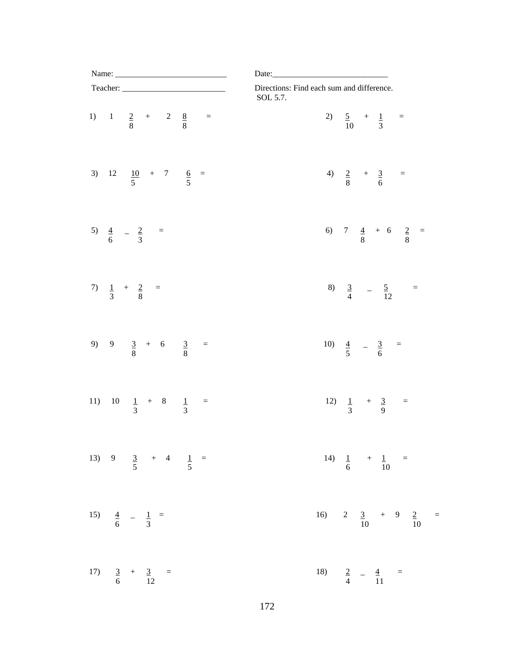| Name: $\frac{\phantom{1}}{\phantom{1}}$   | Date: $\_\_$                                          |  |  |  |  |  |  |  |
|-------------------------------------------|-------------------------------------------------------|--|--|--|--|--|--|--|
| Teacher:                                  | Directions: Find each sum and difference.<br>SOL 5.7. |  |  |  |  |  |  |  |
| 1) $1 \tfrac{2}{8} + 2 \tfrac{8}{8} =$    | 2) $\frac{5}{10}$ + $\frac{1}{3}$ =                   |  |  |  |  |  |  |  |
| 3) 12 $\frac{10}{5}$ + 7 $\frac{6}{5}$ =  | 4) $\frac{2}{8}$ + $\frac{3}{6}$ =                    |  |  |  |  |  |  |  |
| 5) $\frac{4}{6}$ - $\frac{2}{3}$ =        | 6) 7 $\frac{4}{8}$ + 6 $\frac{2}{8}$ =                |  |  |  |  |  |  |  |
| 7) $\frac{1}{3}$ + $\frac{2}{8}$ =        | 8) $\frac{3}{4}$ - $\frac{5}{12}$ =                   |  |  |  |  |  |  |  |
| 9) 9 $\frac{3}{8}$ + 6 $\frac{3}{8}$ =    | 10) $\frac{4}{5}$ $-\frac{3}{6}$ =                    |  |  |  |  |  |  |  |
| 11)<br>$10 \frac{1}{3} + 8 \frac{1}{3} =$ | 12) $\frac{1}{3}$ + $\frac{3}{9}$ =                   |  |  |  |  |  |  |  |
| 13) 9 $\frac{3}{5}$ + 4 $\frac{1}{5}$ =   | 14) $\frac{1}{6}$ + $\frac{1}{10}$ =                  |  |  |  |  |  |  |  |
| 15) $\frac{4}{6}$ - $\frac{1}{3}$ =       | 16) 2 $\frac{3}{10}$ + 9 $\frac{2}{10}$ =             |  |  |  |  |  |  |  |
| 17) $\frac{3}{6} + \frac{3}{12} =$        | 18) $\frac{2}{4} - \frac{4}{11} =$                    |  |  |  |  |  |  |  |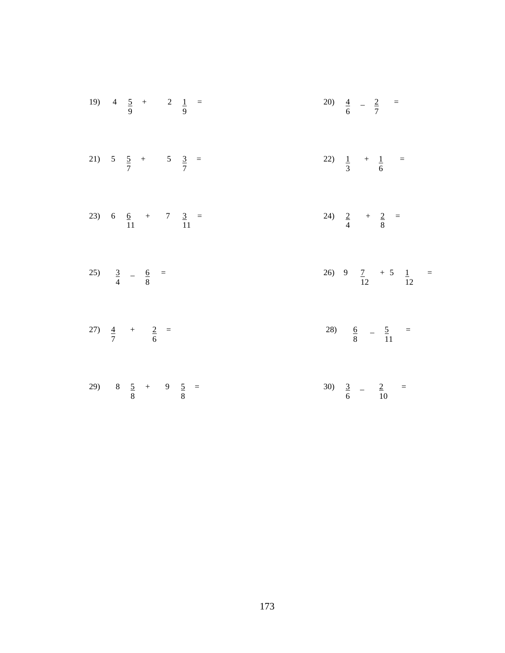|  | 19) $4 \frac{5}{9} + 2 \frac{1}{9} =$     |  |  |  | 20) $\frac{4}{6}$ - $\frac{2}{7}$ =  |                                           |  |
|--|-------------------------------------------|--|--|--|--------------------------------------|-------------------------------------------|--|
|  | 21) 5 $\frac{5}{7}$ + 5 $\frac{3}{7}$ =   |  |  |  | 22) $\frac{1}{3}$ + $\frac{1}{6}$ =  |                                           |  |
|  | 23) 6 $\frac{6}{11}$ + 7 $\frac{3}{11}$ = |  |  |  | 24) $\frac{2}{4}$ + $\frac{2}{8}$ =  |                                           |  |
|  | 25) $\frac{3}{4} - \frac{6}{8} =$         |  |  |  |                                      | 26) 9 $\frac{7}{12}$ + 5 $\frac{1}{12}$ = |  |
|  | 27) $\frac{4}{7}$ + $\frac{2}{6}$ =       |  |  |  | 28) $\frac{6}{8}$ - $\frac{5}{11}$ = |                                           |  |
|  | 29) 8 $\frac{5}{8}$ + 9 $\frac{5}{8}$ =   |  |  |  | 30) $\frac{3}{6}$ - $\frac{2}{10}$ = |                                           |  |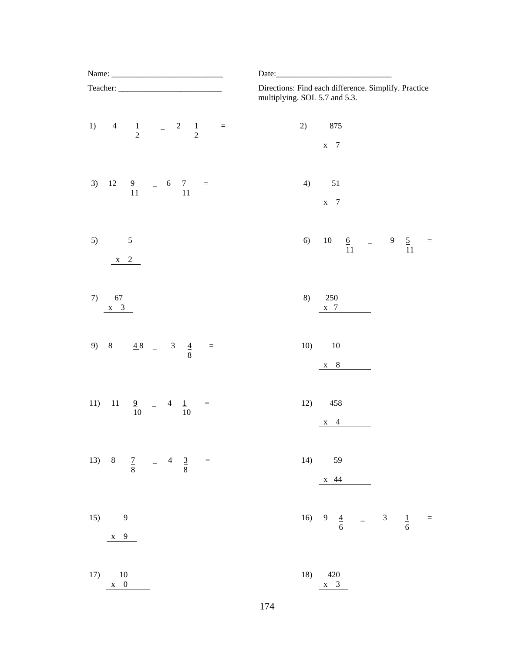|     | Teacher:                                                              |                                     |  |  |  |  |  | Date:<br>Directions: Find each difference. Simplify. Practice<br>multiplying. SOL 5.7 and 5.3. |     |                                                      |  |  |  |  |  |
|-----|-----------------------------------------------------------------------|-------------------------------------|--|--|--|--|--|------------------------------------------------------------------------------------------------|-----|------------------------------------------------------|--|--|--|--|--|
|     |                                                                       |                                     |  |  |  |  |  |                                                                                                |     |                                                      |  |  |  |  |  |
|     | 1) 4 $\frac{1}{2}$ - 2 $\frac{1}{2}$ =                                |                                     |  |  |  |  |  |                                                                                                |     | 2) 875<br>$\begin{array}{c} x \\ 7 \end{array}$      |  |  |  |  |  |
|     | 3) $12 \quad \frac{9}{11} \quad - \quad 6 \quad \frac{7}{11} \quad =$ |                                     |  |  |  |  |  |                                                                                                |     | 4) 51<br>$\begin{array}{c} x & 7 \\ \end{array}$     |  |  |  |  |  |
| 5)  | $\overline{5}$<br>$x \quad 2$                                         |                                     |  |  |  |  |  |                                                                                                |     | 6) 10 $\frac{6}{11}$ - 9 $\frac{5}{11}$ =            |  |  |  |  |  |
| 7)  | 67<br>$\frac{x}{3}$                                                   |                                     |  |  |  |  |  |                                                                                                | 8)  | 250<br>$\begin{array}{c} x & 7 \\ x & 1 \end{array}$ |  |  |  |  |  |
|     | 9) 8 $\frac{4}{5}$ $\frac{8}{5}$ $\frac{4}{5}$ $\frac{8}{5}$ =        |                                     |  |  |  |  |  |                                                                                                |     | 10) 10<br>$x \quad 8$                                |  |  |  |  |  |
| 11) |                                                                       | $\frac{9}{10}$ - 4 $\frac{1}{10}$ = |  |  |  |  |  |                                                                                                | 12) | 458<br>$x \quad 4$                                   |  |  |  |  |  |
|     | 13) 8 $\frac{7}{8}$ - 4 $\frac{3}{8}$ =                               |                                     |  |  |  |  |  |                                                                                                |     | 14) 59<br>$x$ 44                                     |  |  |  |  |  |
|     | 15) 9<br>$x \quad 9$                                                  |                                     |  |  |  |  |  |                                                                                                |     | 16) 9 $\frac{4}{6}$ - 3 $\frac{1}{6}$ =              |  |  |  |  |  |
| 17) | 10<br>$\mathbf{x} \quad 0$                                            |                                     |  |  |  |  |  |                                                                                                |     | 18) 420<br>$x \quad 3$                               |  |  |  |  |  |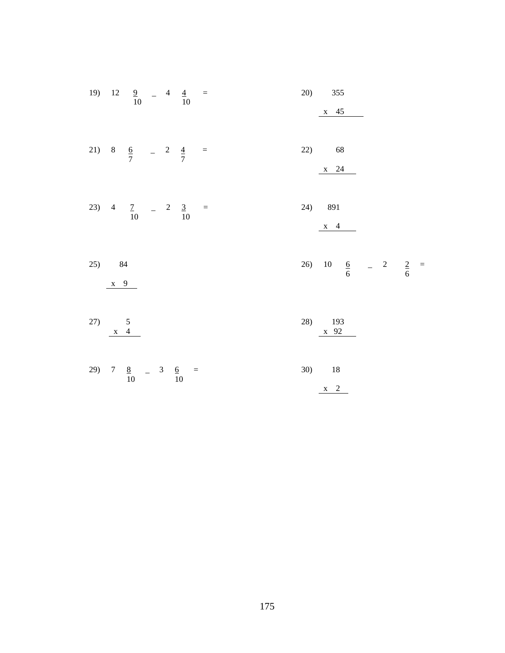| 19) 12 $\frac{9}{10}$ - 4 $\frac{4}{10}$ = |  |  | 20) 355<br>$x = 45$                             |  |
|--------------------------------------------|--|--|-------------------------------------------------|--|
| 21) 8 $\frac{6}{7}$ - 2 $\frac{4}{7}$ =    |  |  | 22) 68<br>$x \quad 24$                          |  |
| 23) 4 $\frac{7}{10}$ - 2 $\frac{3}{10}$ =  |  |  | 24) 891<br>$\begin{array}{c} x & 4 \end{array}$ |  |
| 25) 84<br>$x \quad 9$                      |  |  | 26) 10 $\frac{6}{6}$ - 2 $\frac{2}{6}$ =        |  |
| 27) $\frac{5}{x+4}$                        |  |  | 28) 193<br>$x$ 92                               |  |
| 29) 7 $\frac{8}{10}$ - 3 $\frac{6}{10}$ =  |  |  | 30) 18<br>$\begin{array}{c} x \\ 2 \end{array}$ |  |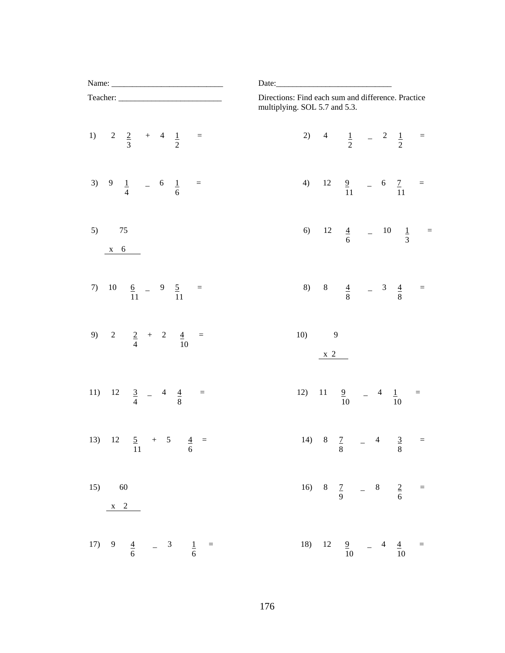| Name: $\frac{1}{\sqrt{1-\frac{1}{2}} \cdot \frac{1}{2}}$ |                                           | Date:                                                                               |  |  |  |  |  |  |  |
|----------------------------------------------------------|-------------------------------------------|-------------------------------------------------------------------------------------|--|--|--|--|--|--|--|
| Teacher:                                                 |                                           | Directions: Find each sum and difference. Practice<br>multiplying. SOL 5.7 and 5.3. |  |  |  |  |  |  |  |
|                                                          | 1) $2\frac{2}{3}$ + 4 $\frac{1}{2}$ =     | 2) 4 $\frac{1}{2}$ - 2 $\frac{1}{2}$ =                                              |  |  |  |  |  |  |  |
|                                                          | 3) 9 $\frac{1}{4}$ - 6 $\frac{1}{6}$ =    | 4) $12 \frac{9}{11}$ - 6 $\frac{7}{11}$ =                                           |  |  |  |  |  |  |  |
| 5) 75<br>$x \quad 6$                                     |                                           | 6) $12 \frac{4}{6}$ - $10 \frac{1}{3}$ =                                            |  |  |  |  |  |  |  |
|                                                          | 7) 10 $\frac{6}{11}$ - 9 $\frac{5}{11}$ = | 8) 8 $\frac{4}{8}$ - 3 $\frac{4}{8}$ =                                              |  |  |  |  |  |  |  |
|                                                          | 9) 2 $\frac{2}{4}$ + 2 $\frac{4}{10}$ =   | 10) 9<br>$\mathbf{x}$ 2                                                             |  |  |  |  |  |  |  |
|                                                          | 11) 12 $\frac{3}{4}$ - 4 $\frac{4}{8}$ =  | 12) $11 \t 9 \t - 4$<br>$\frac{1}{2}$<br>$\equiv$<br>10                             |  |  |  |  |  |  |  |
|                                                          | 13) 12 $\frac{5}{11}$ + 5 $\frac{4}{6}$ = | 14) 8 $\frac{7}{8}$ - 4 $\frac{3}{8}$<br>$\equiv$                                   |  |  |  |  |  |  |  |
| 15) 60<br>$x \quad 2$                                    |                                           | 16) 8 $\frac{7}{9}$ - 8 $\frac{2}{6}$ =                                             |  |  |  |  |  |  |  |
|                                                          | 17) 9 $\frac{4}{6}$ - 3 $\frac{1}{6}$ =   | 18) 12<br>$\frac{9}{10}$ - 4<br>$\frac{4}{10}$ =                                    |  |  |  |  |  |  |  |

176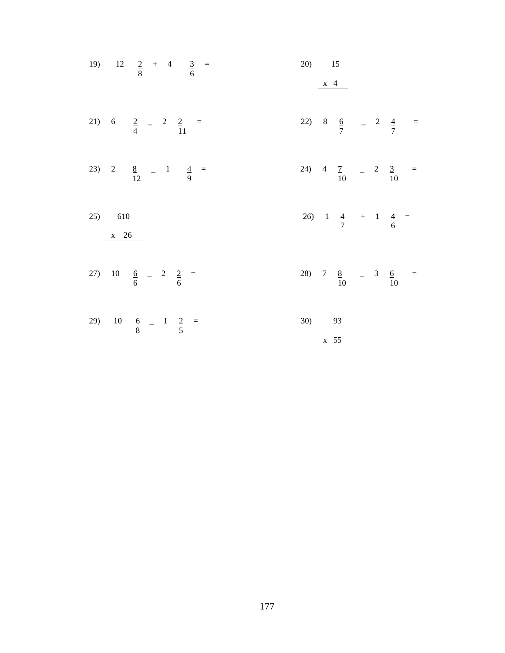| 19) $12 \frac{2}{8} + 4 \frac{3}{6} =$   | 20) 15<br>$\begin{array}{c} x & 4 \end{array}$ |
|------------------------------------------|------------------------------------------------|
| 21) 6 $\frac{2}{4}$ - 2 $\frac{2}{11}$ = | 22) 8 $\frac{6}{7}$ - 2 $\frac{4}{7}$ =        |
| 23) 2 $\frac{8}{12}$ - 1 $\frac{4}{9}$ = | 24) 4 $\frac{7}{10}$ - 2 $\frac{3}{10}$ =      |
| 25) 610<br>$x$ 26                        | 26) $1 \frac{4}{7} + 1 \frac{4}{6} =$          |
| 27) 10 $\frac{6}{6}$ - 2 $\frac{2}{6}$ = | 28) 7 $\frac{8}{10}$ - 3 $\frac{6}{10}$ =      |
| 29) 10 $\frac{6}{8}$ - 1 $\frac{2}{5}$ = | 30) 93<br>$\frac{x}{55}$                       |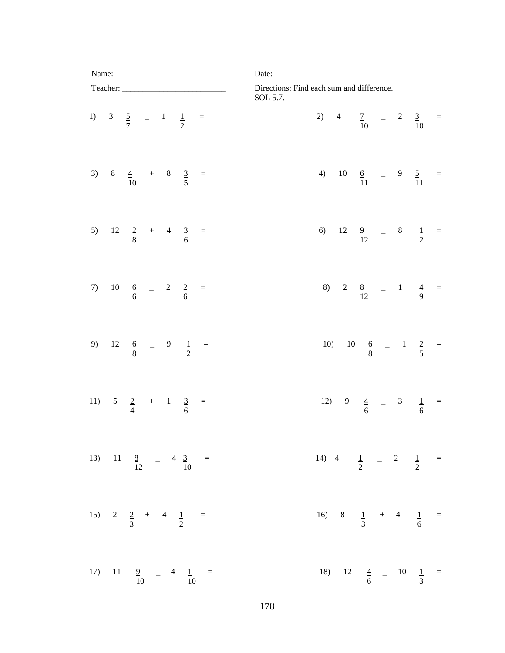|     | Name: $\frac{1}{\sqrt{1-\frac{1}{2}}\cdot\frac{1}{\sqrt{1-\frac{1}{2}}}}$ |  |  |  |                                                             | Date: $\_\_$                        |                                                       |  |  |  |                                           |  |  |  |  |
|-----|---------------------------------------------------------------------------|--|--|--|-------------------------------------------------------------|-------------------------------------|-------------------------------------------------------|--|--|--|-------------------------------------------|--|--|--|--|
|     | Teacher:                                                                  |  |  |  |                                                             |                                     | Directions: Find each sum and difference.<br>SOL 5.7. |  |  |  |                                           |  |  |  |  |
|     | 1) 3 $\frac{5}{7}$ - 1 $\frac{1}{2}$ =                                    |  |  |  |                                                             |                                     |                                                       |  |  |  | 2) 4 $\frac{7}{10}$ - 2 $\frac{3}{10}$ =  |  |  |  |  |
|     | 3) 8 $\frac{4}{10}$ + 8 $\frac{3}{5}$ =                                   |  |  |  |                                                             |                                     |                                                       |  |  |  | 4) 10 $\frac{6}{11}$ - 9 $\frac{5}{11}$ = |  |  |  |  |
|     | 5) 12 $\frac{2}{8}$ + 4 $\frac{3}{6}$ =                                   |  |  |  |                                                             |                                     |                                                       |  |  |  | 6) 12 $\frac{9}{12}$ - 8 $\frac{1}{2}$ =  |  |  |  |  |
| 7)  |                                                                           |  |  |  | $\frac{10}{6}$ $\frac{6}{6}$ $ \frac{2}{6}$ $\frac{2}{6}$ = |                                     |                                                       |  |  |  | 8) 2 $\frac{8}{12}$ - 1 $\frac{4}{9}$ =   |  |  |  |  |
| 9)  |                                                                           |  |  |  | $\frac{12}{8}$ $\frac{6}{8}$ - $\frac{9}{2}$ =              |                                     |                                                       |  |  |  | 10) 10 $\frac{6}{8}$ - 1 $\frac{2}{5}$ =  |  |  |  |  |
|     | 11) $5\frac{2}{4}$ + 1 $\frac{3}{6}$ =                                    |  |  |  |                                                             |                                     |                                                       |  |  |  | 12) 9 $\frac{4}{6}$ - 3 $\frac{1}{6}$ =   |  |  |  |  |
|     | 13) 11 $\frac{8}{12}$ - 4 $\frac{3}{10}$ =                                |  |  |  |                                                             |                                     |                                                       |  |  |  | 14) 4 $\frac{1}{2}$ - 2 $\frac{1}{2}$ =   |  |  |  |  |
|     | 15) 2 $\frac{2}{3}$ + 4 $\frac{1}{2}$ =                                   |  |  |  |                                                             |                                     |                                                       |  |  |  | 16) 8 $\frac{1}{3}$ + 4 $\frac{1}{6}$ =   |  |  |  |  |
| 17) | 11                                                                        |  |  |  |                                                             | $\frac{9}{10}$ - 4 $\frac{1}{10}$ = |                                                       |  |  |  | 18) 12 $\frac{4}{6}$ - 10 $\frac{1}{3}$ = |  |  |  |  |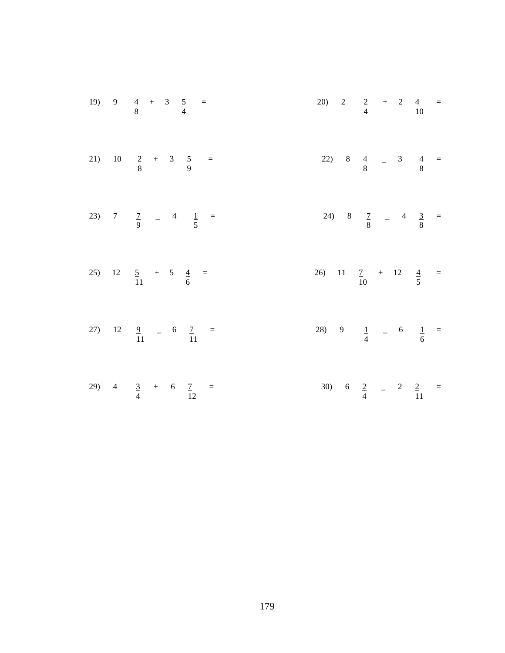|  | 19) 9 $\frac{4}{8}$ + 3 $\frac{5}{4}$ =    | 20) 2 $\frac{2}{4}$ + 2 $\frac{4}{10}$ =   |  |  |                                          |  |
|--|--------------------------------------------|--------------------------------------------|--|--|------------------------------------------|--|
|  | 21) 10 $\frac{2}{8}$ + 3 $\frac{5}{9}$ =   |                                            |  |  | 22) 8 $\frac{4}{8}$ - 3 $\frac{4}{8}$ =  |  |
|  | 23) 7 $\frac{7}{9}$ - 4 $\frac{1}{5}$ =    |                                            |  |  | 24) 8 $\frac{7}{8}$ - 4 $\frac{3}{8}$ =  |  |
|  | 25) 12 $\frac{5}{11}$ + 5 $\frac{4}{6}$ =  | 26) 11 $\frac{7}{10}$ + 12 $\frac{4}{5}$ = |  |  |                                          |  |
|  | 27) 12 $\frac{9}{11}$ - 6 $\frac{7}{11}$ = | 28) 9 $\frac{1}{4}$ - 6 $\frac{1}{6}$ =    |  |  |                                          |  |
|  | 29) 4 $\frac{3}{4}$ + 6 $\frac{7}{12}$ =   |                                            |  |  | 30) 6 $\frac{2}{4}$ - 2 $\frac{2}{11}$ = |  |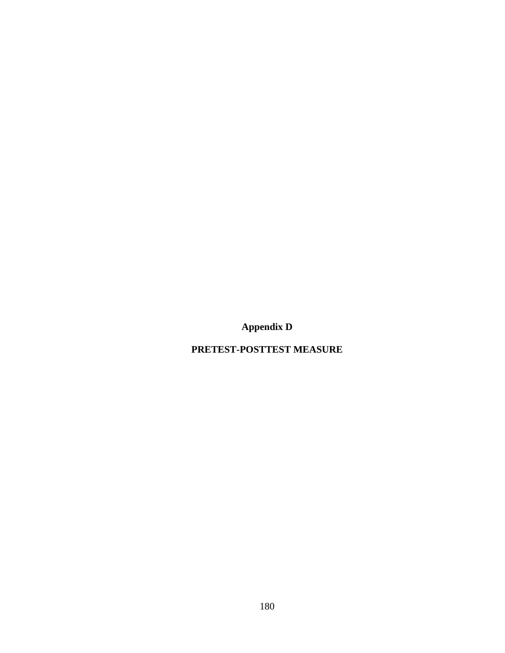**Appendix D** 

**PRETEST-POSTTEST MEASURE**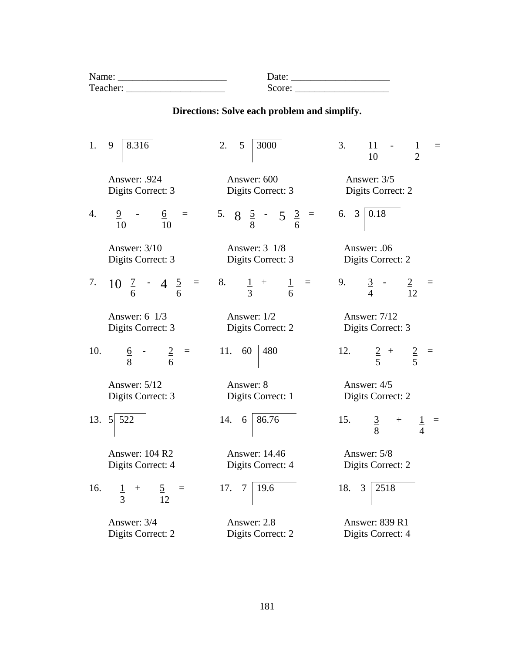|     | Name: $\frac{1}{\sqrt{1-\frac{1}{2}}\cdot\frac{1}{2}}$ | Date: $\frac{1}{\sqrt{1-\frac{1}{2}} \cdot \frac{1}{2}}$                                                    |                                              |  |  |  |  |  |
|-----|--------------------------------------------------------|-------------------------------------------------------------------------------------------------------------|----------------------------------------------|--|--|--|--|--|
|     | Teacher:                                               | Score:                                                                                                      |                                              |  |  |  |  |  |
|     |                                                        | Directions: Solve each problem and simplify.                                                                |                                              |  |  |  |  |  |
|     | 1. 9   8.316                                           | 2. $5 \mid 3000$                                                                                            | 3.<br>$\frac{11}{10}$ - $\frac{1}{2}$ =      |  |  |  |  |  |
|     | Answer: .924<br>Digits Correct: 3                      | Answer: 600<br>Digits Correct: 3                                                                            | Answer: 3/5<br>Digits Correct: 2             |  |  |  |  |  |
| 4.  |                                                        | $\frac{9}{10}$ - $\frac{6}{10}$ = 5. $8\frac{5}{8}$ - 5 $\frac{3}{6}$ = 6. 3 0.18                           |                                              |  |  |  |  |  |
|     | Answer: 3/10<br>Digits Correct: 3                      | Answer: 3 1/8<br>Digits Correct: 3                                                                          | Answer: .06<br>Digits Correct: 2             |  |  |  |  |  |
| 7.  |                                                        | 10 $\frac{7}{6}$ - 4 $\frac{5}{6}$ = 8. $\frac{1}{3}$ + $\frac{1}{6}$ = 9. $\frac{3}{4}$ - $\frac{2}{12}$ = |                                              |  |  |  |  |  |
|     | Answer: $6 \frac{1}{3}$<br>Digits Correct: 3           | Answer: 1/2<br>Digits Correct: 2                                                                            | Answer: 7/12<br>Digits Correct: 3            |  |  |  |  |  |
| 10. | $\frac{6}{8}$ - $\frac{2}{6}$ = 11. 60 480             |                                                                                                             | 12. $\frac{2}{5} + \frac{2}{5} =$            |  |  |  |  |  |
|     | Answer: 5/12<br>Digits Correct: 3                      | Answer: 8<br>Digits Correct: 1                                                                              | Answer: 4/5<br>Digits Correct: 2             |  |  |  |  |  |
|     | 13. $5 \mid 522$                                       | 14. $6 \mid 86.76$                                                                                          | 15.<br>$rac{3}{8}$<br>$+$<br>$\frac{1}{4}$ = |  |  |  |  |  |
|     | <b>Answer: 104 R2</b><br>Digits Correct: 4             | Answer: 14.46<br>Digits Correct: 4                                                                          | Answer: 5/8<br>Digits Correct: 2             |  |  |  |  |  |
| 16. | $+$<br>$\frac{1}{3}$<br>$rac{5}{12}$ =                 | 19.6<br>17. 7                                                                                               | 2518<br>3<br>18.                             |  |  |  |  |  |
|     | Answer: 3/4<br>Digits Correct: 2                       | Answer: 2.8<br>Digits Correct: 2                                                                            | Answer: 839 R1<br>Digits Correct: 4          |  |  |  |  |  |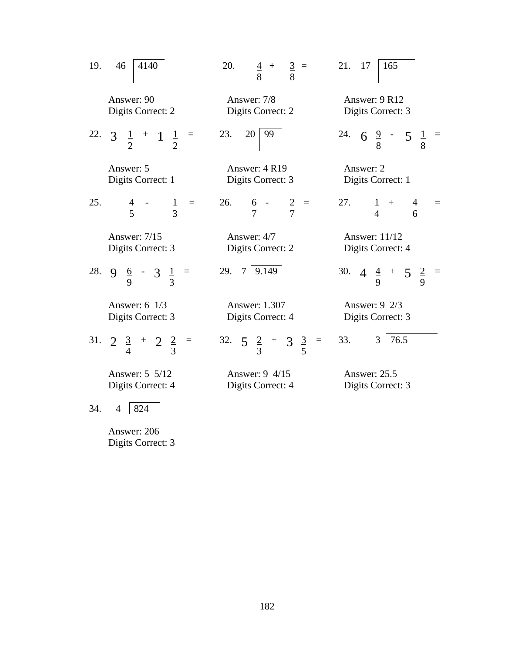| 19. | 4140                                    | 20.                                                 | 21. 17                                  |
|-----|-----------------------------------------|-----------------------------------------------------|-----------------------------------------|
|     | 46                                      | $\frac{4}{8} + \frac{3}{8} =$                       | 165                                     |
|     | Answer: 90                              | Answer: 7/8                                         | Answer: 9 R12                           |
|     | Digits Correct: 2                       | Digits Correct: 2                                   | Digits Correct: 3                       |
|     | 22. $3\frac{1}{2} + 1\frac{1}{2} =$     | 23. 20 99                                           | 24. 6 $\frac{9}{8}$ - 5 $\frac{1}{8}$ = |
|     | Answer: 5                               | Answer: 4 R19                                       | Answer: 2                               |
|     | Digits Correct: 1                       | Digits Correct: 3                                   | Digits Correct: 1                       |
| 25. | $\frac{4}{5}$ -                         | $\frac{1}{3}$ = 26. $\frac{6}{7}$ - $\frac{2}{7}$ = | 27.<br>$\frac{1}{4}$ + $\frac{4}{6}$ =  |
|     | Answer: 7/15                            | Answer: 4/7                                         | Answer: 11/12                           |
|     | Digits Correct: 3                       | Digits Correct: 2                                   | Digits Correct: 4                       |
|     | 28. 9 $\frac{6}{9}$ - 3 $\frac{1}{3}$ = | 29. $7 \mid 9.149$                                  | 30. $4 \frac{4}{9} + 5 \frac{2}{9} =$   |
|     | Answer: 6 1/3                           | Answer: 1.307                                       | Answer: 9 2/3                           |
|     | Digits Correct: 3                       | Digits Correct: 4                                   | Digits Correct: 3                       |
|     | 31. $2\frac{3}{4} + 2\frac{2}{3} =$     | 32. $5\frac{2}{3} + 3\frac{3}{5} = 33$ .            | $3 \mid 76.5$                           |
|     | Answer: 5 5/12                          | Answer: 9 4/15                                      | <b>Answer: 25.5</b>                     |
|     | Digits Correct: 4                       | Digits Correct: 4                                   | Digits Correct: 3                       |
|     | 34. 4 824                               |                                                     |                                         |
|     | Answer: 206                             |                                                     |                                         |

Digits Correct: 3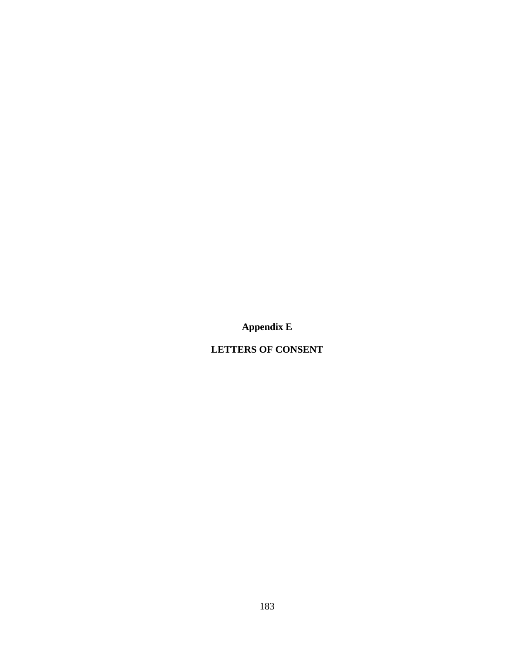**Appendix E** 

**LETTERS OF CONSENT**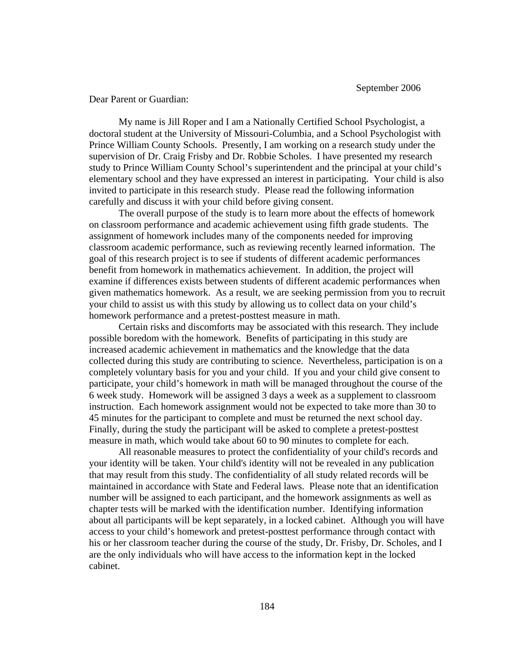## Dear Parent or Guardian:

 My name is Jill Roper and I am a Nationally Certified School Psychologist, a doctoral student at the University of Missouri-Columbia, and a School Psychologist with Prince William County Schools. Presently, I am working on a research study under the supervision of Dr. Craig Frisby and Dr. Robbie Scholes. I have presented my research study to Prince William County School's superintendent and the principal at your child's elementary school and they have expressed an interest in participating. Your child is also invited to participate in this research study. Please read the following information carefully and discuss it with your child before giving consent.

The overall purpose of the study is to learn more about the effects of homework on classroom performance and academic achievement using fifth grade students. The assignment of homework includes many of the components needed for improving classroom academic performance, such as reviewing recently learned information. The goal of this research project is to see if students of different academic performances benefit from homework in mathematics achievement. In addition, the project will examine if differences exists between students of different academic performances when given mathematics homework. As a result, we are seeking permission from you to recruit your child to assist us with this study by allowing us to collect data on your child's homework performance and a pretest-posttest measure in math.

Certain risks and discomforts may be associated with this research. They include possible boredom with the homework. Benefits of participating in this study are increased academic achievement in mathematics and the knowledge that the data collected during this study are contributing to science. Nevertheless, participation is on a completely voluntary basis for you and your child. If you and your child give consent to participate, your child's homework in math will be managed throughout the course of the 6 week study. Homework will be assigned 3 days a week as a supplement to classroom instruction. Each homework assignment would not be expected to take more than 30 to 45 minutes for the participant to complete and must be returned the next school day. Finally, during the study the participant will be asked to complete a pretest-posttest measure in math, which would take about 60 to 90 minutes to complete for each.

 All reasonable measures to protect the confidentiality of your child's records and your identity will be taken. Your child's identity will not be revealed in any publication that may result from this study. The confidentiality of all study related records will be maintained in accordance with State and Federal laws. Please note that an identification number will be assigned to each participant, and the homework assignments as well as chapter tests will be marked with the identification number. Identifying information about all participants will be kept separately, in a locked cabinet. Although you will have access to your child's homework and pretest-posttest performance through contact with his or her classroom teacher during the course of the study, Dr. Frisby, Dr. Scholes, and I are the only individuals who will have access to the information kept in the locked cabinet.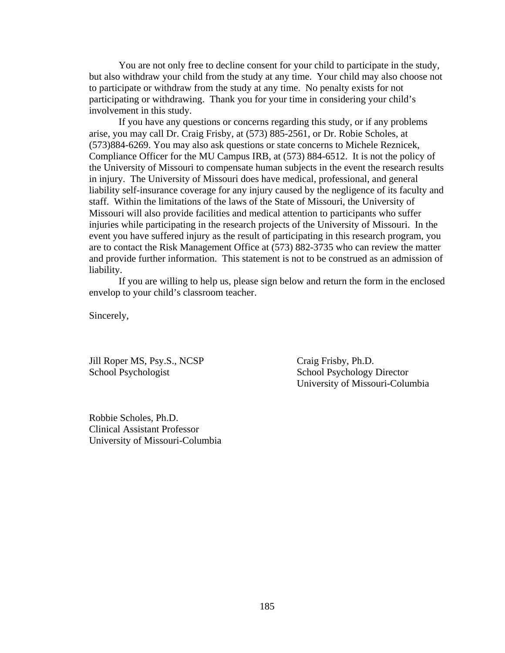You are not only free to decline consent for your child to participate in the study, but also withdraw your child from the study at any time. Your child may also choose not to participate or withdraw from the study at any time. No penalty exists for not participating or withdrawing. Thank you for your time in considering your child's involvement in this study.

If you have any questions or concerns regarding this study, or if any problems arise, you may call Dr. Craig Frisby, at (573) 885-2561, or Dr. Robie Scholes, at (573)884-6269. You may also ask questions or state concerns to Michele Reznicek, Compliance Officer for the MU Campus IRB, at (573) 884-6512. It is not the policy of the University of Missouri to compensate human subjects in the event the research results in injury. The University of Missouri does have medical, professional, and general liability self-insurance coverage for any injury caused by the negligence of its faculty and staff. Within the limitations of the laws of the State of Missouri, the University of Missouri will also provide facilities and medical attention to participants who suffer injuries while participating in the research projects of the University of Missouri. In the event you have suffered injury as the result of participating in this research program, you are to contact the Risk Management Office at (573) 882-3735 who can review the matter and provide further information. This statement is not to be construed as an admission of liability.

If you are willing to help us, please sign below and return the form in the enclosed envelop to your child's classroom teacher.

Sincerely,

Jill Roper MS, Psy.S., NCSP Craig Frisby, Ph.D. School Psychologist School Psychology Director

University of Missouri-Columbia

Robbie Scholes, Ph.D. Clinical Assistant Professor University of Missouri-Columbia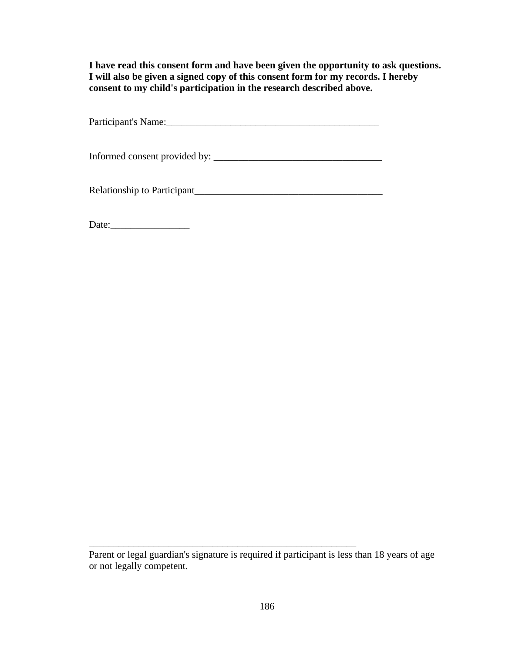**I have read this consent form and have been given the opportunity to ask questions. I will also be given a signed copy of this consent form for my records. I hereby consent to my child's participation in the research described above.**

Participant's Name:\_\_\_\_\_\_\_\_\_\_\_\_\_\_\_\_\_\_\_\_\_\_\_\_\_\_\_\_\_\_\_\_\_\_\_\_\_\_\_\_\_\_\_

Informed consent provided by: \_\_\_\_\_\_\_\_\_\_\_\_\_\_\_\_\_\_\_\_\_\_\_\_\_\_\_\_\_\_\_\_\_\_

Relationship to Participant\_\_\_\_\_\_\_\_\_\_\_\_\_\_\_\_\_\_\_\_\_\_\_\_\_\_\_\_\_\_\_\_\_\_\_\_\_\_

Date:\_\_\_\_\_\_\_\_\_\_\_\_\_\_\_\_

\_\_\_\_\_\_\_\_\_\_\_\_\_\_\_\_\_\_\_\_\_\_\_\_\_\_\_\_\_\_\_\_\_\_\_\_\_\_\_\_\_\_\_\_\_\_\_\_\_\_\_\_\_\_

Parent or legal guardian's signature is required if participant is less than 18 years of age or not legally competent.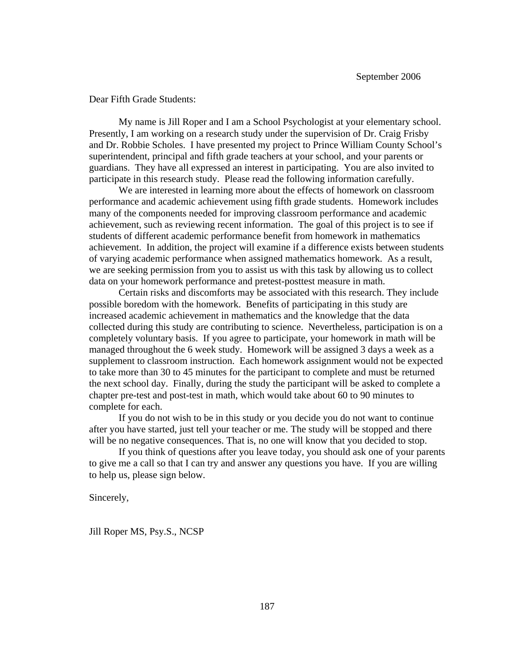## Dear Fifth Grade Students:

 My name is Jill Roper and I am a School Psychologist at your elementary school. Presently, I am working on a research study under the supervision of Dr. Craig Frisby and Dr. Robbie Scholes. I have presented my project to Prince William County School's superintendent, principal and fifth grade teachers at your school, and your parents or guardians. They have all expressed an interest in participating. You are also invited to participate in this research study. Please read the following information carefully.

We are interested in learning more about the effects of homework on classroom performance and academic achievement using fifth grade students. Homework includes many of the components needed for improving classroom performance and academic achievement, such as reviewing recent information. The goal of this project is to see if students of different academic performance benefit from homework in mathematics achievement. In addition, the project will examine if a difference exists between students of varying academic performance when assigned mathematics homework. As a result, we are seeking permission from you to assist us with this task by allowing us to collect data on your homework performance and pretest-posttest measure in math.

Certain risks and discomforts may be associated with this research. They include possible boredom with the homework. Benefits of participating in this study are increased academic achievement in mathematics and the knowledge that the data collected during this study are contributing to science. Nevertheless, participation is on a completely voluntary basis. If you agree to participate, your homework in math will be managed throughout the 6 week study. Homework will be assigned 3 days a week as a supplement to classroom instruction. Each homework assignment would not be expected to take more than 30 to 45 minutes for the participant to complete and must be returned the next school day. Finally, during the study the participant will be asked to complete a chapter pre-test and post-test in math, which would take about 60 to 90 minutes to complete for each.

 If you do not wish to be in this study or you decide you do not want to continue after you have started, just tell your teacher or me. The study will be stopped and there will be no negative consequences. That is, no one will know that you decided to stop.

If you think of questions after you leave today, you should ask one of your parents to give me a call so that I can try and answer any questions you have. If you are willing to help us, please sign below.

Sincerely,

Jill Roper MS, Psy.S., NCSP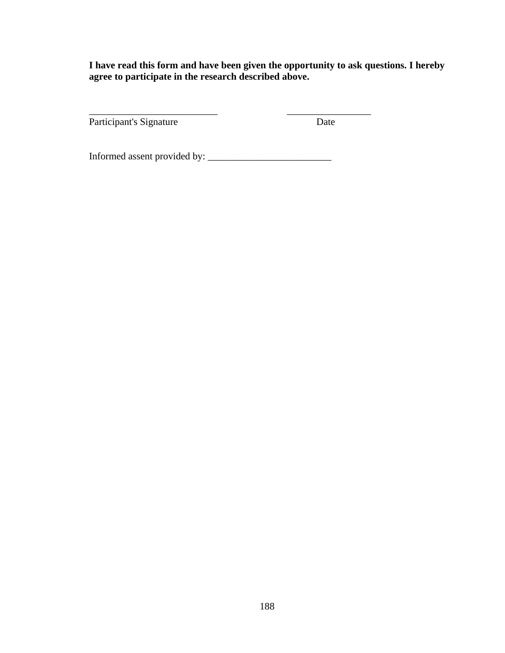**I have read this form and have been given the opportunity to ask questions. I hereby agree to participate in the research described above.** 

Participant's Signature Date

Informed assent provided by: \_\_\_\_\_\_\_\_\_\_\_\_\_\_\_\_\_\_\_\_\_\_\_\_\_

\_\_\_\_\_\_\_\_\_\_\_\_\_\_\_\_\_\_\_\_\_\_\_\_\_\_ \_\_\_\_\_\_\_\_\_\_\_\_\_\_\_\_\_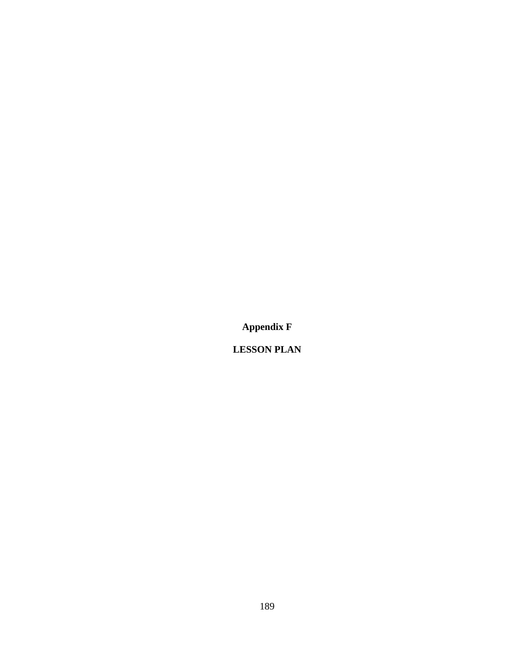**Appendix F** 

**LESSON PLAN**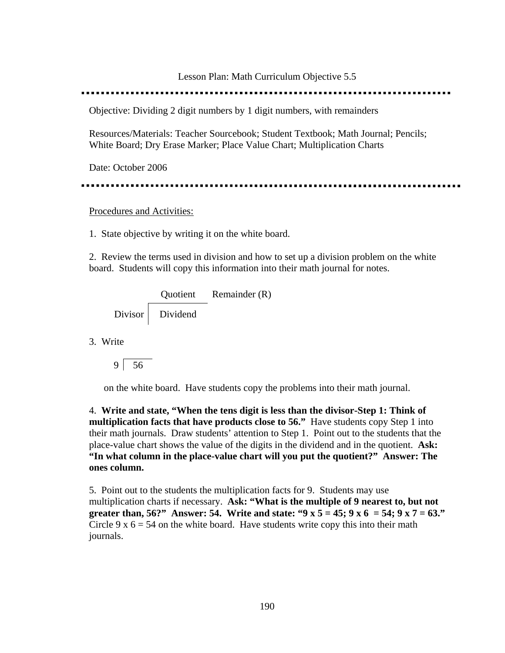## Lesson Plan: Math Curriculum Objective 5.5

Objective: Dividing 2 digit numbers by 1 digit numbers, with remainders

Resources/Materials: Teacher Sourcebook; Student Textbook; Math Journal; Pencils; White Board; Dry Erase Marker; Place Value Chart; Multiplication Charts

Date: October 2006

## Procedures and Activities:

1. State objective by writing it on the white board.

2. Review the terms used in division and how to set up a division problem on the white board. Students will copy this information into their math journal for notes.

 Quotient Remainder (R) Divisor | Dividend

3. Write

9 56

on the white board. Have students copy the problems into their math journal.

4. **Write and state, "When the tens digit is less than the divisor-Step 1: Think of multiplication facts that have products close to 56."** Have students copy Step 1 into their math journals. Draw students' attention to Step 1. Point out to the students that the place-value chart shows the value of the digits in the dividend and in the quotient. **Ask: "In what column in the place-value chart will you put the quotient?" Answer: The ones column.** 

5. Point out to the students the multiplication facts for 9. Students may use multiplication charts if necessary. **Ask: "What is the multiple of 9 nearest to, but not greater than, 56?" Answer: 54. Write and state: "9 x 5 = 45; 9 x 6 = 54; 9 x 7 = 63."**  Circle 9 x  $6 = 54$  on the white board. Have students write copy this into their math journals.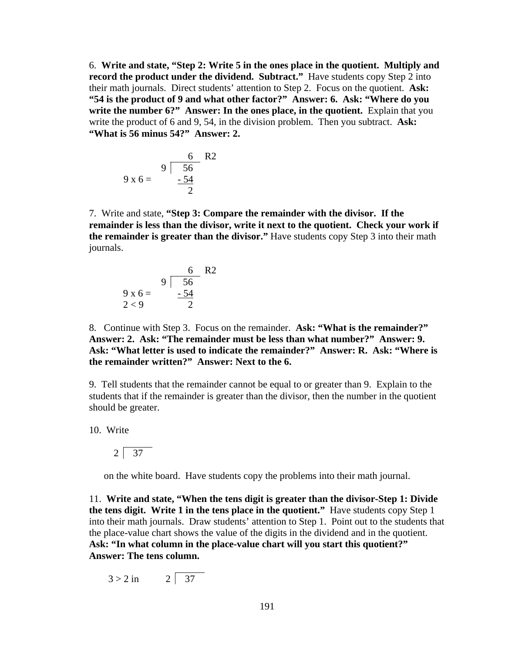6. **Write and state, "Step 2: Write 5 in the ones place in the quotient. Multiply and record the product under the dividend. Subtract."** Have students copy Step 2 into their math journals. Direct students' attention to Step 2. Focus on the quotient. **Ask: "54 is the product of 9 and what other factor?" Answer: 6. Ask: "Where do you write the number 6?"** Answer: In the ones place, in the quotient. Explain that you write the product of 6 and 9, 54, in the division problem. Then you subtract. **Ask: "What is 56 minus 54?" Answer: 2.**

$$
9 \times 6 = \frac{6}{\frac{-56}{2}} \times 6
$$

7. Write and state, **"Step 3: Compare the remainder with the divisor. If the remainder is less than the divisor, write it next to the quotient. Check your work if the remainder is greater than the divisor."** Have students copy Step 3 into their math journals.

$$
9 \times 6 = \frac{9 \overline{) 56}}{2 < 9}
$$

8. Continue with Step 3. Focus on the remainder. **Ask: "What is the remainder?" Answer: 2. Ask: "The remainder must be less than what number?" Answer: 9. Ask: "What letter is used to indicate the remainder?" Answer: R. Ask: "Where is the remainder written?" Answer: Next to the 6.** 

9. Tell students that the remainder cannot be equal to or greater than 9. Explain to the students that if the remainder is greater than the divisor, then the number in the quotient should be greater.

10. Write

2 37

on the white board. Have students copy the problems into their math journal.

11. **Write and state, "When the tens digit is greater than the divisor-Step 1: Divide the tens digit. Write 1 in the tens place in the quotient."** Have students copy Step 1 into their math journals. Draw students' attention to Step 1. Point out to the students that the place-value chart shows the value of the digits in the dividend and in the quotient. **Ask: "In what column in the place-value chart will you start this quotient?" Answer: The tens column.** 

 $3 > 2$  in 2 37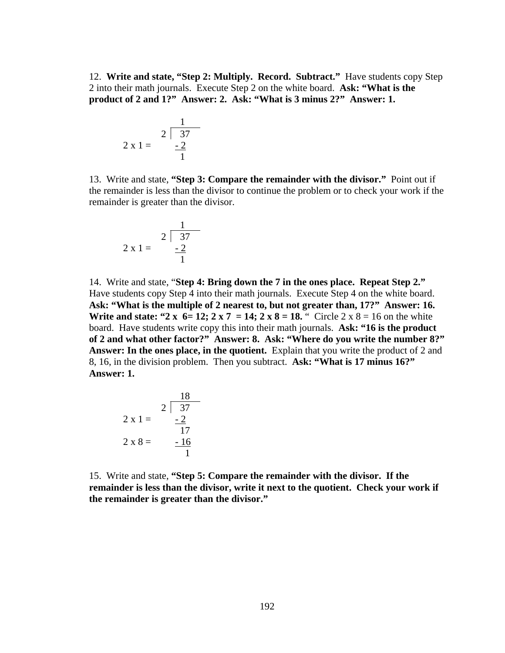12. **Write and state, "Step 2: Multiply. Record. Subtract."** Have students copy Step 2 into their math journals. Execute Step 2 on the white board. **Ask: "What is the product of 2 and 1?" Answer: 2. Ask: "What is 3 minus 2?" Answer: 1.** 

$$
2 \times 1 = \begin{array}{c} 1 \\ 2 \overline{)37} \\ -2 \\ 1 \end{array}
$$

13. Write and state, **"Step 3: Compare the remainder with the divisor."** Point out if the remainder is less than the divisor to continue the problem or to check your work if the remainder is greater than the divisor.

$$
2 \times 1 = \begin{array}{c} 1 \\ 2 \overline{)37} \\ -2 \\ 1 \end{array}
$$

14. Write and state, "**Step 4: Bring down the 7 in the ones place. Repeat Step 2."** Have students copy Step 4 into their math journals. Execute Step 4 on the white board. **Ask: "What is the multiple of 2 nearest to, but not greater than, 17?" Answer: 16. Write and state: "2 x 6= 12; 2 x 7 = 14; 2 x 8 = 18.** " Circle 2 x 8 = 16 on the white board. Have students write copy this into their math journals. **Ask: "16 is the product of 2 and what other factor?" Answer: 8. Ask: "Where do you write the number 8?" Answer: In the ones place, in the quotient.** Explain that you write the product of 2 and 8, 16, in the division problem. Then you subtract. **Ask: "What is 17 minus 16?" Answer: 1.**

$$
2 \times 1 = \begin{array}{r} 18 \\ 2 \overline{)37} \\ -2 \\ 17 \\ 2 \times 8 = \begin{array}{r} -16 \\ -16 \\ 1 \end{array} \end{array}
$$

15. Write and state, **"Step 5: Compare the remainder with the divisor. If the remainder is less than the divisor, write it next to the quotient. Check your work if the remainder is greater than the divisor."**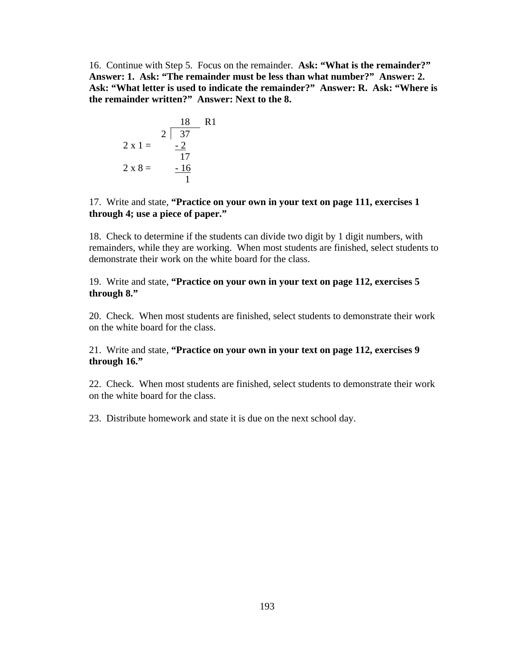16. Continue with Step 5. Focus on the remainder. **Ask: "What is the remainder?" Answer: 1. Ask: "The remainder must be less than what number?" Answer: 2. Ask: "What letter is used to indicate the remainder?" Answer: R. Ask: "Where is the remainder written?" Answer: Next to the 8.** 

$$
2 \times 1 = \begin{array}{c} 18 & R1 \\ 2 \overline{)37} \\ -2 \\ 17 \\ 2 \times 8 = \begin{array}{c} 18 & R1 \\ -2 \\ 17 \\ 1 \end{array}
$$

17. Write and state, **"Practice on your own in your text on page 111, exercises 1 through 4; use a piece of paper."** 

18. Check to determine if the students can divide two digit by 1 digit numbers, with remainders, while they are working. When most students are finished, select students to demonstrate their work on the white board for the class.

19. Write and state, **"Practice on your own in your text on page 112, exercises 5 through 8."** 

20. Check. When most students are finished, select students to demonstrate their work on the white board for the class.

# 21. Write and state, **"Practice on your own in your text on page 112, exercises 9 through 16."**

22. Check. When most students are finished, select students to demonstrate their work on the white board for the class.

23. Distribute homework and state it is due on the next school day.